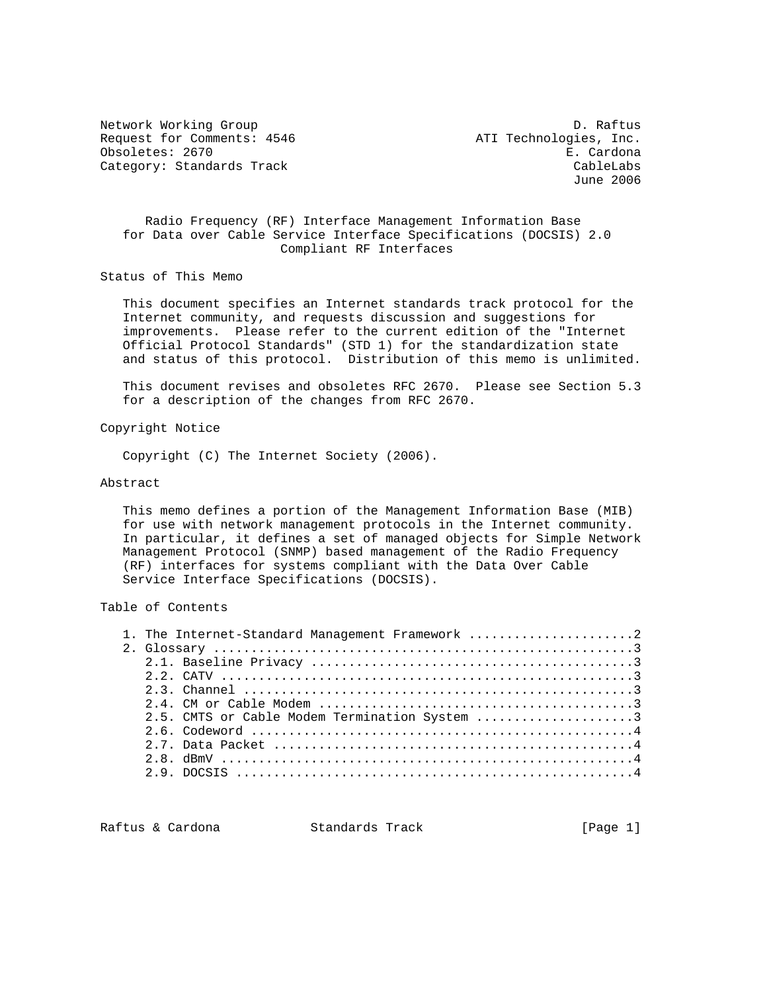Network Working Group Description of the U.S. Contract of the U.S. Raftus Request for Comments: 4546 ATI Technologies, Inc. Obsoletes: 2670 E. Cardona Category: Standards Track CableLabs CableLabs

June 2006

 Radio Frequency (RF) Interface Management Information Base for Data over Cable Service Interface Specifications (DOCSIS) 2.0 Compliant RF Interfaces

Status of This Memo

 This document specifies an Internet standards track protocol for the Internet community, and requests discussion and suggestions for improvements. Please refer to the current edition of the "Internet Official Protocol Standards" (STD 1) for the standardization state and status of this protocol. Distribution of this memo is unlimited.

 This document revises and obsoletes RFC 2670. Please see Section 5.3 for a description of the changes from RFC 2670.

Copyright Notice

Copyright (C) The Internet Society (2006).

# Abstract

 This memo defines a portion of the Management Information Base (MIB) for use with network management protocols in the Internet community. In particular, it defines a set of managed objects for Simple Network Management Protocol (SNMP) based management of the Radio Frequency (RF) interfaces for systems compliant with the Data Over Cable Service Interface Specifications (DOCSIS).

Table of Contents

|  | 1. The Internet-Standard Management Framework 2                                                                    |
|--|--------------------------------------------------------------------------------------------------------------------|
|  |                                                                                                                    |
|  |                                                                                                                    |
|  |                                                                                                                    |
|  |                                                                                                                    |
|  |                                                                                                                    |
|  | 2.5. CMTS or Cable Modem Termination System 3                                                                      |
|  | $2.6.$ Codeword $\ldots$ $\ldots$ $\ldots$ $\ldots$ $\ldots$ $\ldots$ $\ldots$ $\ldots$ $\ldots$ $\ldots$ $\ldots$ |
|  |                                                                                                                    |
|  |                                                                                                                    |
|  |                                                                                                                    |
|  |                                                                                                                    |

Raftus & Cardona Standards Track [Page 1]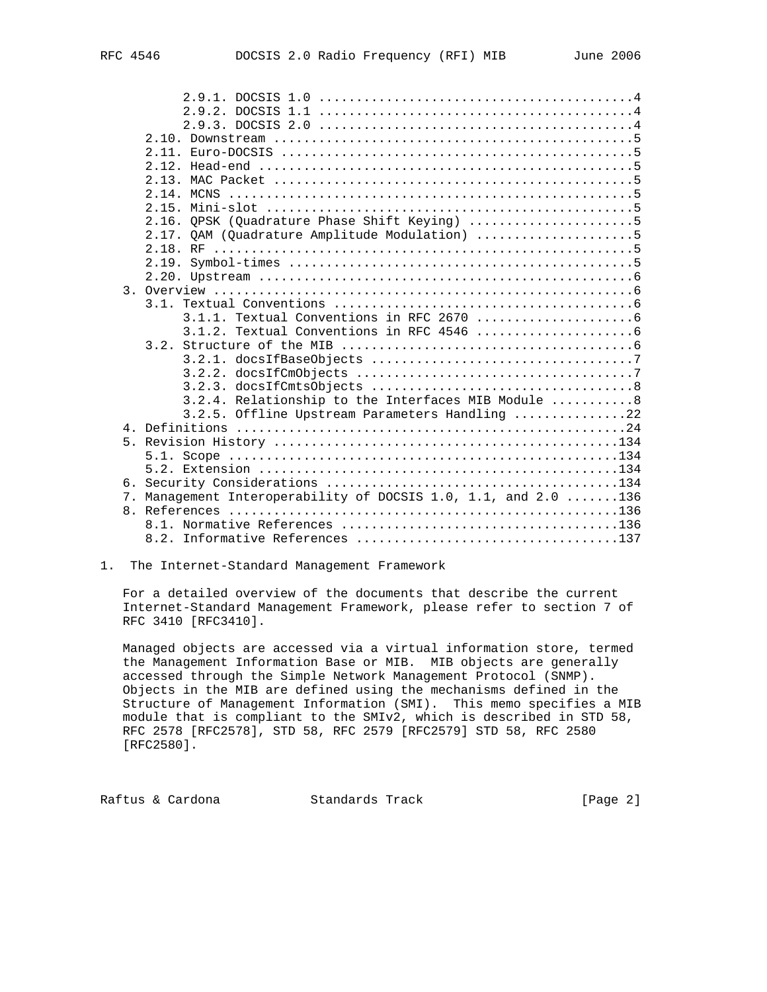|                                       | 2.16. QPSK (Quadrature Phase Shift Keying) 5                |
|---------------------------------------|-------------------------------------------------------------|
|                                       | 2.17. QAM (Quadrature Amplitude Modulation) 5               |
|                                       |                                                             |
|                                       |                                                             |
|                                       |                                                             |
|                                       |                                                             |
|                                       |                                                             |
|                                       |                                                             |
|                                       |                                                             |
|                                       |                                                             |
|                                       |                                                             |
|                                       |                                                             |
|                                       |                                                             |
|                                       | 3.2.4. Relationship to the Interfaces MIB Module 8          |
|                                       | 3.2.5. Offline Upstream Parameters Handling 22              |
|                                       |                                                             |
|                                       |                                                             |
|                                       |                                                             |
|                                       |                                                             |
|                                       |                                                             |
| $7_{\scriptscriptstyle{\ddot{\,}}\,}$ | Management Interoperability of DOCSIS 1.0, 1.1, and 2.0 136 |
|                                       |                                                             |
|                                       |                                                             |
|                                       |                                                             |

1. The Internet-Standard Management Framework

 For a detailed overview of the documents that describe the current Internet-Standard Management Framework, please refer to section 7 of RFC 3410 [RFC3410].

 Managed objects are accessed via a virtual information store, termed the Management Information Base or MIB. MIB objects are generally accessed through the Simple Network Management Protocol (SNMP). Objects in the MIB are defined using the mechanisms defined in the Structure of Management Information (SMI). This memo specifies a MIB module that is compliant to the SMIv2, which is described in STD 58, RFC 2578 [RFC2578], STD 58, RFC 2579 [RFC2579] STD 58, RFC 2580 [RFC2580].

Raftus & Cardona Standards Track [Page 2]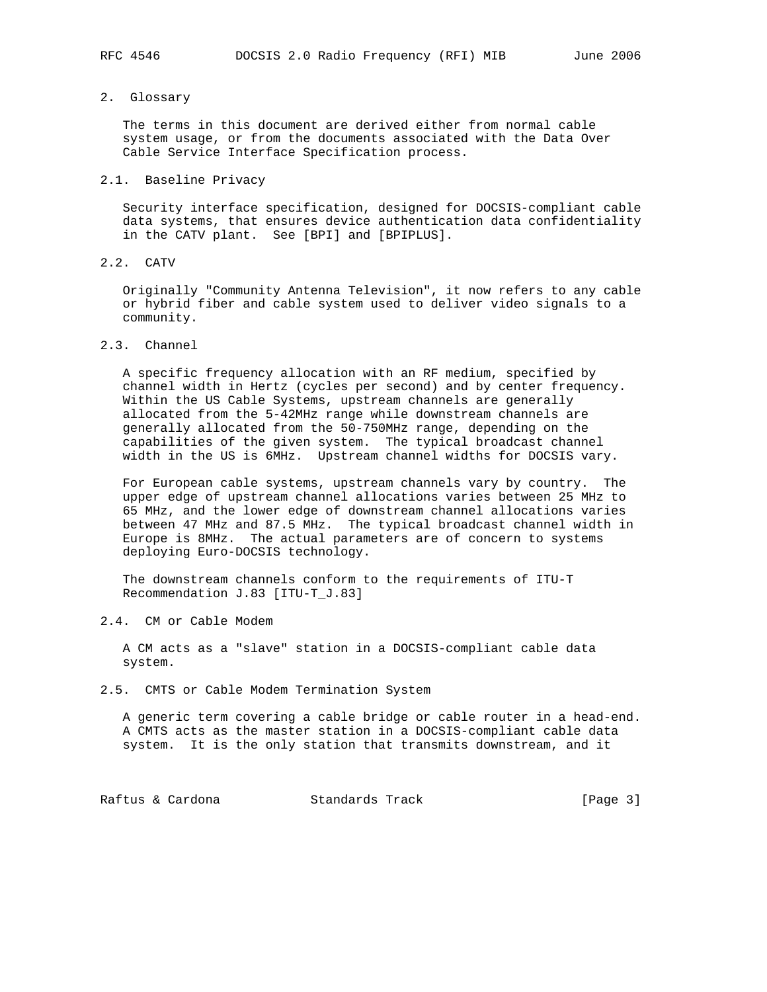# 2. Glossary

 The terms in this document are derived either from normal cable system usage, or from the documents associated with the Data Over Cable Service Interface Specification process.

# 2.1. Baseline Privacy

 Security interface specification, designed for DOCSIS-compliant cable data systems, that ensures device authentication data confidentiality in the CATV plant. See [BPI] and [BPIPLUS].

2.2. CATV

 Originally "Community Antenna Television", it now refers to any cable or hybrid fiber and cable system used to deliver video signals to a community.

2.3. Channel

 A specific frequency allocation with an RF medium, specified by channel width in Hertz (cycles per second) and by center frequency. Within the US Cable Systems, upstream channels are generally allocated from the 5-42MHz range while downstream channels are generally allocated from the 50-750MHz range, depending on the capabilities of the given system. The typical broadcast channel width in the US is 6MHz. Upstream channel widths for DOCSIS vary.

 For European cable systems, upstream channels vary by country. The upper edge of upstream channel allocations varies between 25 MHz to 65 MHz, and the lower edge of downstream channel allocations varies between 47 MHz and 87.5 MHz. The typical broadcast channel width in Europe is 8MHz. The actual parameters are of concern to systems deploying Euro-DOCSIS technology.

 The downstream channels conform to the requirements of ITU-T Recommendation J.83 [ITU-T\_J.83]

2.4. CM or Cable Modem

 A CM acts as a "slave" station in a DOCSIS-compliant cable data system.

2.5. CMTS or Cable Modem Termination System

 A generic term covering a cable bridge or cable router in a head-end. A CMTS acts as the master station in a DOCSIS-compliant cable data system. It is the only station that transmits downstream, and it

Raftus & Cardona Standards Track [Page 3]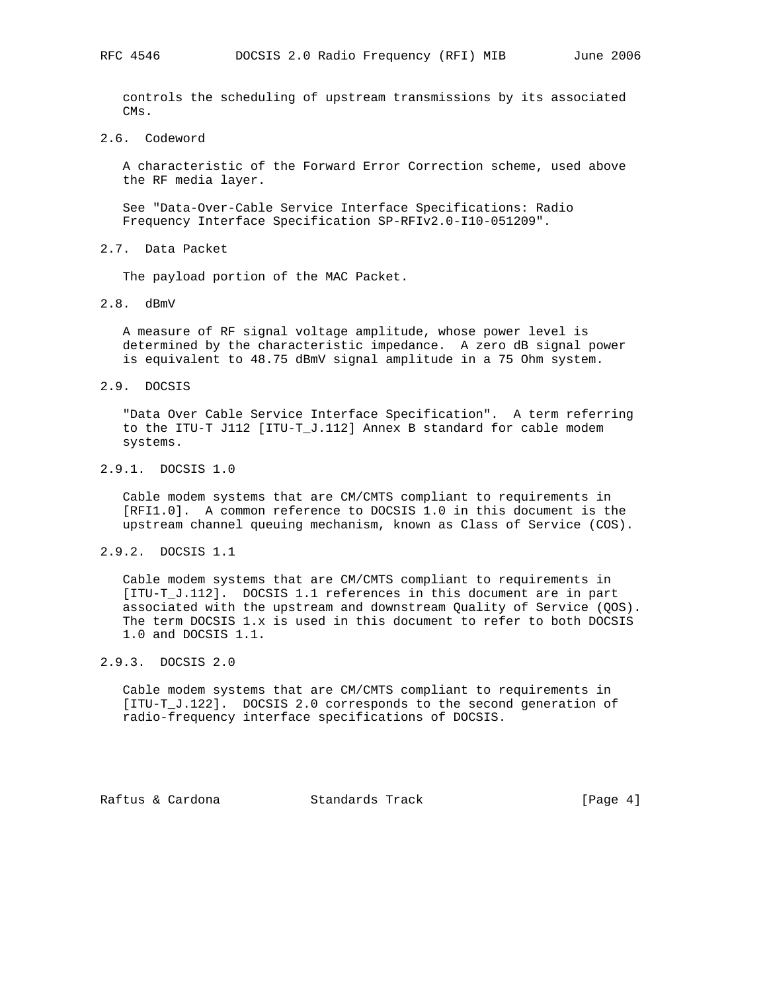controls the scheduling of upstream transmissions by its associated CMs.

2.6. Codeword

 A characteristic of the Forward Error Correction scheme, used above the RF media layer.

 See "Data-Over-Cable Service Interface Specifications: Radio Frequency Interface Specification SP-RFIv2.0-I10-051209".

2.7. Data Packet

The payload portion of the MAC Packet.

2.8. dBmV

 A measure of RF signal voltage amplitude, whose power level is determined by the characteristic impedance. A zero dB signal power is equivalent to 48.75 dBmV signal amplitude in a 75 Ohm system.

2.9. DOCSIS

 "Data Over Cable Service Interface Specification". A term referring to the ITU-T J112 [ITU-T\_J.112] Annex B standard for cable modem systems.

2.9.1. DOCSIS 1.0

 Cable modem systems that are CM/CMTS compliant to requirements in [RFI1.0]. A common reference to DOCSIS 1.0 in this document is the upstream channel queuing mechanism, known as Class of Service (COS).

2.9.2. DOCSIS 1.1

 Cable modem systems that are CM/CMTS compliant to requirements in [ITU-T\_J.112]. DOCSIS 1.1 references in this document are in part associated with the upstream and downstream Quality of Service (QOS). The term DOCSIS 1.x is used in this document to refer to both DOCSIS 1.0 and DOCSIS 1.1.

2.9.3. DOCSIS 2.0

 Cable modem systems that are CM/CMTS compliant to requirements in [ITU-T\_J.122]. DOCSIS 2.0 corresponds to the second generation of radio-frequency interface specifications of DOCSIS.

Raftus & Cardona Standards Track [Page 4]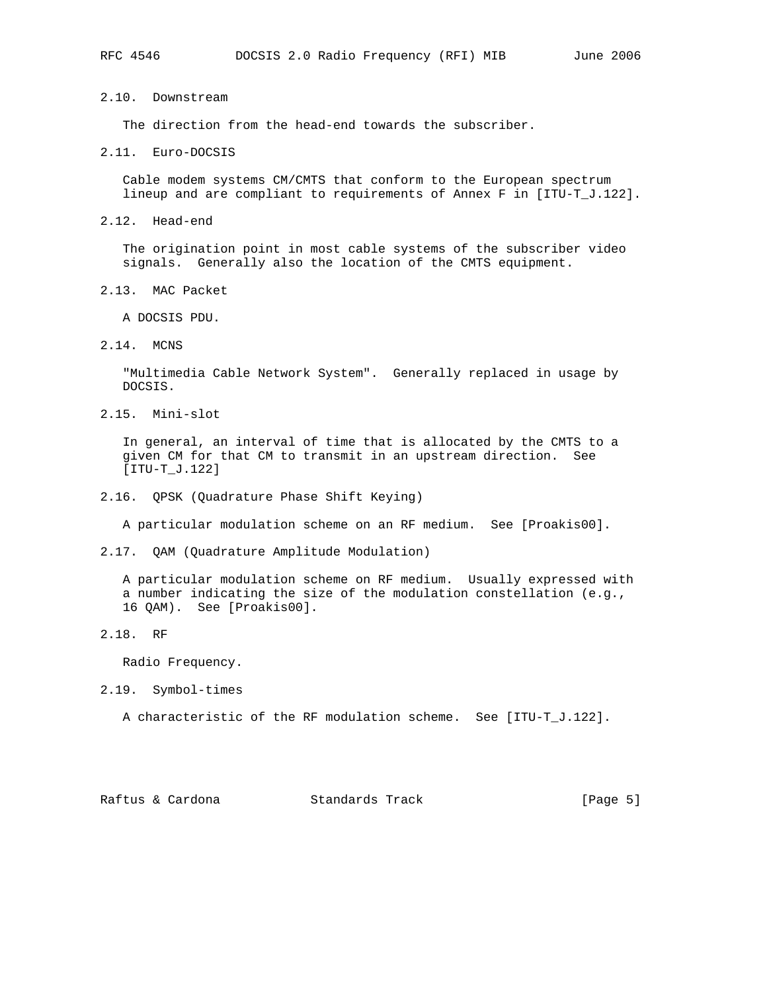2.10. Downstream

The direction from the head-end towards the subscriber.

2.11. Euro-DOCSIS

 Cable modem systems CM/CMTS that conform to the European spectrum lineup and are compliant to requirements of Annex F in [ITU-T\_J.122].

2.12. Head-end

 The origination point in most cable systems of the subscriber video signals. Generally also the location of the CMTS equipment.

2.13. MAC Packet

A DOCSIS PDU.

2.14. MCNS

 "Multimedia Cable Network System". Generally replaced in usage by DOCSIS.

2.15. Mini-slot

 In general, an interval of time that is allocated by the CMTS to a given CM for that CM to transmit in an upstream direction. See [ITU-T\_J.122]

2.16. QPSK (Quadrature Phase Shift Keying)

A particular modulation scheme on an RF medium. See [Proakis00].

2.17. QAM (Quadrature Amplitude Modulation)

 A particular modulation scheme on RF medium. Usually expressed with a number indicating the size of the modulation constellation (e.g., 16 QAM). See [Proakis00].

2.18. RF

Radio Frequency.

2.19. Symbol-times

A characteristic of the RF modulation scheme. See [ITU-T\_J.122].

Raftus & Cardona Standards Track [Page 5]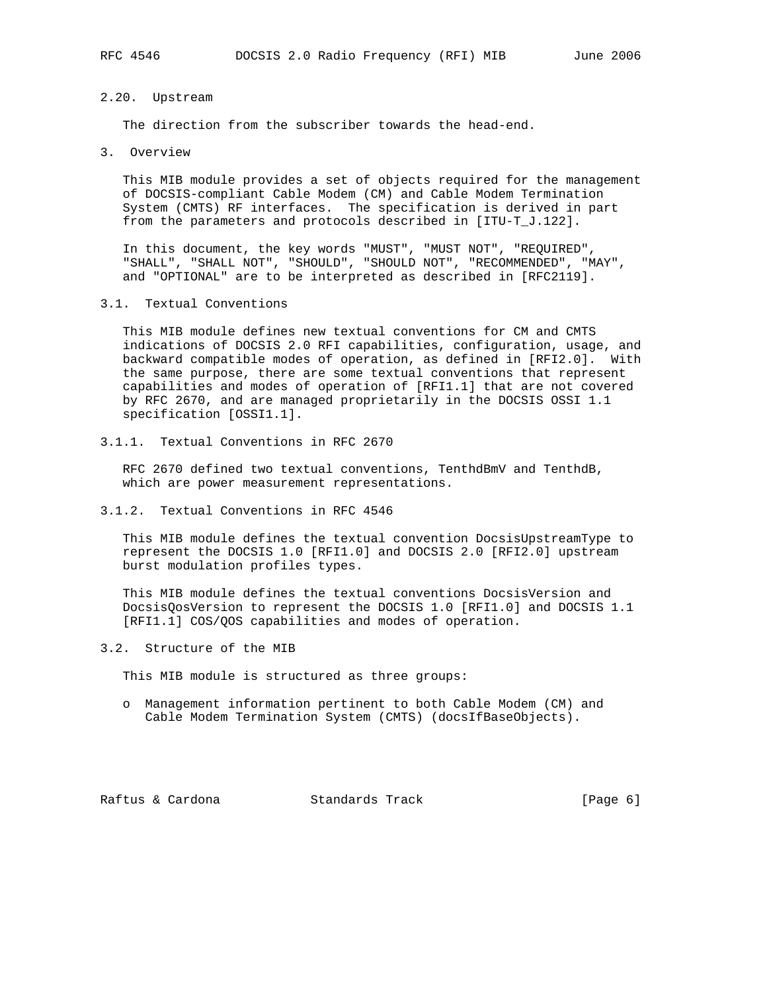# 2.20. Upstream

The direction from the subscriber towards the head-end.

3. Overview

 This MIB module provides a set of objects required for the management of DOCSIS-compliant Cable Modem (CM) and Cable Modem Termination System (CMTS) RF interfaces. The specification is derived in part from the parameters and protocols described in [ITU-T\_J.122].

 In this document, the key words "MUST", "MUST NOT", "REQUIRED", "SHALL", "SHALL NOT", "SHOULD", "SHOULD NOT", "RECOMMENDED", "MAY", and "OPTIONAL" are to be interpreted as described in [RFC2119].

3.1. Textual Conventions

 This MIB module defines new textual conventions for CM and CMTS indications of DOCSIS 2.0 RFI capabilities, configuration, usage, and backward compatible modes of operation, as defined in [RFI2.0]. With the same purpose, there are some textual conventions that represent capabilities and modes of operation of [RFI1.1] that are not covered by RFC 2670, and are managed proprietarily in the DOCSIS OSSI 1.1 specification [OSSI1.1].

3.1.1. Textual Conventions in RFC 2670

 RFC 2670 defined two textual conventions, TenthdBmV and TenthdB, which are power measurement representations.

3.1.2. Textual Conventions in RFC 4546

 This MIB module defines the textual convention DocsisUpstreamType to represent the DOCSIS 1.0 [RFI1.0] and DOCSIS 2.0 [RFI2.0] upstream burst modulation profiles types.

 This MIB module defines the textual conventions DocsisVersion and DocsisQosVersion to represent the DOCSIS 1.0 [RFI1.0] and DOCSIS 1.1 [RFI1.1] COS/QOS capabilities and modes of operation.

3.2. Structure of the MIB

This MIB module is structured as three groups:

 o Management information pertinent to both Cable Modem (CM) and Cable Modem Termination System (CMTS) (docsIfBaseObjects).

Raftus & Cardona Standards Track [Page 6]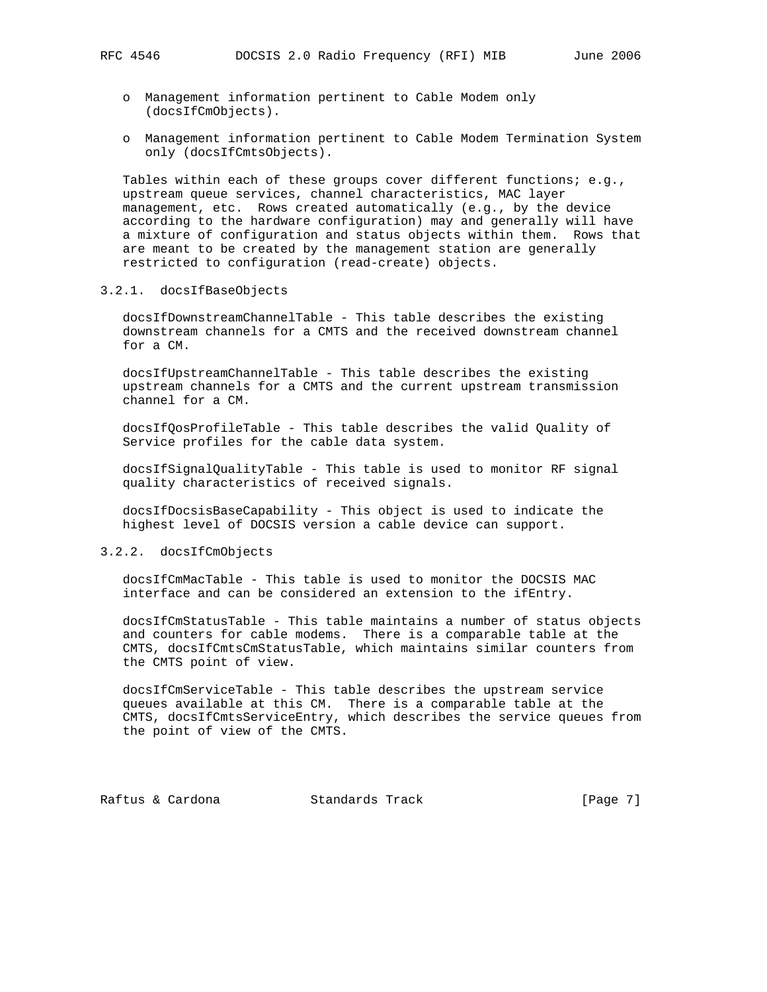- - o Management information pertinent to Cable Modem only (docsIfCmObjects).
	- o Management information pertinent to Cable Modem Termination System only (docsIfCmtsObjects).

 Tables within each of these groups cover different functions; e.g., upstream queue services, channel characteristics, MAC layer management, etc. Rows created automatically (e.g., by the device according to the hardware configuration) may and generally will have a mixture of configuration and status objects within them. Rows that are meant to be created by the management station are generally restricted to configuration (read-create) objects.

# 3.2.1. docsIfBaseObjects

 docsIfDownstreamChannelTable - This table describes the existing downstream channels for a CMTS and the received downstream channel for a CM.

 docsIfUpstreamChannelTable - This table describes the existing upstream channels for a CMTS and the current upstream transmission channel for a CM.

 docsIfQosProfileTable - This table describes the valid Quality of Service profiles for the cable data system.

 docsIfSignalQualityTable - This table is used to monitor RF signal quality characteristics of received signals.

 docsIfDocsisBaseCapability - This object is used to indicate the highest level of DOCSIS version a cable device can support.

# 3.2.2. docsIfCmObjects

 docsIfCmMacTable - This table is used to monitor the DOCSIS MAC interface and can be considered an extension to the ifEntry.

 docsIfCmStatusTable - This table maintains a number of status objects and counters for cable modems. There is a comparable table at the CMTS, docsIfCmtsCmStatusTable, which maintains similar counters from the CMTS point of view.

 docsIfCmServiceTable - This table describes the upstream service queues available at this CM. There is a comparable table at the CMTS, docsIfCmtsServiceEntry, which describes the service queues from the point of view of the CMTS.

Raftus & Cardona Standards Track [Page 7]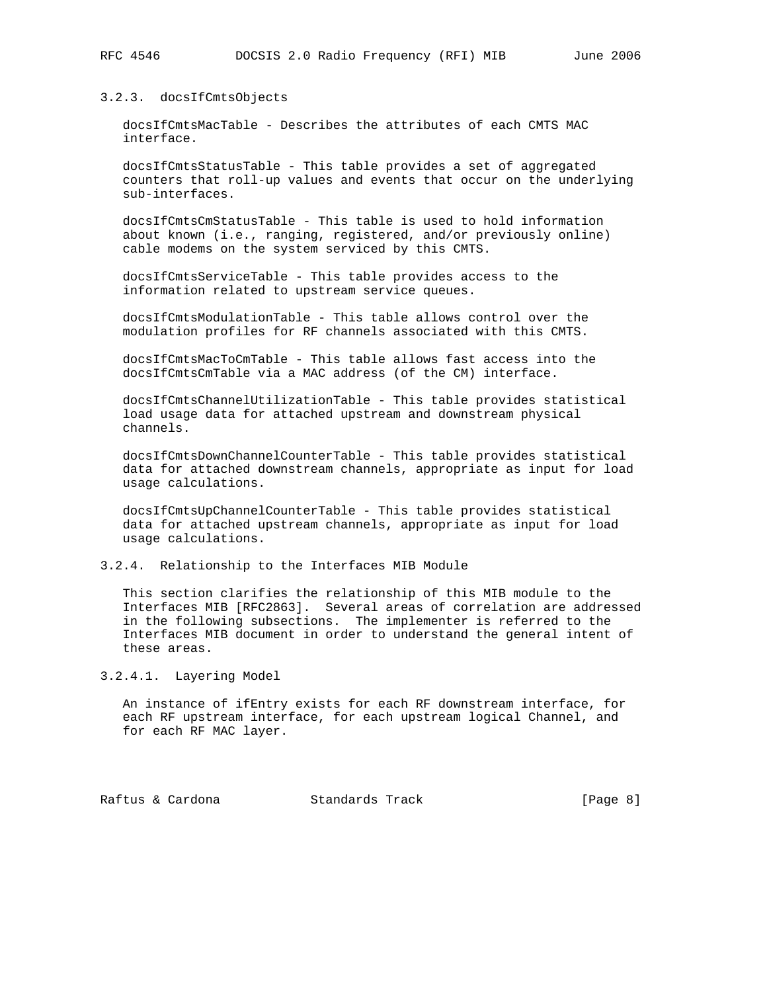### 3.2.3. docsIfCmtsObjects

 docsIfCmtsMacTable - Describes the attributes of each CMTS MAC interface.

 docsIfCmtsStatusTable - This table provides a set of aggregated counters that roll-up values and events that occur on the underlying sub-interfaces.

 docsIfCmtsCmStatusTable - This table is used to hold information about known (i.e., ranging, registered, and/or previously online) cable modems on the system serviced by this CMTS.

 docsIfCmtsServiceTable - This table provides access to the information related to upstream service queues.

 docsIfCmtsModulationTable - This table allows control over the modulation profiles for RF channels associated with this CMTS.

 docsIfCmtsMacToCmTable - This table allows fast access into the docsIfCmtsCmTable via a MAC address (of the CM) interface.

 docsIfCmtsChannelUtilizationTable - This table provides statistical load usage data for attached upstream and downstream physical channels.

 docsIfCmtsDownChannelCounterTable - This table provides statistical data for attached downstream channels, appropriate as input for load usage calculations.

 docsIfCmtsUpChannelCounterTable - This table provides statistical data for attached upstream channels, appropriate as input for load usage calculations.

### 3.2.4. Relationship to the Interfaces MIB Module

 This section clarifies the relationship of this MIB module to the Interfaces MIB [RFC2863]. Several areas of correlation are addressed in the following subsections. The implementer is referred to the Interfaces MIB document in order to understand the general intent of these areas.

#### 3.2.4.1. Layering Model

 An instance of ifEntry exists for each RF downstream interface, for each RF upstream interface, for each upstream logical Channel, and for each RF MAC layer.

Raftus & Cardona Standards Track [Page 8]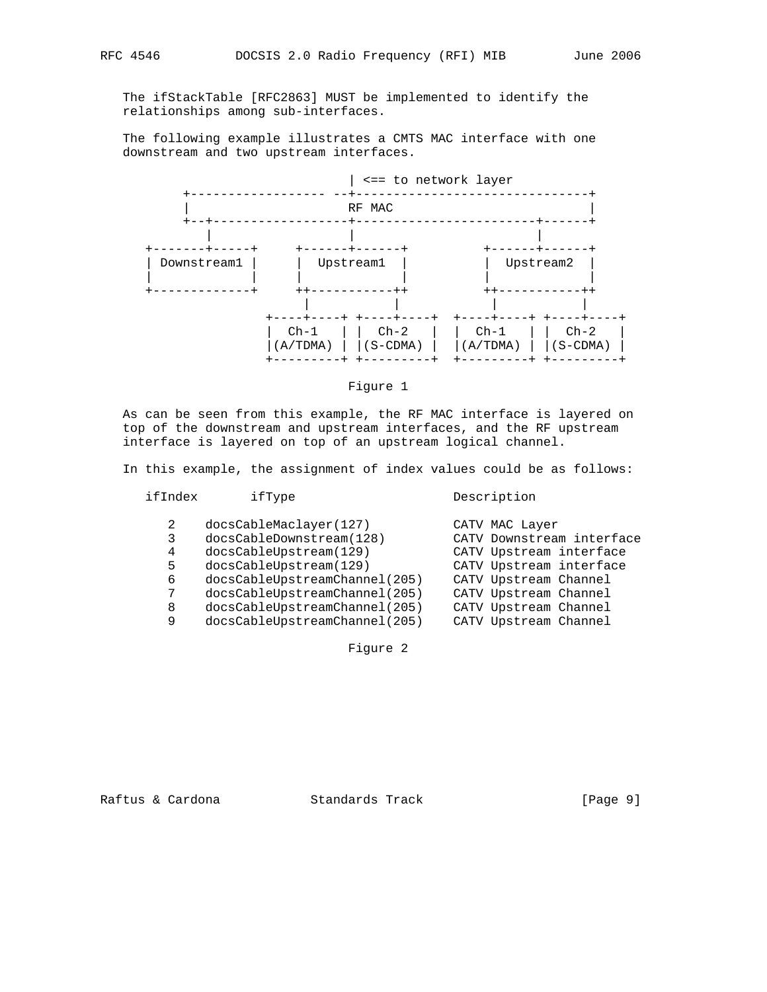The ifStackTable [RFC2863] MUST be implemented to identify the relationships among sub-interfaces.

 The following example illustrates a CMTS MAC interface with one downstream and two upstream interfaces.





 As can be seen from this example, the RF MAC interface is layered on top of the downstream and upstream interfaces, and the RF upstream interface is layered on top of an upstream logical channel.

In this example, the assignment of index values could be as follows:

ifIndex ifType Description

| 2<br>3<br>4<br>5<br>6<br>8 | docsCableMaclayer(127)<br>docsCableDownstream(128)<br>docsCableUpstream(129)<br>docsCableUpstream(129)<br>docsCableUpstreamChannel(205)<br>docsCableUpstreamChannel(205)<br>docsCableUpstreamChannel(205) | CATV MAC Layer<br>CATV Downstream interface<br>CATV Upstream interface<br>CATV Upstream interface<br>CATV Upstream Channel<br>CATV Upstream Channel<br>CATV Upstream Channel |
|----------------------------|-----------------------------------------------------------------------------------------------------------------------------------------------------------------------------------------------------------|------------------------------------------------------------------------------------------------------------------------------------------------------------------------------|
| 9                          | docsCableUpstreamChannel(205)                                                                                                                                                                             | CATV Upstream Channel                                                                                                                                                        |

Figure 2

Raftus & Cardona Standards Track [Page 9]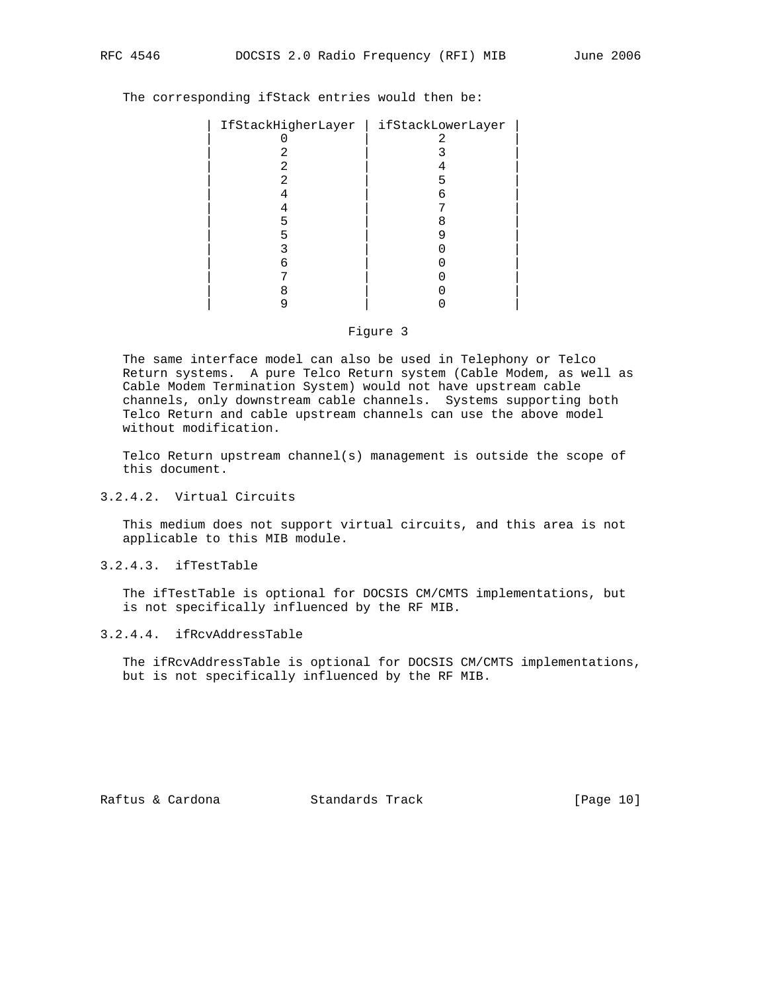| IfStackHigherLayer | ifStackLowerLayer |
|--------------------|-------------------|
|                    |                   |
|                    |                   |
|                    |                   |
|                    |                   |
|                    | h                 |
|                    |                   |
| ר                  |                   |
|                    |                   |
|                    |                   |
|                    |                   |
|                    |                   |
|                    |                   |
|                    |                   |
|                    |                   |

The corresponding ifStack entries would then be:

# Figure 3

 The same interface model can also be used in Telephony or Telco Return systems. A pure Telco Return system (Cable Modem, as well as Cable Modem Termination System) would not have upstream cable channels, only downstream cable channels. Systems supporting both Telco Return and cable upstream channels can use the above model without modification.

 Telco Return upstream channel(s) management is outside the scope of this document.

# 3.2.4.2. Virtual Circuits

 This medium does not support virtual circuits, and this area is not applicable to this MIB module.

# 3.2.4.3. ifTestTable

 The ifTestTable is optional for DOCSIS CM/CMTS implementations, but is not specifically influenced by the RF MIB.

# 3.2.4.4. ifRcvAddressTable

 The ifRcvAddressTable is optional for DOCSIS CM/CMTS implementations, but is not specifically influenced by the RF MIB.

Raftus & Cardona Standards Track [Page 10]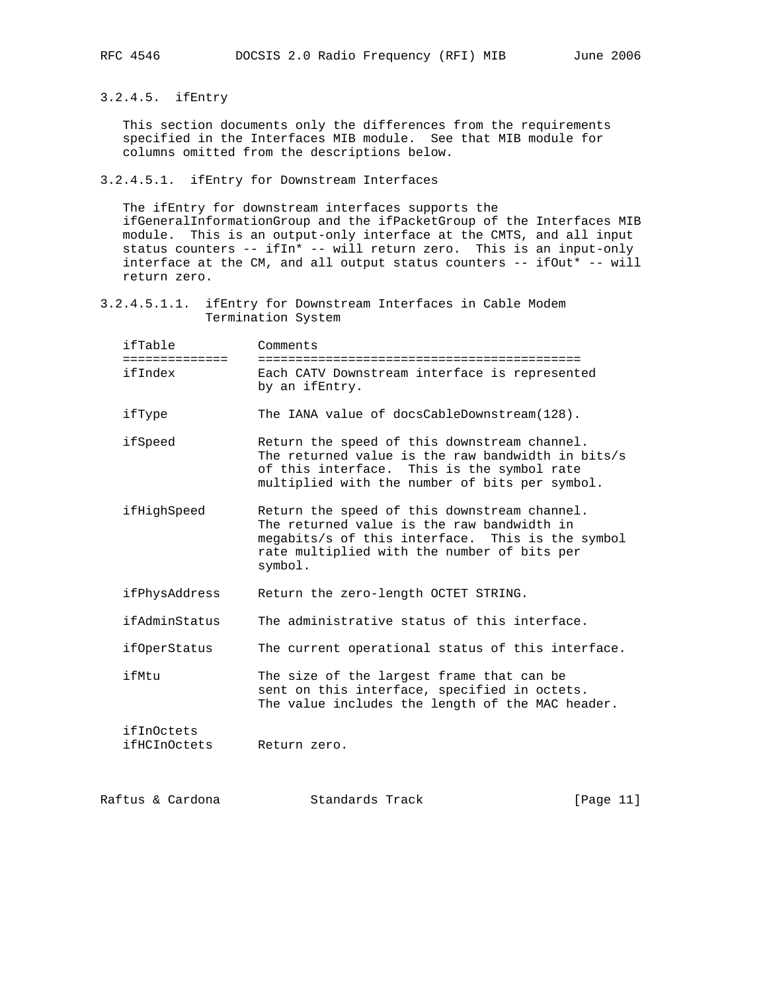3.2.4.5. ifEntry

 This section documents only the differences from the requirements specified in the Interfaces MIB module. See that MIB module for columns omitted from the descriptions below.

3.2.4.5.1. ifEntry for Downstream Interfaces

 The ifEntry for downstream interfaces supports the ifGeneralInformationGroup and the ifPacketGroup of the Interfaces MIB module. This is an output-only interface at the CMTS, and all input status counters  $--$  ifIn\*  $--$  will return zero. This is an input-only interface at the CM, and all output status counters -- ifOut\* -- will return zero.

3.2.4.5.1.1. ifEntry for Downstream Interfaces in Cable Modem Termination System

| ifTable<br>ifIndex | ===============     | Comments<br>Each CATV Downstream interface is represented<br>by an ifEntry.                                                                                                                              |
|--------------------|---------------------|----------------------------------------------------------------------------------------------------------------------------------------------------------------------------------------------------------|
| ifType             |                     | The IANA value of docsCableDownstream(128).                                                                                                                                                              |
| ifSpeed            |                     | Return the speed of this downstream channel.<br>The returned value is the raw bandwidth in bits/s<br>of this interface. This is the symbol rate<br>multiplied with the number of bits per symbol.        |
| ifHighSpeed        |                     | Return the speed of this downstream channel.<br>The returned value is the raw bandwidth in<br>megabits/s of this interface. This is the symbol<br>rate multiplied with the number of bits per<br>symbol. |
|                    | ifPhysAddress       | Return the zero-length OCTET STRING.                                                                                                                                                                     |
|                    | ifAdminStatus       | The administrative status of this interface.                                                                                                                                                             |
|                    | <i>ifOperStatus</i> | The current operational status of this interface.                                                                                                                                                        |
| ifMtu              |                     | The size of the largest frame that can be<br>sent on this interface, specified in octets.<br>The value includes the length of the MAC header.                                                            |
| ifInOctets         | <i>ifHCInOctets</i> | Return zero.                                                                                                                                                                                             |

Raftus & Cardona Standards Track [Page 11]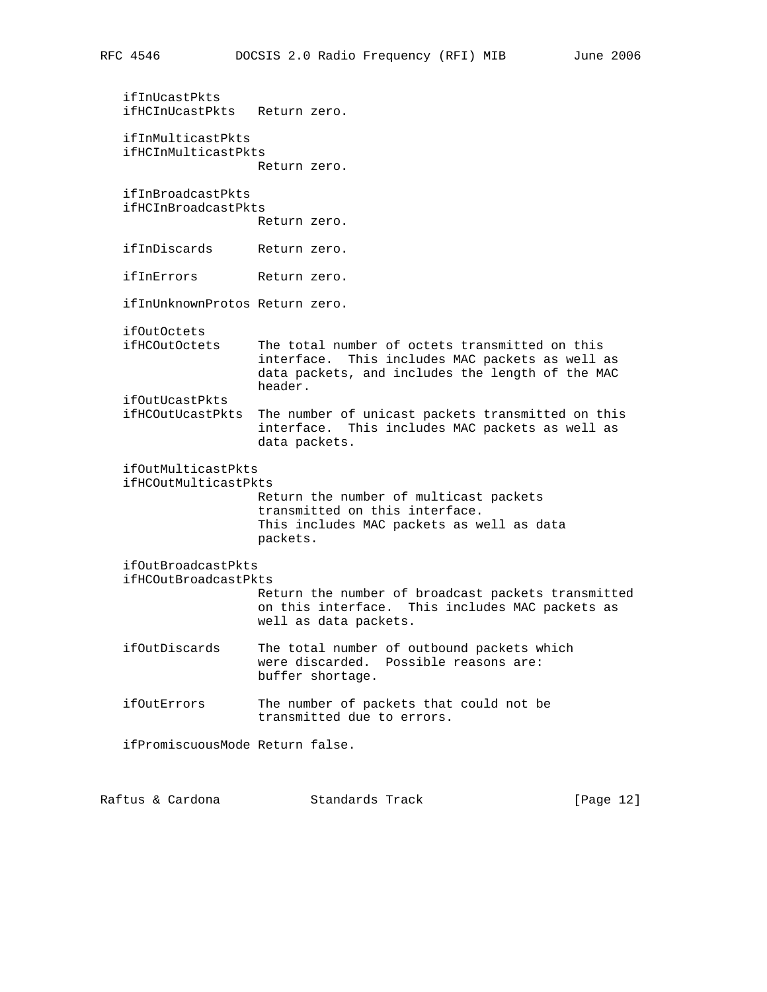ifInUcastPkts ifHCInUcastPkts Return zero. ifInMulticastPkts ifHCInMulticastPkts Return zero. ifInBroadcastPkts ifHCInBroadcastPkts Return zero. ifInDiscards Return zero. ifInErrors Return zero. ifInUnknownProtos Return zero. ifOutOctets ifHCOutOctets The total number of octets transmitted on this interface. This includes MAC packets as well as data packets, and includes the length of the MAC header. ifOutUcastPkts ifHCOutUcastPkts The number of unicast packets transmitted on this interface. This includes MAC packets as well as data packets. ifOutMulticastPkts ifHCOutMulticastPkts Return the number of multicast packets transmitted on this interface. This includes MAC packets as well as data packets. ifOutBroadcastPkts ifHCOutBroadcastPkts Return the number of broadcast packets transmitted on this interface. This includes MAC packets as well as data packets. ifOutDiscards The total number of outbound packets which were discarded. Possible reasons are: buffer shortage. ifOutErrors The number of packets that could not be transmitted due to errors. ifPromiscuousMode Return false.

Raftus & Cardona Standards Track [Page 12]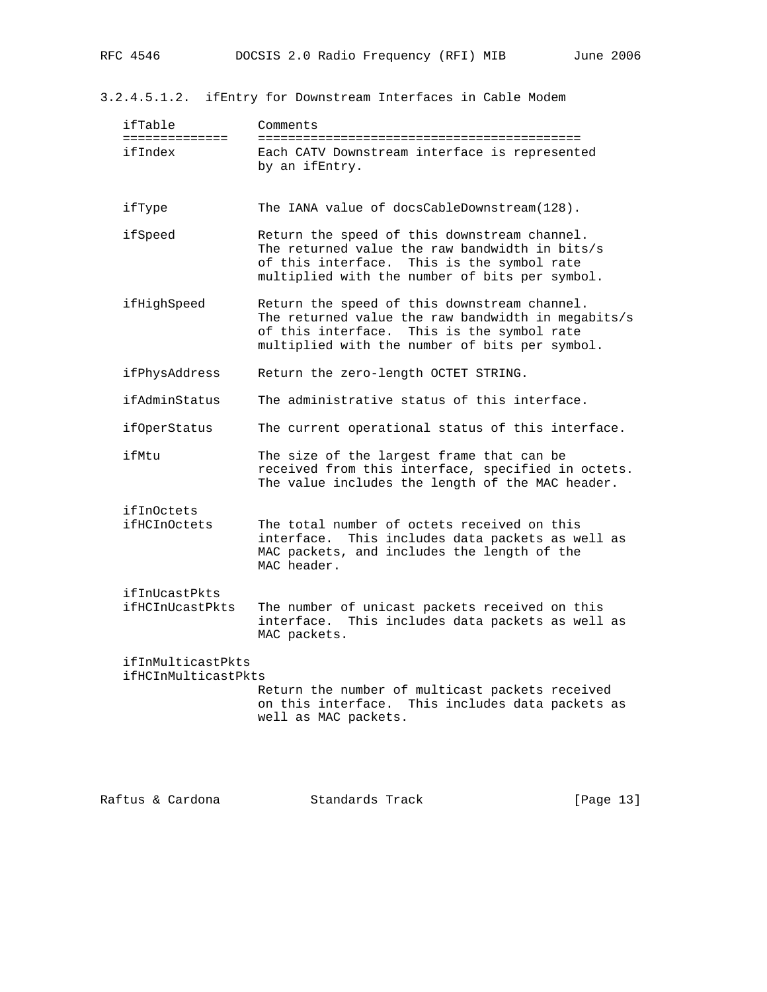| ifTable                                  | Comments                                                                                                                                                                                           |
|------------------------------------------|----------------------------------------------------------------------------------------------------------------------------------------------------------------------------------------------------|
| ==============<br>ifIndex                | Each CATV Downstream interface is represented<br>by an ifEntry.                                                                                                                                    |
| ifType                                   | The IANA value of docsCableDownstream(128).                                                                                                                                                        |
| ifSpeed                                  | Return the speed of this downstream channel.<br>The returned value the raw bandwidth in bits/s<br>of this interface. This is the symbol rate<br>multiplied with the number of bits per symbol.     |
| ifHighSpeed                              | Return the speed of this downstream channel.<br>The returned value the raw bandwidth in megabits/s<br>of this interface. This is the symbol rate<br>multiplied with the number of bits per symbol. |
| ifPhysAddress                            | Return the zero-length OCTET STRING.                                                                                                                                                               |
| ifAdminStatus                            | The administrative status of this interface.                                                                                                                                                       |
| ifOperStatus                             | The current operational status of this interface.                                                                                                                                                  |
| ifMtu                                    | The size of the largest frame that can be<br>received from this interface, specified in octets.<br>The value includes the length of the MAC header.                                                |
| ifInOctets<br>ifHCInOctets               | The total number of octets received on this<br>interface. This includes data packets as well as<br>MAC packets, and includes the length of the<br>MAC header.                                      |
| ifInUcastPkts<br>ifHCInUcastPkts         | The number of unicast packets received on this<br>interface. This includes data packets as well as<br>MAC packets.                                                                                 |
| ifInMulticastPkts<br>ifHCInMulticastPkts | Return the number of multicast packets received<br>on this interface. This includes data packets as<br>well as MAC packets.                                                                        |

Raftus & Cardona Standards Track [Page 13]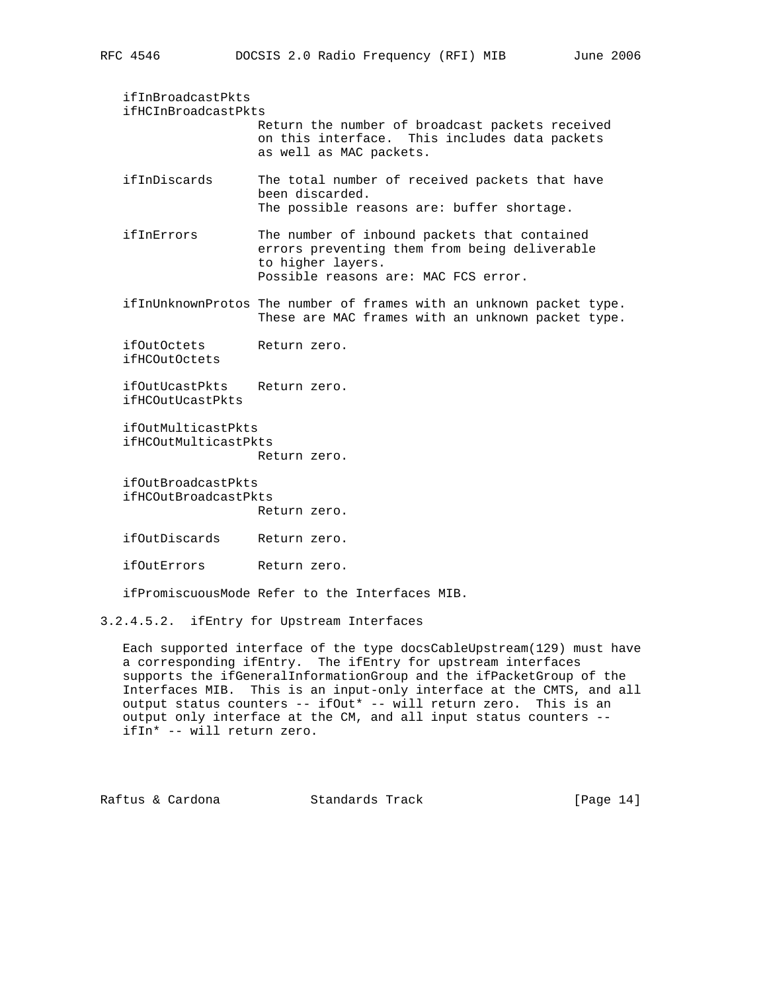ifInBroadcastPkts ifHCInBroadcastPkts Return the number of broadcast packets received on this interface. This includes data packets as well as MAC packets. ifInDiscards The total number of received packets that have been discarded. The possible reasons are: buffer shortage. ifInErrors The number of inbound packets that contained errors preventing them from being deliverable to higher layers. Possible reasons are: MAC FCS error. ifInUnknownProtos The number of frames with an unknown packet type. These are MAC frames with an unknown packet type. ifOutOctets Return zero. ifHCOutOctets ifOutUcastPkts Return zero. ifHCOutUcastPkts ifOutMulticastPkts ifHCOutMulticastPkts Return zero. ifOutBroadcastPkts ifHCOutBroadcastPkts Return zero. ifOutDiscards Return zero. ifOutErrors Return zero. ifPromiscuousMode Refer to the Interfaces MIB. 3.2.4.5.2. ifEntry for Upstream Interfaces

 Each supported interface of the type docsCableUpstream(129) must have a corresponding ifEntry. The ifEntry for upstream interfaces supports the ifGeneralInformationGroup and the ifPacketGroup of the Interfaces MIB. This is an input-only interface at the CMTS, and all output status counters -- ifOut\* -- will return zero. This is an output only interface at the CM, and all input status counters - ifIn\* -- will return zero.

Raftus & Cardona Standards Track [Page 14]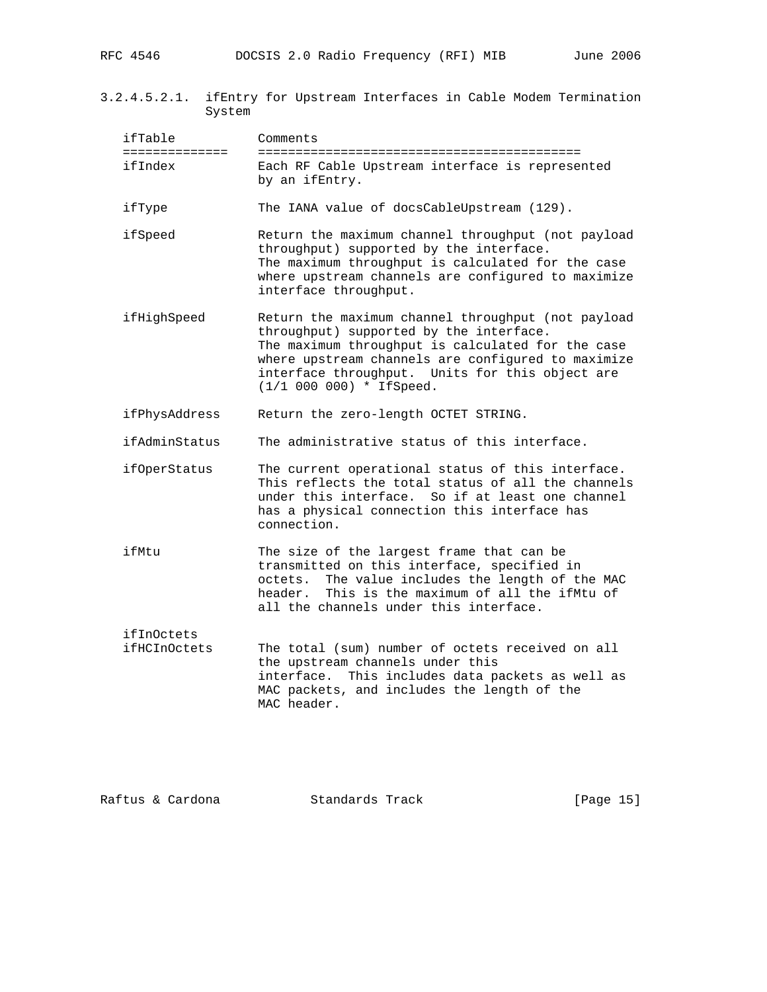3.2.4.5.2.1. ifEntry for Upstream Interfaces in Cable Modem Termination System

| ifTable | Comments                                                          |
|---------|-------------------------------------------------------------------|
|         |                                                                   |
| ifIndex | Each RF Cable Upstream interface is represented<br>by an ifEntry. |

ifType The IANA value of docsCableUpstream (129).

- ifSpeed Return the maximum channel throughput (not payload throughput) supported by the interface. The maximum throughput is calculated for the case where upstream channels are configured to maximize interface throughput.
- ifHighSpeed Return the maximum channel throughput (not payload throughput) supported by the interface. The maximum throughput is calculated for the case where upstream channels are configured to maximize interface throughput. Units for this object are (1/1 000 000) \* IfSpeed.

ifPhysAddress Return the zero-length OCTET STRING.

ifAdminStatus The administrative status of this interface.

- ifOperStatus The current operational status of this interface. This reflects the total status of all the channels under this interface. So if at least one channel has a physical connection this interface has connection.
- ifMtu The size of the largest frame that can be transmitted on this interface, specified in octets. The value includes the length of the MAC header. This is the maximum of all the ifMtu of all the channels under this interface.

 ifInOctets ifHCInOctets The total (sum) number of octets received on all the upstream channels under this interface. This includes data packets as well as MAC packets, and includes the length of the MAC header.

Raftus & Cardona Standards Track [Page 15]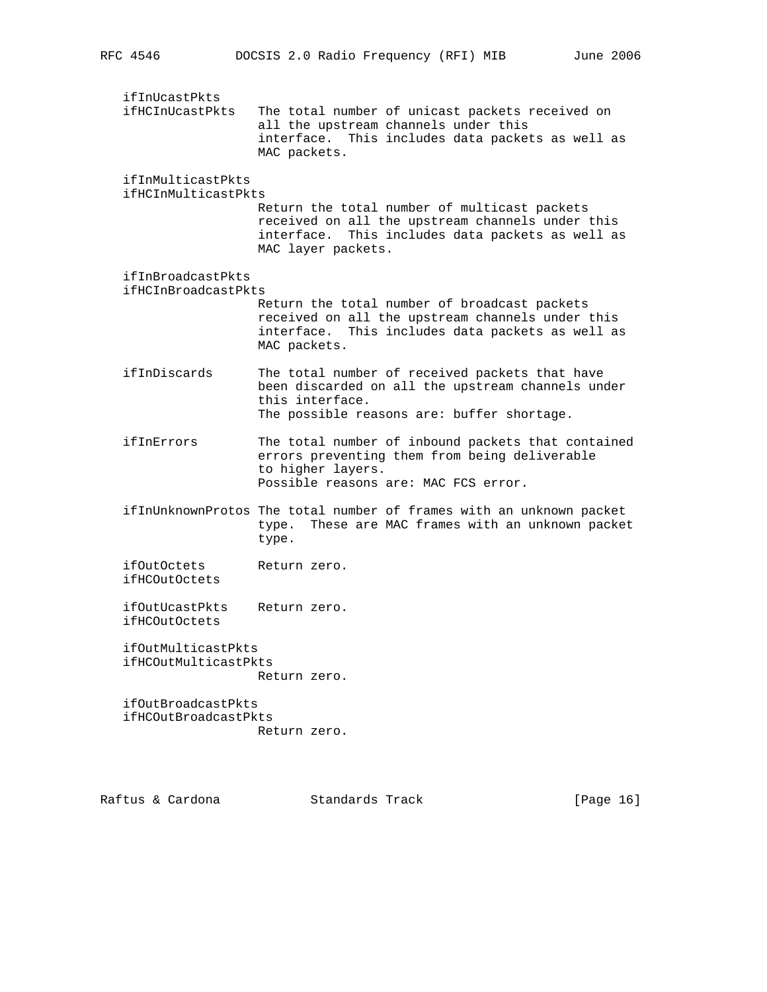ifInUcastPkts ifHCInUcastPkts The total number of unicast packets received on all the upstream channels under this interface. This includes data packets as well as MAC packets. ifInMulticastPkts ifHCInMulticastPkts Return the total number of multicast packets received on all the upstream channels under this interface. This includes data packets as well as MAC layer packets. ifInBroadcastPkts ifHCInBroadcastPkts Return the total number of broadcast packets received on all the upstream channels under this interface. This includes data packets as well as MAC packets. ifInDiscards The total number of received packets that have been discarded on all the upstream channels under this interface. The possible reasons are: buffer shortage. ifInErrors The total number of inbound packets that contained errors preventing them from being deliverable to higher layers. Possible reasons are: MAC FCS error. ifInUnknownProtos The total number of frames with an unknown packet type. These are MAC frames with an unknown packet type. ifOutOctets Return zero. ifHCOutOctets ifOutUcastPkts Return zero. ifHCOutOctets ifOutMulticastPkts ifHCOutMulticastPkts Return zero. ifOutBroadcastPkts ifHCOutBroadcastPkts Return zero.

Raftus & Cardona Standards Track [Page 16]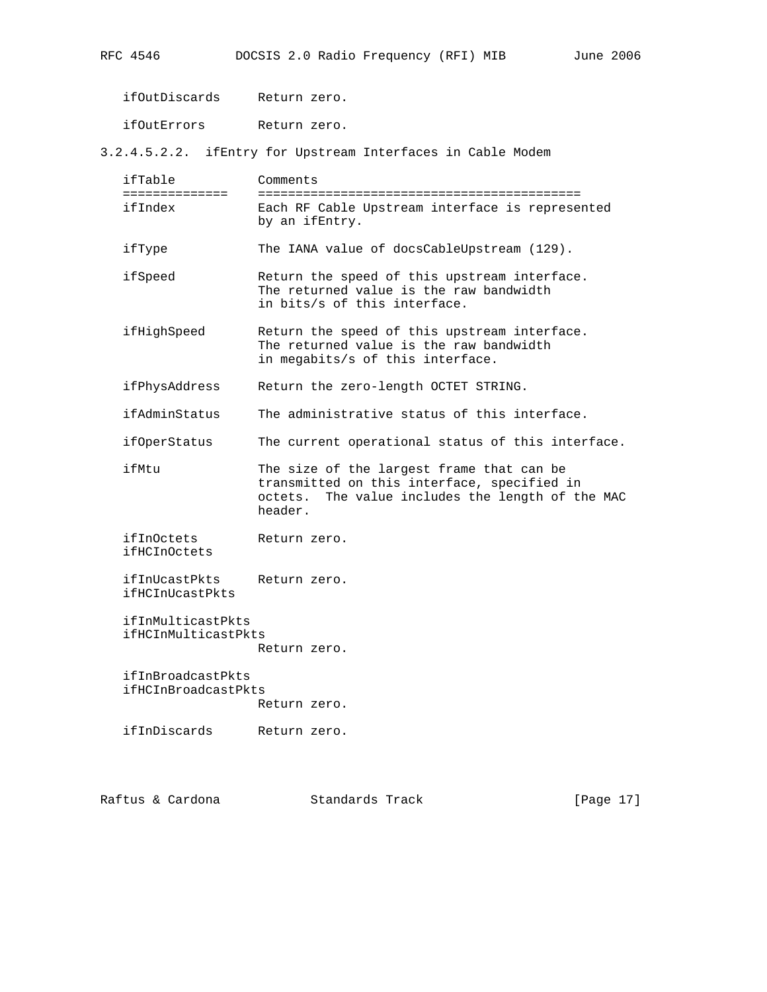ifOutDiscards Return zero.

ifOutErrors Return zero.

3.2.4.5.2.2. ifEntry for Upstream Interfaces in Cable Modem

 ifTable Comments ============== =========================================== ifIndex Each RF Cable Upstream interface is represented by an ifEntry.

ifType The IANA value of docsCableUpstream (129).

 ifSpeed Return the speed of this upstream interface. The returned value is the raw bandwidth in bits/s of this interface.

 ifHighSpeed Return the speed of this upstream interface. The returned value is the raw bandwidth in megabits/s of this interface.

ifPhysAddress Return the zero-length OCTET STRING.

ifAdminStatus The administrative status of this interface.

ifOperStatus The current operational status of this interface.

 ifMtu The size of the largest frame that can be transmitted on this interface, specified in octets. The value includes the length of the MAC header.

 ifInOctets Return zero. ifHCInOctets

 ifInUcastPkts Return zero. ifHCInUcastPkts

 ifInMulticastPkts ifHCInMulticastPkts Return zero.

 ifInBroadcastPkts ifHCInBroadcastPkts Return zero.

ifInDiscards Return zero.

Raftus & Cardona Standards Track [Page 17]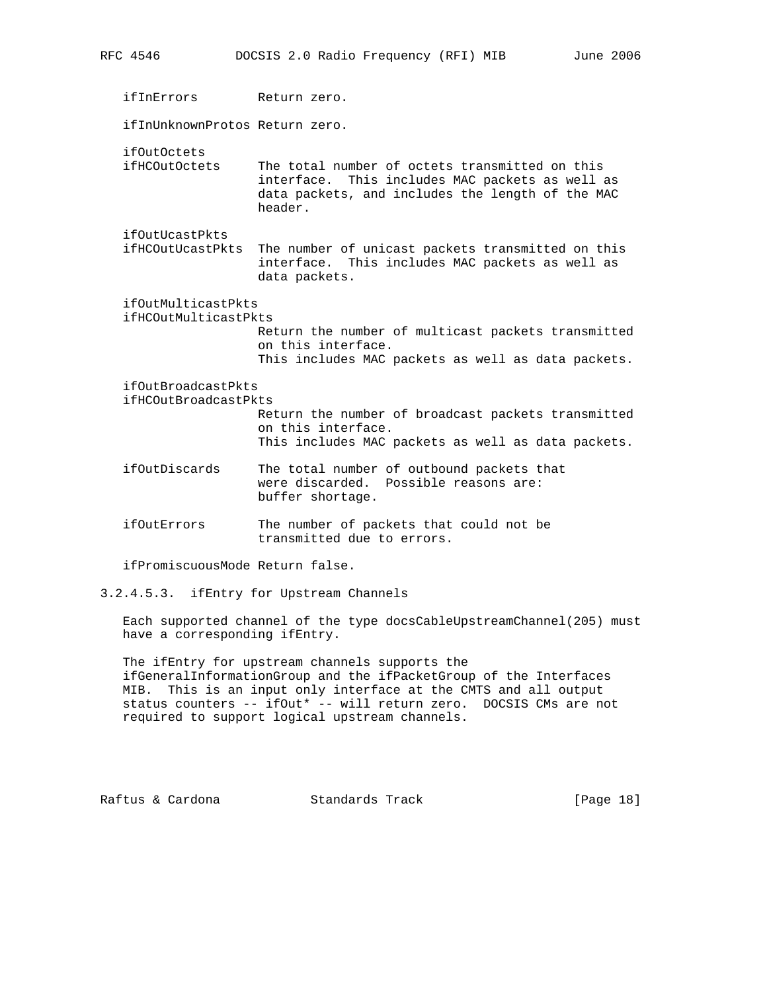ifInErrors Return zero.

ifInUnknownProtos Return zero.

ifOutOctets<br>ifHCOutOctets The total number of octets transmitted on this interface. This includes MAC packets as well as data packets, and includes the length of the MAC header.

ifOutUcastPkts

 ifHCOutUcastPkts The number of unicast packets transmitted on this interface. This includes MAC packets as well as data packets.

ifOutMulticastPkts

 ifHCOutMulticastPkts Return the number of multicast packets transmitted on this interface. This includes MAC packets as well as data packets.

ifOutBroadcastPkts

ifHCOutBroadcastPkts

 Return the number of broadcast packets transmitted on this interface. This includes MAC packets as well as data packets.

 ifOutDiscards The total number of outbound packets that were discarded. Possible reasons are: buffer shortage.

 ifOutErrors The number of packets that could not be transmitted due to errors.

ifPromiscuousMode Return false.

3.2.4.5.3. ifEntry for Upstream Channels

 Each supported channel of the type docsCableUpstreamChannel(205) must have a corresponding ifEntry.

 The ifEntry for upstream channels supports the ifGeneralInformationGroup and the ifPacketGroup of the Interfaces MIB. This is an input only interface at the CMTS and all output status counters -- ifOut\* -- will return zero. DOCSIS CMs are not required to support logical upstream channels.

Raftus & Cardona Standards Track [Page 18]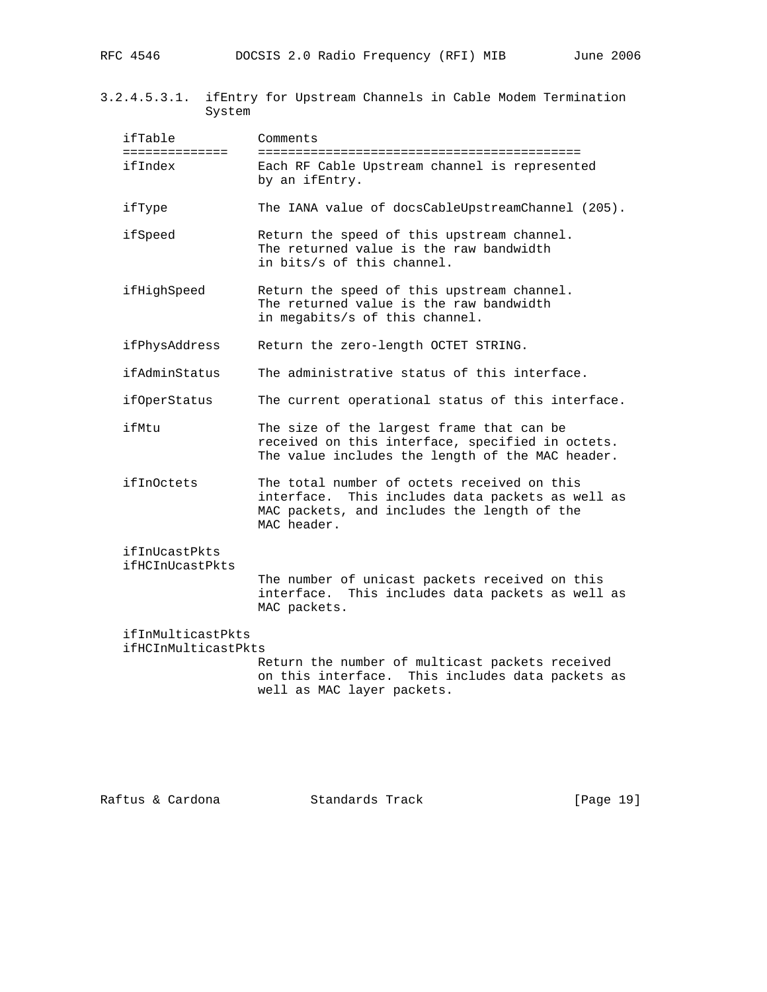3.2.4.5.3.1. ifEntry for Upstream Channels in Cable Modem Termination System

| ifTable<br>==============                | Comments                                                                                                                                                      |  |  |  |  |
|------------------------------------------|---------------------------------------------------------------------------------------------------------------------------------------------------------------|--|--|--|--|
| ifIndex                                  | Each RF Cable Upstream channel is represented<br>by an ifEntry.                                                                                               |  |  |  |  |
| ifType                                   | The IANA value of docsCableUpstreamChannel (205).                                                                                                             |  |  |  |  |
| ifSpeed                                  | Return the speed of this upstream channel.<br>The returned value is the raw bandwidth<br>in bits/s of this channel.                                           |  |  |  |  |
| ifHighSpeed                              | Return the speed of this upstream channel.<br>The returned value is the raw bandwidth<br>in megabits/s of this channel.                                       |  |  |  |  |
| ifPhysAddress                            | Return the zero-length OCTET STRING.                                                                                                                          |  |  |  |  |
| ifAdminStatus                            | The administrative status of this interface.                                                                                                                  |  |  |  |  |
| ifOperStatus                             | The current operational status of this interface.                                                                                                             |  |  |  |  |
| ifMtu                                    | The size of the largest frame that can be<br>received on this interface, specified in octets.<br>The value includes the length of the MAC header.             |  |  |  |  |
| ifInOctets                               | The total number of octets received on this<br>interface. This includes data packets as well as<br>MAC packets, and includes the length of the<br>MAC header. |  |  |  |  |
| ifInUcastPkts<br>ifHCInUcastPkts         |                                                                                                                                                               |  |  |  |  |
|                                          | The number of unicast packets received on this<br>interface. This includes data packets as well as<br>MAC packets.                                            |  |  |  |  |
| ifInMulticastPkts<br>ifHCInMulticastPkts | Return the number of multicast packets received                                                                                                               |  |  |  |  |
|                                          | on this interface. This includes data packets as<br>well as MAC layer packets.                                                                                |  |  |  |  |

Raftus & Cardona Standards Track [Page 19]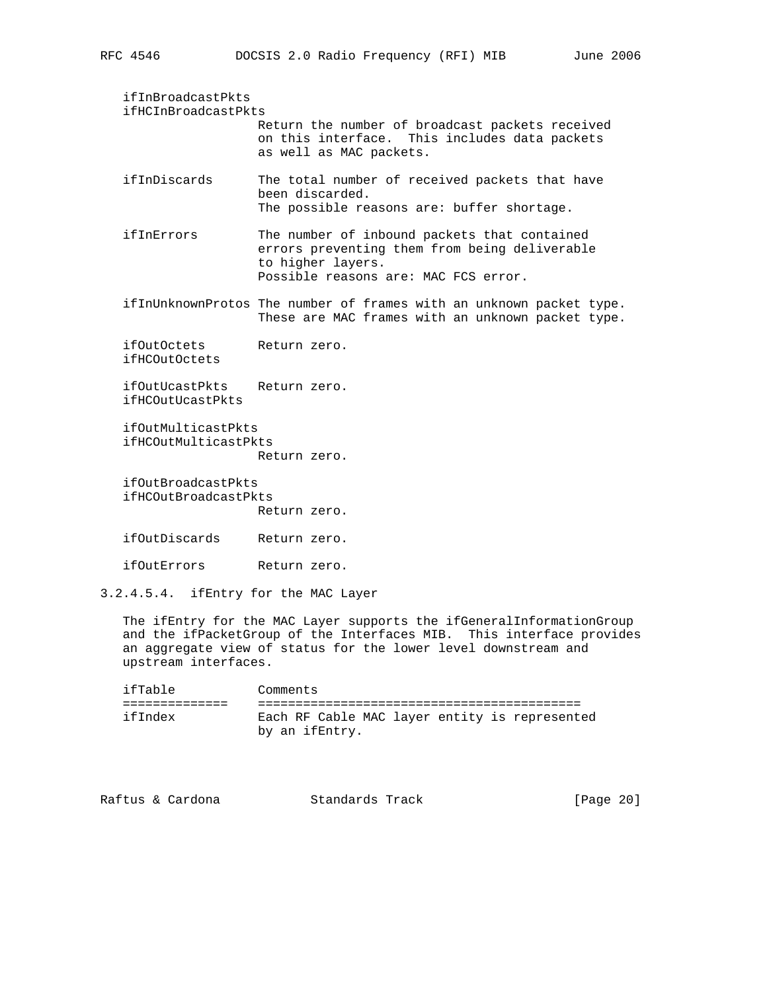ifInBroadcastPkts ifHCInBroadcastPkts Return the number of broadcast packets received on this interface. This includes data packets as well as MAC packets. ifInDiscards The total number of received packets that have been discarded. The possible reasons are: buffer shortage. ifInErrors The number of inbound packets that contained errors preventing them from being deliverable to higher layers. Possible reasons are: MAC FCS error. ifInUnknownProtos The number of frames with an unknown packet type. These are MAC frames with an unknown packet type. ifOutOctets Return zero. ifHCOutOctets ifOutUcastPkts Return zero. ifHCOutUcastPkts ifOutMulticastPkts ifHCOutMulticastPkts Return zero. ifOutBroadcastPkts ifHCOutBroadcastPkts Return zero. ifOutDiscards Return zero. ifOutErrors Return zero. 3.2.4.5.4. ifEntry for the MAC Layer

 The ifEntry for the MAC Layer supports the ifGeneralInformationGroup and the ifPacketGroup of the Interfaces MIB. This interface provides an aggregate view of status for the lower level downstream and upstream interfaces.

| ifTable | Comments                                                        |
|---------|-----------------------------------------------------------------|
|         |                                                                 |
| ifIndex | Each RF Cable MAC layer entity is represented<br>by an ifEntry. |

| [Page 20]<br>Standards Track<br>Raftus & Cardona |  |
|--------------------------------------------------|--|
|--------------------------------------------------|--|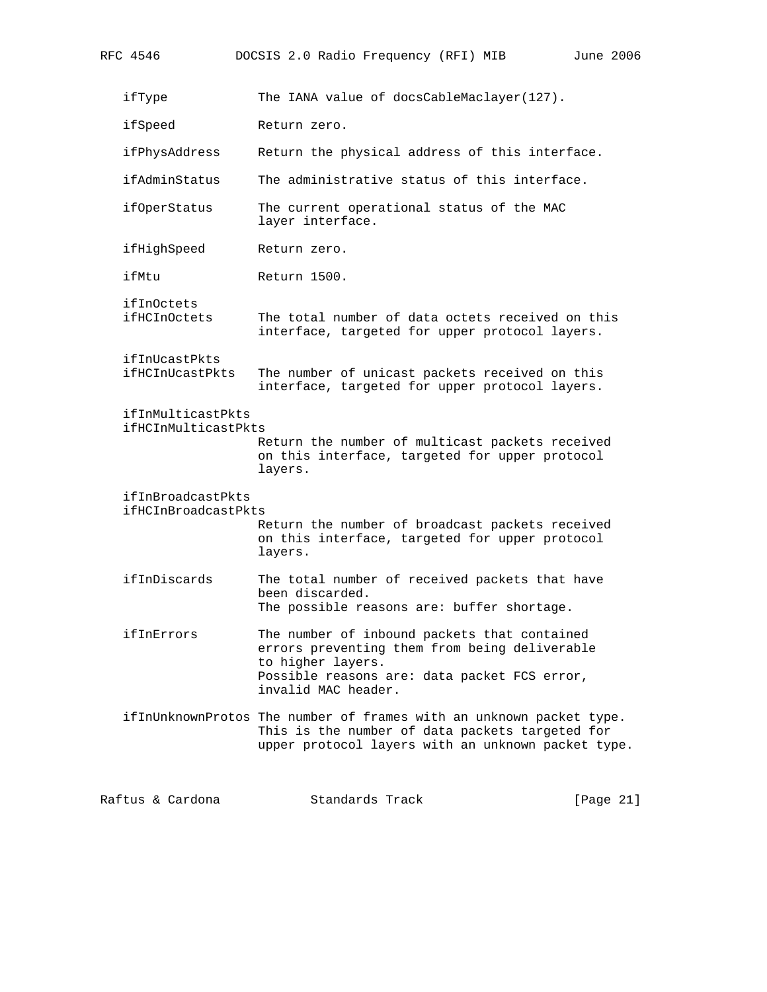RFC 4546 DOCSIS 2.0 Radio Frequency (RFI) MIB June 2006 ifType The IANA value of docsCableMaclayer(127). ifSpeed Return zero. ifPhysAddress Return the physical address of this interface. ifAdminStatus The administrative status of this interface. ifOperStatus The current operational status of the MAC layer interface. ifHighSpeed Return zero. ifMtu Return 1500. ifInOctets<br>ifHCInOctets The total number of data octets received on this interface, targeted for upper protocol layers. ifInUcastPkts ifHCInUcastPkts The number of unicast packets received on this interface, targeted for upper protocol layers. ifInMulticastPkts ifHCInMulticastPkts Return the number of multicast packets received on this interface, targeted for upper protocol layers. ifInBroadcastPkts ifHCInBroadcastPkts Return the number of broadcast packets received on this interface, targeted for upper protocol layers. ifInDiscards The total number of received packets that have been discarded. The possible reasons are: buffer shortage. ifInErrors The number of inbound packets that contained errors preventing them from being deliverable to higher layers. Possible reasons are: data packet FCS error, invalid MAC header. ifInUnknownProtos The number of frames with an unknown packet type. This is the number of data packets targeted for upper protocol layers with an unknown packet type.

Raftus & Cardona Standards Track [Page 21]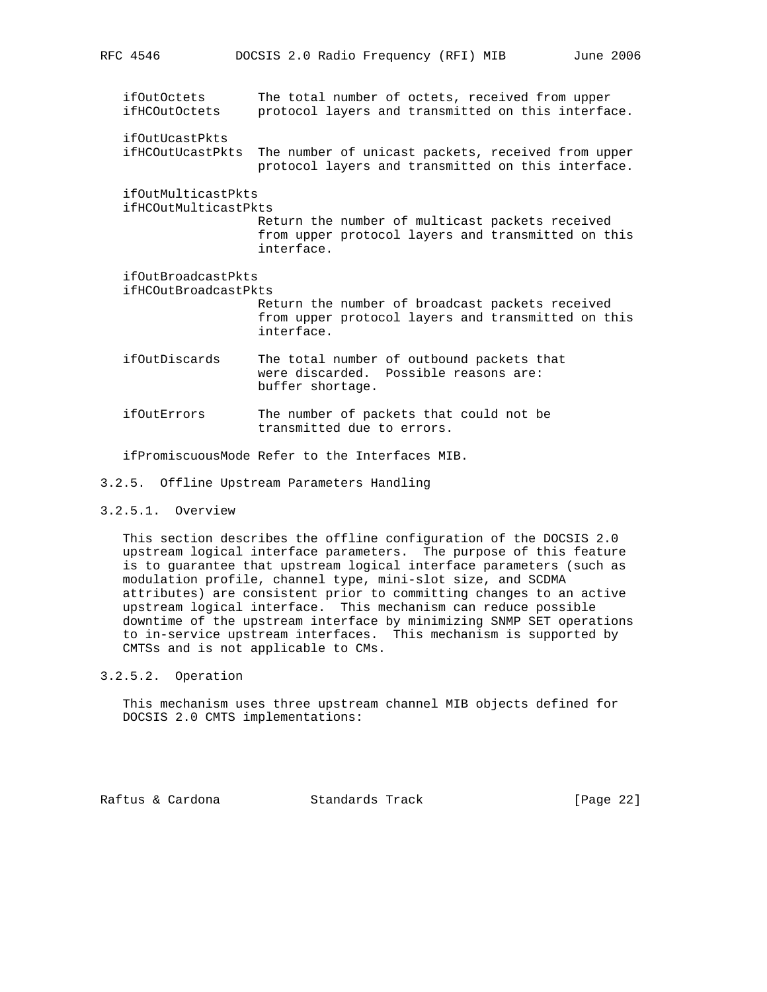ifOutOctets The total number of octets, received from upper ifHCOutOctets protocol layers and transmitted on this interface. ifOutUcastPkts ifHCOutUcastPkts The number of unicast packets, received from upper protocol layers and transmitted on this interface. ifOutMulticastPkts ifHCOutMulticastPkts Return the number of multicast packets received from upper protocol layers and transmitted on this interface. ifOutBroadcastPkts ifHCOutBroadcastPkts Return the number of broadcast packets received from upper protocol layers and transmitted on this interface. ifOutDiscards The total number of outbound packets that were discarded. Possible reasons are: buffer shortage. ifOutErrors The number of packets that could not be transmitted due to errors.

ifPromiscuousMode Refer to the Interfaces MIB.

# 3.2.5. Offline Upstream Parameters Handling

# 3.2.5.1. Overview

 This section describes the offline configuration of the DOCSIS 2.0 upstream logical interface parameters. The purpose of this feature is to guarantee that upstream logical interface parameters (such as modulation profile, channel type, mini-slot size, and SCDMA attributes) are consistent prior to committing changes to an active upstream logical interface. This mechanism can reduce possible downtime of the upstream interface by minimizing SNMP SET operations to in-service upstream interfaces. This mechanism is supported by CMTSs and is not applicable to CMs.

3.2.5.2. Operation

 This mechanism uses three upstream channel MIB objects defined for DOCSIS 2.0 CMTS implementations:

Raftus & Cardona Standards Track [Page 22]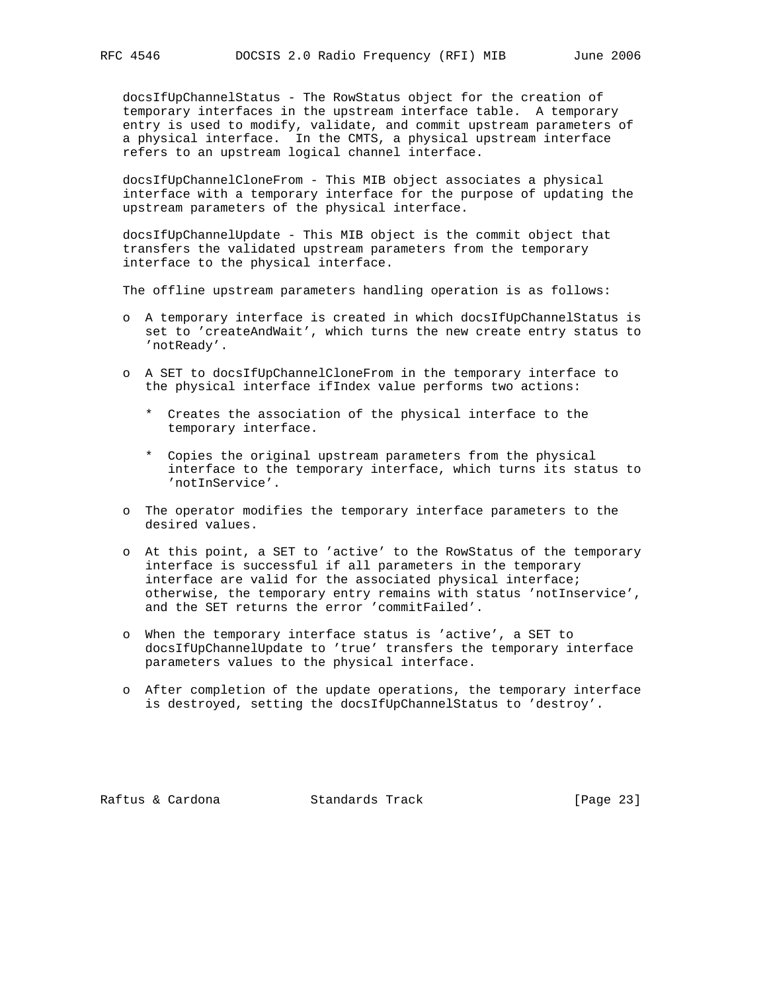docsIfUpChannelStatus - The RowStatus object for the creation of temporary interfaces in the upstream interface table. A temporary entry is used to modify, validate, and commit upstream parameters of a physical interface. In the CMTS, a physical upstream interface refers to an upstream logical channel interface.

 docsIfUpChannelCloneFrom - This MIB object associates a physical interface with a temporary interface for the purpose of updating the upstream parameters of the physical interface.

 docsIfUpChannelUpdate - This MIB object is the commit object that transfers the validated upstream parameters from the temporary interface to the physical interface.

The offline upstream parameters handling operation is as follows:

- o A temporary interface is created in which docsIfUpChannelStatus is set to 'createAndWait', which turns the new create entry status to 'notReady'.
- o A SET to docsIfUpChannelCloneFrom in the temporary interface to the physical interface ifIndex value performs two actions:
	- \* Creates the association of the physical interface to the temporary interface.
	- \* Copies the original upstream parameters from the physical interface to the temporary interface, which turns its status to 'notInService'.
- o The operator modifies the temporary interface parameters to the desired values.
- o At this point, a SET to 'active' to the RowStatus of the temporary interface is successful if all parameters in the temporary interface are valid for the associated physical interface; otherwise, the temporary entry remains with status 'notInservice', and the SET returns the error 'commitFailed'.
- o When the temporary interface status is 'active', a SET to docsIfUpChannelUpdate to 'true' transfers the temporary interface parameters values to the physical interface.
- o After completion of the update operations, the temporary interface is destroyed, setting the docsIfUpChannelStatus to 'destroy'.

Raftus & Cardona Standards Track [Page 23]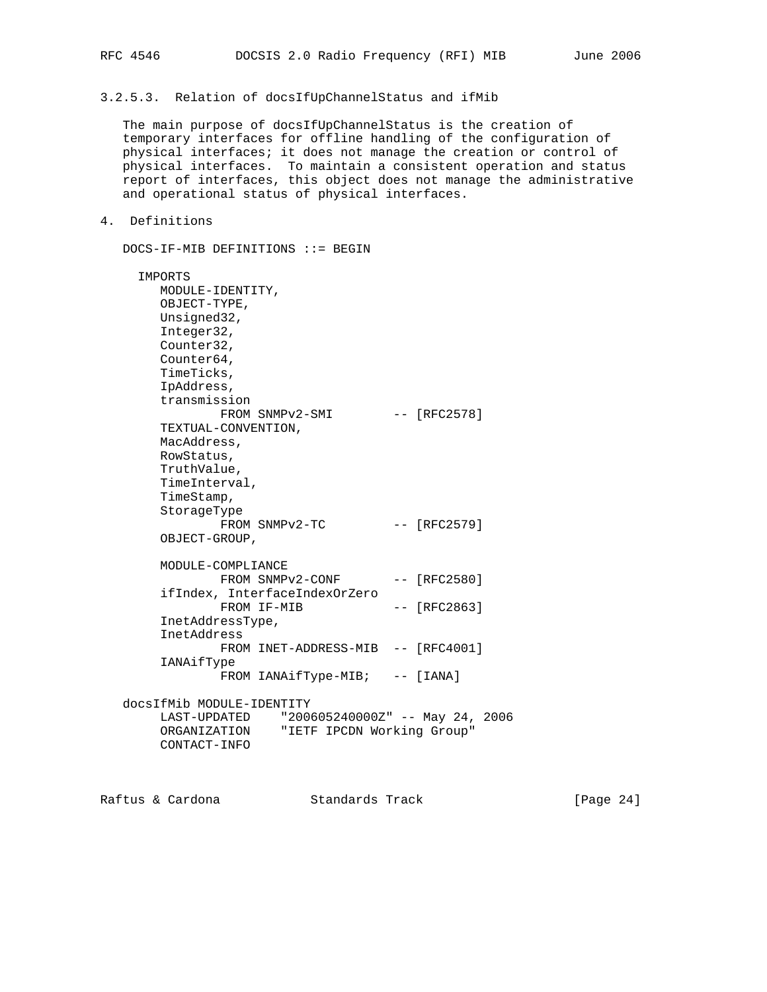3.2.5.3. Relation of docsIfUpChannelStatus and ifMib

 The main purpose of docsIfUpChannelStatus is the creation of temporary interfaces for offline handling of the configuration of physical interfaces; it does not manage the creation or control of physical interfaces. To maintain a consistent operation and status report of interfaces, this object does not manage the administrative and operational status of physical interfaces.

# 4. Definitions

DOCS-IF-MIB DEFINITIONS ::= BEGIN

| IMPORTS                   |                                              |                |
|---------------------------|----------------------------------------------|----------------|
| MODULE-IDENTITY,          |                                              |                |
| OBJECT-TYPE,              |                                              |                |
| Unsigned32,               |                                              |                |
| Integer32,                |                                              |                |
| Counter32,                |                                              |                |
| Counter64,                |                                              |                |
| TimeTicks,                |                                              |                |
| IpAddress,                |                                              |                |
| transmission              |                                              |                |
|                           | FROM SNMPv2-SMI                              | -- [RFC2578]   |
| TEXTUAL-CONVENTION,       |                                              |                |
| MacAddress,               |                                              |                |
| RowStatus,                |                                              |                |
| TruthValue,               |                                              |                |
| TimeInterval,             |                                              |                |
| TimeStamp,                |                                              |                |
| StorageType               |                                              |                |
|                           | FROM SNMPv2-TC                               | $-- [RFC2579]$ |
| OBJECT-GROUP,             |                                              |                |
| MODULE-COMPLIANCE         |                                              |                |
|                           | FROM SNMPv2-CONF                             | -- [RFC2580]   |
|                           | ifIndex, InterfaceIndexOrZero                |                |
|                           | FROM IF-MIB                                  | $-- [RFC2863]$ |
| InetAddressType,          |                                              |                |
| InetAddress               |                                              |                |
|                           | FROM INET-ADDRESS-MIB -- [RFC4001]           |                |
| IANAifType                |                                              |                |
|                           | FROM IANAifType-MIB; -- [IANA]               |                |
|                           |                                              |                |
| docsIfMib MODULE-IDENTITY |                                              |                |
|                           | LAST-UPDATED "200605240000Z" -- May 24, 2006 |                |
|                           | ORGANIZATION "IETF IPCDN Working Group"      |                |
| CONTACT-INFO              |                                              |                |
|                           |                                              |                |
|                           |                                              |                |

Raftus & Cardona Standards Track [Page 24]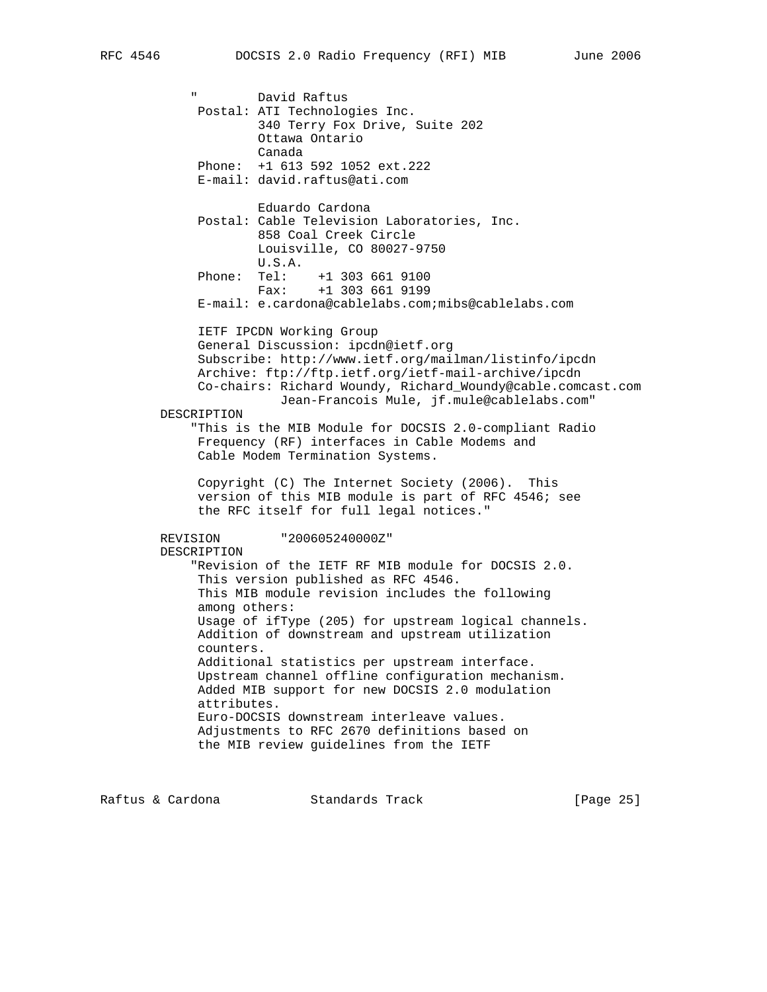David Raftus Postal: ATI Technologies Inc. 340 Terry Fox Drive, Suite 202 Ottawa Ontario Canada Phone: +1 613 592 1052 ext.222 E-mail: david.raftus@ati.com Eduardo Cardona Postal: Cable Television Laboratories, Inc. 858 Coal Creek Circle Louisville, CO 80027-9750 U.S.A. Phone: Tel: +1 303 661 9100 Fax: +1 303 661 9199 E-mail: e.cardona@cablelabs.com;mibs@cablelabs.com IETF IPCDN Working Group General Discussion: ipcdn@ietf.org Subscribe: http://www.ietf.org/mailman/listinfo/ipcdn Archive: ftp://ftp.ietf.org/ietf-mail-archive/ipcdn Co-chairs: Richard Woundy, Richard\_Woundy@cable.comcast.com Jean-Francois Mule, jf.mule@cablelabs.com" DESCRIPTION "This is the MIB Module for DOCSIS 2.0-compliant Radio Frequency (RF) interfaces in Cable Modems and Cable Modem Termination Systems. Copyright (C) The Internet Society (2006). This version of this MIB module is part of RFC 4546; see the RFC itself for full legal notices." REVISION "200605240000Z" DESCRIPTION "Revision of the IETF RF MIB module for DOCSIS 2.0. This version published as RFC 4546. This MIB module revision includes the following among others: Usage of ifType (205) for upstream logical channels. Addition of downstream and upstream utilization counters. Additional statistics per upstream interface. Upstream channel offline configuration mechanism. Added MIB support for new DOCSIS 2.0 modulation attributes. Euro-DOCSIS downstream interleave values. Adjustments to RFC 2670 definitions based on the MIB review guidelines from the IETF

Raftus & Cardona Standards Track [Page 25]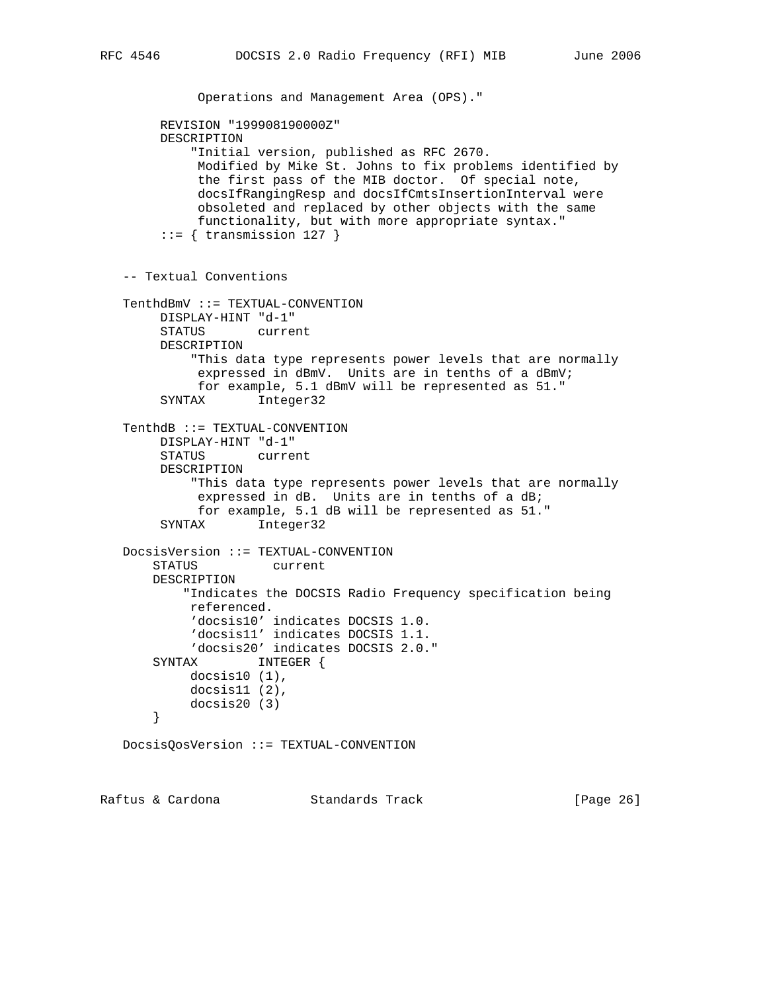```
 Operations and Management Area (OPS)."
```

```
 REVISION "199908190000Z"
      DESCRIPTION
          "Initial version, published as RFC 2670.
           Modified by Mike St. Johns to fix problems identified by
           the first pass of the MIB doctor. Of special note,
           docsIfRangingResp and docsIfCmtsInsertionInterval were
           obsoleted and replaced by other objects with the same
           functionality, but with more appropriate syntax."
     ::= { transmission 127 }
 -- Textual Conventions
 TenthdBmV ::= TEXTUAL-CONVENTION
     DISPLAY-HINT "d-1"
      STATUS current
     DESCRIPTION
          "This data type represents power levels that are normally
           expressed in dBmV. Units are in tenths of a dBmV;
          for example, 5.1 dBmV will be represented as 51."
      SYNTAX Integer32
 TenthdB ::= TEXTUAL-CONVENTION
     DISPLAY-HINT "d-1"
      STATUS current
      DESCRIPTION
          "This data type represents power levels that are normally
          expressed in dB. Units are in tenths of a dB;
           for example, 5.1 dB will be represented as 51."
      SYNTAX Integer32
 DocsisVersion ::= TEXTUAL-CONVENTION
    STATUS current
     DESCRIPTION
         "Indicates the DOCSIS Radio Frequency specification being
         referenced.
          'docsis10' indicates DOCSIS 1.0.
          'docsis11' indicates DOCSIS 1.1.
         'docsis20' indicates DOCSIS 2.0."
     SYNTAX INTEGER {
         docsis10 (1),
         docsis11 (2),
         docsis20 (3)
     }
 DocsisQosVersion ::= TEXTUAL-CONVENTION
```
Raftus & Cardona Standards Track [Page 26]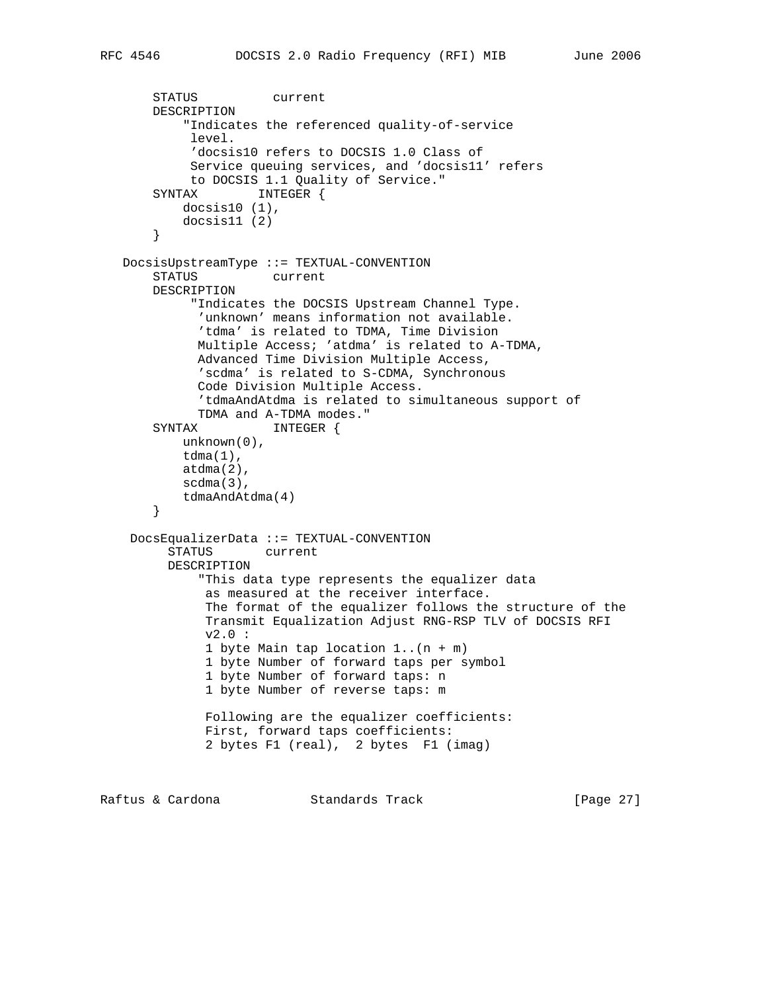STATUS current

```
 DESCRIPTION
            "Indicates the referenced quality-of-service
             level.
             'docsis10 refers to DOCSIS 1.0 Class of
             Service queuing services, and 'docsis11' refers
            to DOCSIS 1.1 Quality of Service."
        SYNTAX INTEGER {
            docsis10 (1),
            docsis11 (2)
        }
    DocsisUpstreamType ::= TEXTUAL-CONVENTION
        STATUS current
        DESCRIPTION
             "Indicates the DOCSIS Upstream Channel Type.
              'unknown' means information not available.
              'tdma' is related to TDMA, Time Division
              Multiple Access; 'atdma' is related to A-TDMA,
              Advanced Time Division Multiple Access,
             'scdma' is related to S-CDMA, Synchronous
              Code Division Multiple Access.
              'tdmaAndAtdma is related to simultaneous support of
             TDMA and A-TDMA modes."
        SYNTAX INTEGER {
            unknown(0),
           tdma(1),
            atdma(2),
            scdma(3),
            tdmaAndAtdma(4)
        }
     DocsEqualizerData ::= TEXTUAL-CONVENTION
          STATUS current
          DESCRIPTION
              "This data type represents the equalizer data
               as measured at the receiver interface.
               The format of the equalizer follows the structure of the
               Transmit Equalization Adjust RNG-RSP TLV of DOCSIS RFI
               v2.0 :
               1 byte Main tap location 1..(n + m)
               1 byte Number of forward taps per symbol
               1 byte Number of forward taps: n
               1 byte Number of reverse taps: m
               Following are the equalizer coefficients:
               First, forward taps coefficients:
               2 bytes F1 (real), 2 bytes F1 (imag)
Raftus & Cardona               Standards Track                   [Page 27]
```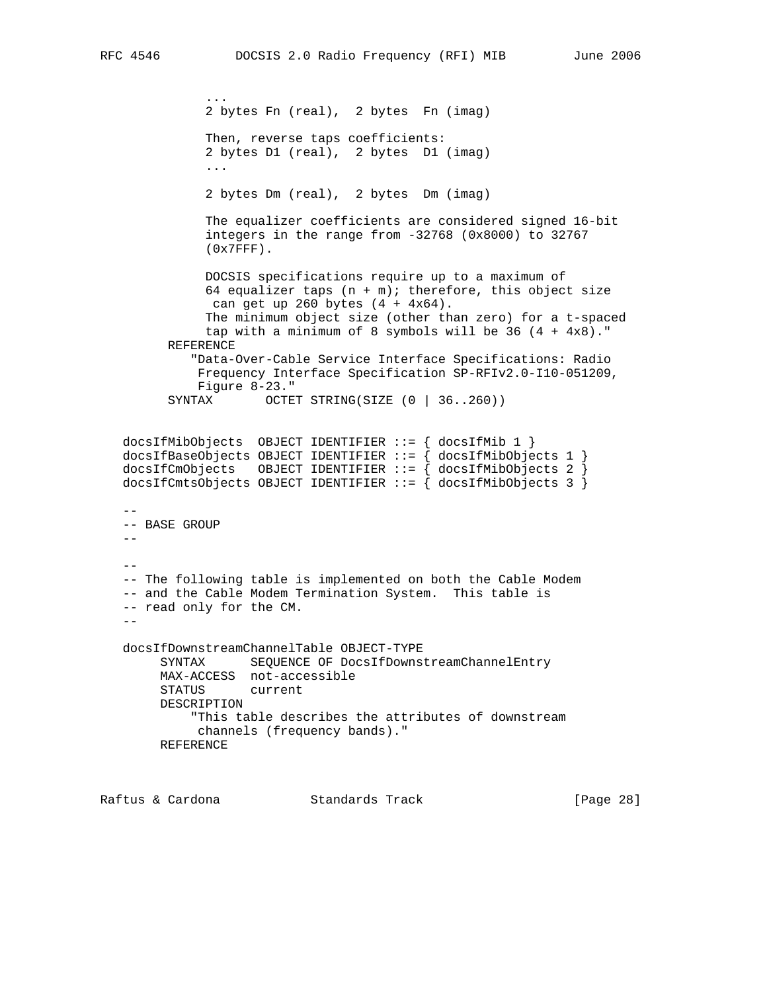... 2 bytes Fn (real), 2 bytes Fn (imag) Then, reverse taps coefficients: 2 bytes D1 (real), 2 bytes D1 (imag) ... 2 bytes Dm (real), 2 bytes Dm (imag) The equalizer coefficients are considered signed 16-bit integers in the range from -32768 (0x8000) to 32767 (0x7FFF). DOCSIS specifications require up to a maximum of 64 equalizer taps  $(n + m)i$  therefore, this object size can get up 260 bytes (4 + 4x64). The minimum object size (other than zero) for a t-spaced tap with a minimum of 8 symbols will be  $36$  (4 +  $4x8$ )." REFERENCE "Data-Over-Cable Service Interface Specifications: Radio Frequency Interface Specification SP-RFIv2.0-I10-051209, Figure 8-23." SYNTAX OCTET STRING(SIZE (0 | 36..260)) docsIfMibObjects OBJECT IDENTIFIER ::= { docsIfMib 1 }  $\mathtt{docsIfBaseObjects}$  OBJECT IDENTIFIER  $::=$   $\{$  docsIfMibObjects 1  $\}$  $docsIfCmObjects$  OBJECT IDENTIFIER ::= {  $docsIfMibObjects$  2 } docsIfCmtsObjects OBJECT IDENTIFIER ::= { docsIfMibObjects 3 }  $-$  -- BASE GROUP  $- -$  -- -- The following table is implemented on both the Cable Modem -- and the Cable Modem Termination System. This table is -- read only for the CM. - docsIfDownstreamChannelTable OBJECT-TYPE SYNTAX SEQUENCE OF DocsIfDownstreamChannelEntry MAX-ACCESS not-accessible STATUS current DESCRIPTION "This table describes the attributes of downstream channels (frequency bands)." REFERENCE

Raftus & Cardona Standards Track [Page 28]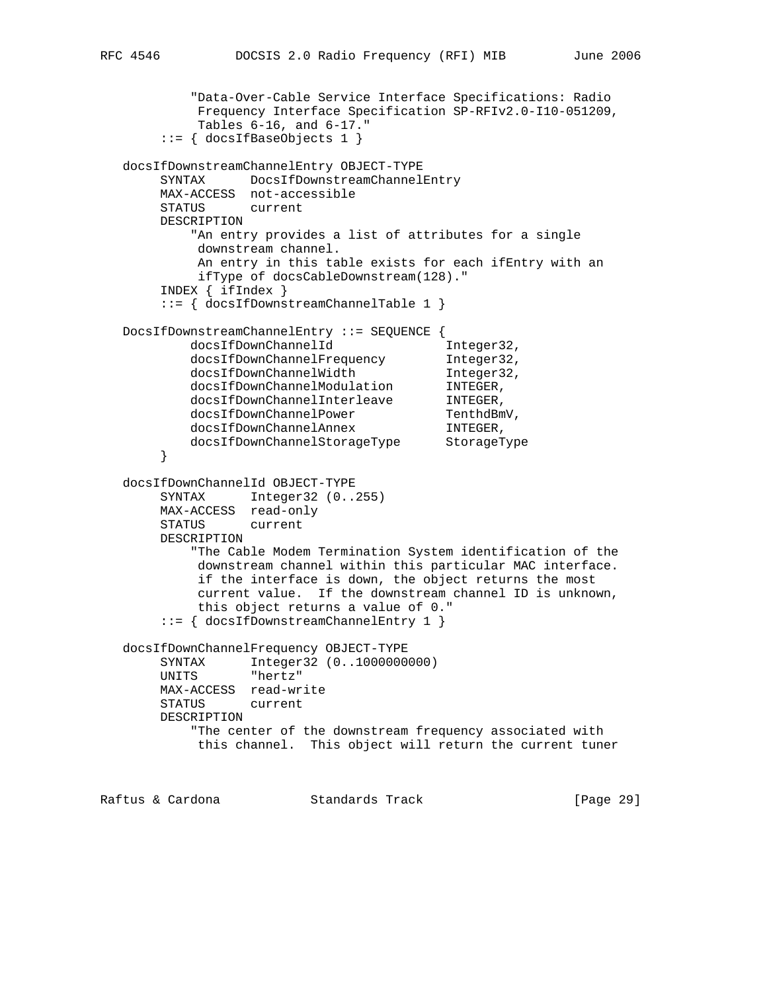```
 "Data-Over-Cable Service Interface Specifications: Radio
            Frequency Interface Specification SP-RFIv2.0-I10-051209,
            Tables 6-16, and 6-17."
        ::= { docsIfBaseObjects 1 }
   docsIfDownstreamChannelEntry OBJECT-TYPE
        SYNTAX DocsIfDownstreamChannelEntry
        MAX-ACCESS not-accessible
        STATUS current
        DESCRIPTION
            "An entry provides a list of attributes for a single
            downstream channel.
            An entry in this table exists for each ifEntry with an
            ifType of docsCableDownstream(128)."
        INDEX { ifIndex }
        ::= { docsIfDownstreamChannelTable 1 }
   DocsIfDownstreamChannelEntry ::= SEQUENCE {
          docsIfDownChannelId Integer32,
 docsIfDownChannelFrequency Integer32,
docsIfDownChannelWidth 1nteger32,
docsIfDownChannelModulation INTEGER,
docsIfDownChannelInterleave INTEGER,
docsIfDownChannelPower TenthdBmV,
docsIfDownChannelAnnex INTEGER,
 docsIfDownChannelStorageType StorageType
        }
   docsIfDownChannelId OBJECT-TYPE
        SYNTAX Integer32 (0..255)
        MAX-ACCESS read-only
        STATUS current
        DESCRIPTION
            "The Cable Modem Termination System identification of the
            downstream channel within this particular MAC interface.
            if the interface is down, the object returns the most
            current value. If the downstream channel ID is unknown,
            this object returns a value of 0."
        ::= { docsIfDownstreamChannelEntry 1 }
   docsIfDownChannelFrequency OBJECT-TYPE
        SYNTAX Integer32 (0..1000000000)
        UNITS "hertz"
        MAX-ACCESS read-write
        STATUS current
        DESCRIPTION
            "The center of the downstream frequency associated with
            this channel. This object will return the current tuner
Raftus & Cardona               Standards Track                     [Page 29]
```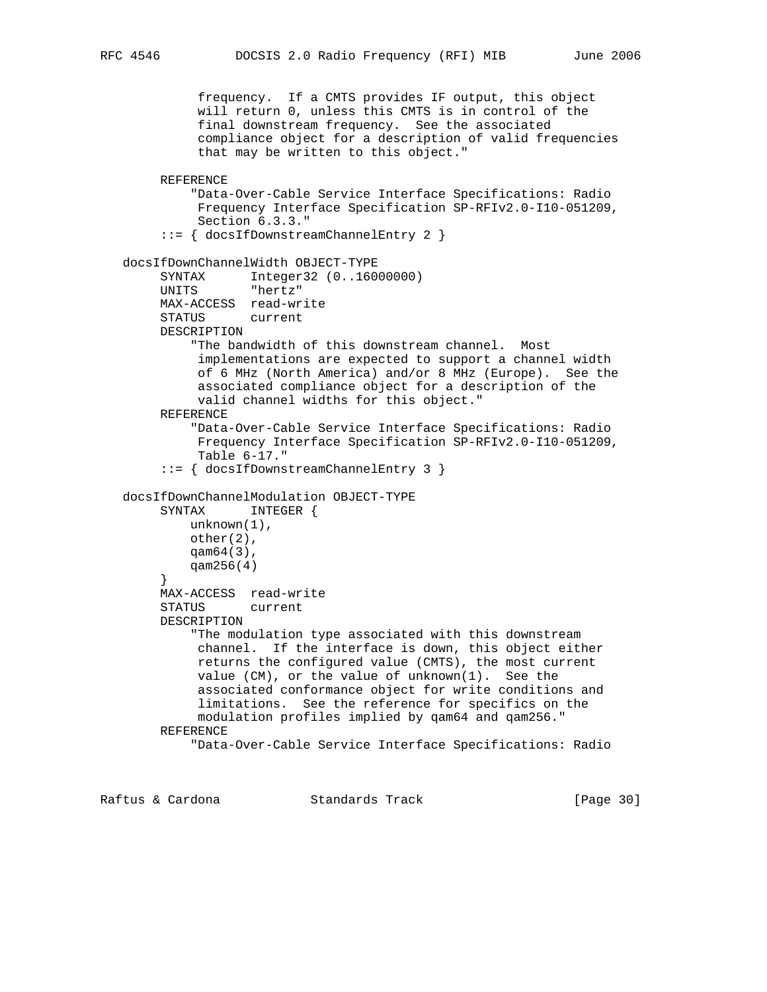```
 frequency. If a CMTS provides IF output, this object
             will return 0, unless this CMTS is in control of the
             final downstream frequency. See the associated
              compliance object for a description of valid frequencies
             that may be written to this object."
        REFERENCE
             "Data-Over-Cable Service Interface Specifications: Radio
             Frequency Interface Specification SP-RFIv2.0-I10-051209,
             Section 6.3.3."
         ::= { docsIfDownstreamChannelEntry 2 }
   docsIfDownChannelWidth OBJECT-TYPE
 SYNTAX Integer32 (0..16000000)
 UNITS "hertz"
       MAX-ACCESS read-write<br>STATUS current
       STATUS
        DESCRIPTION
             "The bandwidth of this downstream channel. Most
             implementations are expected to support a channel width
             of 6 MHz (North America) and/or 8 MHz (Europe). See the
             associated compliance object for a description of the
             valid channel widths for this object."
        REFERENCE
             "Data-Over-Cable Service Interface Specifications: Radio
             Frequency Interface Specification SP-RFIv2.0-I10-051209,
             Table 6-17."
         ::= { docsIfDownstreamChannelEntry 3 }
   docsIfDownChannelModulation OBJECT-TYPE
        SYNTAX INTEGER {
           unknown(1),
            other(2),
            qam64(3),
            qam256(4)
         }
        MAX-ACCESS read-write
        STATUS current
        DESCRIPTION
             "The modulation type associated with this downstream
             channel. If the interface is down, this object either
             returns the configured value (CMTS), the most current
             value (CM), or the value of unknown(1). See the
             associated conformance object for write conditions and
             limitations. See the reference for specifics on the
             modulation profiles implied by qam64 and qam256."
        REFERENCE
             "Data-Over-Cable Service Interface Specifications: Radio
```
Raftus & Cardona Standards Track [Page 30]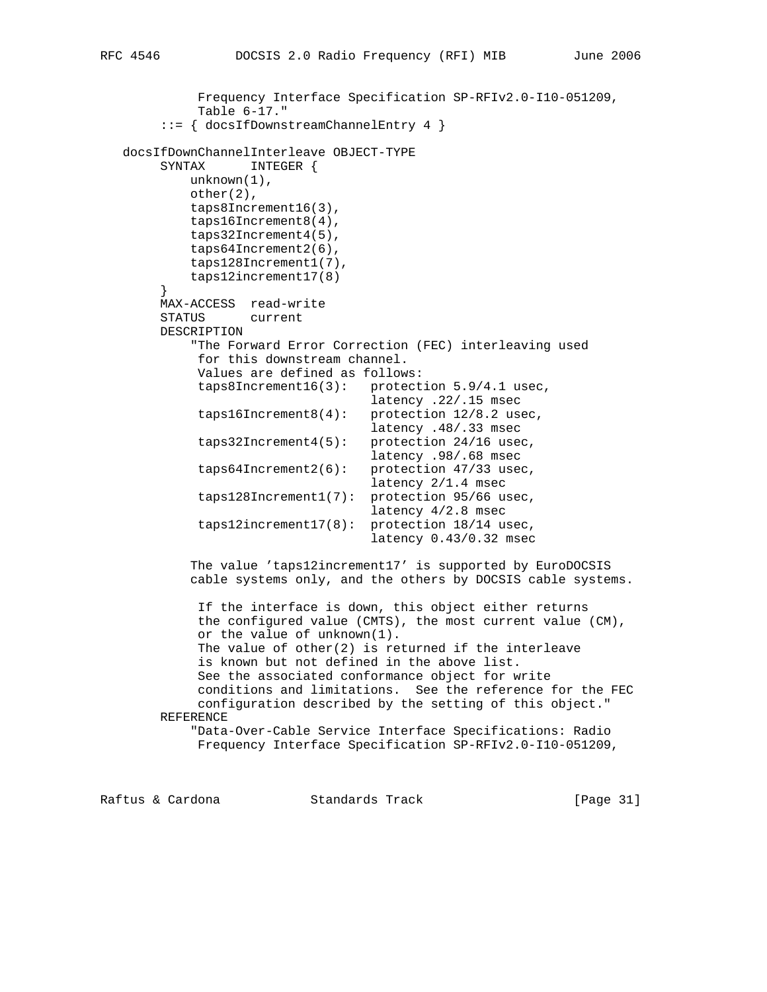```
 Frequency Interface Specification SP-RFIv2.0-I10-051209,
             Table 6-17."
         ::= { docsIfDownstreamChannelEntry 4 }
   docsIfDownChannelInterleave OBJECT-TYPE
        SYNTAX INTEGER {
            unknown(1),
            other(2),
            taps8Increment16(3),
            taps16Increment8(4),
            taps32Increment4(5),
            taps64Increment2(6),
            taps128Increment1(7),
        taps12increment17(8)<br>}
 }
        MAX-ACCESS read-write
        STATUS current
        DESCRIPTION
             "The Forward Error Correction (FEC) interleaving used
             for this downstream channel.
             Values are defined as follows:
             taps8Increment16(3): protection 5.9/4.1 usec,
                                    latency .22/.15 msec
             taps16Increment8(4): protection 12/8.2 usec,
                                    latency .48/.33 msec
             taps32Increment4(5): protection 24/16 usec,
                                     latency .98/.68 msec
             taps64Increment2(6): protection 47/33 usec,
                                     latency 2/1.4 msec
             taps128Increment1(7): protection 95/66 usec,
                                    latency 4/2.8 msec
             taps12increment17(8): protection 18/14 usec,
                                    latency 0.43/0.32 msec
             The value 'taps12increment17' is supported by EuroDOCSIS
            cable systems only, and the others by DOCSIS cable systems.
             If the interface is down, this object either returns
             the configured value (CMTS), the most current value (CM),
             or the value of unknown(1).
            The value of other(2) is returned if the interleave
             is known but not defined in the above list.
             See the associated conformance object for write
             conditions and limitations. See the reference for the FEC
             configuration described by the setting of this object."
        REFERENCE
             "Data-Over-Cable Service Interface Specifications: Radio
             Frequency Interface Specification SP-RFIv2.0-I10-051209,
```
Raftus & Cardona Standards Track [Page 31]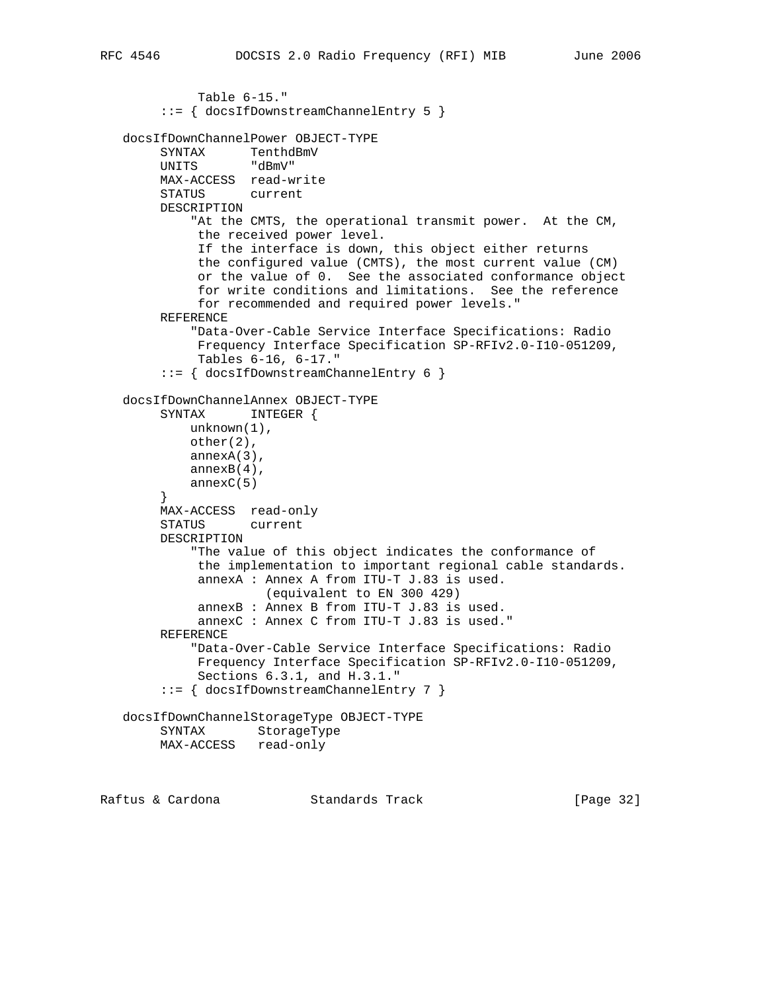```
 Table 6-15."
         ::= { docsIfDownstreamChannelEntry 5 }
   docsIfDownChannelPower OBJECT-TYPE
        SYNTAX TenthdBmV<br>UNITS "dBmV"
       UNITS
        MAX-ACCESS read-write
        STATUS current
        DESCRIPTION
             "At the CMTS, the operational transmit power. At the CM,
             the received power level.
              If the interface is down, this object either returns
              the configured value (CMTS), the most current value (CM)
              or the value of 0. See the associated conformance object
              for write conditions and limitations. See the reference
              for recommended and required power levels."
        REFERENCE
             "Data-Over-Cable Service Interface Specifications: Radio
              Frequency Interface Specification SP-RFIv2.0-I10-051209,
              Tables 6-16, 6-17."
         ::= { docsIfDownstreamChannelEntry 6 }
   docsIfDownChannelAnnex OBJECT-TYPE
        SYNTAX INTEGER {
            unknown(1),
            other(2),
            annexA(3),
            annexB(4),
            annexC(5)
 }
        MAX-ACCESS read-only
        STATUS current
        DESCRIPTION
             "The value of this object indicates the conformance of
             the implementation to important regional cable standards.
              annexA : Annex A from ITU-T J.83 is used.
                       (equivalent to EN 300 429)
              annexB : Annex B from ITU-T J.83 is used.
              annexC : Annex C from ITU-T J.83 is used."
        REFERENCE
             "Data-Over-Cable Service Interface Specifications: Radio
              Frequency Interface Specification SP-RFIv2.0-I10-051209,
              Sections 6.3.1, and H.3.1."
         ::= { docsIfDownstreamChannelEntry 7 }
   docsIfDownChannelStorageType OBJECT-TYPE
        SYNTAX StorageType
        MAX-ACCESS read-only
```
Raftus & Cardona Standards Track [Page 32]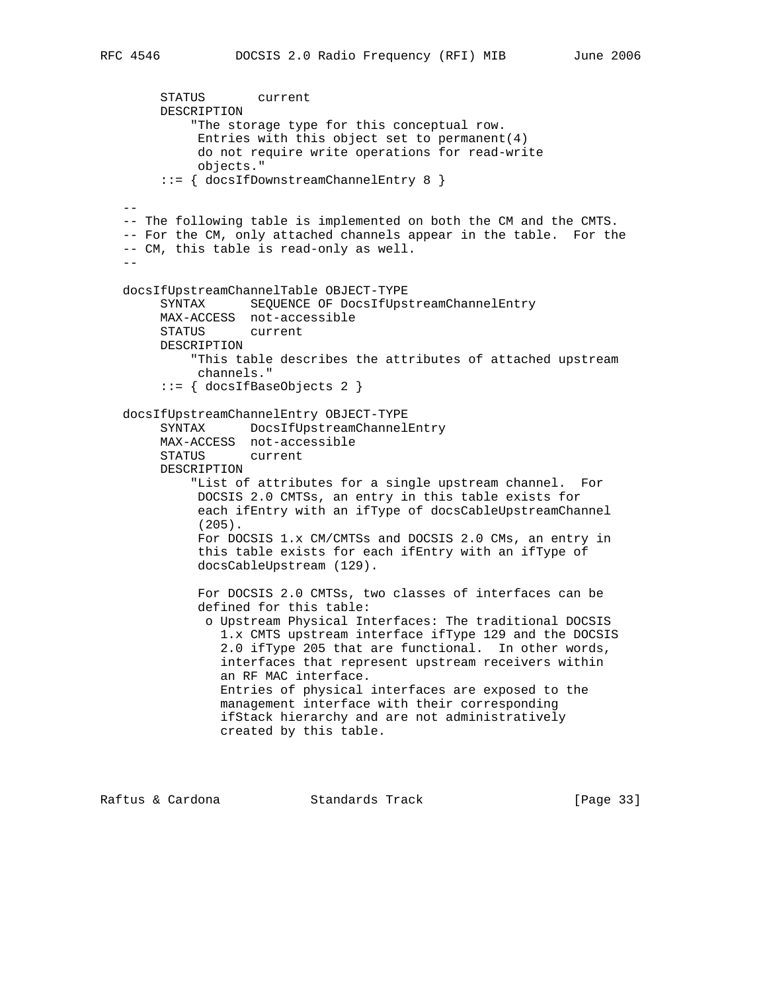```
 STATUS current
        DESCRIPTION
             "The storage type for this conceptual row.
             Entries with this object set to permanent(4)
             do not require write operations for read-write
             objects."
         ::= { docsIfDownstreamChannelEntry 8 }
 --
  -- The following table is implemented on both the CM and the CMTS.
   -- For the CM, only attached channels appear in the table. For the
   -- CM, this table is read-only as well.
  - docsIfUpstreamChannelTable OBJECT-TYPE
         SYNTAX SEQUENCE OF DocsIfUpstreamChannelEntry
        MAX-ACCESS not-accessible
        STATUS current
        DESCRIPTION
            "This table describes the attributes of attached upstream
             channels."
         ::= { docsIfBaseObjects 2 }
   docsIfUpstreamChannelEntry OBJECT-TYPE
         SYNTAX DocsIfUpstreamChannelEntry
        MAX-ACCESS not-accessible
        STATUS current
        DESCRIPTION
             "List of attributes for a single upstream channel. For
             DOCSIS 2.0 CMTSs, an entry in this table exists for
             each ifEntry with an ifType of docsCableUpstreamChannel
             (205).
             For DOCSIS 1.x CM/CMTSs and DOCSIS 2.0 CMs, an entry in
             this table exists for each ifEntry with an ifType of
             docsCableUpstream (129).
             For DOCSIS 2.0 CMTSs, two classes of interfaces can be
             defined for this table:
              o Upstream Physical Interfaces: The traditional DOCSIS
                 1.x CMTS upstream interface ifType 129 and the DOCSIS
                 2.0 ifType 205 that are functional. In other words,
                 interfaces that represent upstream receivers within
                an RF MAC interface.
                Entries of physical interfaces are exposed to the
                management interface with their corresponding
                 ifStack hierarchy and are not administratively
                created by this table.
```
Raftus & Cardona Standards Track [Page 33]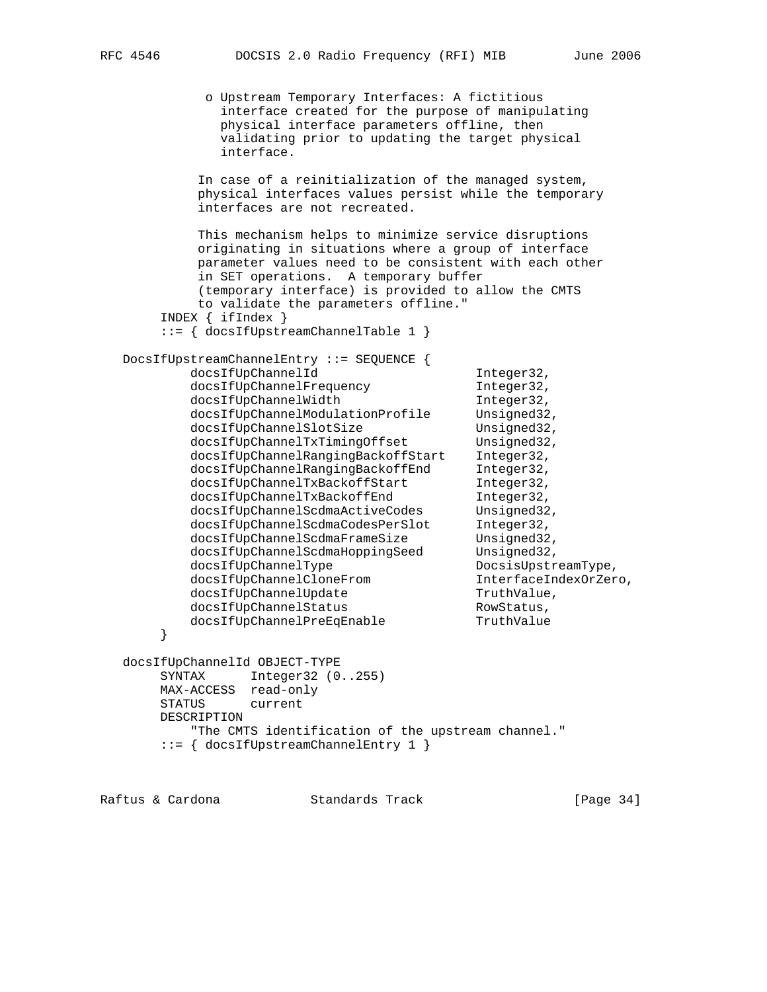o Upstream Temporary Interfaces: A fictitious interface created for the purpose of manipulating physical interface parameters offline, then validating prior to updating the target physical interface. In case of a reinitialization of the managed system, physical interfaces values persist while the temporary interfaces are not recreated. This mechanism helps to minimize service disruptions originating in situations where a group of interface parameter values need to be consistent with each other in SET operations. A temporary buffer (temporary interface) is provided to allow the CMTS to validate the parameters offline." INDEX { ifIndex } ::= { docsIfUpstreamChannelTable 1 } DocsIfUpstreamChannelEntry ::= SEQUENCE { docsIfUpChannelId Integer32, docsIfUpChannelFrequency 1nteger32, docsIfUpChannelWidth Integer32, docsIfUpChannelModulationProfile Unsigned32,<br>docsIfUpChannelSlotSize Unsigned32, docsIfUpChannelSlotSize docsIfUpChannelTxTimingOffset Unsigned32, docsIfUpChannelRangingBackoffStart Integer32, docsIfUpChannelRangingBackoffEnd Integer32, docsIfUpChannelTxBackoffStart Integer32, docsIfUpChannelTxBackoffEnd Integer32, docsIfUpChannelScdmaActiveCodes Unsigned32, docsIfUpChannelScdmaCodesPerSlot Integer32, docsIfUpChannelScdmaFrameSize docsIfUpChannelScdmaHoppingSeed docsIfUpChannelType  $\footnotesize$  DocsisUpstreamType, docsIfUpChannelCloneFrom InterfaceIndexOrZero, docsIfUpChannelUpdate TruthValue<br>docsIfUpChannelStatus RowStatus, docsIfUpChannelStatus RowStatus, docsIfUpChannelPreEqEnable } docsIfUpChannelId OBJECT-TYPE SYNTAX Integer32 (0..255) MAX-ACCESS read-only STATUS current DESCRIPTION "The CMTS identification of the upstream channel." ::= { docsIfUpstreamChannelEntry 1 }

Raftus & Cardona Standards Track [Page 34]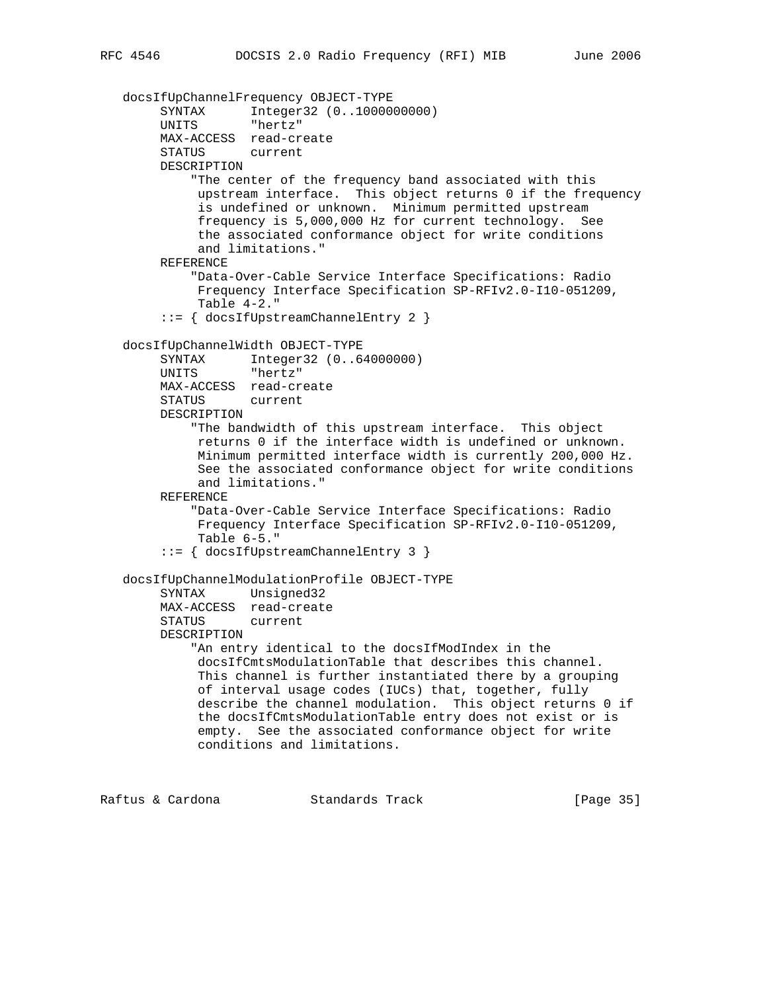```
 docsIfUpChannelFrequency OBJECT-TYPE
      SYNTAX Integer32 (0..1000000000)
     UNITS "hertz"
     MAX-ACCESS read-create
     STATUS current
     DESCRIPTION
          "The center of the frequency band associated with this
          upstream interface. This object returns 0 if the frequency
          is undefined or unknown. Minimum permitted upstream
          frequency is 5,000,000 Hz for current technology. See
          the associated conformance object for write conditions
          and limitations."
     REFERENCE
          "Data-Over-Cable Service Interface Specifications: Radio
          Frequency Interface Specification SP-RFIv2.0-I10-051209,
          Table 4-2."
      ::= { docsIfUpstreamChannelEntry 2 }
 docsIfUpChannelWidth OBJECT-TYPE
      SYNTAX Integer32 (0..64000000)
     UNITS "hertz"
     MAX-ACCESS read-create
     STATUS current
     DESCRIPTION
          "The bandwidth of this upstream interface. This object
          returns 0 if the interface width is undefined or unknown.
          Minimum permitted interface width is currently 200,000 Hz.
          See the associated conformance object for write conditions
          and limitations."
     REFERENCE
          "Data-Over-Cable Service Interface Specifications: Radio
          Frequency Interface Specification SP-RFIv2.0-I10-051209,
          Table 6-5."
      ::= { docsIfUpstreamChannelEntry 3 }
 docsIfUpChannelModulationProfile OBJECT-TYPE
      SYNTAX Unsigned32
     MAX-ACCESS read-create
     STATUS current
     DESCRIPTION
          "An entry identical to the docsIfModIndex in the
          docsIfCmtsModulationTable that describes this channel.
          This channel is further instantiated there by a grouping
          of interval usage codes (IUCs) that, together, fully
          describe the channel modulation. This object returns 0 if
          the docsIfCmtsModulationTable entry does not exist or is
          empty. See the associated conformance object for write
          conditions and limitations.
```
Raftus & Cardona Standards Track [Page 35]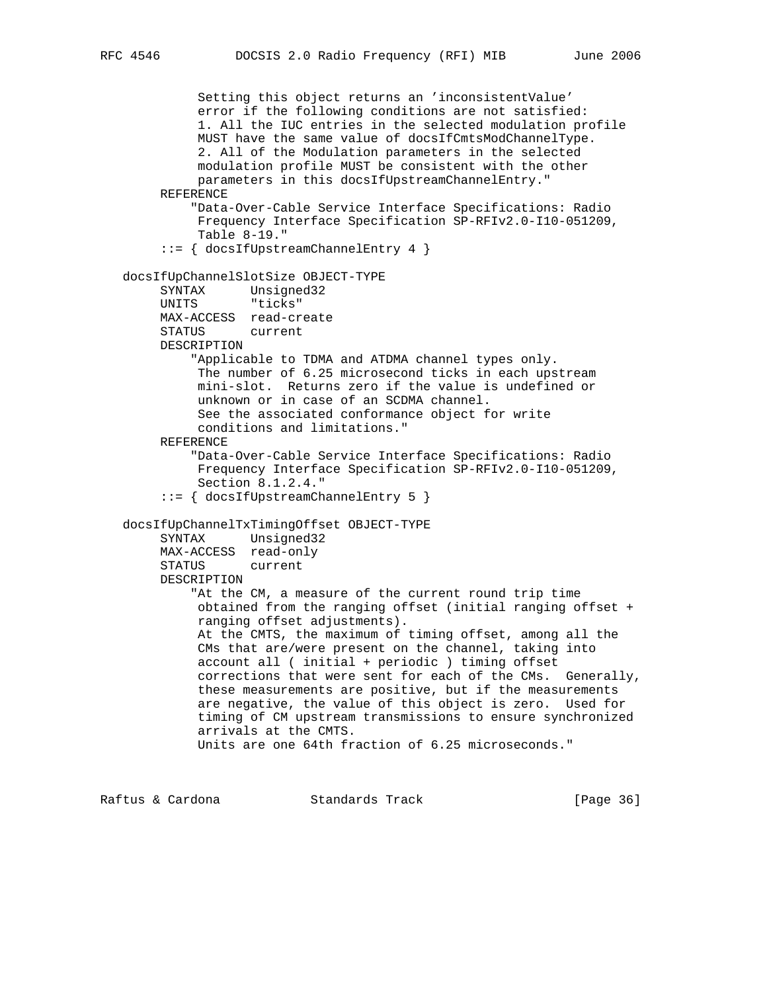```
 Setting this object returns an 'inconsistentValue'
           error if the following conditions are not satisfied:
           1. All the IUC entries in the selected modulation profile
           MUST have the same value of docsIfCmtsModChannelType.
           2. All of the Modulation parameters in the selected
           modulation profile MUST be consistent with the other
           parameters in this docsIfUpstreamChannelEntry."
     REFERENCE
          "Data-Over-Cable Service Interface Specifications: Radio
           Frequency Interface Specification SP-RFIv2.0-I10-051209,
           Table 8-19."
      ::= { docsIfUpstreamChannelEntry 4 }
 docsIfUpChannelSlotSize OBJECT-TYPE
      SYNTAX Unsigned32
     UNITS "ticks"
     MAX-ACCESS read-create
     STATUS current
     DESCRIPTION
          "Applicable to TDMA and ATDMA channel types only.
          The number of 6.25 microsecond ticks in each upstream
           mini-slot. Returns zero if the value is undefined or
           unknown or in case of an SCDMA channel.
           See the associated conformance object for write
           conditions and limitations."
     REFERENCE
          "Data-Over-Cable Service Interface Specifications: Radio
          Frequency Interface Specification SP-RFIv2.0-I10-051209,
          Section 8.1.2.4."
      ::= { docsIfUpstreamChannelEntry 5 }
 docsIfUpChannelTxTimingOffset OBJECT-TYPE
      SYNTAX Unsigned32
     MAX-ACCESS read-only
     STATUS current
     DESCRIPTION
          "At the CM, a measure of the current round trip time
           obtained from the ranging offset (initial ranging offset +
           ranging offset adjustments).
           At the CMTS, the maximum of timing offset, among all the
           CMs that are/were present on the channel, taking into
           account all ( initial + periodic ) timing offset
           corrections that were sent for each of the CMs. Generally,
          these measurements are positive, but if the measurements
           are negative, the value of this object is zero. Used for
          timing of CM upstream transmissions to ensure synchronized
           arrivals at the CMTS.
           Units are one 64th fraction of 6.25 microseconds."
```
Raftus & Cardona Standards Track [Page 36]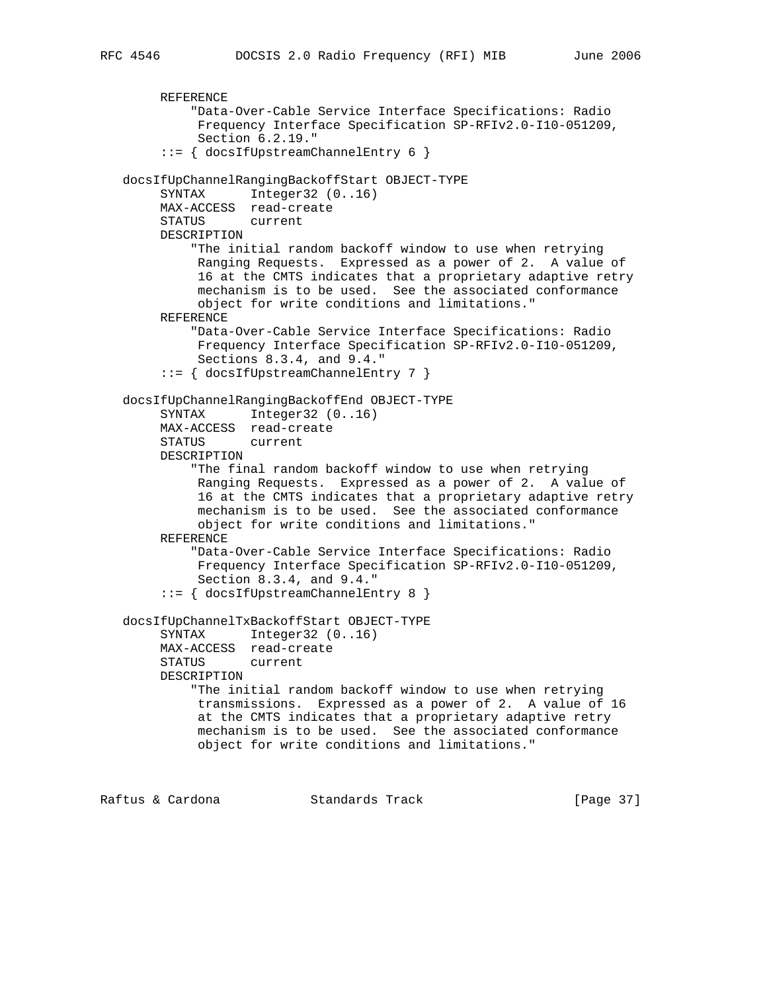```
 REFERENCE
          "Data-Over-Cable Service Interface Specifications: Radio
           Frequency Interface Specification SP-RFIv2.0-I10-051209,
           Section 6.2.19."
      ::= { docsIfUpstreamChannelEntry 6 }
 docsIfUpChannelRangingBackoffStart OBJECT-TYPE
     SYNTAX Integer32 (0..16)
     MAX-ACCESS read-create
     STATUS current
     DESCRIPTION
          "The initial random backoff window to use when retrying
           Ranging Requests. Expressed as a power of 2. A value of
           16 at the CMTS indicates that a proprietary adaptive retry
           mechanism is to be used. See the associated conformance
           object for write conditions and limitations."
     REFERENCE
          "Data-Over-Cable Service Interface Specifications: Radio
           Frequency Interface Specification SP-RFIv2.0-I10-051209,
           Sections 8.3.4, and 9.4."
      ::= { docsIfUpstreamChannelEntry 7 }
 docsIfUpChannelRangingBackoffEnd OBJECT-TYPE
      SYNTAX Integer32 (0..16)
     MAX-ACCESS read-create
     STATUS current
     DESCRIPTION
          "The final random backoff window to use when retrying
           Ranging Requests. Expressed as a power of 2. A value of
           16 at the CMTS indicates that a proprietary adaptive retry
           mechanism is to be used. See the associated conformance
           object for write conditions and limitations."
     REFERENCE
          "Data-Over-Cable Service Interface Specifications: Radio
           Frequency Interface Specification SP-RFIv2.0-I10-051209,
           Section 8.3.4, and 9.4."
      ::= { docsIfUpstreamChannelEntry 8 }
 docsIfUpChannelTxBackoffStart OBJECT-TYPE
      SYNTAX Integer32 (0..16)
     MAX-ACCESS read-create
     STATUS current
     DESCRIPTION
          "The initial random backoff window to use when retrying
          transmissions. Expressed as a power of 2. A value of 16
           at the CMTS indicates that a proprietary adaptive retry
          mechanism is to be used. See the associated conformance
           object for write conditions and limitations."
```

```
Raftus & Cardona               Standards Track                   [Page 37]
```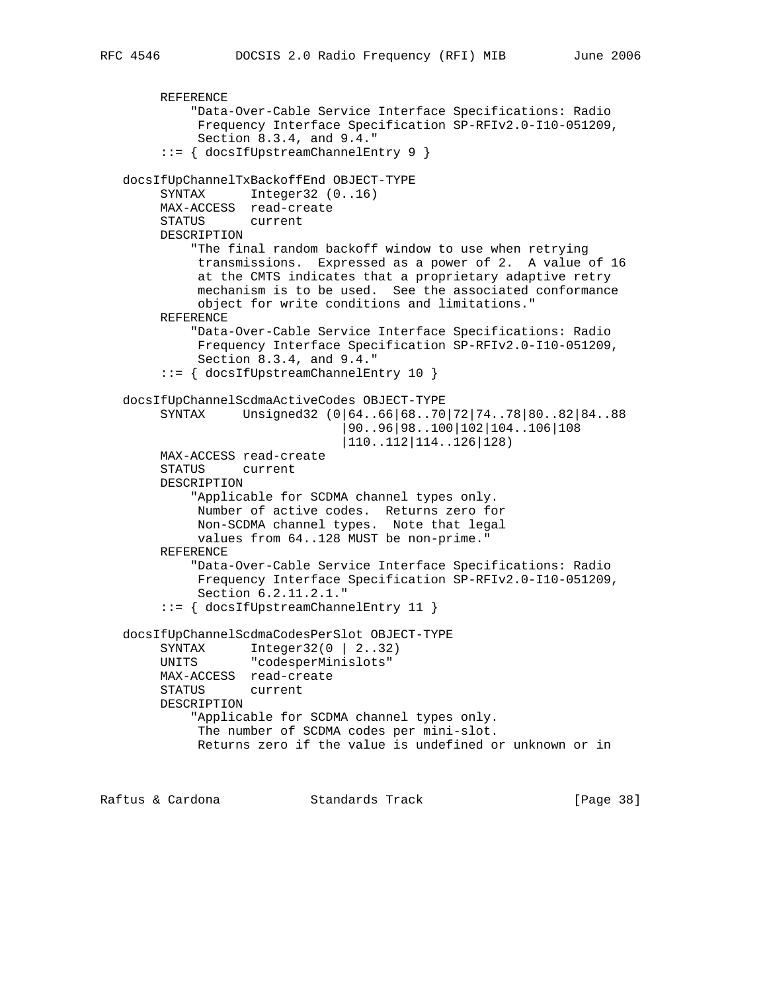```
 REFERENCE
             "Data-Over-Cable Service Interface Specifications: Radio
              Frequency Interface Specification SP-RFIv2.0-I10-051209,
              Section 8.3.4, and 9.4."
         ::= { docsIfUpstreamChannelEntry 9 }
    docsIfUpChannelTxBackoffEnd OBJECT-TYPE
        SYNTAX Integer32 (0..16)
         MAX-ACCESS read-create
         STATUS current
         DESCRIPTION
             "The final random backoff window to use when retrying
             transmissions. Expressed as a power of 2. A value of 16
              at the CMTS indicates that a proprietary adaptive retry
              mechanism is to be used. See the associated conformance
              object for write conditions and limitations."
         REFERENCE
             "Data-Over-Cable Service Interface Specifications: Radio
              Frequency Interface Specification SP-RFIv2.0-I10-051209,
              Section 8.3.4, and 9.4."
         ::= { docsIfUpstreamChannelEntry 10 }
    docsIfUpChannelScdmaActiveCodes OBJECT-TYPE
         SYNTAX Unsigned32 (0|64..66|68..70|72|74..78|80..82|84..88
                                 |90..96|98..100|102|104..106|108
                                 |110..112|114..126|128)
        MAX-ACCESS read-create
         STATUS current
        DESCRIPTION
             "Applicable for SCDMA channel types only.
              Number of active codes. Returns zero for
              Non-SCDMA channel types. Note that legal
              values from 64..128 MUST be non-prime."
         REFERENCE
             "Data-Over-Cable Service Interface Specifications: Radio
             Frequency Interface Specification SP-RFIv2.0-I10-051209,
              Section 6.2.11.2.1."
         ::= { docsIfUpstreamChannelEntry 11 }
    docsIfUpChannelScdmaCodesPerSlot OBJECT-TYPE
        SYNTAX Integer32(0 | 2..32)
         UNITS "codesperMinislots"
        MAX-ACCESS read-create
         STATUS current
         DESCRIPTION
             "Applicable for SCDMA channel types only.
              The number of SCDMA codes per mini-slot.
             Returns zero if the value is undefined or unknown or in
Raftus & Cardona               Standards Track                   [Page 38]
```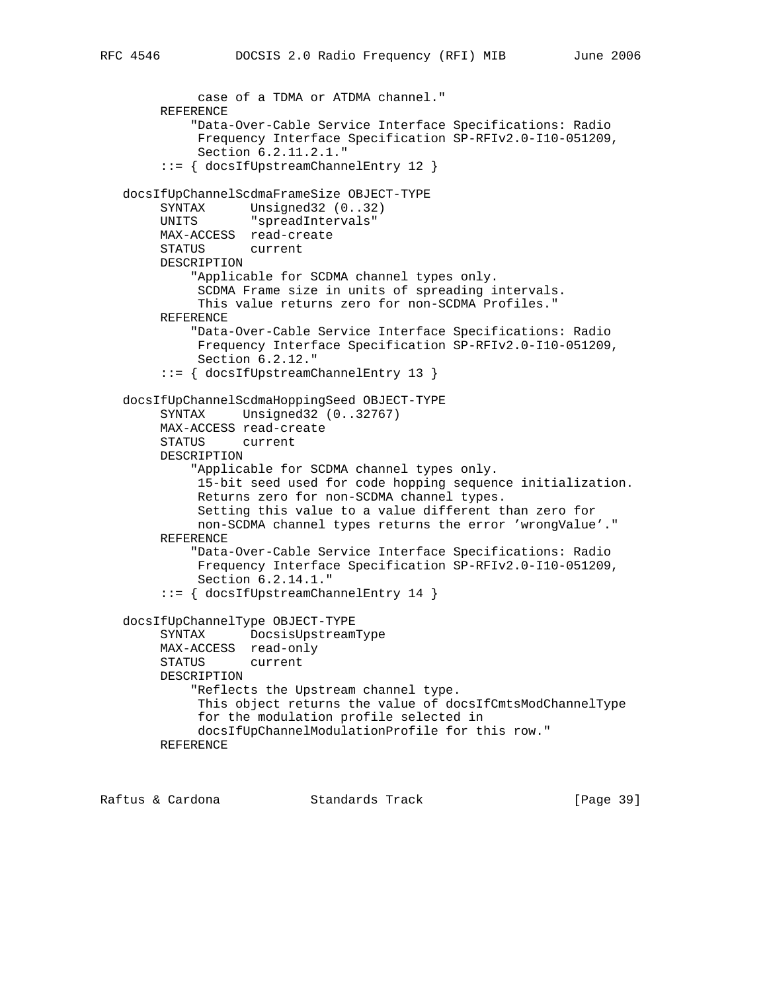```
 case of a TDMA or ATDMA channel."
     REFERENCE
          "Data-Over-Cable Service Interface Specifications: Radio
           Frequency Interface Specification SP-RFIv2.0-I10-051209,
           Section 6.2.11.2.1."
      ::= { docsIfUpstreamChannelEntry 12 }
 docsIfUpChannelScdmaFrameSize OBJECT-TYPE
      SYNTAX Unsigned32 (0..32)
     UNITS "spreadIntervals"
     MAX-ACCESS read-create
     STATUS current
     DESCRIPTION
          "Applicable for SCDMA channel types only.
           SCDMA Frame size in units of spreading intervals.
           This value returns zero for non-SCDMA Profiles."
     REFERENCE
          "Data-Over-Cable Service Interface Specifications: Radio
           Frequency Interface Specification SP-RFIv2.0-I10-051209,
           Section 6.2.12."
      ::= { docsIfUpstreamChannelEntry 13 }
 docsIfUpChannelScdmaHoppingSeed OBJECT-TYPE
      SYNTAX Unsigned32 (0..32767)
     MAX-ACCESS read-create
     STATUS current
     DESCRIPTION
          "Applicable for SCDMA channel types only.
           15-bit seed used for code hopping sequence initialization.
           Returns zero for non-SCDMA channel types.
           Setting this value to a value different than zero for
           non-SCDMA channel types returns the error 'wrongValue'."
     REFERENCE
          "Data-Over-Cable Service Interface Specifications: Radio
           Frequency Interface Specification SP-RFIv2.0-I10-051209,
           Section 6.2.14.1."
      ::= { docsIfUpstreamChannelEntry 14 }
 docsIfUpChannelType OBJECT-TYPE
      SYNTAX DocsisUpstreamType
     MAX-ACCESS read-only
     STATUS current
     DESCRIPTION
          "Reflects the Upstream channel type.
           This object returns the value of docsIfCmtsModChannelType
           for the modulation profile selected in
           docsIfUpChannelModulationProfile for this row."
     REFERENCE
```
Raftus & Cardona Standards Track [Page 39]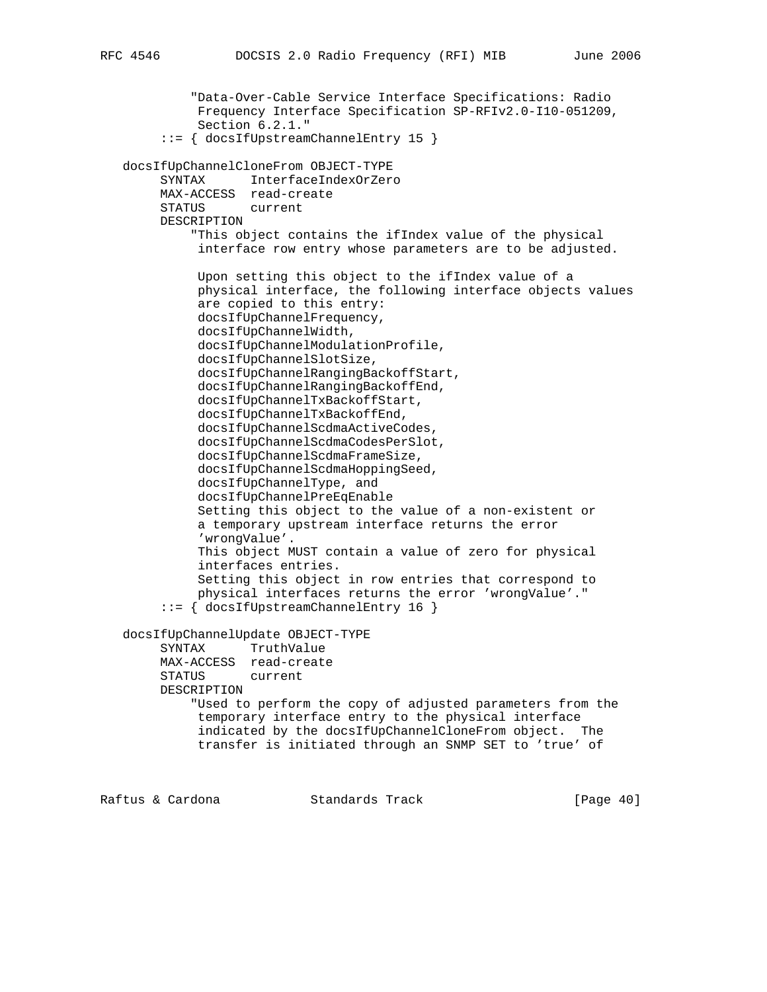```
 "Data-Over-Cable Service Interface Specifications: Radio
           Frequency Interface Specification SP-RFIv2.0-I10-051209,
           Section 6.2.1."
      ::= { docsIfUpstreamChannelEntry 15 }
 docsIfUpChannelCloneFrom OBJECT-TYPE
      SYNTAX InterfaceIndexOrZero
      MAX-ACCESS read-create
      STATUS current
      DESCRIPTION
          "This object contains the ifIndex value of the physical
           interface row entry whose parameters are to be adjusted.
           Upon setting this object to the ifIndex value of a
           physical interface, the following interface objects values
           are copied to this entry:
           docsIfUpChannelFrequency,
           docsIfUpChannelWidth,
           docsIfUpChannelModulationProfile,
           docsIfUpChannelSlotSize,
           docsIfUpChannelRangingBackoffStart,
           docsIfUpChannelRangingBackoffEnd,
           docsIfUpChannelTxBackoffStart,
           docsIfUpChannelTxBackoffEnd,
           docsIfUpChannelScdmaActiveCodes,
           docsIfUpChannelScdmaCodesPerSlot,
           docsIfUpChannelScdmaFrameSize,
           docsIfUpChannelScdmaHoppingSeed,
           docsIfUpChannelType, and
           docsIfUpChannelPreEqEnable
           Setting this object to the value of a non-existent or
           a temporary upstream interface returns the error
           'wrongValue'.
           This object MUST contain a value of zero for physical
           interfaces entries.
           Setting this object in row entries that correspond to
           physical interfaces returns the error 'wrongValue'."
      ::= { docsIfUpstreamChannelEntry 16 }
 docsIfUpChannelUpdate OBJECT-TYPE
      SYNTAX TruthValue
      MAX-ACCESS read-create
      STATUS current
      DESCRIPTION
          "Used to perform the copy of adjusted parameters from the
           temporary interface entry to the physical interface
           indicated by the docsIfUpChannelCloneFrom object. The
           transfer is initiated through an SNMP SET to 'true' of
```
Raftus & Cardona Standards Track [Page 40]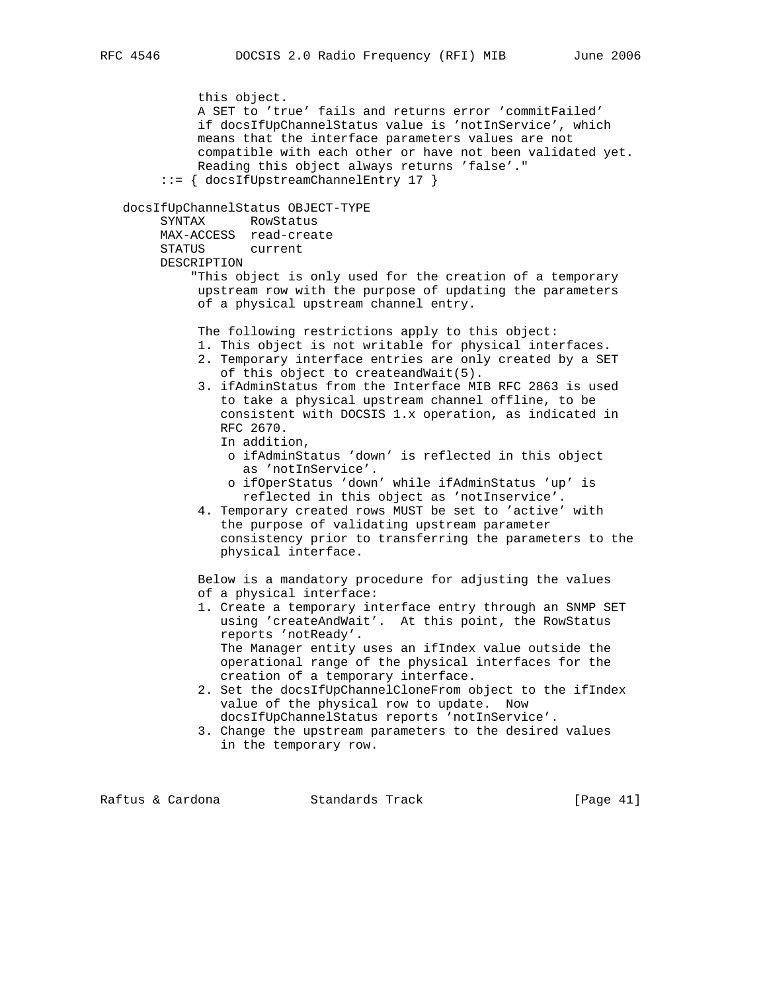```
 this object.
           A SET to 'true' fails and returns error 'commitFailed'
           if docsIfUpChannelStatus value is 'notInService', which
           means that the interface parameters values are not
           compatible with each other or have not been validated yet.
           Reading this object always returns 'false'."
      ::= { docsIfUpstreamChannelEntry 17 }
 docsIfUpChannelStatus OBJECT-TYPE
      SYNTAX RowStatus
      MAX-ACCESS read-create
      STATUS current
      DESCRIPTION
          "This object is only used for the creation of a temporary
           upstream row with the purpose of updating the parameters
           of a physical upstream channel entry.
           The following restrictions apply to this object:
           1. This object is not writable for physical interfaces.
           2. Temporary interface entries are only created by a SET
              of this object to createandWait(5).
           3. ifAdminStatus from the Interface MIB RFC 2863 is used
              to take a physical upstream channel offline, to be
              consistent with DOCSIS 1.x operation, as indicated in
              RFC 2670.
              In addition,
               o ifAdminStatus 'down' is reflected in this object
                 as 'notInService'.
               o ifOperStatus 'down' while ifAdminStatus 'up' is
                 reflected in this object as 'notInservice'.
           4. Temporary created rows MUST be set to 'active' with
              the purpose of validating upstream parameter
              consistency prior to transferring the parameters to the
              physical interface.
           Below is a mandatory procedure for adjusting the values
           of a physical interface:
           1. Create a temporary interface entry through an SNMP SET
              using 'createAndWait'. At this point, the RowStatus
              reports 'notReady'.
              The Manager entity uses an ifIndex value outside the
              operational range of the physical interfaces for the
              creation of a temporary interface.
           2. Set the docsIfUpChannelCloneFrom object to the ifIndex
              value of the physical row to update. Now
              docsIfUpChannelStatus reports 'notInService'.
           3. Change the upstream parameters to the desired values
              in the temporary row.
```
Raftus & Cardona Standards Track [Page 41]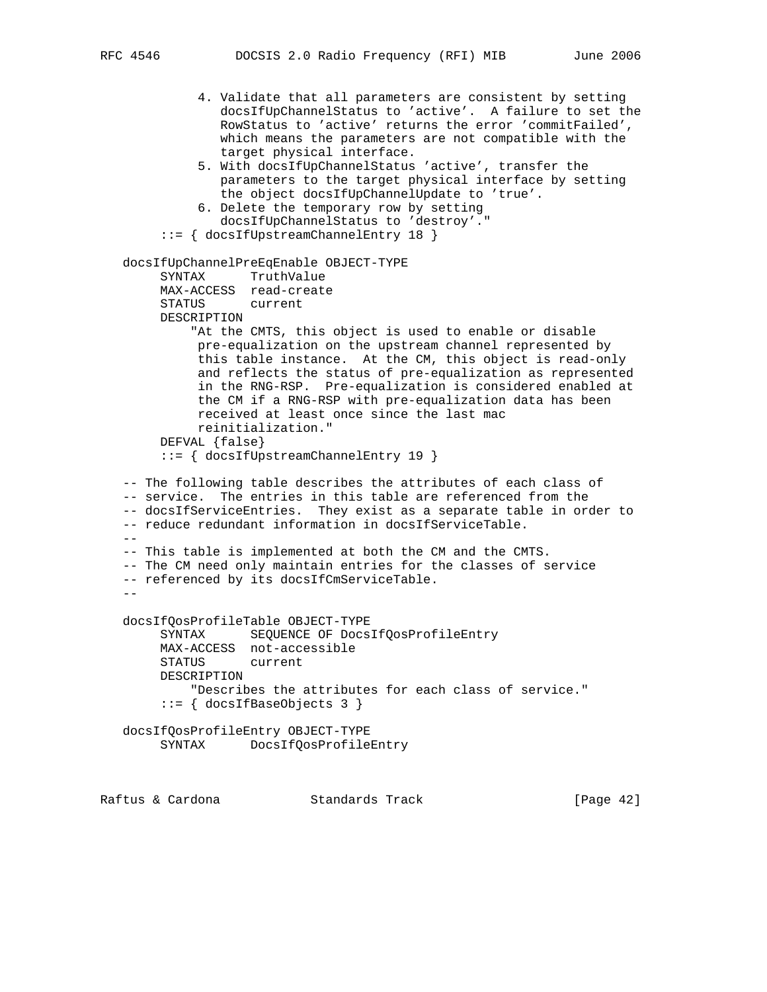4. Validate that all parameters are consistent by setting docsIfUpChannelStatus to 'active'. A failure to set the RowStatus to 'active' returns the error 'commitFailed', which means the parameters are not compatible with the target physical interface. 5. With docsIfUpChannelStatus 'active', transfer the parameters to the target physical interface by setting the object docsIfUpChannelUpdate to 'true'. 6. Delete the temporary row by setting docsIfUpChannelStatus to 'destroy'." ::= { docsIfUpstreamChannelEntry 18 } docsIfUpChannelPreEqEnable OBJECT-TYPE SYNTAX TruthValue MAX-ACCESS read-create STATUS current DESCRIPTION "At the CMTS, this object is used to enable or disable pre-equalization on the upstream channel represented by this table instance. At the CM, this object is read-only and reflects the status of pre-equalization as represented in the RNG-RSP. Pre-equalization is considered enabled at the CM if a RNG-RSP with pre-equalization data has been received at least once since the last mac reinitialization." DEFVAL {false} ::= { docsIfUpstreamChannelEntry 19 } -- The following table describes the attributes of each class of -- service. The entries in this table are referenced from the -- docsIfServiceEntries. They exist as a separate table in order to -- reduce redundant information in docsIfServiceTable.  $-$  -- This table is implemented at both the CM and the CMTS. -- The CM need only maintain entries for the classes of service -- referenced by its docsIfCmServiceTable. - docsIfQosProfileTable OBJECT-TYPE SYNTAX SEQUENCE OF DocsIfQosProfileEntry MAX-ACCESS not-accessible<br>STATUS current STATUS DESCRIPTION "Describes the attributes for each class of service." ::= { docsIfBaseObjects 3 } docsIfQosProfileEntry OBJECT-TYPE SYNTAX DocsIfOosProfileEntry Raftus & Cardona Standards Track [Page 42]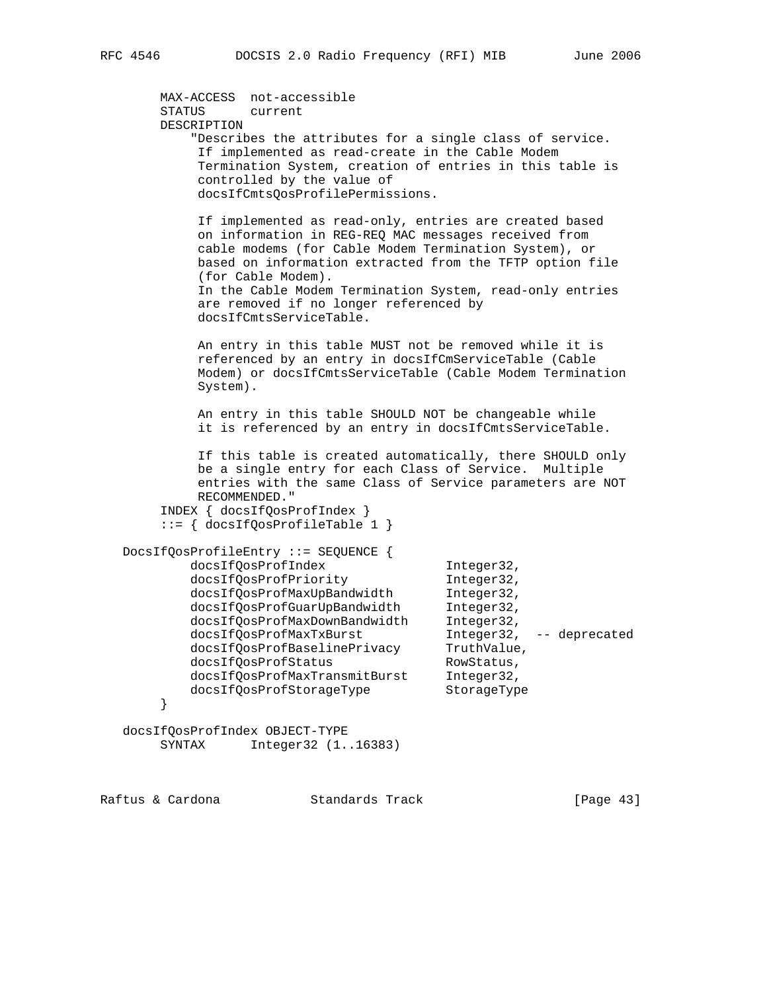```
 MAX-ACCESS not-accessible
        STATUS current
        DESCRIPTION
            "Describes the attributes for a single class of service.
            If implemented as read-create in the Cable Modem
            Termination System, creation of entries in this table is
            controlled by the value of
            docsIfCmtsQosProfilePermissions.
            If implemented as read-only, entries are created based
            on information in REG-REQ MAC messages received from
            cable modems (for Cable Modem Termination System), or
            based on information extracted from the TFTP option file
            (for Cable Modem).
            In the Cable Modem Termination System, read-only entries
            are removed if no longer referenced by
            docsIfCmtsServiceTable.
            An entry in this table MUST not be removed while it is
            referenced by an entry in docsIfCmServiceTable (Cable
            Modem) or docsIfCmtsServiceTable (Cable Modem Termination
            System).
            An entry in this table SHOULD NOT be changeable while
            it is referenced by an entry in docsIfCmtsServiceTable.
            If this table is created automatically, there SHOULD only
            be a single entry for each Class of Service. Multiple
            entries with the same Class of Service parameters are NOT
            RECOMMENDED."
        INDEX { docsIfQosProfIndex }
        ::= { docsIfQosProfileTable 1 }
   DocsIfQosProfileEntry ::= SEQUENCE {
          docsIfQosProfIndex Integer32,
          docsIfQosProfPriority Integer32,
 docsIfQosProfMaxUpBandwidth Integer32,
 docsIfQosProfGuarUpBandwidth Integer32,
 docsIfQosProfMaxDownBandwidth Integer32,
 docsIfQosProfMaxTxBurst Integer32, -- deprecated
 docsIfQosProfBaselinePrivacy TruthValue,
docsIfQosProfStatus RowStatus,
 docsIfQosProfMaxTransmitBurst Integer32,
 docsIfQosProfStorageType StorageType
        }
   docsIfQosProfIndex OBJECT-TYPE
        SYNTAX Integer32 (1..16383)
```

|  | Raftus & Cardona | Standards Track | [Page $43$ ] |  |
|--|------------------|-----------------|--------------|--|
|  |                  |                 |              |  |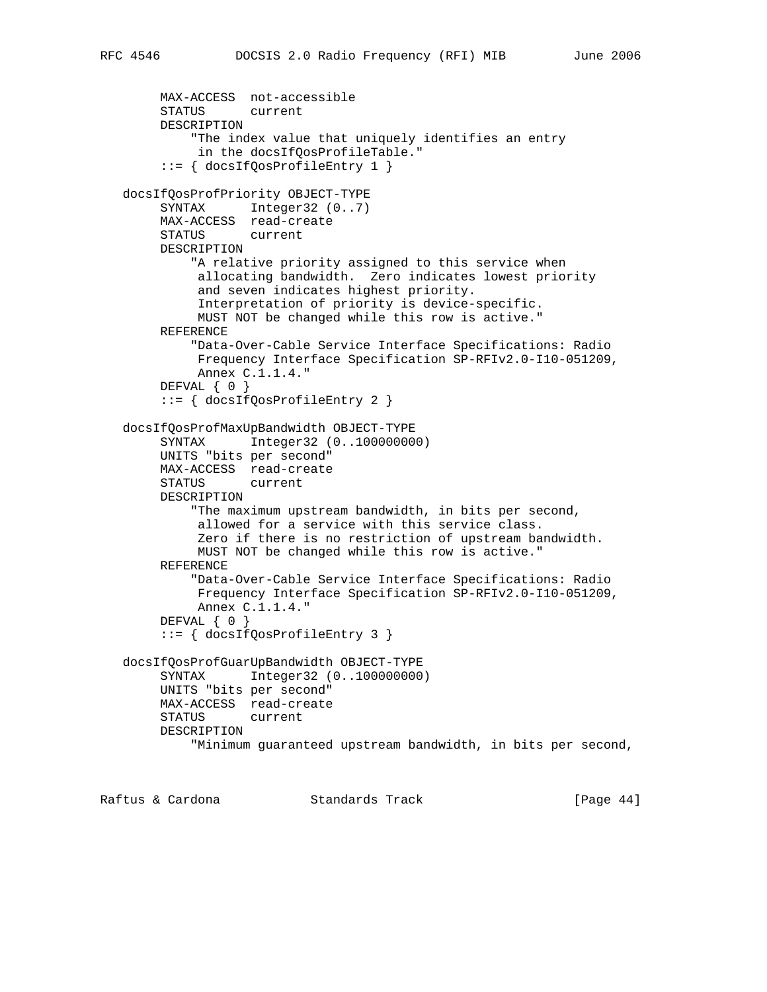```
 MAX-ACCESS not-accessible
     STATUS current
     DESCRIPTION
          "The index value that uniquely identifies an entry
           in the docsIfQosProfileTable."
      ::= { docsIfQosProfileEntry 1 }
 docsIfQosProfPriority OBJECT-TYPE
     SYNTAX Integer32 (0..7)
     MAX-ACCESS read-create
     STATUS current
     DESCRIPTION
          "A relative priority assigned to this service when
           allocating bandwidth. Zero indicates lowest priority
           and seven indicates highest priority.
           Interpretation of priority is device-specific.
          MUST NOT be changed while this row is active."
     REFERENCE
          "Data-Over-Cable Service Interface Specifications: Radio
          Frequency Interface Specification SP-RFIv2.0-I10-051209,
          Annex C.1.1.4."
    DEFVAL { 0 }
      ::= { docsIfQosProfileEntry 2 }
 docsIfQosProfMaxUpBandwidth OBJECT-TYPE
      SYNTAX Integer32 (0..100000000)
     UNITS "bits per second"
     MAX-ACCESS read-create
     STATUS current
     DESCRIPTION
          "The maximum upstream bandwidth, in bits per second,
           allowed for a service with this service class.
           Zero if there is no restriction of upstream bandwidth.
          MUST NOT be changed while this row is active."
     REFERENCE
          "Data-Over-Cable Service Interface Specifications: Radio
           Frequency Interface Specification SP-RFIv2.0-I10-051209,
          Annex C.1.1.4."
    DEFVAL { 0 }
      ::= { docsIfQosProfileEntry 3 }
 docsIfQosProfGuarUpBandwidth OBJECT-TYPE
      SYNTAX Integer32 (0..100000000)
     UNITS "bits per second"
     MAX-ACCESS read-create
     STATUS current
     DESCRIPTION
          "Minimum guaranteed upstream bandwidth, in bits per second,
```
Raftus & Cardona Standards Track [Paqe 44]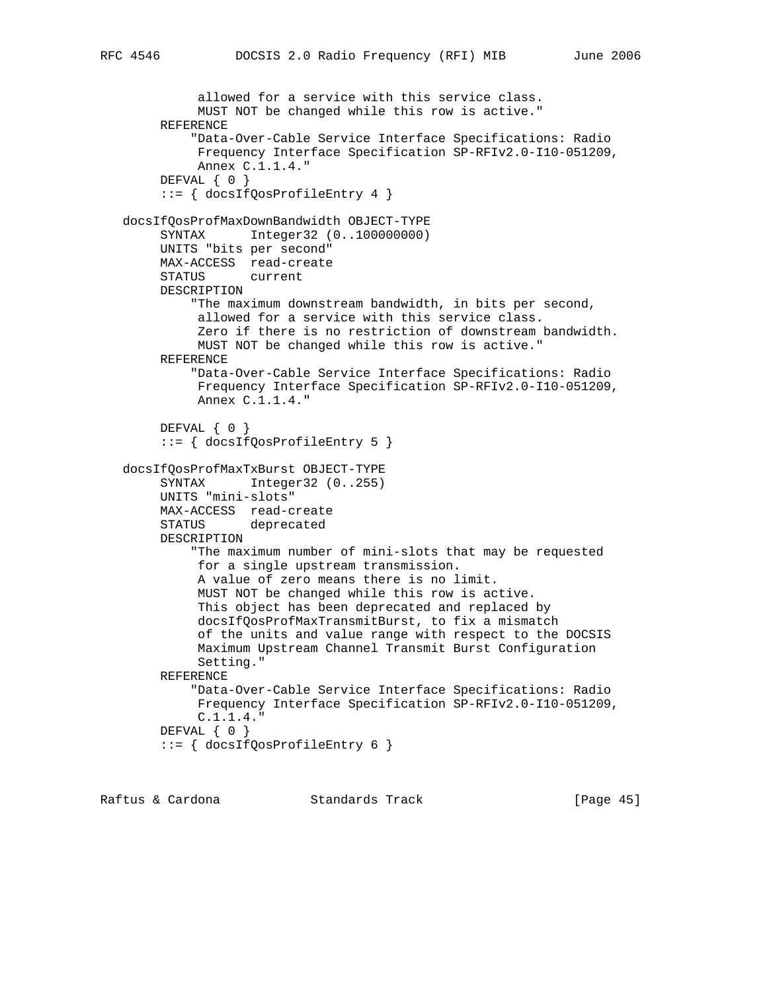```
 allowed for a service with this service class.
           MUST NOT be changed while this row is active."
      REFERENCE
          "Data-Over-Cable Service Interface Specifications: Radio
           Frequency Interface Specification SP-RFIv2.0-I10-051209,
           Annex C.1.1.4."
      DEFVAL { 0 }
     ::= { docsIfQosProfileEntry 4 }
 docsIfQosProfMaxDownBandwidth OBJECT-TYPE
      SYNTAX Integer32 (0..100000000)
      UNITS "bits per second"
     MAX-ACCESS read-create
      STATUS current
     DESCRIPTION
          "The maximum downstream bandwidth, in bits per second,
           allowed for a service with this service class.
           Zero if there is no restriction of downstream bandwidth.
          MUST NOT be changed while this row is active."
      REFERENCE
          "Data-Over-Cable Service Interface Specifications: Radio
           Frequency Interface Specification SP-RFIv2.0-I10-051209,
          Annex C.1.1.4."
     DEFVAL { 0 }
      ::= { docsIfQosProfileEntry 5 }
 docsIfQosProfMaxTxBurst OBJECT-TYPE
      SYNTAX Integer32 (0..255)
      UNITS "mini-slots"
     MAX-ACCESS read-create
      STATUS deprecated
     DESCRIPTION
          "The maximum number of mini-slots that may be requested
          for a single upstream transmission.
          A value of zero means there is no limit.
           MUST NOT be changed while this row is active.
           This object has been deprecated and replaced by
           docsIfQosProfMaxTransmitBurst, to fix a mismatch
           of the units and value range with respect to the DOCSIS
           Maximum Upstream Channel Transmit Burst Configuration
           Setting."
     REFERENCE
          "Data-Over-Cable Service Interface Specifications: Radio
          Frequency Interface Specification SP-RFIv2.0-I10-051209,
          C.1.1.4."
     DEFVAL { 0 }
      ::= { docsIfQosProfileEntry 6 }
```
Raftus & Cardona Standards Track [Page 45]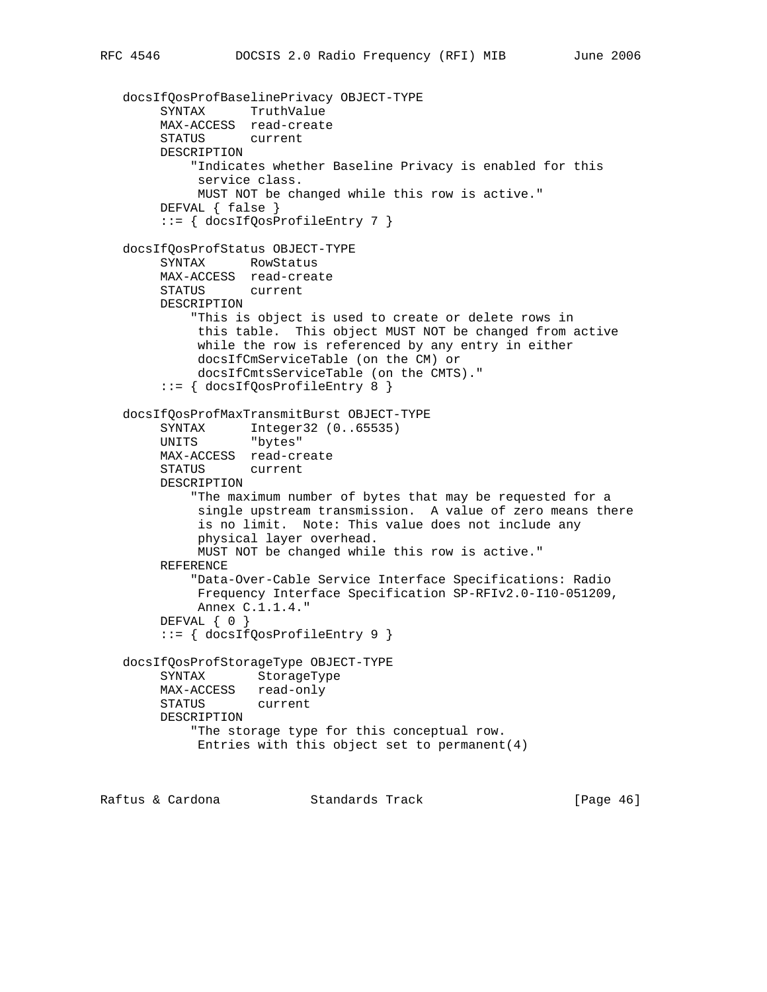```
 docsIfQosProfBaselinePrivacy OBJECT-TYPE
      SYNTAX TruthValue
     MAX-ACCESS read-create
      STATUS current
     DESCRIPTION
          "Indicates whether Baseline Privacy is enabled for this
          service class.
          MUST NOT be changed while this row is active."
     DEFVAL { false }
      ::= { docsIfQosProfileEntry 7 }
 docsIfQosProfStatus OBJECT-TYPE
      SYNTAX RowStatus
     MAX-ACCESS read-create
     STATUS current
     DESCRIPTION
          "This is object is used to create or delete rows in
          this table. This object MUST NOT be changed from active
          while the row is referenced by any entry in either
          docsIfCmServiceTable (on the CM) or
          docsIfCmtsServiceTable (on the CMTS)."
      ::= { docsIfQosProfileEntry 8 }
 docsIfQosProfMaxTransmitBurst OBJECT-TYPE
     SYNTAX Integer32 (0..65535)
     UNITS "bytes"
     MAX-ACCESS read-create
     STATUS current
     DESCRIPTION
          "The maximum number of bytes that may be requested for a
          single upstream transmission. A value of zero means there
          is no limit. Note: This value does not include any
          physical layer overhead.
          MUST NOT be changed while this row is active."
     REFERENCE
          "Data-Over-Cable Service Interface Specifications: Radio
          Frequency Interface Specification SP-RFIv2.0-I10-051209,
          Annex C.1.1.4."
    DEFVAL { 0 }
      ::= { docsIfQosProfileEntry 9 }
 docsIfQosProfStorageType OBJECT-TYPE
     SYNTAX StorageType
     MAX-ACCESS read-only
     STATUS current
     DESCRIPTION
          "The storage type for this conceptual row.
          Entries with this object set to permanent(4)
```
Raftus & Cardona Standards Track [Page 46]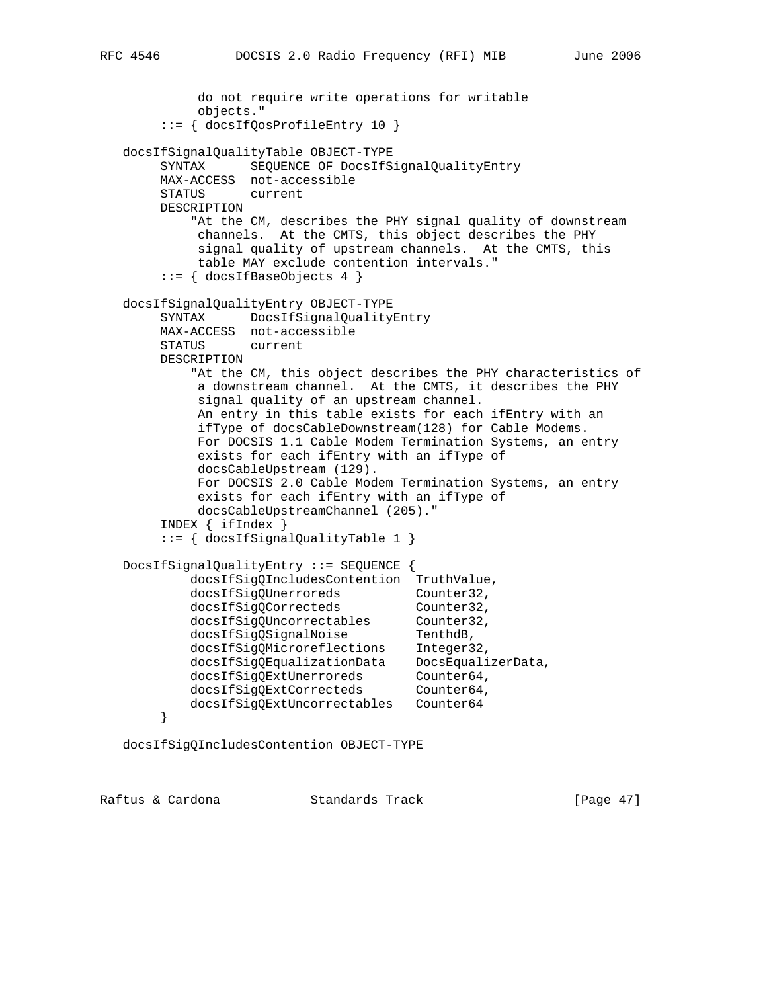```
 do not require write operations for writable
            objects."
        ::= { docsIfQosProfileEntry 10 }
   docsIfSignalQualityTable OBJECT-TYPE
        SYNTAX SEQUENCE OF DocsIfSignalQualityEntry
        MAX-ACCESS not-accessible
        STATUS current
        DESCRIPTION
            "At the CM, describes the PHY signal quality of downstream
            channels. At the CMTS, this object describes the PHY
            signal quality of upstream channels. At the CMTS, this
            table MAY exclude contention intervals."
        ::= { docsIfBaseObjects 4 }
   docsIfSignalQualityEntry OBJECT-TYPE
        SYNTAX DocsIfSignalQualityEntry
        MAX-ACCESS not-accessible
        STATUS current
        DESCRIPTION
            "At the CM, this object describes the PHY characteristics of
            a downstream channel. At the CMTS, it describes the PHY
            signal quality of an upstream channel.
            An entry in this table exists for each ifEntry with an
            ifType of docsCableDownstream(128) for Cable Modems.
            For DOCSIS 1.1 Cable Modem Termination Systems, an entry
            exists for each ifEntry with an ifType of
            docsCableUpstream (129).
            For DOCSIS 2.0 Cable Modem Termination Systems, an entry
            exists for each ifEntry with an ifType of
            docsCableUpstreamChannel (205)."
        INDEX { ifIndex }
        ::= { docsIfSignalQualityTable 1 }
   DocsIfSignalQualityEntry ::= SEQUENCE {
           docsIfSigQIncludesContention TruthValue,
docsIfSigQUnerroreds Counter32,
docsIfSigQCorrecteds Counter32,
 docsIfSigQUncorrectables Counter32,
docsIfSigQSignalNoise TenthdB,
 docsIfSigQMicroreflections Integer32,
 docsIfSigQEqualizationData DocsEqualizerData,
docsIfSigQExtUnerroreds Counter64,
 docsIfSigQExtCorrecteds Counter64,
           docsIfSigQExtUncorrectables Counter64
        }
```
docsIfSigQIncludesContention OBJECT-TYPE

Raftus & Cardona Standards Track [Page 47]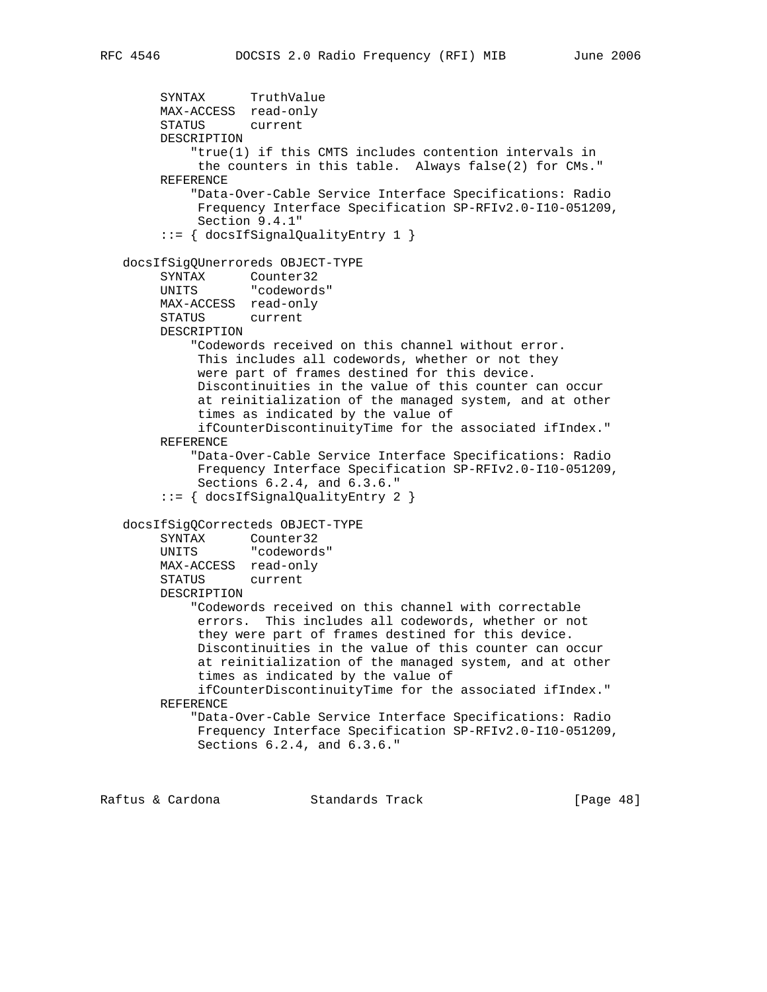```
 SYNTAX TruthValue
        MAX-ACCESS read-only
        STATUS current
        DESCRIPTION
             "true(1) if this CMTS includes contention intervals in
             the counters in this table. Always false(2) for CMs."
        REFERENCE
            "Data-Over-Cable Service Interface Specifications: Radio
             Frequency Interface Specification SP-RFIv2.0-I10-051209,
             Section 9.4.1"
        ::= { docsIfSignalQualityEntry 1 }
   docsIfSigQUnerroreds OBJECT-TYPE
 SYNTAX Counter32
 UNITS "codewords"
        MAX-ACCESS read-only
        STATUS current
        DESCRIPTION
            "Codewords received on this channel without error.
             This includes all codewords, whether or not they
             were part of frames destined for this device.
             Discontinuities in the value of this counter can occur
             at reinitialization of the managed system, and at other
             times as indicated by the value of
             ifCounterDiscontinuityTime for the associated ifIndex."
        REFERENCE
             "Data-Over-Cable Service Interface Specifications: Radio
             Frequency Interface Specification SP-RFIv2.0-I10-051209,
             Sections 6.2.4, and 6.3.6."
         ::= { docsIfSignalQualityEntry 2 }
   docsIfSigQCorrecteds OBJECT-TYPE
        SYNTAX Counter32
        UNITS "codewords"
        MAX-ACCESS read-only
        STATUS current
        DESCRIPTION
            "Codewords received on this channel with correctable
             errors. This includes all codewords, whether or not
             they were part of frames destined for this device.
             Discontinuities in the value of this counter can occur
             at reinitialization of the managed system, and at other
             times as indicated by the value of
             ifCounterDiscontinuityTime for the associated ifIndex."
        REFERENCE
            "Data-Over-Cable Service Interface Specifications: Radio
             Frequency Interface Specification SP-RFIv2.0-I10-051209,
             Sections 6.2.4, and 6.3.6."
```
Raftus & Cardona Standards Track [Page 48]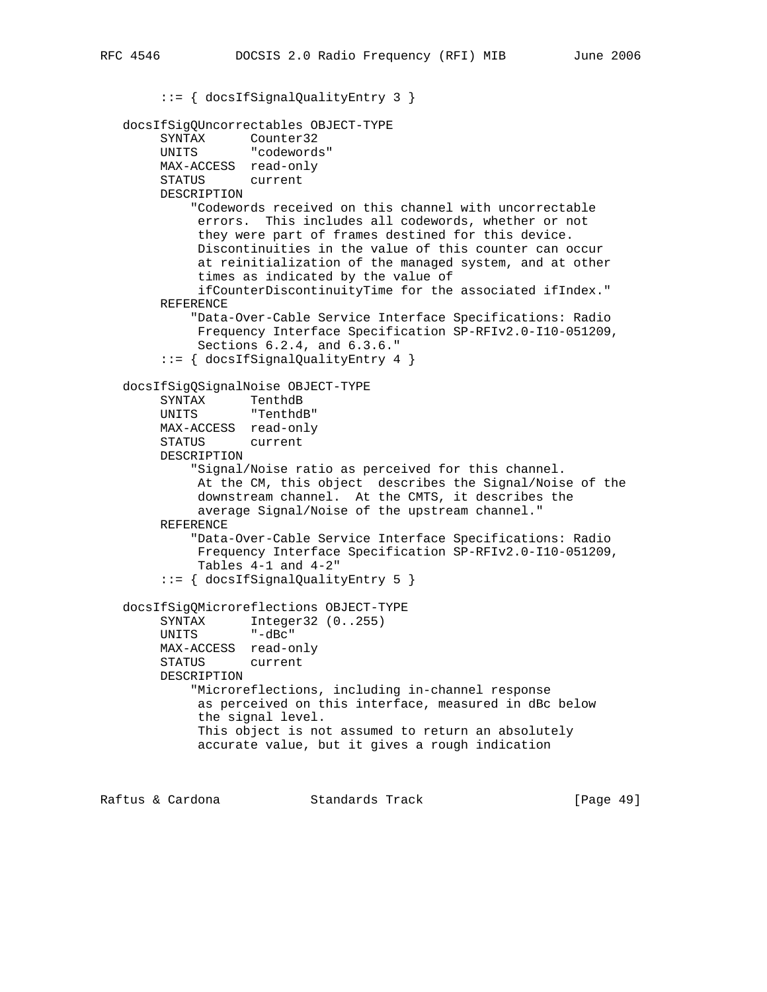::= { docsIfSignalQualityEntry 3 } docsIfSigQUncorrectables OBJECT-TYPE SYNTAX Counter32 UNITS "codewords" MAX-ACCESS read-only STATUS current DESCRIPTION "Codewords received on this channel with uncorrectable errors. This includes all codewords, whether or not they were part of frames destined for this device. Discontinuities in the value of this counter can occur at reinitialization of the managed system, and at other times as indicated by the value of ifCounterDiscontinuityTime for the associated ifIndex." REFERENCE "Data-Over-Cable Service Interface Specifications: Radio Frequency Interface Specification SP-RFIv2.0-I10-051209, Sections 6.2.4, and 6.3.6." ::= { docsIfSignalQualityEntry 4 } docsIfSigQSignalNoise OBJECT-TYPE SYNTAX TenthdB UNITS "TenthdB" MAX-ACCESS read-only STATUS current DESCRIPTION "Signal/Noise ratio as perceived for this channel. At the CM, this object describes the Signal/Noise of the downstream channel. At the CMTS, it describes the average Signal/Noise of the upstream channel." REFERENCE "Data-Over-Cable Service Interface Specifications: Radio Frequency Interface Specification SP-RFIv2.0-I10-051209, Tables 4-1 and 4-2" ::= { docsIfSignalQualityEntry 5 } docsIfSigQMicroreflections OBJECT-TYPE SYNTAX Integer32 (0..255) UNITS "-dBc" MAX-ACCESS read-only STATUS current DESCRIPTION "Microreflections, including in-channel response as perceived on this interface, measured in dBc below the signal level. This object is not assumed to return an absolutely accurate value, but it gives a rough indication

Raftus & Cardona Standards Track [Page 49]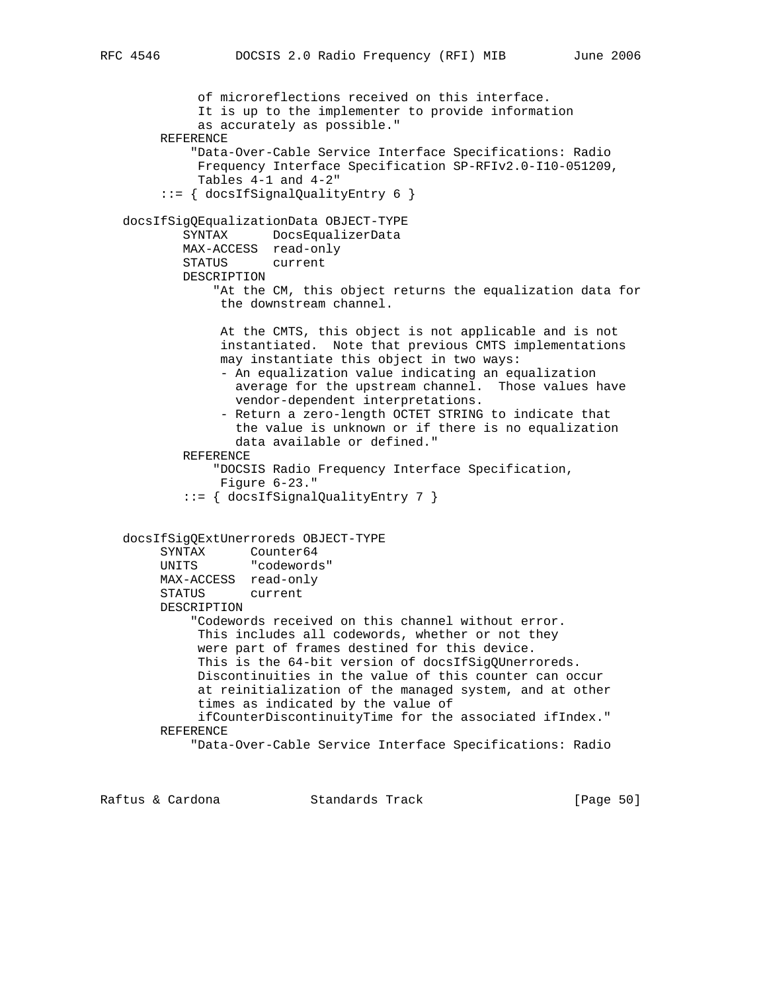```
 of microreflections received on this interface.
           It is up to the implementer to provide information
           as accurately as possible."
     REFERENCE
          "Data-Over-Cable Service Interface Specifications: Radio
           Frequency Interface Specification SP-RFIv2.0-I10-051209,
           Tables 4-1 and 4-2"
      ::= { docsIfSignalQualityEntry 6 }
 docsIfSigQEqualizationData OBJECT-TYPE
         SYNTAX DocsEqualizerData
         MAX-ACCESS read-only
         STATUS current
         DESCRIPTION
             "At the CM, this object returns the equalization data for
              the downstream channel.
              At the CMTS, this object is not applicable and is not
              instantiated. Note that previous CMTS implementations
              may instantiate this object in two ways:
              - An equalization value indicating an equalization
               average for the upstream channel. Those values have
               vendor-dependent interpretations.
              - Return a zero-length OCTET STRING to indicate that
                the value is unknown or if there is no equalization
                data available or defined."
         REFERENCE
             "DOCSIS Radio Frequency Interface Specification,
             Figure 6-23."
         ::= { docsIfSignalQualityEntry 7 }
 docsIfSigQExtUnerroreds OBJECT-TYPE
      SYNTAX Counter64
     UNITS "codewords"
     MAX-ACCESS read-only
     STATUS current
     DESCRIPTION
          "Codewords received on this channel without error.
           This includes all codewords, whether or not they
           were part of frames destined for this device.
          This is the 64-bit version of docsIfSigQUnerroreds.
           Discontinuities in the value of this counter can occur
           at reinitialization of the managed system, and at other
           times as indicated by the value of
           ifCounterDiscontinuityTime for the associated ifIndex."
     REFERENCE
          "Data-Over-Cable Service Interface Specifications: Radio
```
Raftus & Cardona Standards Track [Page 50]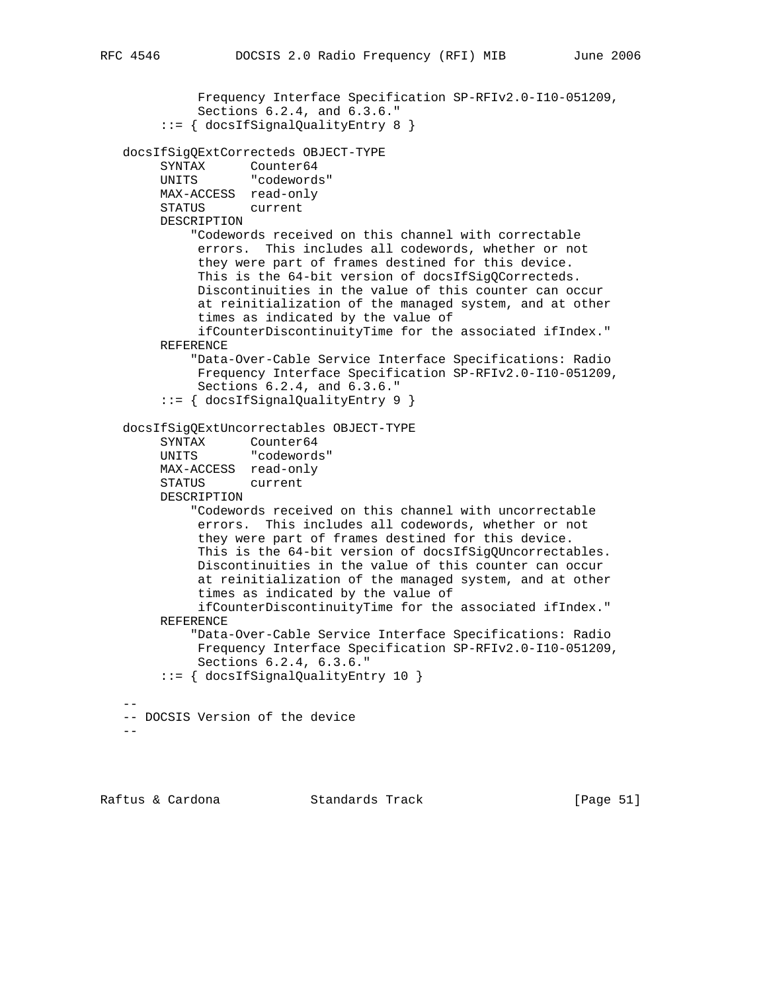```
 Frequency Interface Specification SP-RFIv2.0-I10-051209,
             Sections 6.2.4, and 6.3.6."
        ::= { docsIfSignalQualityEntry 8 }
   docsIfSigQExtCorrecteds OBJECT-TYPE
        SYNTAX Counter64
        UNITS "codewords"
        MAX-ACCESS read-only
        STATUS current
        DESCRIPTION
            "Codewords received on this channel with correctable
             errors. This includes all codewords, whether or not
             they were part of frames destined for this device.
             This is the 64-bit version of docsIfSigQCorrecteds.
             Discontinuities in the value of this counter can occur
             at reinitialization of the managed system, and at other
             times as indicated by the value of
             ifCounterDiscontinuityTime for the associated ifIndex."
        REFERENCE
            "Data-Over-Cable Service Interface Specifications: Radio
             Frequency Interface Specification SP-RFIv2.0-I10-051209,
             Sections 6.2.4, and 6.3.6."
        ::= { docsIfSignalQualityEntry 9 }
   docsIfSigQExtUncorrectables OBJECT-TYPE
SYNTAX Counter64
 UNITS "codewords"
        MAX-ACCESS read-only
        STATUS current
        DESCRIPTION
            "Codewords received on this channel with uncorrectable
             errors. This includes all codewords, whether or not
             they were part of frames destined for this device.
             This is the 64-bit version of docsIfSigQUncorrectables.
             Discontinuities in the value of this counter can occur
             at reinitialization of the managed system, and at other
             times as indicated by the value of
             ifCounterDiscontinuityTime for the associated ifIndex."
        REFERENCE
             "Data-Over-Cable Service Interface Specifications: Radio
             Frequency Interface Specification SP-RFIv2.0-I10-051209,
             Sections 6.2.4, 6.3.6."
        ::= { docsIfSignalQualityEntry 10 }
- -- DOCSIS Version of the device
  -
```
Raftus & Cardona Standards Track [Page 51]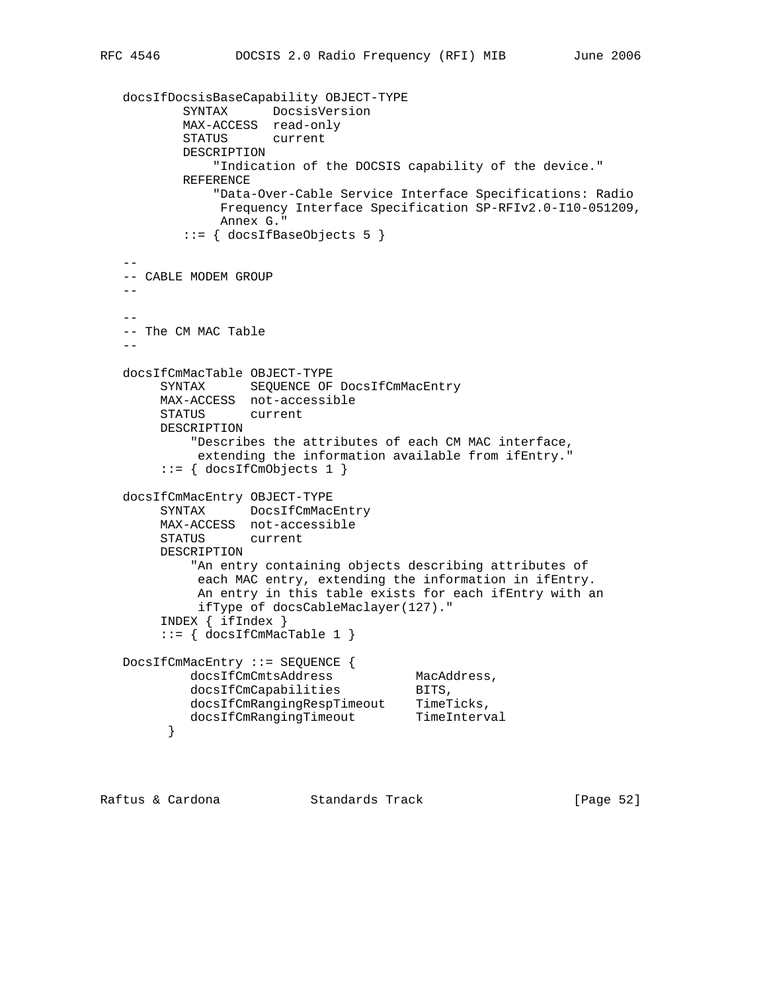```
 docsIfDocsisBaseCapability OBJECT-TYPE
 SYNTAX DocsisVersion
 MAX-ACCESS read-only
          STATUS current
          DESCRIPTION
              "Indication of the DOCSIS capability of the device."
          REFERENCE
              "Data-Over-Cable Service Interface Specifications: Radio
               Frequency Interface Specification SP-RFIv2.0-I10-051209,
               Annex G."
           ::= { docsIfBaseObjects 5 }
 --
   -- CABLE MODEM GROUP
- --
   -- The CM MAC Table
  - - docsIfCmMacTable OBJECT-TYPE
        SYNTAX SEQUENCE OF DocsIfCmMacEntry
        MAX-ACCESS not-accessible
        STATUS current
        DESCRIPTION
            "Describes the attributes of each CM MAC interface,
            extending the information available from ifEntry."
       ::= { docsIfCmObjects 1 }
   docsIfCmMacEntry OBJECT-TYPE
        SYNTAX DocsIfCmMacEntry
        MAX-ACCESS not-accessible
        STATUS current
        DESCRIPTION
            "An entry containing objects describing attributes of
            each MAC entry, extending the information in ifEntry.
            An entry in this table exists for each ifEntry with an
            ifType of docsCableMaclayer(127)."
        INDEX { ifIndex }
       ::= \{ docsIfCmMacTable 1 \} DocsIfCmMacEntry ::= SEQUENCE {
docsIfCmCmtsAddress MacAddress,
docsIfCmCapabilities BITS,
docsIfCmRangingRespTimeout TimeTicks,
docsIfCmRangingTimeout  TimeInterval
         }
```
Raftus & Cardona Standards Track [Page 52]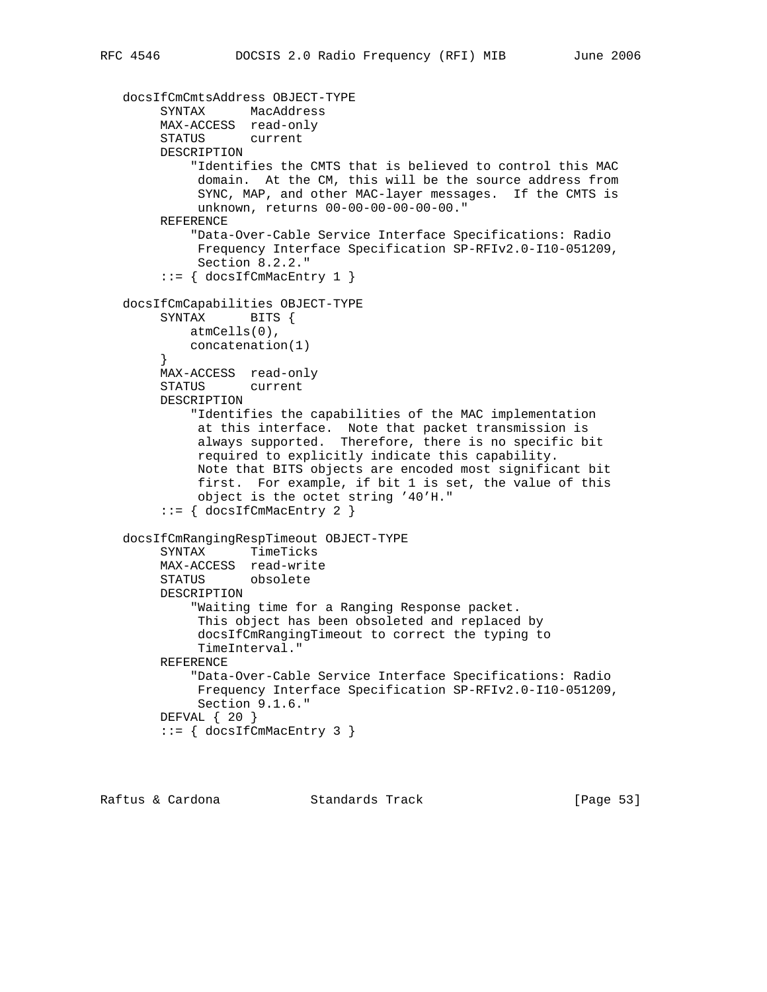```
 docsIfCmCmtsAddress OBJECT-TYPE
      SYNTAX MacAddress
     MAX-ACCESS read-only
      STATUS current
     DESCRIPTION
          "Identifies the CMTS that is believed to control this MAC
           domain. At the CM, this will be the source address from
           SYNC, MAP, and other MAC-layer messages. If the CMTS is
           unknown, returns 00-00-00-00-00-00."
     REFERENCE
          "Data-Over-Cable Service Interface Specifications: Radio
           Frequency Interface Specification SP-RFIv2.0-I10-051209,
           Section 8.2.2."
     ::= \{ docsIfCmMacEntry 1 \} docsIfCmCapabilities OBJECT-TYPE
    SYNTAX BITS {
        atmCells(0),
         concatenation(1)
      }
     MAX-ACCESS read-only
     STATUS current
     DESCRIPTION
          "Identifies the capabilities of the MAC implementation
           at this interface. Note that packet transmission is
           always supported. Therefore, there is no specific bit
           required to explicitly indicate this capability.
           Note that BITS objects are encoded most significant bit
           first. For example, if bit 1 is set, the value of this
           object is the octet string '40'H."
     ::= { docsIfCmMacEntry 2 }
 docsIfCmRangingRespTimeout OBJECT-TYPE
      SYNTAX TimeTicks
     MAX-ACCESS read-write
     STATUS obsolete
     DESCRIPTION
          "Waiting time for a Ranging Response packet.
           This object has been obsoleted and replaced by
           docsIfCmRangingTimeout to correct the typing to
           TimeInterval."
     REFERENCE
          "Data-Over-Cable Service Interface Specifications: Radio
           Frequency Interface Specification SP-RFIv2.0-I10-051209,
           Section 9.1.6."
     DEFVAL { 20 }
     ::= { docsIfCmMacEntry 3 }
```
Raftus & Cardona Standards Track [Page 53]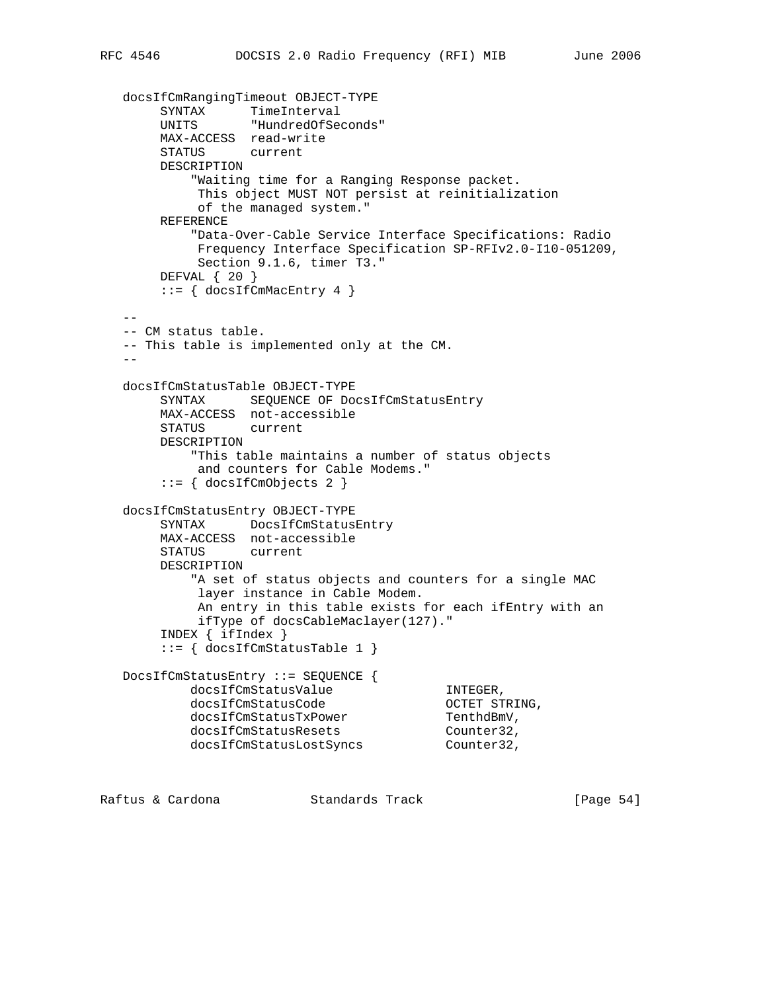```
 docsIfCmRangingTimeout OBJECT-TYPE
 SYNTAX TimeInterval
 UNITS "HundredOfSeconds"
       MAX-ACCESS read-write
        STATUS current
       DESCRIPTION
            "Waiting time for a Ranging Response packet.
            This object MUST NOT persist at reinitialization
            of the managed system."
       REFERENCE
            "Data-Over-Cable Service Interface Specifications: Radio
            Frequency Interface Specification SP-RFIv2.0-I10-051209,
            Section 9.1.6, timer T3."
        DEFVAL { 20 }
       ::= { docsIfCmMacEntry 4 }
 --
   -- CM status table.
   -- This table is implemented only at the CM.
 --
   docsIfCmStatusTable OBJECT-TYPE
        SYNTAX SEQUENCE OF DocsIfCmStatusEntry
       MAX-ACCESS not-accessible
       STATUS current
       DESCRIPTION
            "This table maintains a number of status objects
            and counters for Cable Modems."
       ::= { docsIfCmObjects 2 }
   docsIfCmStatusEntry OBJECT-TYPE
        SYNTAX DocsIfCmStatusEntry
       MAX-ACCESS not-accessible
        STATUS current
       DESCRIPTION
            "A set of status objects and counters for a single MAC
            layer instance in Cable Modem.
            An entry in this table exists for each ifEntry with an
            ifType of docsCableMaclayer(127)."
        INDEX { ifIndex }
        ::= { docsIfCmStatusTable 1 }
  DocsIfCmStatusEntry ::= SEQUENCE {<br>docsIfCmStatusValue
docsIfCmStatusValue INTEGER,
 docsIfCmStatusCode OCTET STRING,
docsIfCmStatusTxPower TenthdBmV,
docsIfCmStatusResets Counter32,
docsIfCmStatusLostSyncs Counter32,
```
Raftus & Cardona Standards Track [Page 54]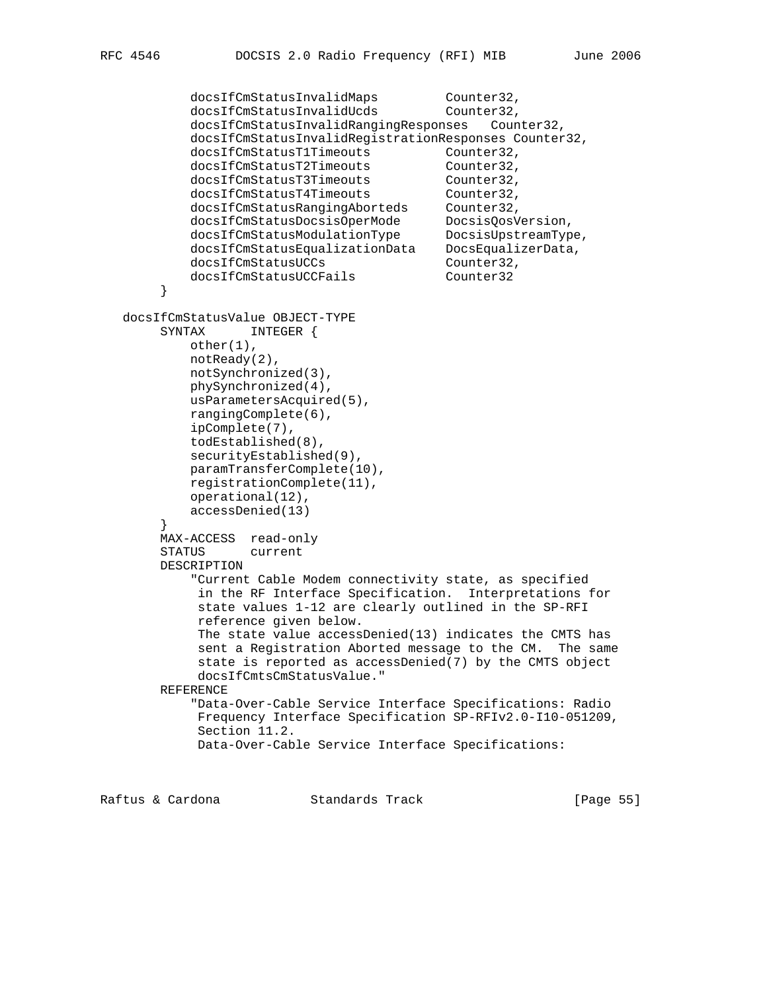```
docsIfCmStatusInvalidMaps Counter32,
docsIfCmStatusInvalidUcds Counter32,
           docsIfCmStatusInvalidRangingResponses Counter32,
          docsIfCmStatusInvalidRegistrationResponses Counter32,<br>docsIfCmStatusT1Timeouts Counter32,
docsIfCmStatusT1Timeouts Counter32,
docsIfCmStatusT2Timeouts Counter32,
docsIfCmStatusT3Timeouts Counter32,
docsIfCmStatusT4Timeouts Counter32,
 docsIfCmStatusRangingAborteds Counter32,
 docsIfCmStatusDocsisOperMode DocsisQosVersion,
 docsIfCmStatusModulationType DocsisUpstreamType,
 docsIfCmStatusEqualizationData DocsEqualizerData,
docsIfCmStatusUCCs Counter32,
docsIfCmStatusUCCFails Counter32
 }
   docsIfCmStatusValue OBJECT-TYPE
       SYNTAX INTEGER {
           other(1),
           notReady(2),
           notSynchronized(3),
           phySynchronized(4),
           usParametersAcquired(5),
           rangingComplete(6),
           ipComplete(7),
           todEstablished(8),
          securityEstablished(9),
           paramTransferComplete(10),
           registrationComplete(11),
           operational(12),
           accessDenied(13)
 }
       MAX-ACCESS read-only
       STATUS current
       DESCRIPTION
           "Current Cable Modem connectivity state, as specified
            in the RF Interface Specification. Interpretations for
            state values 1-12 are clearly outlined in the SP-RFI
            reference given below.
            The state value accessDenied(13) indicates the CMTS has
            sent a Registration Aborted message to the CM. The same
            state is reported as accessDenied(7) by the CMTS object
            docsIfCmtsCmStatusValue."
       REFERENCE
           "Data-Over-Cable Service Interface Specifications: Radio
            Frequency Interface Specification SP-RFIv2.0-I10-051209,
            Section 11.2.
            Data-Over-Cable Service Interface Specifications:
```
Raftus & Cardona Standards Track [Page 55]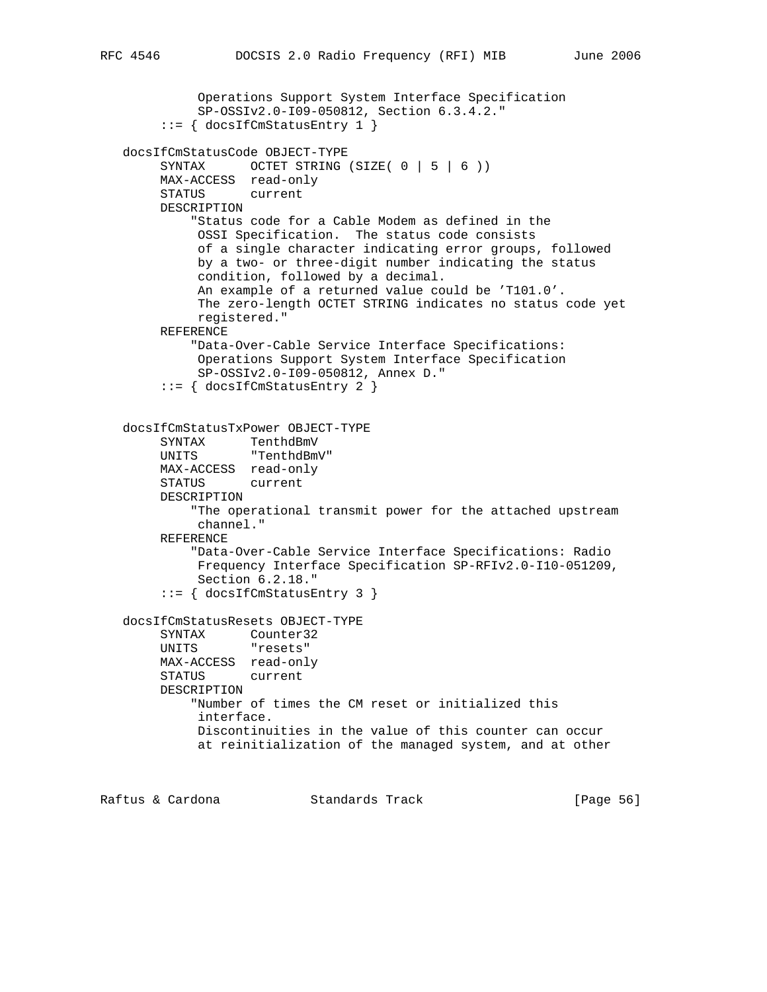```
 Operations Support System Interface Specification
              SP-OSSIv2.0-I09-050812, Section 6.3.4.2."
         ::= { docsIfCmStatusEntry 1 }
    docsIfCmStatusCode OBJECT-TYPE
        SYNTAX OCTET STRING (SIZE( 0 | 5 | 6 ))
        MAX-ACCESS read-only
        STATUS current
        DESCRIPTION
             "Status code for a Cable Modem as defined in the
              OSSI Specification. The status code consists
              of a single character indicating error groups, followed
              by a two- or three-digit number indicating the status
              condition, followed by a decimal.
              An example of a returned value could be 'T101.0'.
              The zero-length OCTET STRING indicates no status code yet
              registered."
        REFERENCE
             "Data-Over-Cable Service Interface Specifications:
              Operations Support System Interface Specification
             SP-OSSIv2.0-I09-050812, Annex D."
         ::= { docsIfCmStatusEntry 2 }
    docsIfCmStatusTxPower OBJECT-TYPE
 SYNTAX TenthdBmV
 UNITS "TenthdBmV"
        MAX-ACCESS read-only
        STATUS current
        DESCRIPTION
             "The operational transmit power for the attached upstream
             channel."
        REFERENCE
             "Data-Over-Cable Service Interface Specifications: Radio
              Frequency Interface Specification SP-RFIv2.0-I10-051209,
              Section 6.2.18."
         ::= { docsIfCmStatusEntry 3 }
    docsIfCmStatusResets OBJECT-TYPE
         SYNTAX Counter32
        UNITS "resets"
       MAX-ACCESS read-only<br>STATUS current
       STATUS
        DESCRIPTION
             "Number of times the CM reset or initialized this
              interface.
             Discontinuities in the value of this counter can occur
             at reinitialization of the managed system, and at other
Raftus & Cardona               Standards Track                   [Page 56]
```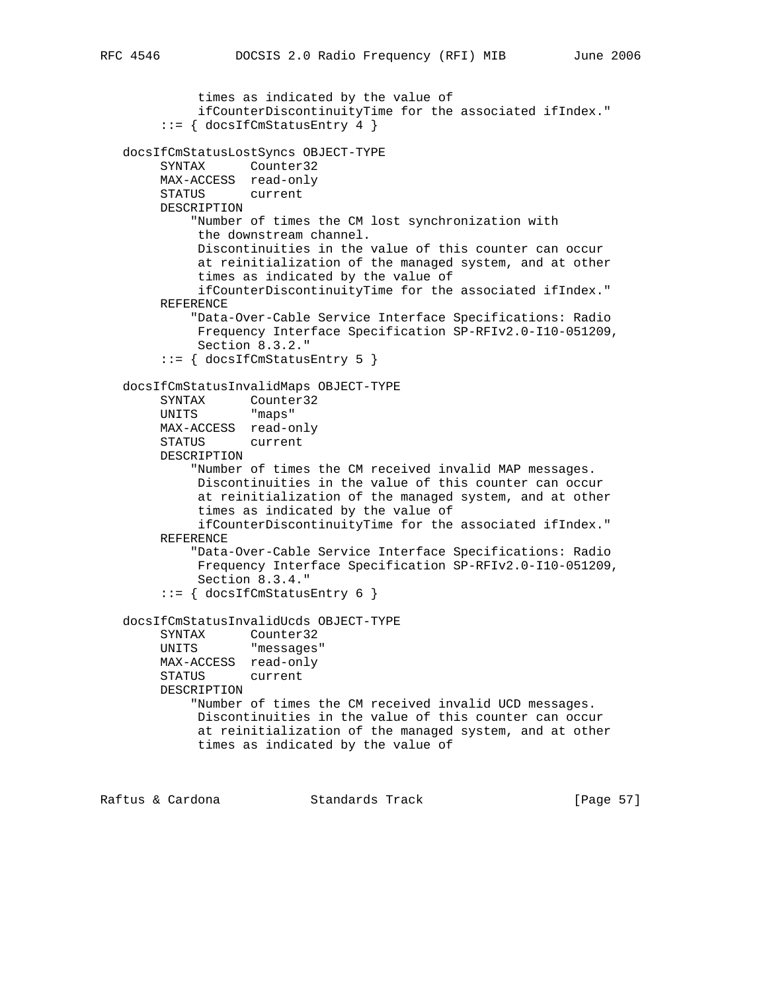```
 times as indicated by the value of
              ifCounterDiscontinuityTime for the associated ifIndex."
         ::= { docsIfCmStatusEntry 4 }
    docsIfCmStatusLostSyncs OBJECT-TYPE
         SYNTAX Counter32
        MAX-ACCESS read-only
        STATUS current
         DESCRIPTION
             "Number of times the CM lost synchronization with
             the downstream channel.
             Discontinuities in the value of this counter can occur
              at reinitialization of the managed system, and at other
              times as indicated by the value of
              ifCounterDiscontinuityTime for the associated ifIndex."
         REFERENCE
             "Data-Over-Cable Service Interface Specifications: Radio
              Frequency Interface Specification SP-RFIv2.0-I10-051209,
              Section 8.3.2."
         ::= { docsIfCmStatusEntry 5 }
    docsIfCmStatusInvalidMaps OBJECT-TYPE
       SYNTAX Counter32<br>UNITS "maps"
       UNITS
        MAX-ACCESS read-only
         STATUS current
        DESCRIPTION
             "Number of times the CM received invalid MAP messages.
              Discontinuities in the value of this counter can occur
              at reinitialization of the managed system, and at other
              times as indicated by the value of
              ifCounterDiscontinuityTime for the associated ifIndex."
        REFERENCE
             "Data-Over-Cable Service Interface Specifications: Radio
              Frequency Interface Specification SP-RFIv2.0-I10-051209,
              Section 8.3.4."
         ::= { docsIfCmStatusEntry 6 }
    docsIfCmStatusInvalidUcds OBJECT-TYPE
         SYNTAX Counter32
         UNITS "messages"
        MAX-ACCESS read-only
         STATUS current
        DESCRIPTION
             "Number of times the CM received invalid UCD messages.
              Discontinuities in the value of this counter can occur
              at reinitialization of the managed system, and at other
              times as indicated by the value of
Raftus & Cardona               Standards Track                     [Page 57]
```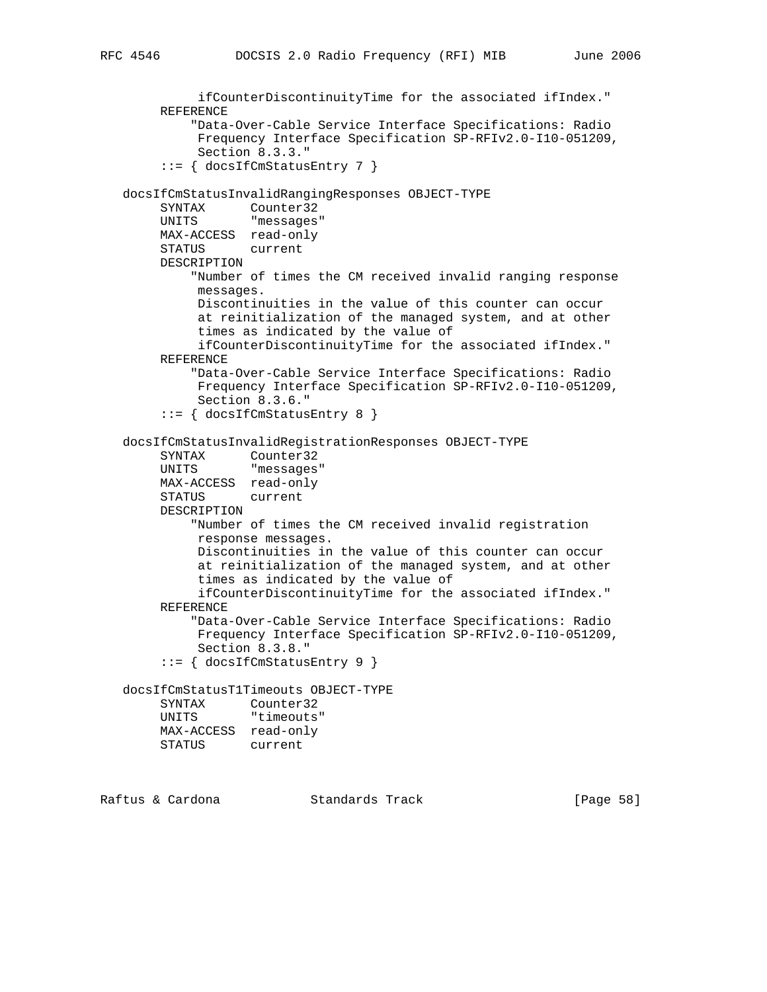```
 ifCounterDiscontinuityTime for the associated ifIndex."
        REFERENCE
             "Data-Over-Cable Service Interface Specifications: Radio
             Frequency Interface Specification SP-RFIv2.0-I10-051209,
             Section 8.3.3."
        ::= { docsIfCmStatusEntry 7 }
   docsIfCmStatusInvalidRangingResponses OBJECT-TYPE
        SYNTAX Counter32
        UNITS "messages"
        MAX-ACCESS read-only
        STATUS current
        DESCRIPTION
            "Number of times the CM received invalid ranging response
             messages.
             Discontinuities in the value of this counter can occur
             at reinitialization of the managed system, and at other
             times as indicated by the value of
             ifCounterDiscontinuityTime for the associated ifIndex."
        REFERENCE
            "Data-Over-Cable Service Interface Specifications: Radio
             Frequency Interface Specification SP-RFIv2.0-I10-051209,
             Section 8.3.6."
        ::= { docsIfCmStatusEntry 8 }
   docsIfCmStatusInvalidRegistrationResponses OBJECT-TYPE
 SYNTAX Counter32
UNITS "messages"
        MAX-ACCESS read-only
        STATUS current
        DESCRIPTION
            "Number of times the CM received invalid registration
             response messages.
             Discontinuities in the value of this counter can occur
             at reinitialization of the managed system, and at other
             times as indicated by the value of
             ifCounterDiscontinuityTime for the associated ifIndex."
        REFERENCE
            "Data-Over-Cable Service Interface Specifications: Radio
             Frequency Interface Specification SP-RFIv2.0-I10-051209,
             Section 8.3.8."
        ::= { docsIfCmStatusEntry 9 }
   docsIfCmStatusT1Timeouts OBJECT-TYPE
        SYNTAX Counter32
        UNITS "timeouts"
        MAX-ACCESS read-only
        STATUS current
```
Raftus & Cardona Standards Track [Page 58]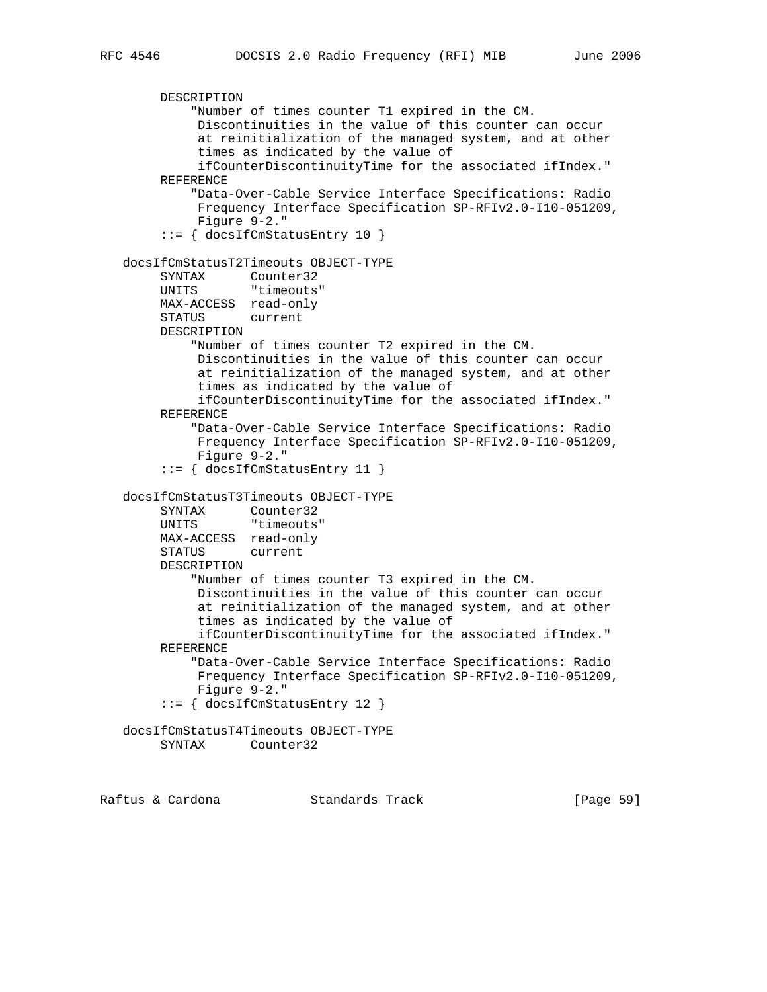```
 DESCRIPTION
             "Number of times counter T1 expired in the CM.
             Discontinuities in the value of this counter can occur
             at reinitialization of the managed system, and at other
             times as indicated by the value of
             ifCounterDiscontinuityTime for the associated ifIndex."
        REFERENCE
             "Data-Over-Cable Service Interface Specifications: Radio
             Frequency Interface Specification SP-RFIv2.0-I10-051209,
             Figure 9-2."
        ::= { docsIfCmStatusEntry 10 }
   docsIfCmStatusT2Timeouts OBJECT-TYPE
 SYNTAX Counter32
 UNITS "timeouts"
        MAX-ACCESS read-only
        STATUS current
        DESCRIPTION
            "Number of times counter T2 expired in the CM.
             Discontinuities in the value of this counter can occur
             at reinitialization of the managed system, and at other
             times as indicated by the value of
             ifCounterDiscontinuityTime for the associated ifIndex."
        REFERENCE
             "Data-Over-Cable Service Interface Specifications: Radio
             Frequency Interface Specification SP-RFIv2.0-I10-051209,
             Figure 9-2."
         ::= { docsIfCmStatusEntry 11 }
   docsIfCmStatusT3Timeouts OBJECT-TYPE
        SYNTAX Counter32
        UNITS "timeouts"
        MAX-ACCESS read-only
        STATUS current
        DESCRIPTION
             "Number of times counter T3 expired in the CM.
             Discontinuities in the value of this counter can occur
             at reinitialization of the managed system, and at other
             times as indicated by the value of
             ifCounterDiscontinuityTime for the associated ifIndex."
        REFERENCE
             "Data-Over-Cable Service Interface Specifications: Radio
             Frequency Interface Specification SP-RFIv2.0-I10-051209,
             Figure 9-2."
        ::= { docsIfCmStatusEntry 12 }
   docsIfCmStatusT4Timeouts OBJECT-TYPE
        SYNTAX Counter32
```
Raftus & Cardona Standards Track [Page 59]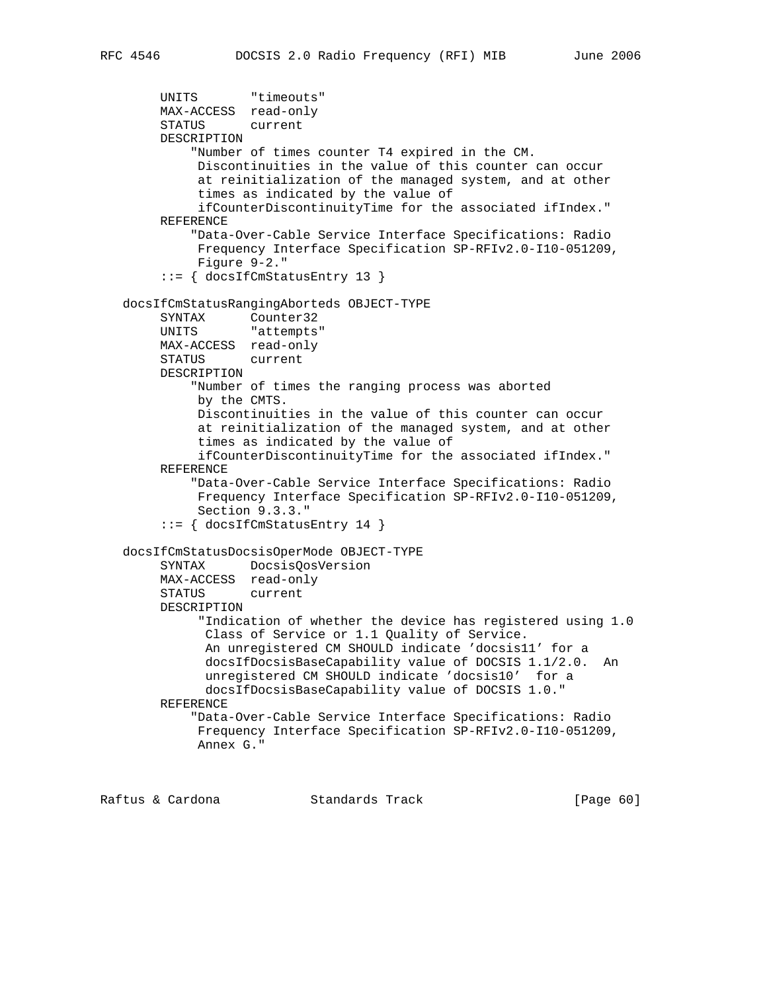```
 UNITS "timeouts"
     MAX-ACCESS read-only
     STATUS current
     DESCRIPTION
          "Number of times counter T4 expired in the CM.
          Discontinuities in the value of this counter can occur
           at reinitialization of the managed system, and at other
           times as indicated by the value of
           ifCounterDiscontinuityTime for the associated ifIndex."
     REFERENCE
          "Data-Over-Cable Service Interface Specifications: Radio
           Frequency Interface Specification SP-RFIv2.0-I10-051209,
           Figure 9-2."
      ::= { docsIfCmStatusEntry 13 }
 docsIfCmStatusRangingAborteds OBJECT-TYPE
     SYNTAX Counter32
    UNITS "attempts"
     MAX-ACCESS read-only
     STATUS current
     DESCRIPTION
          "Number of times the ranging process was aborted
          by the CMTS.
          Discontinuities in the value of this counter can occur
           at reinitialization of the managed system, and at other
           times as indicated by the value of
           ifCounterDiscontinuityTime for the associated ifIndex."
     REFERENCE
          "Data-Over-Cable Service Interface Specifications: Radio
           Frequency Interface Specification SP-RFIv2.0-I10-051209,
           Section 9.3.3."
     ::= { docsIfCmStatusEntry 14 }
 docsIfCmStatusDocsisOperMode OBJECT-TYPE
      SYNTAX DocsisQosVersion
     MAX-ACCESS read-only
     STATUS current
     DESCRIPTION
           "Indication of whether the device has registered using 1.0
            Class of Service or 1.1 Quality of Service.
            An unregistered CM SHOULD indicate 'docsis11' for a
            docsIfDocsisBaseCapability value of DOCSIS 1.1/2.0. An
            unregistered CM SHOULD indicate 'docsis10' for a
            docsIfDocsisBaseCapability value of DOCSIS 1.0."
     REFERENCE
          "Data-Over-Cable Service Interface Specifications: Radio
           Frequency Interface Specification SP-RFIv2.0-I10-051209,
          Annex G."
```
Raftus & Cardona Standards Track [Page 60]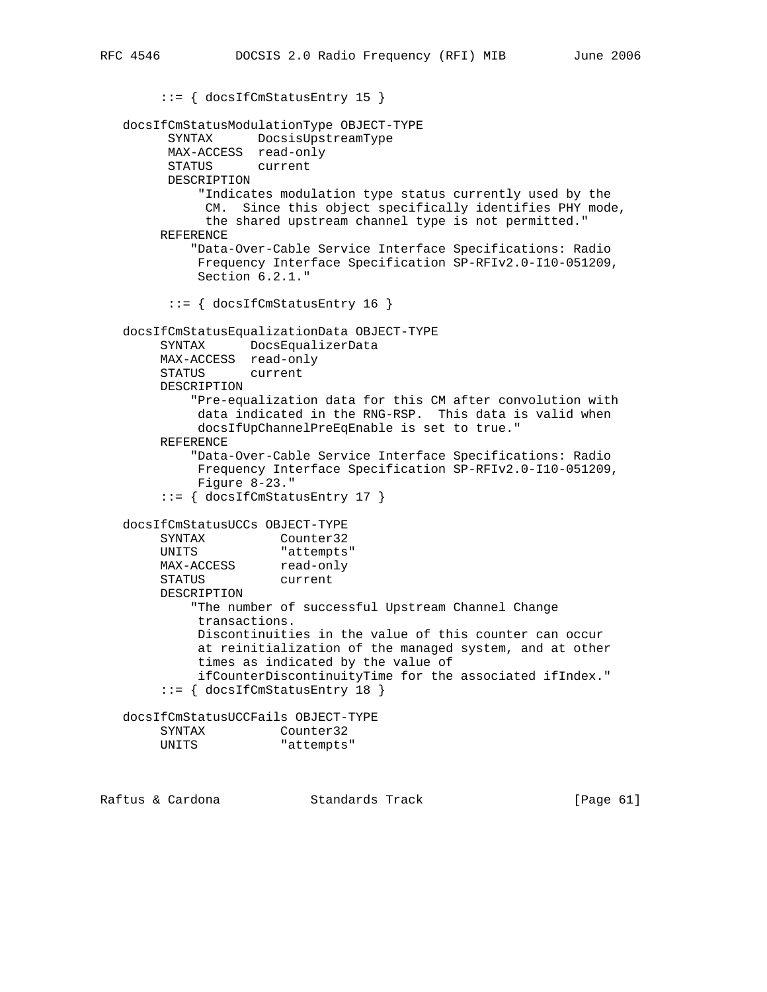::= { docsIfCmStatusEntry 15 } docsIfCmStatusModulationType OBJECT-TYPE SYNTAX DocsisUpstreamType MAX-ACCESS read-only STATUS current DESCRIPTION "Indicates modulation type status currently used by the CM. Since this object specifically identifies PHY mode, the shared upstream channel type is not permitted." REFERENCE "Data-Over-Cable Service Interface Specifications: Radio Frequency Interface Specification SP-RFIv2.0-I10-051209, Section 6.2.1." ::= { docsIfCmStatusEntry 16 } docsIfCmStatusEqualizationData OBJECT-TYPE SYNTAX DocsEqualizerData MAX-ACCESS read-only STATUS current DESCRIPTION "Pre-equalization data for this CM after convolution with data indicated in the RNG-RSP. This data is valid when docsIfUpChannelPreEqEnable is set to true." REFERENCE "Data-Over-Cable Service Interface Specifications: Radio Frequency Interface Specification SP-RFIv2.0-I10-051209, Figure 8-23." ::= { docsIfCmStatusEntry 17 } docsIfCmStatusUCCs OBJECT-TYPE SYNTAX Counter32 UNITS "attempts" MAX-ACCESS read-only STATUS current DESCRIPTION "The number of successful Upstream Channel Change transactions. Discontinuities in the value of this counter can occur at reinitialization of the managed system, and at other times as indicated by the value of ifCounterDiscontinuityTime for the associated ifIndex." ::= { docsIfCmStatusEntry 18 } docsIfCmStatusUCCFails OBJECT-TYPE SYNTAX Counter32<br>
UNITS "attempts" "attempts"

Raftus & Cardona Standards Track [Page 61]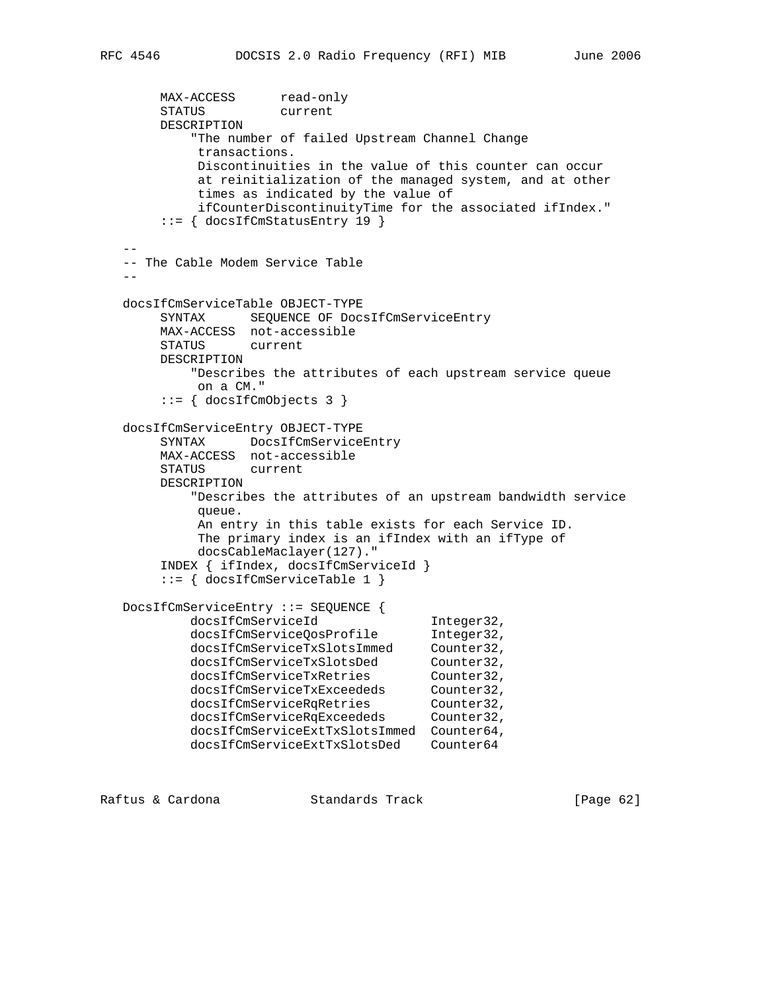```
MAX-ACCESS read-only
       STATUS current
       DESCRIPTION
           "The number of failed Upstream Channel Change
            transactions.
            Discontinuities in the value of this counter can occur
            at reinitialization of the managed system, and at other
            times as indicated by the value of
            ifCounterDiscontinuityTime for the associated ifIndex."
        ::= { docsIfCmStatusEntry 19 }
- -- The Cable Modem Service Table
 --
   docsIfCmServiceTable OBJECT-TYPE
       SYNTAX SEQUENCE OF DocsIfCmServiceEntry
       MAX-ACCESS not-accessible
       STATUS current
       DESCRIPTION
           "Describes the attributes of each upstream service queue
            on a CM."
        ::= { docsIfCmObjects 3 }
   docsIfCmServiceEntry OBJECT-TYPE
        SYNTAX DocsIfCmServiceEntry
       MAX-ACCESS not-accessible
       STATUS current
       DESCRIPTION
           "Describes the attributes of an upstream bandwidth service
            queue.
            An entry in this table exists for each Service ID.
            The primary index is an ifIndex with an ifType of
            docsCableMaclayer(127)."
        INDEX { ifIndex, docsIfCmServiceId }
        ::= { docsIfCmServiceTable 1 }
   DocsIfCmServiceEntry ::= SEQUENCE {
docsIfCmServiceId 1nteger32,
 docsIfCmServiceQosProfile Integer32,
docsIfCmServiceTxSlotsImmed Counter32,
docsIfCmServiceTxSlotsDed Counter32,
docsIfCmServiceTxRetries Counter32,
docsIfCmServiceTxExceededs Counter32,
docsIfCmServiceRqRetries Counter32,
docsIfCmServiceRqExceededs Counter32,
           docsIfCmServiceExtTxSlotsImmed Counter64,
           docsIfCmServiceExtTxSlotsDed Counter64
```
Raftus & Cardona Standards Track [Page 62]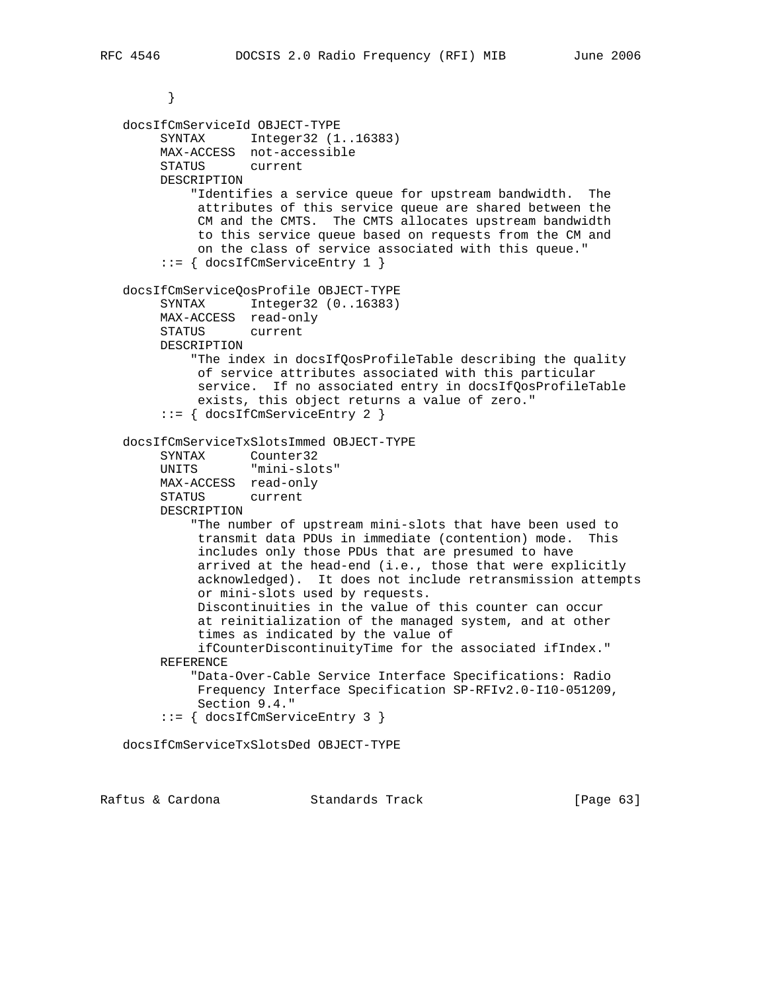```
 }
   docsIfCmServiceId OBJECT-TYPE
         SYNTAX Integer32 (1..16383)
        MAX-ACCESS not-accessible
        STATUS current
        DESCRIPTION
            "Identifies a service queue for upstream bandwidth. The
             attributes of this service queue are shared between the
             CM and the CMTS. The CMTS allocates upstream bandwidth
             to this service queue based on requests from the CM and
             on the class of service associated with this queue."
         ::= { docsIfCmServiceEntry 1 }
   docsIfCmServiceQosProfile OBJECT-TYPE
        SYNTAX Integer32 (0..16383)
       MAX-ACCESS read-only<br>STATUS current
       STATUS
        DESCRIPTION
            "The index in docsIfQosProfileTable describing the quality
             of service attributes associated with this particular
             service. If no associated entry in docsIfQosProfileTable
             exists, this object returns a value of zero."
         ::= { docsIfCmServiceEntry 2 }
   docsIfCmServiceTxSlotsImmed OBJECT-TYPE
 SYNTAX Counter32
 UNITS "mini-slots"
        MAX-ACCESS read-only
        STATUS current
        DESCRIPTION
            "The number of upstream mini-slots that have been used to
             transmit data PDUs in immediate (contention) mode. This
             includes only those PDUs that are presumed to have
             arrived at the head-end (i.e., those that were explicitly
             acknowledged). It does not include retransmission attempts
             or mini-slots used by requests.
             Discontinuities in the value of this counter can occur
             at reinitialization of the managed system, and at other
             times as indicated by the value of
             ifCounterDiscontinuityTime for the associated ifIndex."
        REFERENCE
            "Data-Over-Cable Service Interface Specifications: Radio
             Frequency Interface Specification SP-RFIv2.0-I10-051209,
             Section 9.4."
         ::= { docsIfCmServiceEntry 3 }
   docsIfCmServiceTxSlotsDed OBJECT-TYPE
```
Raftus & Cardona Standards Track [Page 63]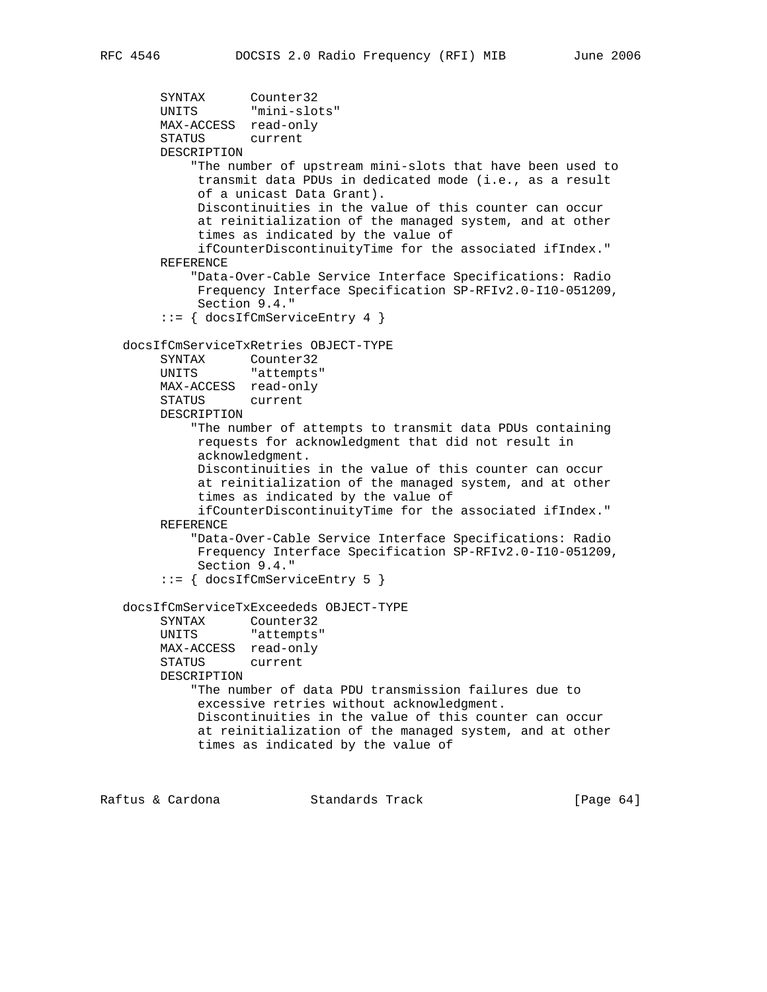```
 SYNTAX Counter32
 UNITS "mini-slots"
        MAX-ACCESS read-only
        STATUS current
        DESCRIPTION
             "The number of upstream mini-slots that have been used to
             transmit data PDUs in dedicated mode (i.e., as a result
             of a unicast Data Grant).
             Discontinuities in the value of this counter can occur
             at reinitialization of the managed system, and at other
             times as indicated by the value of
             ifCounterDiscontinuityTime for the associated ifIndex."
        REFERENCE
            "Data-Over-Cable Service Interface Specifications: Radio
             Frequency Interface Specification SP-RFIv2.0-I10-051209,
             Section 9.4."
        ::= { docsIfCmServiceEntry 4 }
   docsIfCmServiceTxRetries OBJECT-TYPE
        SYNTAX Counter32
        UNITS "attempts"
        MAX-ACCESS read-only
        STATUS current
        DESCRIPTION
            "The number of attempts to transmit data PDUs containing
             requests for acknowledgment that did not result in
             acknowledgment.
             Discontinuities in the value of this counter can occur
             at reinitialization of the managed system, and at other
             times as indicated by the value of
             ifCounterDiscontinuityTime for the associated ifIndex."
        REFERENCE
            "Data-Over-Cable Service Interface Specifications: Radio
             Frequency Interface Specification SP-RFIv2.0-I10-051209,
             Section 9.4."
        ::= { docsIfCmServiceEntry 5 }
   docsIfCmServiceTxExceededs OBJECT-TYPE
 SYNTAX Counter32
UNITS "attempts"
       MAX-ACCESS read-only<br>STATUS current
       STATUS
        DESCRIPTION
            "The number of data PDU transmission failures due to
             excessive retries without acknowledgment.
             Discontinuities in the value of this counter can occur
             at reinitialization of the managed system, and at other
             times as indicated by the value of
```
Raftus & Cardona Standards Track [Page 64]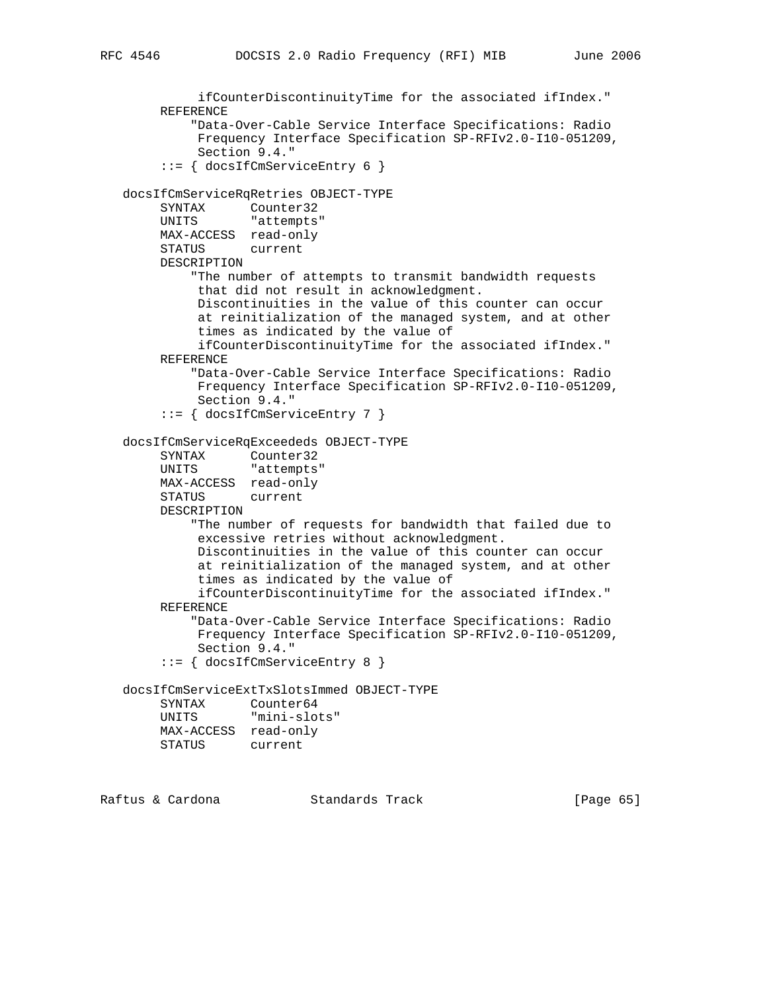```
 ifCounterDiscontinuityTime for the associated ifIndex."
        REFERENCE
             "Data-Over-Cable Service Interface Specifications: Radio
             Frequency Interface Specification SP-RFIv2.0-I10-051209,
             Section 9.4."
        ::= { docsIfCmServiceEntry 6 }
   docsIfCmServiceRqRetries OBJECT-TYPE
        SYNTAX Counter32
       UNITS "attempts"
        MAX-ACCESS read-only
        STATUS current
        DESCRIPTION
            "The number of attempts to transmit bandwidth requests
             that did not result in acknowledgment.
             Discontinuities in the value of this counter can occur
             at reinitialization of the managed system, and at other
             times as indicated by the value of
             ifCounterDiscontinuityTime for the associated ifIndex."
        REFERENCE
            "Data-Over-Cable Service Interface Specifications: Radio
             Frequency Interface Specification SP-RFIv2.0-I10-051209,
             Section 9.4."
        ::= { docsIfCmServiceEntry 7 }
   docsIfCmServiceRqExceededs OBJECT-TYPE
 SYNTAX Counter32
UNITS "attempts"
        MAX-ACCESS read-only
        STATUS current
        DESCRIPTION
            "The number of requests for bandwidth that failed due to
             excessive retries without acknowledgment.
             Discontinuities in the value of this counter can occur
             at reinitialization of the managed system, and at other
             times as indicated by the value of
             ifCounterDiscontinuityTime for the associated ifIndex."
        REFERENCE
            "Data-Over-Cable Service Interface Specifications: Radio
             Frequency Interface Specification SP-RFIv2.0-I10-051209,
             Section 9.4."
        ::= { docsIfCmServiceEntry 8 }
   docsIfCmServiceExtTxSlotsImmed OBJECT-TYPE
        SYNTAX Counter64
        UNITS "mini-slots"
        MAX-ACCESS read-only
        STATUS current
```
Raftus & Cardona Standards Track [Paqe 65]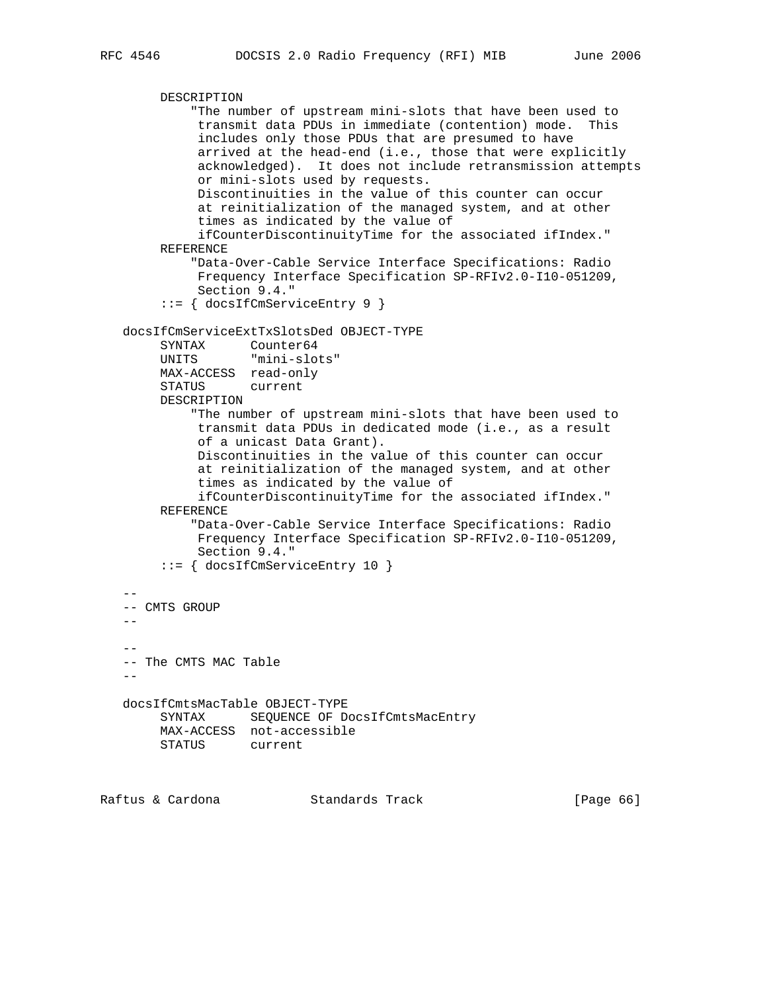```
 DESCRIPTION
             "The number of upstream mini-slots that have been used to
             transmit data PDUs in immediate (contention) mode. This
             includes only those PDUs that are presumed to have
             arrived at the head-end (i.e., those that were explicitly
             acknowledged). It does not include retransmission attempts
             or mini-slots used by requests.
             Discontinuities in the value of this counter can occur
             at reinitialization of the managed system, and at other
             times as indicated by the value of
             ifCounterDiscontinuityTime for the associated ifIndex."
        REFERENCE
             "Data-Over-Cable Service Interface Specifications: Radio
             Frequency Interface Specification SP-RFIv2.0-I10-051209,
             Section 9.4."
         ::= { docsIfCmServiceEntry 9 }
   docsIfCmServiceExtTxSlotsDed OBJECT-TYPE
        SYNTAX Counter64
        UNITS "mini-slots"
        MAX-ACCESS read-only
        STATUS current
        DESCRIPTION
             "The number of upstream mini-slots that have been used to
             transmit data PDUs in dedicated mode (i.e., as a result
             of a unicast Data Grant).
             Discontinuities in the value of this counter can occur
             at reinitialization of the managed system, and at other
             times as indicated by the value of
             ifCounterDiscontinuityTime for the associated ifIndex."
        REFERENCE
            "Data-Over-Cable Service Interface Specifications: Radio
             Frequency Interface Specification SP-RFIv2.0-I10-051209,
             Section 9.4."
         ::= { docsIfCmServiceEntry 10 }
 --
   -- CMTS GROUP
- --
   -- The CMTS MAC Table
 --
   docsIfCmtsMacTable OBJECT-TYPE
        SYNTAX SEQUENCE OF DocsIfCmtsMacEntry
        MAX-ACCESS not-accessible
        STATUS current
```
Raftus & Cardona Standards Track [Page 66]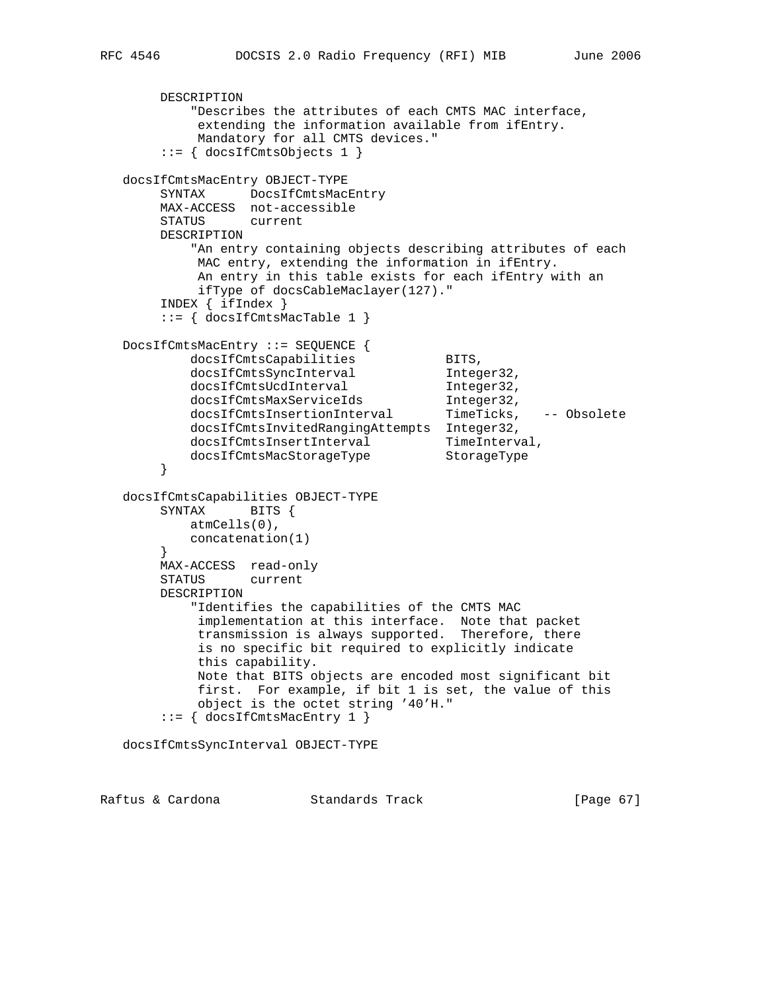```
 DESCRIPTION
           "Describes the attributes of each CMTS MAC interface,
            extending the information available from ifEntry.
            Mandatory for all CMTS devices."
        ::= { docsIfCmtsObjects 1 }
   docsIfCmtsMacEntry OBJECT-TYPE
       SYNTAX DocsIfCmtsMacEntry
       MAX-ACCESS not-accessible
       STATUS current
       DESCRIPTION
           "An entry containing objects describing attributes of each
            MAC entry, extending the information in ifEntry.
            An entry in this table exists for each ifEntry with an
            ifType of docsCableMaclayer(127)."
        INDEX { ifIndex }
       ::= { docsIfCmtsMacTable 1 }
   DocsIfCmtsMacEntry ::= SEQUENCE {
docsIfCmtsCapabilities BITS,
docsIfCmtsSyncInterval 1nteger32,
docsIfCmtsUcdInterval 1nteger32,
 docsIfCmtsMaxServiceIds Integer32,
 docsIfCmtsInsertionInterval TimeTicks, -- Obsolete
 docsIfCmtsInvitedRangingAttempts Integer32,
docsIfCmtsInsertInterval TimeInterval,
 docsIfCmtsMacStorageType StorageType
        }
   docsIfCmtsCapabilities OBJECT-TYPE
       SYNTAX BITS {
          atmCells(0),
          concatenation(1)
        }
       MAX-ACCESS read-only
       STATUS current
       DESCRIPTION
           "Identifies the capabilities of the CMTS MAC
 implementation at this interface. Note that packet
 transmission is always supported. Therefore, there
            is no specific bit required to explicitly indicate
            this capability.
            Note that BITS objects are encoded most significant bit
            first. For example, if bit 1 is set, the value of this
            object is the octet string '40'H."
        ::= { docsIfCmtsMacEntry 1 }
   docsIfCmtsSyncInterval OBJECT-TYPE
```
Raftus & Cardona Standards Track [Page 67]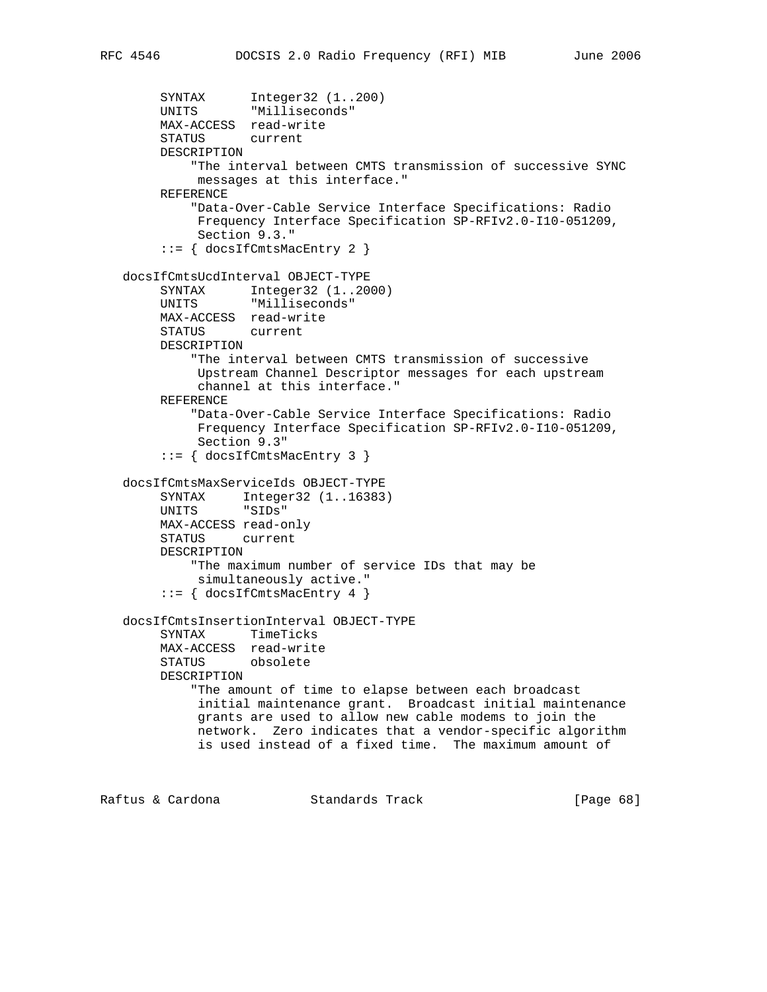```
 SYNTAX Integer32 (1..200)
 UNITS "Milliseconds"
        MAX-ACCESS read-write
         STATUS current
        DESCRIPTION
             "The interval between CMTS transmission of successive SYNC
             messages at this interface."
        REFERENCE
             "Data-Over-Cable Service Interface Specifications: Radio
             Frequency Interface Specification SP-RFIv2.0-I10-051209,
             Section 9.3."
         ::= { docsIfCmtsMacEntry 2 }
    docsIfCmtsUcdInterval OBJECT-TYPE
 SYNTAX Integer32 (1..2000)
 UNITS "Milliseconds"
       MAX-ACCESS read-write<br>STATUS current
       STATUS
        DESCRIPTION
             "The interval between CMTS transmission of successive
             Upstream Channel Descriptor messages for each upstream
             channel at this interface."
        REFERENCE
             "Data-Over-Cable Service Interface Specifications: Radio
             Frequency Interface Specification SP-RFIv2.0-I10-051209,
             Section 9.3"
         ::= { docsIfCmtsMacEntry 3 }
    docsIfCmtsMaxServiceIds OBJECT-TYPE
       SYNTAX Integer32 (1..16383)<br>UNITS "SIDs"
       UNITS
        MAX-ACCESS read-only
        STATUS current
        DESCRIPTION
             "The maximum number of service IDs that may be
             simultaneously active."
         ::= { docsIfCmtsMacEntry 4 }
    docsIfCmtsInsertionInterval OBJECT-TYPE
         SYNTAX TimeTicks
        MAX-ACCESS read-write
        STATUS obsolete
        DESCRIPTION
             "The amount of time to elapse between each broadcast
             initial maintenance grant. Broadcast initial maintenance
             grants are used to allow new cable modems to join the
             network. Zero indicates that a vendor-specific algorithm
             is used instead of a fixed time. The maximum amount of
Raftus & Cardona               Standards Track                   [Page 68]
```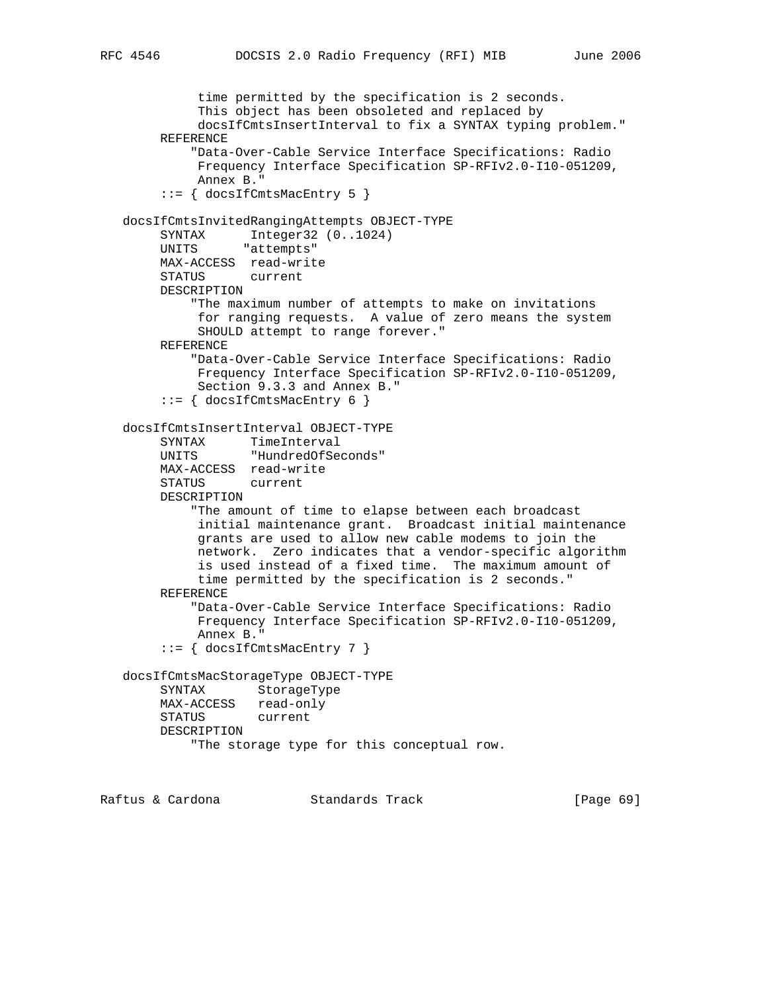```
 time permitted by the specification is 2 seconds.
             This object has been obsoleted and replaced by
             docsIfCmtsInsertInterval to fix a SYNTAX typing problem."
        REFERENCE
             "Data-Over-Cable Service Interface Specifications: Radio
             Frequency Interface Specification SP-RFIv2.0-I10-051209,
             Annex B."
        ::= { docsIfCmtsMacEntry 5 }
  docsIfCmtsInvitedRangingAttempts OBJECT-TYPE<br>SYNTAX Integer32 (0..1024)
                  Integer32 (0..1024)
       UNITS "attempts"
        MAX-ACCESS read-write
        STATUS current
        DESCRIPTION
             "The maximum number of attempts to make on invitations
             for ranging requests. A value of zero means the system
             SHOULD attempt to range forever."
        REFERENCE
             "Data-Over-Cable Service Interface Specifications: Radio
             Frequency Interface Specification SP-RFIv2.0-I10-051209,
             Section 9.3.3 and Annex B."
         ::= { docsIfCmtsMacEntry 6 }
   docsIfCmtsInsertInterval OBJECT-TYPE
 SYNTAX TimeInterval
 UNITS "HundredOfSeconds"
        MAX-ACCESS read-write
        STATUS current
        DESCRIPTION
             "The amount of time to elapse between each broadcast
             initial maintenance grant. Broadcast initial maintenance
             grants are used to allow new cable modems to join the
             network. Zero indicates that a vendor-specific algorithm
             is used instead of a fixed time. The maximum amount of
             time permitted by the specification is 2 seconds."
        REFERENCE
             "Data-Over-Cable Service Interface Specifications: Radio
             Frequency Interface Specification SP-RFIv2.0-I10-051209,
             Annex B."
        ::= { docsIfCmtsMacEntry 7 }
   docsIfCmtsMacStorageType OBJECT-TYPE
        SYNTAX StorageType
        MAX-ACCESS read-only
        STATUS current
        DESCRIPTION
             "The storage type for this conceptual row.
```
Raftus & Cardona Standards Track [Paqe 69]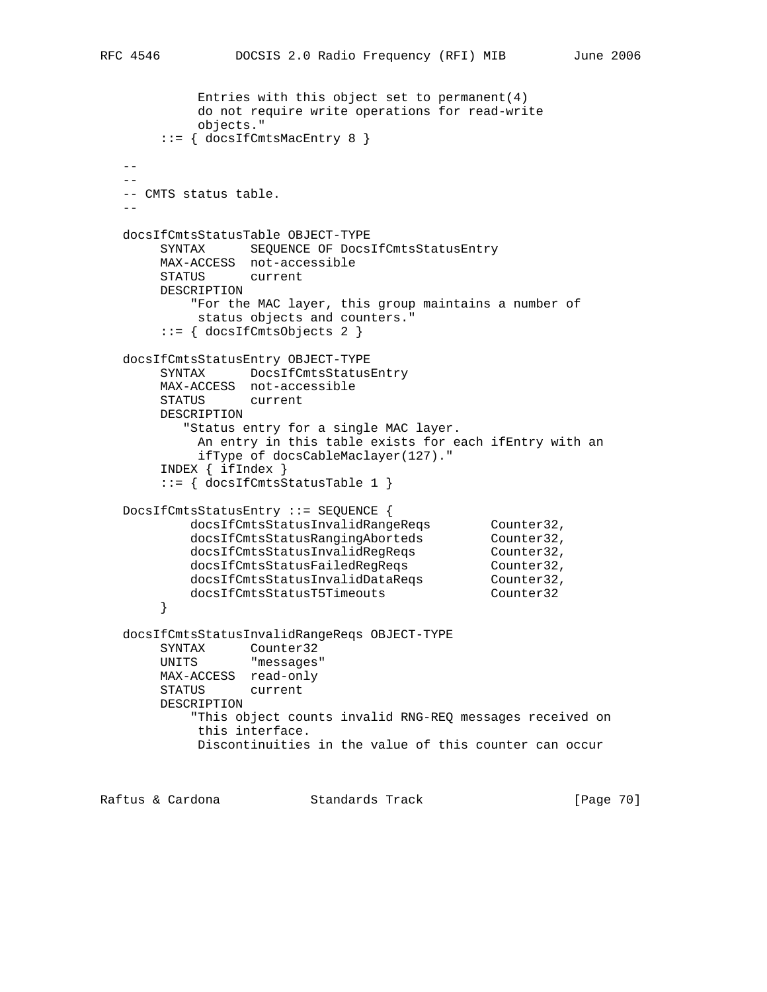```
 Entries with this object set to permanent(4)
            do not require write operations for read-write
            objects."
        ::= { docsIfCmtsMacEntry 8 }
  -- -- CMTS status table.
- docsIfCmtsStatusTable OBJECT-TYPE
        SYNTAX SEQUENCE OF DocsIfCmtsStatusEntry
       MAX-ACCESS not-accessible
        STATUS current
       DESCRIPTION
           "For the MAC layer, this group maintains a number of
            status objects and counters."
        ::= { docsIfCmtsObjects 2 }
   docsIfCmtsStatusEntry OBJECT-TYPE
        SYNTAX DocsIfCmtsStatusEntry
       MAX-ACCESS not-accessible
       STATUS current
       DESCRIPTION
           "Status entry for a single MAC layer.
            An entry in this table exists for each ifEntry with an
            ifType of docsCableMaclayer(127)."
        INDEX { ifIndex }
        ::= { docsIfCmtsStatusTable 1 }
   DocsIfCmtsStatusEntry ::= SEQUENCE {
 docsIfCmtsStatusInvalidRangeReqs Counter32,
docsIfCmtsStatusRangingAborteds Counter32,
 docsIfCmtsStatusInvalidRegReqs Counter32,
 docsIfCmtsStatusFailedRegReqs Counter32,
docsIfCmtsStatusInvalidDataReqs Counter32,
 docsIfCmtsStatusT5Timeouts Counter32
        }
   docsIfCmtsStatusInvalidRangeReqs OBJECT-TYPE
       SYNTAX Counter32
        UNITS "messages"
       MAX-ACCESS read-only
       STATUS current
       DESCRIPTION
           "This object counts invalid RNG-REQ messages received on
            this interface.
            Discontinuities in the value of this counter can occur
```
Raftus & Cardona Standards Track [Page 70]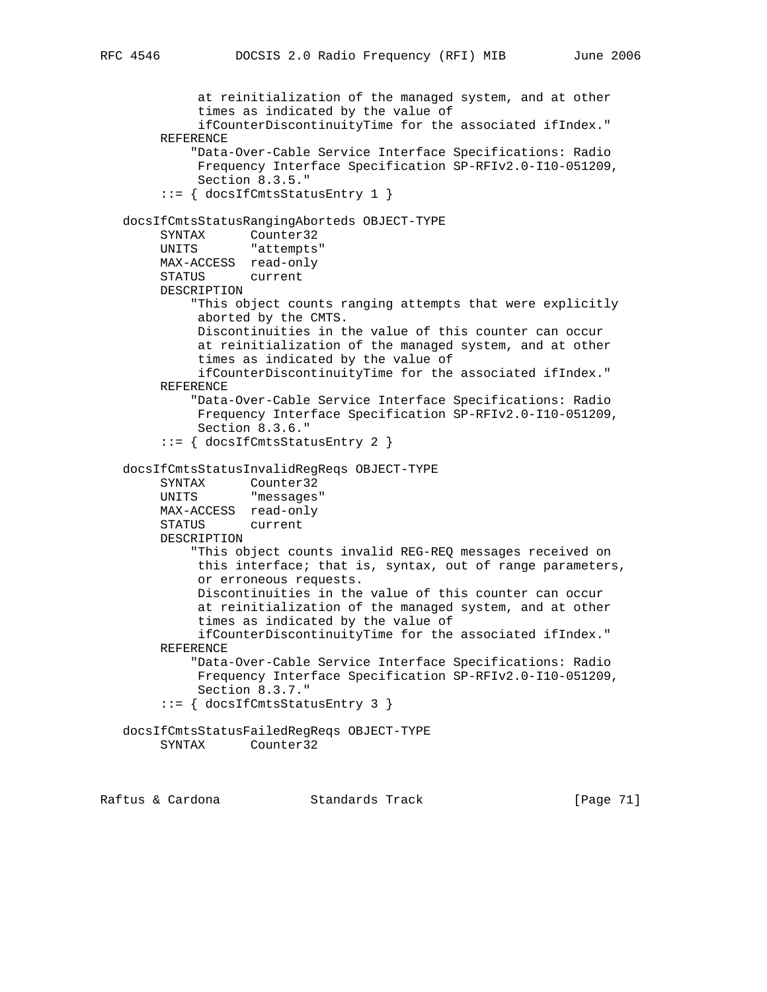```
 at reinitialization of the managed system, and at other
           times as indicated by the value of
           ifCounterDiscontinuityTime for the associated ifIndex."
     REFERENCE
          "Data-Over-Cable Service Interface Specifications: Radio
           Frequency Interface Specification SP-RFIv2.0-I10-051209,
           Section 8.3.5."
     ::= { docsIfCmtsStatusEntry 1 }
 docsIfCmtsStatusRangingAborteds OBJECT-TYPE
      SYNTAX Counter32
     UNITS "attempts"
     MAX-ACCESS read-only
     STATUS current
     DESCRIPTION
          "This object counts ranging attempts that were explicitly
           aborted by the CMTS.
           Discontinuities in the value of this counter can occur
           at reinitialization of the managed system, and at other
           times as indicated by the value of
           ifCounterDiscontinuityTime for the associated ifIndex."
     REFERENCE
          "Data-Over-Cable Service Interface Specifications: Radio
          Frequency Interface Specification SP-RFIv2.0-I10-051209,
           Section 8.3.6."
     ::= { docsIfCmtsStatusEntry 2 }
 docsIfCmtsStatusInvalidRegReqs OBJECT-TYPE
     SYNTAX Counter32
     UNITS "messages"
     MAX-ACCESS read-only
     STATUS current
     DESCRIPTION
          "This object counts invalid REG-REQ messages received on
          this interface; that is, syntax, out of range parameters,
           or erroneous requests.
           Discontinuities in the value of this counter can occur
           at reinitialization of the managed system, and at other
           times as indicated by the value of
           ifCounterDiscontinuityTime for the associated ifIndex."
     REFERENCE
          "Data-Over-Cable Service Interface Specifications: Radio
           Frequency Interface Specification SP-RFIv2.0-I10-051209,
           Section 8.3.7."
      ::= { docsIfCmtsStatusEntry 3 }
 docsIfCmtsStatusFailedRegReqs OBJECT-TYPE
     SYNTAX Counter32
```
Raftus & Cardona Standards Track [Page 71]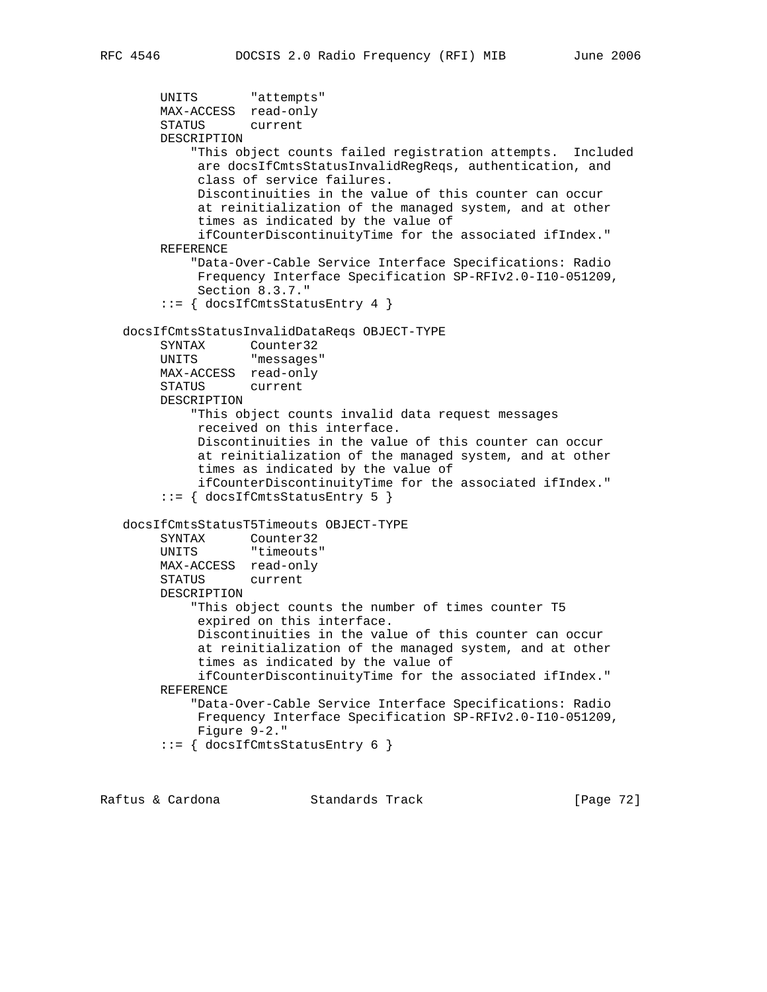```
 UNITS "attempts"
     MAX-ACCESS read-only
     STATUS current
     DESCRIPTION
          "This object counts failed registration attempts. Included
           are docsIfCmtsStatusInvalidRegReqs, authentication, and
           class of service failures.
           Discontinuities in the value of this counter can occur
           at reinitialization of the managed system, and at other
           times as indicated by the value of
           ifCounterDiscontinuityTime for the associated ifIndex."
     REFERENCE
          "Data-Over-Cable Service Interface Specifications: Radio
           Frequency Interface Specification SP-RFIv2.0-I10-051209,
           Section 8.3.7."
      ::= { docsIfCmtsStatusEntry 4 }
 docsIfCmtsStatusInvalidDataReqs OBJECT-TYPE
     SYNTAX Counter32
     UNITS "messages"
     MAX-ACCESS read-only
     STATUS current
     DESCRIPTION
          "This object counts invalid data request messages
           received on this interface.
           Discontinuities in the value of this counter can occur
           at reinitialization of the managed system, and at other
           times as indicated by the value of
           ifCounterDiscontinuityTime for the associated ifIndex."
      ::= { docsIfCmtsStatusEntry 5 }
 docsIfCmtsStatusT5Timeouts OBJECT-TYPE
     SYNTAX Counter32
     UNITS "timeouts"
     MAX-ACCESS read-only
     STATUS current
     DESCRIPTION
          "This object counts the number of times counter T5
           expired on this interface.
           Discontinuities in the value of this counter can occur
           at reinitialization of the managed system, and at other
           times as indicated by the value of
           ifCounterDiscontinuityTime for the associated ifIndex."
     REFERENCE
          "Data-Over-Cable Service Interface Specifications: Radio
           Frequency Interface Specification SP-RFIv2.0-I10-051209,
          Figure 9-2."
      ::= { docsIfCmtsStatusEntry 6 }
```
Raftus & Cardona Standards Track [Page 72]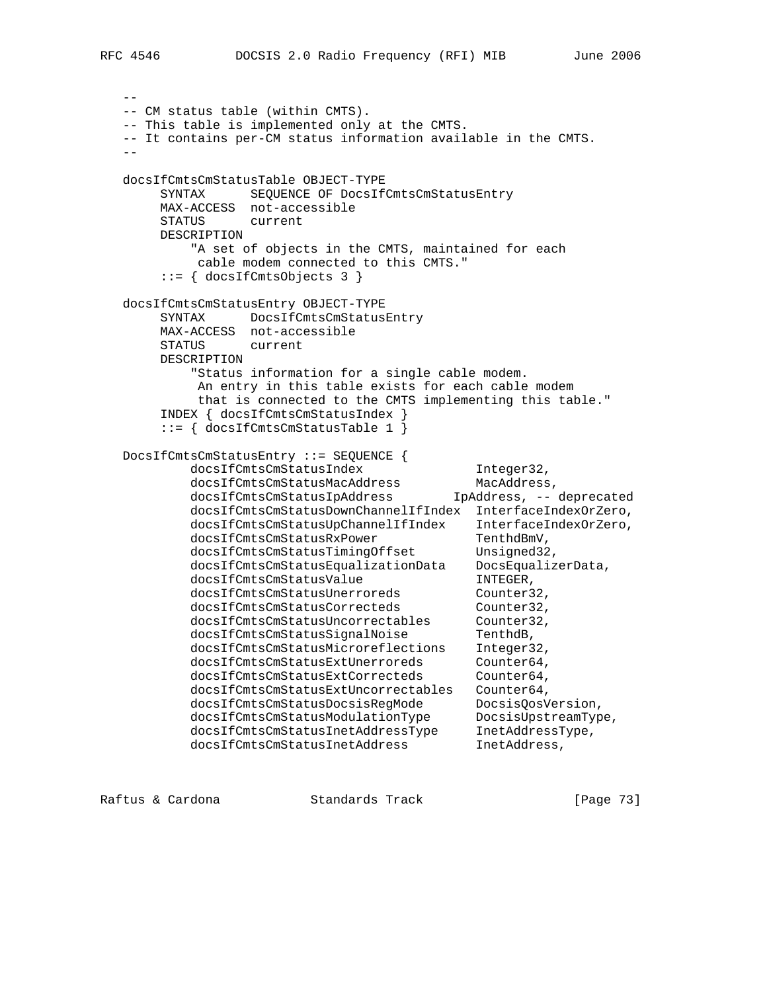```
 --
   -- CM status table (within CMTS).
   -- This table is implemented only at the CMTS.
   -- It contains per-CM status information available in the CMTS.
 --
   docsIfCmtsCmStatusTable OBJECT-TYPE
       SYNTAX SEQUENCE OF DocsIfCmtsCmStatusEntry
       MAX-ACCESS not-accessible
       STATUS current
       DESCRIPTION
          "A set of objects in the CMTS, maintained for each
           cable modem connected to this CMTS."
       ::= { docsIfCmtsObjects 3 }
   docsIfCmtsCmStatusEntry OBJECT-TYPE
       SYNTAX DocsIfCmtsCmStatusEntry
       MAX-ACCESS not-accessible
       STATUS current
       DESCRIPTION
           "Status information for a single cable modem.
           An entry in this table exists for each cable modem
           that is connected to the CMTS implementing this table."
       INDEX { docsIfCmtsCmStatusIndex }
       ::= { docsIfCmtsCmStatusTable 1 }
   DocsIfCmtsCmStatusEntry ::= SEQUENCE {
docsIfCmtsCmStatusIndex 1nteger32,
docsIfCmtsCmStatusMacAddress MacAddress,
 docsIfCmtsCmStatusIpAddress IpAddress, -- deprecated
          docsIfCmtsCmStatusDownChannelIfIndex InterfaceIndexOrZero,
          docsIfCmtsCmStatusUpChannelIfIndex InterfaceIndexOrZero,
docsIfCmtsCmStatusRxPower TenthdBmV,
docsIfCmtsCmStatusTimingOffset Unsigned32,
 docsIfCmtsCmStatusEqualizationData DocsEqualizerData,
 docsIfCmtsCmStatusValue INTEGER,
docsIfCmtsCmStatusUnerroreds Counter32,
docsIfCmtsCmStatusCorrecteds Counter32,
 docsIfCmtsCmStatusUncorrectables Counter32,
docsIfCmtsCmStatusSignalNoise TenthdB,
 docsIfCmtsCmStatusMicroreflections Integer32,
docsIfCmtsCmStatusExtUnerroreds Counter64,
docsIfCmtsCmStatusExtCorrecteds Counter64,
          docsIfCmtsCmStatusExtUncorrectables Counter64,
 docsIfCmtsCmStatusDocsisRegMode DocsisQosVersion,
 docsIfCmtsCmStatusModulationType DocsisUpstreamType,
 docsIfCmtsCmStatusInetAddressType InetAddressType,
 docsIfCmtsCmStatusInetAddress InetAddress,
```
Raftus & Cardona Standards Track [Page 73]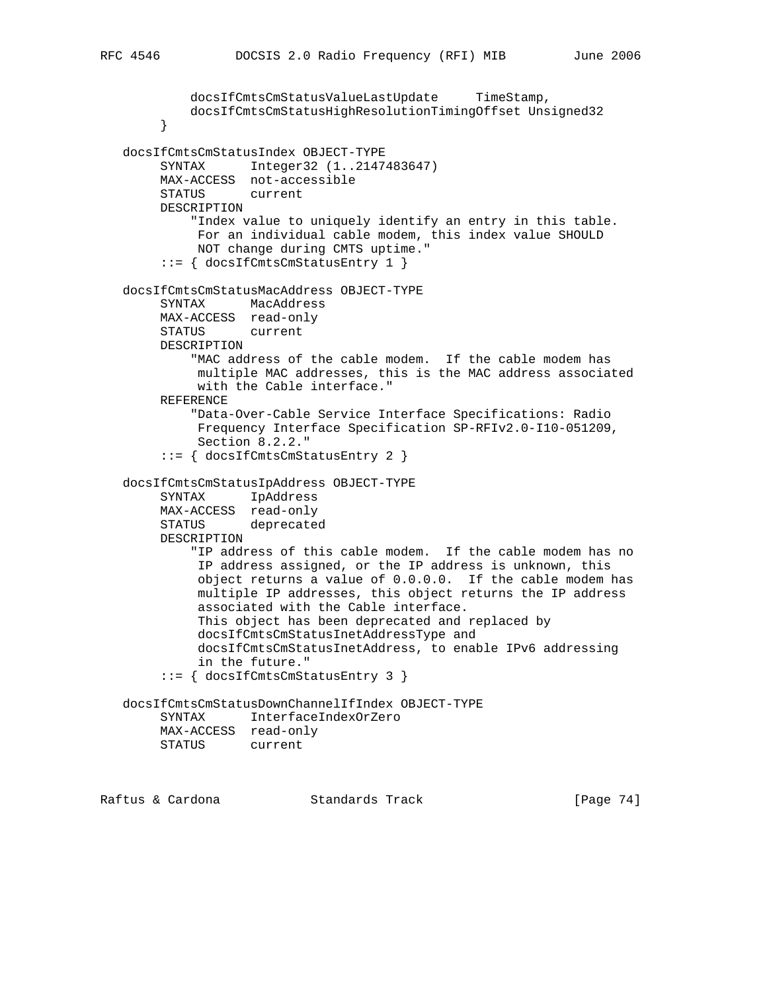```
 docsIfCmtsCmStatusValueLastUpdate TimeStamp,
         docsIfCmtsCmStatusHighResolutionTimingOffset Unsigned32
      }
 docsIfCmtsCmStatusIndex OBJECT-TYPE
      SYNTAX Integer32 (1..2147483647)
     MAX-ACCESS not-accessible
     STATUS current
     DESCRIPTION
          "Index value to uniquely identify an entry in this table.
          For an individual cable modem, this index value SHOULD
          NOT change during CMTS uptime."
      ::= { docsIfCmtsCmStatusEntry 1 }
 docsIfCmtsCmStatusMacAddress OBJECT-TYPE
      SYNTAX MacAddress
     MAX-ACCESS read-only
     STATUS current
     DESCRIPTION
          "MAC address of the cable modem. If the cable modem has
          multiple MAC addresses, this is the MAC address associated
          with the Cable interface."
     REFERENCE
          "Data-Over-Cable Service Interface Specifications: Radio
          Frequency Interface Specification SP-RFIv2.0-I10-051209,
          Section 8.2.2."
      ::= { docsIfCmtsCmStatusEntry 2 }
 docsIfCmtsCmStatusIpAddress OBJECT-TYPE
      SYNTAX IpAddress
     MAX-ACCESS read-only
     STATUS deprecated
     DESCRIPTION
          "IP address of this cable modem. If the cable modem has no
          IP address assigned, or the IP address is unknown, this
          object returns a value of 0.0.0.0. If the cable modem has
          multiple IP addresses, this object returns the IP address
          associated with the Cable interface.
          This object has been deprecated and replaced by
          docsIfCmtsCmStatusInetAddressType and
          docsIfCmtsCmStatusInetAddress, to enable IPv6 addressing
          in the future."
      ::= { docsIfCmtsCmStatusEntry 3 }
 docsIfCmtsCmStatusDownChannelIfIndex OBJECT-TYPE
      SYNTAX InterfaceIndexOrZero
     MAX-ACCESS read-only
     STATUS current
```
Raftus & Cardona Standards Track [Page 74]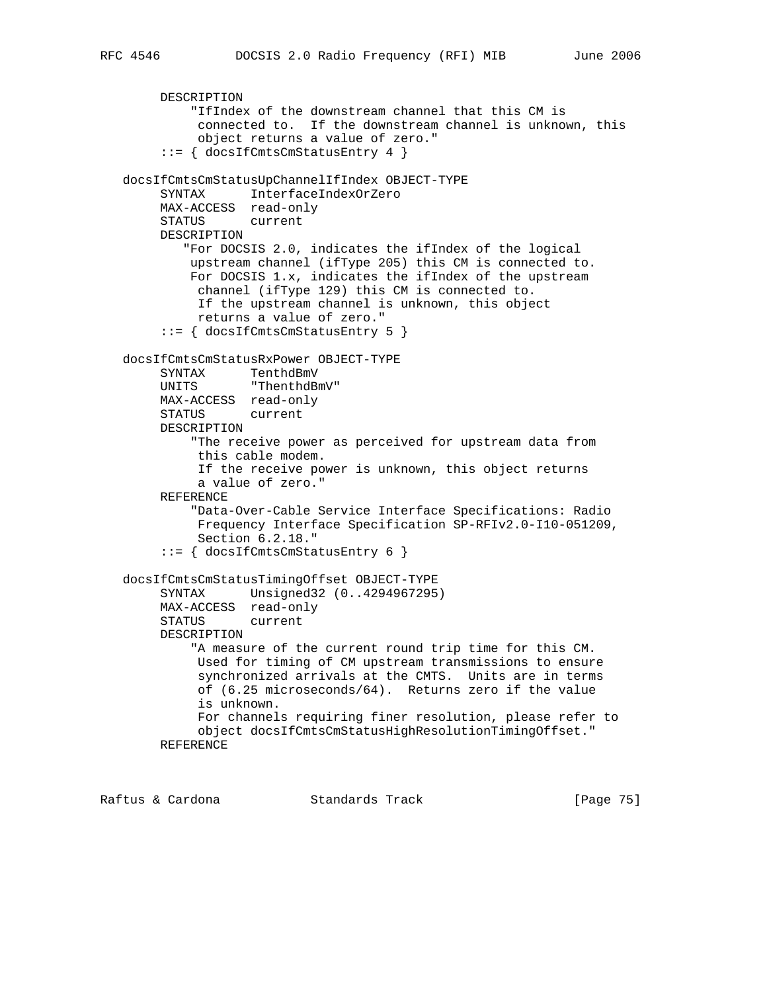```
 DESCRIPTION
          "IfIndex of the downstream channel that this CM is
           connected to. If the downstream channel is unknown, this
           object returns a value of zero."
      ::= { docsIfCmtsCmStatusEntry 4 }
 docsIfCmtsCmStatusUpChannelIfIndex OBJECT-TYPE
     SYNTAX InterfaceIndexOrZero
     MAX-ACCESS read-only
     STATUS current
     DESCRIPTION
         "For DOCSIS 2.0, indicates the ifIndex of the logical
         upstream channel (ifType 205) this CM is connected to.
          For DOCSIS 1.x, indicates the ifIndex of the upstream
           channel (ifType 129) this CM is connected to.
           If the upstream channel is unknown, this object
          returns a value of zero."
      ::= { docsIfCmtsCmStatusEntry 5 }
 docsIfCmtsCmStatusRxPower OBJECT-TYPE
     SYNTAX TenthdBmV
     UNITS "ThenthdBmV"
     MAX-ACCESS read-only
     STATUS current
     DESCRIPTION
          "The receive power as perceived for upstream data from
           this cable modem.
           If the receive power is unknown, this object returns
           a value of zero."
     REFERENCE
          "Data-Over-Cable Service Interface Specifications: Radio
          Frequency Interface Specification SP-RFIv2.0-I10-051209,
          Section 6.2.18."
      ::= { docsIfCmtsCmStatusEntry 6 }
 docsIfCmtsCmStatusTimingOffset OBJECT-TYPE
      SYNTAX Unsigned32 (0..4294967295)
     MAX-ACCESS read-only
     STATUS current
     DESCRIPTION
          "A measure of the current round trip time for this CM.
           Used for timing of CM upstream transmissions to ensure
           synchronized arrivals at the CMTS. Units are in terms
           of (6.25 microseconds/64). Returns zero if the value
           is unknown.
           For channels requiring finer resolution, please refer to
           object docsIfCmtsCmStatusHighResolutionTimingOffset."
     REFERENCE
```
Raftus & Cardona Standards Track [Page 75]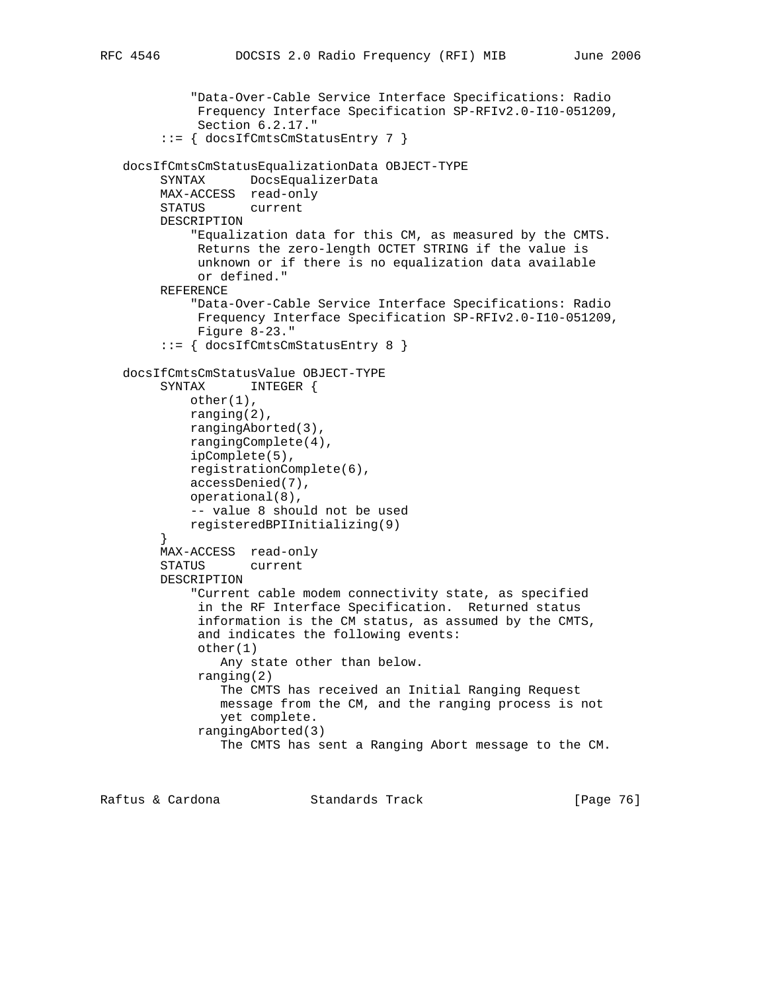```
 "Data-Over-Cable Service Interface Specifications: Radio
              Frequency Interface Specification SP-RFIv2.0-I10-051209,
              Section 6.2.17."
         ::= { docsIfCmtsCmStatusEntry 7 }
   docsIfCmtsCmStatusEqualizationData OBJECT-TYPE
         SYNTAX DocsEqualizerData
        MAX-ACCESS read-only
        STATUS current
        DESCRIPTION
             "Equalization data for this CM, as measured by the CMTS.
             Returns the zero-length OCTET STRING if the value is
              unknown or if there is no equalization data available
              or defined."
        REFERENCE
             "Data-Over-Cable Service Interface Specifications: Radio
              Frequency Interface Specification SP-RFIv2.0-I10-051209,
             Figure 8-23."
         ::= { docsIfCmtsCmStatusEntry 8 }
   docsIfCmtsCmStatusValue OBJECT-TYPE
         SYNTAX INTEGER {
            other(1),
            ranging(2),
            rangingAborted(3),
            rangingComplete(4),
            ipComplete(5),
            registrationComplete(6),
            accessDenied(7),
            operational(8),
            -- value 8 should not be used
            registeredBPIInitializing(9)
 }
        MAX-ACCESS read-only
        STATUS current
        DESCRIPTION
             "Current cable modem connectivity state, as specified
              in the RF Interface Specification. Returned status
              information is the CM status, as assumed by the CMTS,
              and indicates the following events:
              other(1)
                Any state other than below.
              ranging(2)
                 The CMTS has received an Initial Ranging Request
                 message from the CM, and the ranging process is not
                yet complete.
              rangingAborted(3)
                 The CMTS has sent a Ranging Abort message to the CM.
```
Raftus & Cardona Standards Track [Page 76]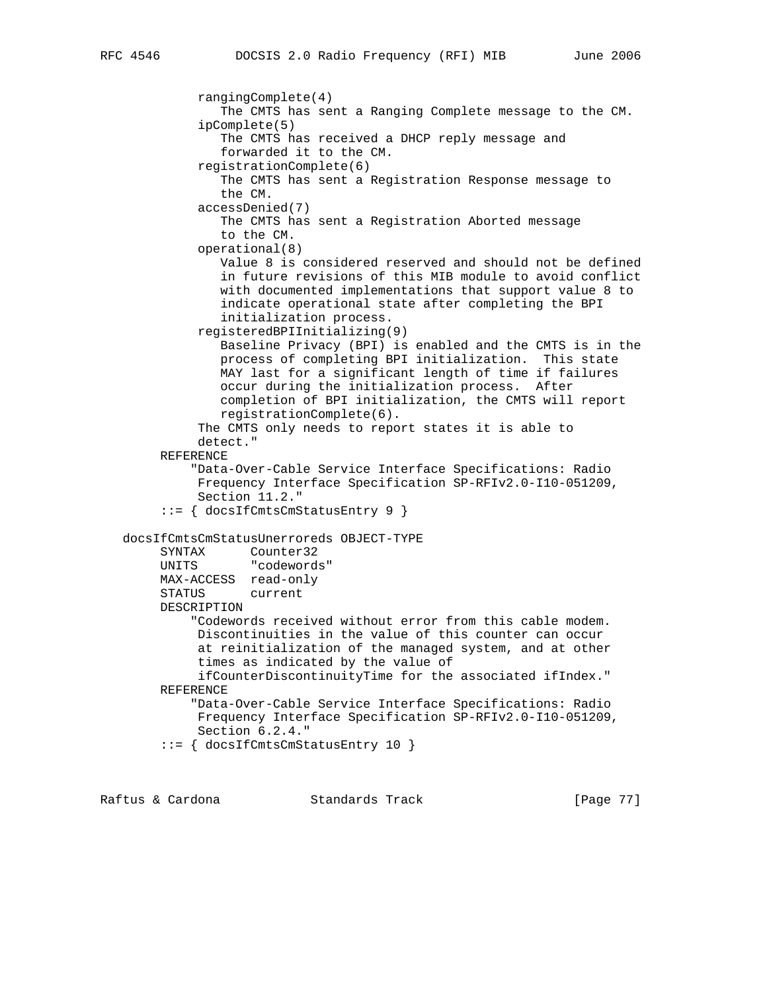```
 rangingComplete(4)
              The CMTS has sent a Ranging Complete message to the CM.
           ipComplete(5)
              The CMTS has received a DHCP reply message and
              forwarded it to the CM.
           registrationComplete(6)
              The CMTS has sent a Registration Response message to
              the CM.
           accessDenied(7)
              The CMTS has sent a Registration Aborted message
              to the CM.
           operational(8)
              Value 8 is considered reserved and should not be defined
              in future revisions of this MIB module to avoid conflict
              with documented implementations that support value 8 to
              indicate operational state after completing the BPI
              initialization process.
           registeredBPIInitializing(9)
              Baseline Privacy (BPI) is enabled and the CMTS is in the
              process of completing BPI initialization. This state
              MAY last for a significant length of time if failures
              occur during the initialization process. After
              completion of BPI initialization, the CMTS will report
              registrationComplete(6).
           The CMTS only needs to report states it is able to
           detect."
      REFERENCE
          "Data-Over-Cable Service Interface Specifications: Radio
           Frequency Interface Specification SP-RFIv2.0-I10-051209,
           Section 11.2."
      ::= { docsIfCmtsCmStatusEntry 9 }
 docsIfCmtsCmStatusUnerroreds OBJECT-TYPE
      SYNTAX Counter32
      UNITS "codewords"
     MAX-ACCESS read-only
      STATUS current
      DESCRIPTION
          "Codewords received without error from this cable modem.
           Discontinuities in the value of this counter can occur
           at reinitialization of the managed system, and at other
           times as indicated by the value of
           ifCounterDiscontinuityTime for the associated ifIndex."
      REFERENCE
          "Data-Over-Cable Service Interface Specifications: Radio
           Frequency Interface Specification SP-RFIv2.0-I10-051209,
           Section 6.2.4."
      ::= { docsIfCmtsCmStatusEntry 10 }
```
Raftus & Cardona Standards Track [Page 77]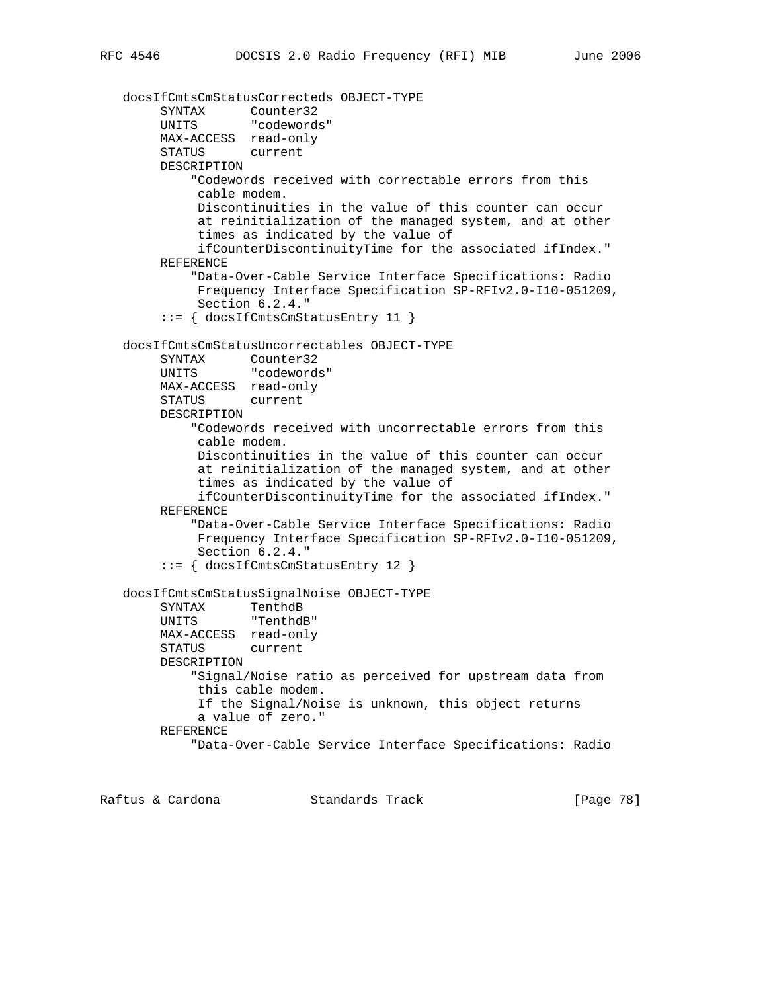```
 docsIfCmtsCmStatusCorrecteds OBJECT-TYPE
 SYNTAX Counter32
 UNITS "codewords"
        MAX-ACCESS read-only
        STATUS current
        DESCRIPTION
            "Codewords received with correctable errors from this
             cable modem.
             Discontinuities in the value of this counter can occur
             at reinitialization of the managed system, and at other
             times as indicated by the value of
             ifCounterDiscontinuityTime for the associated ifIndex."
        REFERENCE
            "Data-Over-Cable Service Interface Specifications: Radio
             Frequency Interface Specification SP-RFIv2.0-I10-051209,
             Section 6.2.4."
        ::= { docsIfCmtsCmStatusEntry 11 }
   docsIfCmtsCmStatusUncorrectables OBJECT-TYPE
        SYNTAX Counter32
        UNITS "codewords"
        MAX-ACCESS read-only
        STATUS current
        DESCRIPTION
            "Codewords received with uncorrectable errors from this
             cable modem.
             Discontinuities in the value of this counter can occur
             at reinitialization of the managed system, and at other
             times as indicated by the value of
             ifCounterDiscontinuityTime for the associated ifIndex."
        REFERENCE
            "Data-Over-Cable Service Interface Specifications: Radio
             Frequency Interface Specification SP-RFIv2.0-I10-051209,
             Section 6.2.4."
        ::= { docsIfCmtsCmStatusEntry 12 }
   docsIfCmtsCmStatusSignalNoise OBJECT-TYPE
        SYNTAX TenthdB
        UNITS "TenthdB"
        MAX-ACCESS read-only
        STATUS current
        DESCRIPTION
            "Signal/Noise ratio as perceived for upstream data from
             this cable modem.
             If the Signal/Noise is unknown, this object returns
             a value of zero."
        REFERENCE
            "Data-Over-Cable Service Interface Specifications: Radio
```
Raftus & Cardona Standards Track [Page 78]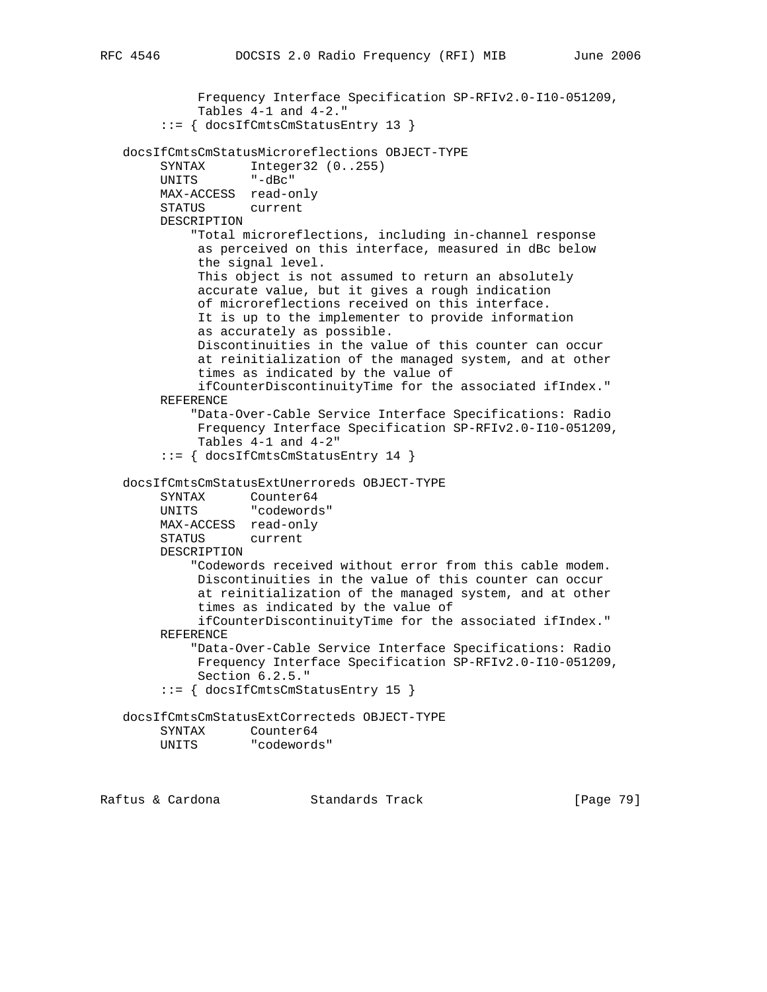```
 Frequency Interface Specification SP-RFIv2.0-I10-051209,
           Tables 4-1 and 4-2."
      ::= { docsIfCmtsCmStatusEntry 13 }
 docsIfCmtsCmStatusMicroreflections OBJECT-TYPE
    SYNTAX Integer32 (0..255)<br>UNITS "-dBc"
    UNITS
     MAX-ACCESS read-only
     STATUS current
     DESCRIPTION
          "Total microreflections, including in-channel response
           as perceived on this interface, measured in dBc below
           the signal level.
           This object is not assumed to return an absolutely
           accurate value, but it gives a rough indication
           of microreflections received on this interface.
           It is up to the implementer to provide information
           as accurately as possible.
          Discontinuities in the value of this counter can occur
           at reinitialization of the managed system, and at other
          times as indicated by the value of
           ifCounterDiscontinuityTime for the associated ifIndex."
     REFERENCE
          "Data-Over-Cable Service Interface Specifications: Radio
           Frequency Interface Specification SP-RFIv2.0-I10-051209,
           Tables 4-1 and 4-2"
      ::= { docsIfCmtsCmStatusEntry 14 }
 docsIfCmtsCmStatusExtUnerroreds OBJECT-TYPE
    SYNTAX Counter64
     UNITS "codewords"
     MAX-ACCESS read-only
     STATUS current
     DESCRIPTION
          "Codewords received without error from this cable modem.
          Discontinuities in the value of this counter can occur
           at reinitialization of the managed system, and at other
           times as indicated by the value of
           ifCounterDiscontinuityTime for the associated ifIndex."
     REFERENCE
          "Data-Over-Cable Service Interface Specifications: Radio
           Frequency Interface Specification SP-RFIv2.0-I10-051209,
           Section 6.2.5."
      ::= { docsIfCmtsCmStatusEntry 15 }
 docsIfCmtsCmStatusExtCorrecteds OBJECT-TYPE
     SYNTAX Counter64
     UNITS "codewords"
```
Raftus & Cardona Standards Track [Page 79]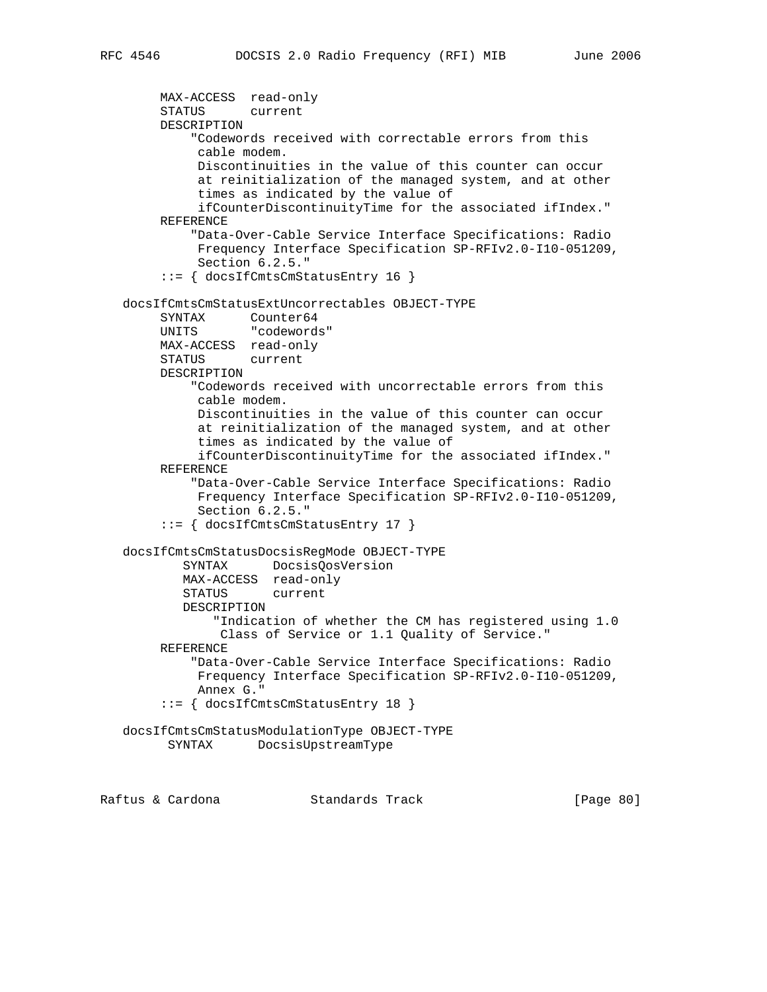```
 MAX-ACCESS read-only
        STATUS current
        DESCRIPTION
             "Codewords received with correctable errors from this
              cable modem.
             Discontinuities in the value of this counter can occur
              at reinitialization of the managed system, and at other
              times as indicated by the value of
              ifCounterDiscontinuityTime for the associated ifIndex."
        REFERENCE
             "Data-Over-Cable Service Interface Specifications: Radio
              Frequency Interface Specification SP-RFIv2.0-I10-051209,
              Section 6.2.5."
         ::= { docsIfCmtsCmStatusEntry 16 }
    docsIfCmtsCmStatusExtUncorrectables OBJECT-TYPE
        SYNTAX Counter64
        UNITS "codewords"
        MAX-ACCESS read-only
        STATUS current
        DESCRIPTION
             "Codewords received with uncorrectable errors from this
              cable modem.
             Discontinuities in the value of this counter can occur
              at reinitialization of the managed system, and at other
              times as indicated by the value of
              ifCounterDiscontinuityTime for the associated ifIndex."
        REFERENCE
             "Data-Over-Cable Service Interface Specifications: Radio
              Frequency Interface Specification SP-RFIv2.0-I10-051209,
              Section 6.2.5."
        ::= \{ docsIfCmtsCmStatusEntry 17 \} docsIfCmtsCmStatusDocsisRegMode OBJECT-TYPE
            SYNTAX DocsisQosVersion
            MAX-ACCESS read-only
            STATUS current
            DESCRIPTION
                "Indication of whether the CM has registered using 1.0
                Class of Service or 1.1 Quality of Service."
        REFERENCE
             "Data-Over-Cable Service Interface Specifications: Radio
              Frequency Interface Specification SP-RFIv2.0-I10-051209,
             Annex G."
         ::= { docsIfCmtsCmStatusEntry 18 }
    docsIfCmtsCmStatusModulationType OBJECT-TYPE
          SYNTAX DocsisUpstreamType
Raftus & Cardona             Standards Track               [Page 80]
```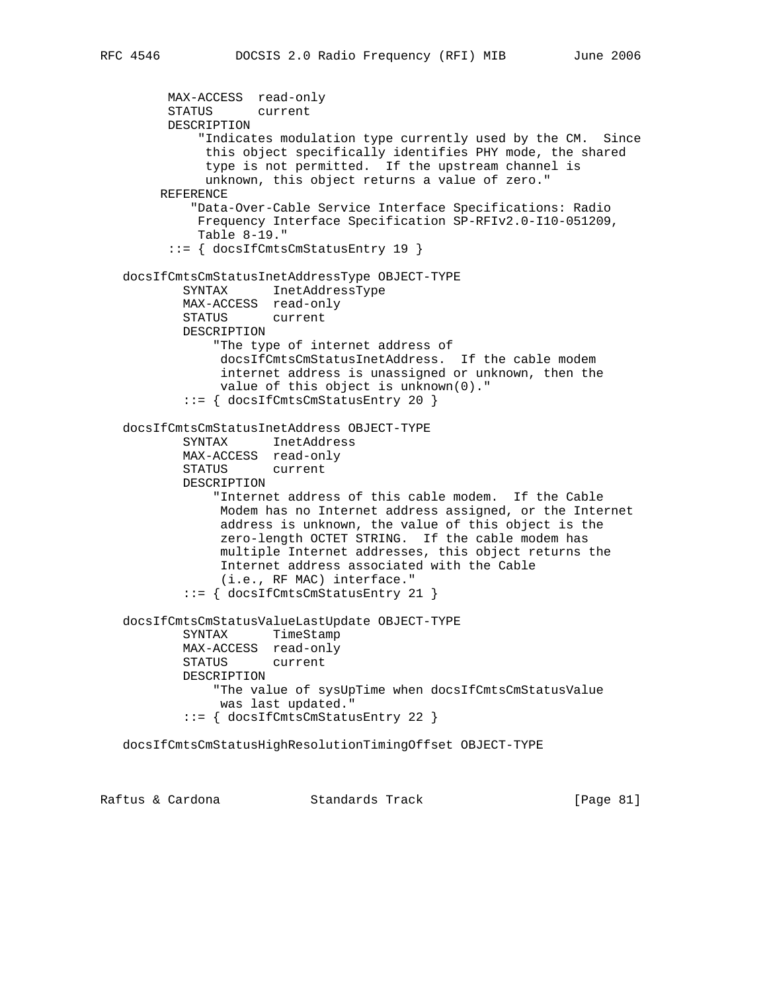```
 MAX-ACCESS read-only
         STATUS current
         DESCRIPTION
              "Indicates modulation type currently used by the CM. Since
              this object specifically identifies PHY mode, the shared
              type is not permitted. If the upstream channel is
              unknown, this object returns a value of zero."
        REFERENCE
            "Data-Over-Cable Service Interface Specifications: Radio
             Frequency Interface Specification SP-RFIv2.0-I10-051209,
             Table 8-19."
         ::= { docsIfCmtsCmStatusEntry 19 }
   docsIfCmtsCmStatusInetAddressType OBJECT-TYPE
           SYNTAX InetAddressType
           MAX-ACCESS read-only
           STATUS current
           DESCRIPTION
               "The type of internet address of
                docsIfCmtsCmStatusInetAddress. If the cable modem
                internet address is unassigned or unknown, then the
                value of this object is unknown(0)."
            ::= { docsIfCmtsCmStatusEntry 20 }
   docsIfCmtsCmStatusInetAddress OBJECT-TYPE
 SYNTAX InetAddress
 MAX-ACCESS read-only
           STATUS current
           DESCRIPTION
                "Internet address of this cable modem. If the Cable
                Modem has no Internet address assigned, or the Internet
                address is unknown, the value of this object is the
                zero-length OCTET STRING. If the cable modem has
                multiple Internet addresses, this object returns the
                Internet address associated with the Cable
                (i.e., RF MAC) interface."
           ::= { docsIfCmtsCmStatusEntry 21 }
   docsIfCmtsCmStatusValueLastUpdate OBJECT-TYPE
           SYNTAX TimeStamp
           MAX-ACCESS read-only
           STATUS current
           DESCRIPTION
               "The value of sysUpTime when docsIfCmtsCmStatusValue
                was last updated."
            ::= { docsIfCmtsCmStatusEntry 22 }
   docsIfCmtsCmStatusHighResolutionTimingOffset OBJECT-TYPE
```
Raftus & Cardona Standards Track [Paqe 81]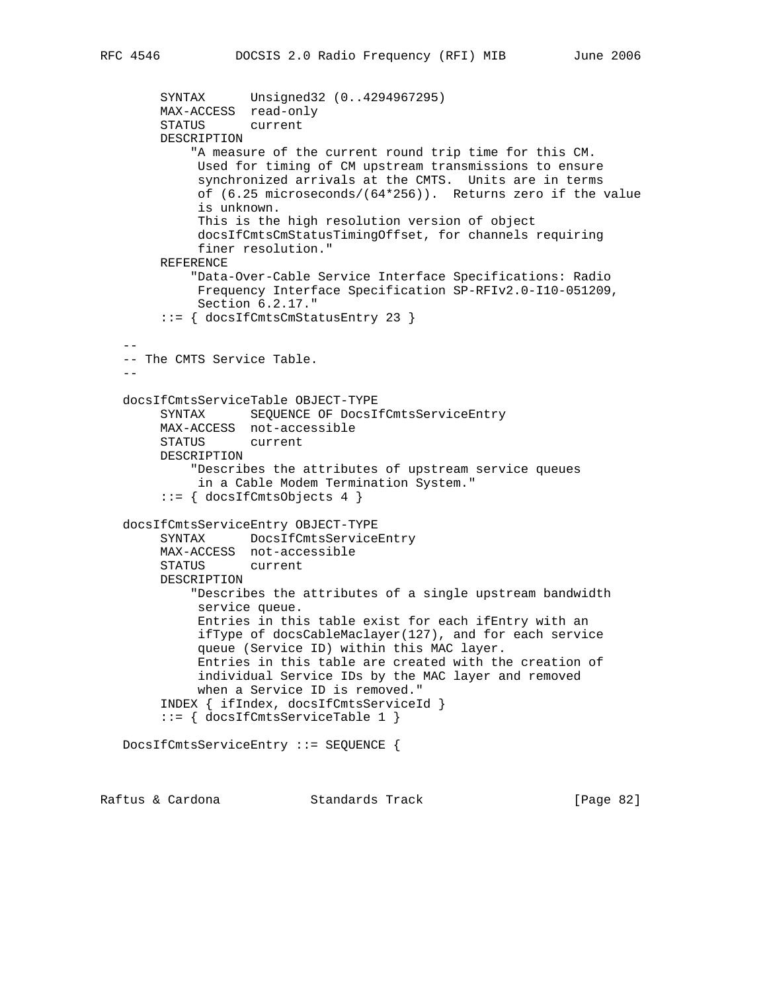```
 SYNTAX Unsigned32 (0..4294967295)
        MAX-ACCESS read-only
        STATUS current
        DESCRIPTION
             "A measure of the current round trip time for this CM.
             Used for timing of CM upstream transmissions to ensure
             synchronized arrivals at the CMTS. Units are in terms
             of (6.25 microseconds/(64*256)). Returns zero if the value
             is unknown.
             This is the high resolution version of object
             docsIfCmtsCmStatusTimingOffset, for channels requiring
             finer resolution."
        REFERENCE
            "Data-Over-Cable Service Interface Specifications: Radio
             Frequency Interface Specification SP-RFIv2.0-I10-051209,
             Section 6.2.17."
         ::= { docsIfCmtsCmStatusEntry 23 }
 --
   -- The CMTS Service Table.
- docsIfCmtsServiceTable OBJECT-TYPE
        SYNTAX SEQUENCE OF DocsIfCmtsServiceEntry
        MAX-ACCESS not-accessible
        STATUS current
        DESCRIPTION
             "Describes the attributes of upstream service queues
             in a Cable Modem Termination System."
         ::= { docsIfCmtsObjects 4 }
   docsIfCmtsServiceEntry OBJECT-TYPE
        SYNTAX DocsIfCmtsServiceEntry
        MAX-ACCESS not-accessible
        STATUS current
        DESCRIPTION
            "Describes the attributes of a single upstream bandwidth
             service queue.
             Entries in this table exist for each ifEntry with an
             ifType of docsCableMaclayer(127), and for each service
             queue (Service ID) within this MAC layer.
             Entries in this table are created with the creation of
             individual Service IDs by the MAC layer and removed
             when a Service ID is removed."
         INDEX { ifIndex, docsIfCmtsServiceId }
         ::= { docsIfCmtsServiceTable 1 }
   DocsIfCmtsServiceEntry ::= SEQUENCE {
```
Raftus & Cardona Standards Track [Page 82]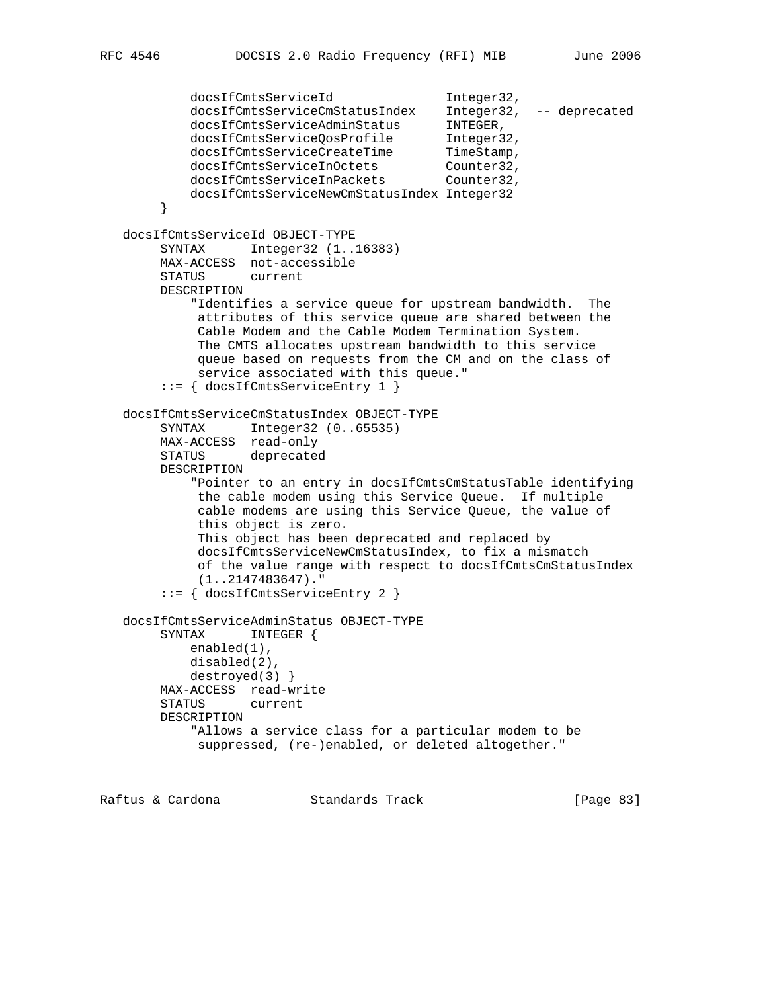```
docsIfCmtsServiceId Integer32,
 docsIfCmtsServiceCmStatusIndex Integer32, -- deprecated
docsIfCmtsServiceAdminStatus INTEGER,
 docsIfCmtsServiceQosProfile Integer32,
docsIfCmtsServiceCreateTime TimeStamp,
docsIfCmtsServiceInOctets Counter32,
docsIfCmtsServiceInPackets Counter32,
           docsIfCmtsServiceNewCmStatusIndex Integer32
        }
   docsIfCmtsServiceId OBJECT-TYPE
        SYNTAX Integer32 (1..16383)
        MAX-ACCESS not-accessible
        STATUS current
        DESCRIPTION
            "Identifies a service queue for upstream bandwidth. The
            attributes of this service queue are shared between the
            Cable Modem and the Cable Modem Termination System.
            The CMTS allocates upstream bandwidth to this service
            queue based on requests from the CM and on the class of
            service associated with this queue."
        ::= { docsIfCmtsServiceEntry 1 }
   docsIfCmtsServiceCmStatusIndex OBJECT-TYPE
        SYNTAX Integer32 (0..65535)
        MAX-ACCESS read-only
        STATUS deprecated
        DESCRIPTION
            "Pointer to an entry in docsIfCmtsCmStatusTable identifying
            the cable modem using this Service Queue. If multiple
            cable modems are using this Service Queue, the value of
            this object is zero.
            This object has been deprecated and replaced by
            docsIfCmtsServiceNewCmStatusIndex, to fix a mismatch
            of the value range with respect to docsIfCmtsCmStatusIndex
             (1..2147483647)."
        ::= { docsIfCmtsServiceEntry 2 }
   docsIfCmtsServiceAdminStatus OBJECT-TYPE
        SYNTAX INTEGER {
           enabled(1),
            disabled(2),
            destroyed(3) }
        MAX-ACCESS read-write
        STATUS current
        DESCRIPTION
            "Allows a service class for a particular modem to be
            suppressed, (re-)enabled, or deleted altogether."
```
Raftus & Cardona Standards Track [Page 83]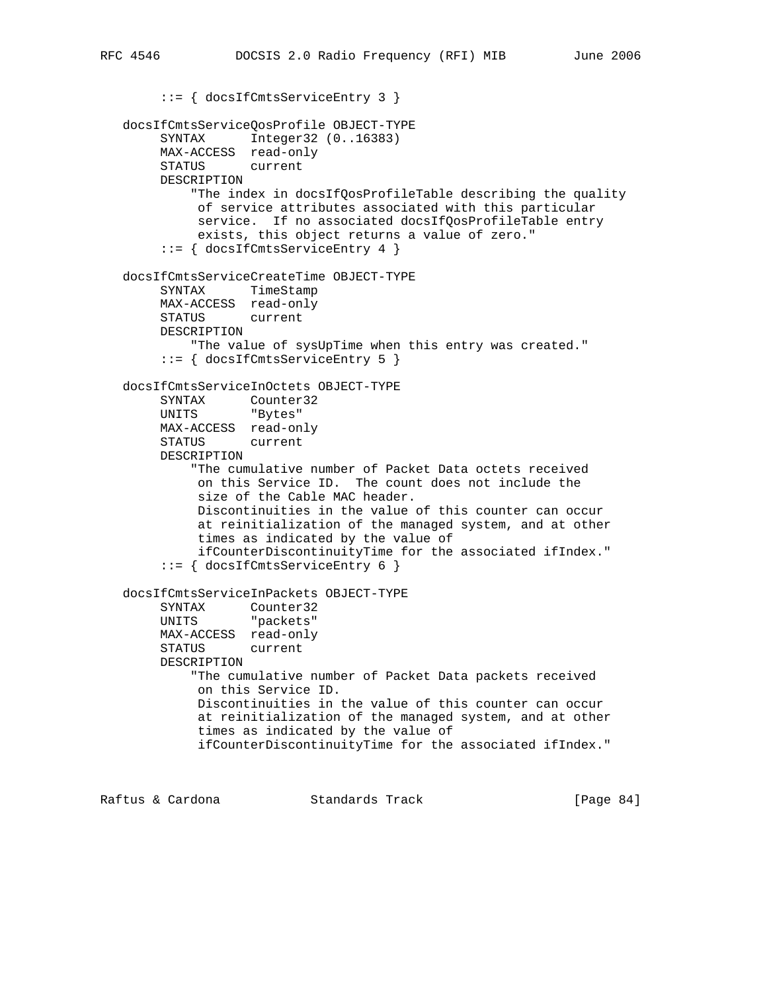```
 ::= { docsIfCmtsServiceEntry 3 }
   docsIfCmtsServiceQosProfile OBJECT-TYPE
        SYNTAX Integer32 (0..16383)
        MAX-ACCESS read-only
        STATUS current
        DESCRIPTION
            "The index in docsIfQosProfileTable describing the quality
             of service attributes associated with this particular
             service. If no associated docsIfQosProfileTable entry
             exists, this object returns a value of zero."
        ::= { docsIfCmtsServiceEntry 4 }
   docsIfCmtsServiceCreateTime OBJECT-TYPE
        SYNTAX TimeStamp
       MAX-ACCESS read-only<br>STATUS current
       STATUS
        DESCRIPTION
            "The value of sysUpTime when this entry was created."
        ::= { docsIfCmtsServiceEntry 5 }
   docsIfCmtsServiceInOctets OBJECT-TYPE
        SYNTAX Counter32
        UNITS "Bytes"
        MAX-ACCESS read-only
        STATUS current
        DESCRIPTION
             "The cumulative number of Packet Data octets received
             on this Service ID. The count does not include the
             size of the Cable MAC header.
             Discontinuities in the value of this counter can occur
             at reinitialization of the managed system, and at other
             times as indicated by the value of
             ifCounterDiscontinuityTime for the associated ifIndex."
        ::= { docsIfCmtsServiceEntry 6 }
   docsIfCmtsServiceInPackets OBJECT-TYPE
 SYNTAX Counter32
 UNITS "packets"
        MAX-ACCESS read-only
        STATUS current
        DESCRIPTION
            "The cumulative number of Packet Data packets received
             on this Service ID.
             Discontinuities in the value of this counter can occur
             at reinitialization of the managed system, and at other
             times as indicated by the value of
             ifCounterDiscontinuityTime for the associated ifIndex."
```
Raftus & Cardona Standards Track [Paqe 84]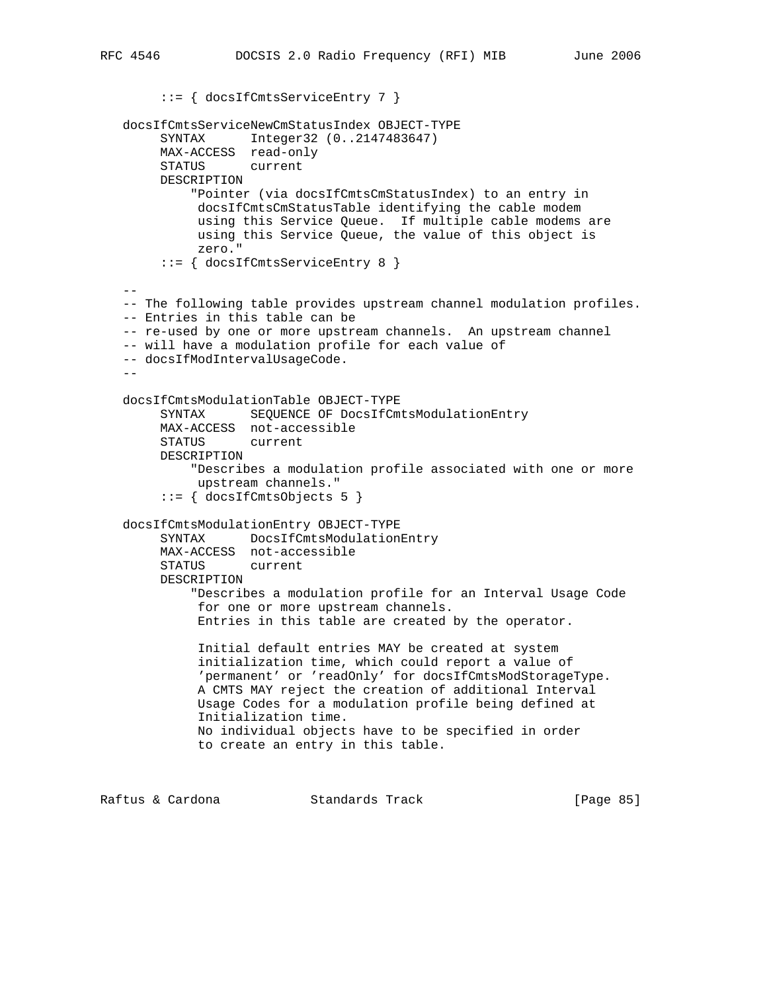```
 ::= { docsIfCmtsServiceEntry 7 }
    docsIfCmtsServiceNewCmStatusIndex OBJECT-TYPE
         SYNTAX Integer32 (0..2147483647)
        MAX-ACCESS read-only
        STATUS current
        DESCRIPTION
             "Pointer (via docsIfCmtsCmStatusIndex) to an entry in
             docsIfCmtsCmStatusTable identifying the cable modem
              using this Service Queue. If multiple cable modems are
              using this Service Queue, the value of this object is
              zero."
         ::= { docsIfCmtsServiceEntry 8 }
- -- The following table provides upstream channel modulation profiles.
    -- Entries in this table can be
    -- re-used by one or more upstream channels. An upstream channel
    -- will have a modulation profile for each value of
    -- docsIfModIntervalUsageCode.
   - - docsIfCmtsModulationTable OBJECT-TYPE
         SYNTAX SEQUENCE OF DocsIfCmtsModulationEntry
        MAX-ACCESS not-accessible
        STATUS current
        DESCRIPTION
             "Describes a modulation profile associated with one or more
             upstream channels."
         ::= { docsIfCmtsObjects 5 }
    docsIfCmtsModulationEntry OBJECT-TYPE
         SYNTAX DocsIfCmtsModulationEntry
        MAX-ACCESS not-accessible
        STATUS current
        DESCRIPTION
             "Describes a modulation profile for an Interval Usage Code
              for one or more upstream channels.
              Entries in this table are created by the operator.
              Initial default entries MAY be created at system
              initialization time, which could report a value of
             'permanent' or 'readOnly' for docsIfCmtsModStorageType.
              A CMTS MAY reject the creation of additional Interval
              Usage Codes for a modulation profile being defined at
              Initialization time.
             No individual objects have to be specified in order
              to create an entry in this table.
Raftus & Cardona               Standards Track                 [Page 85]
```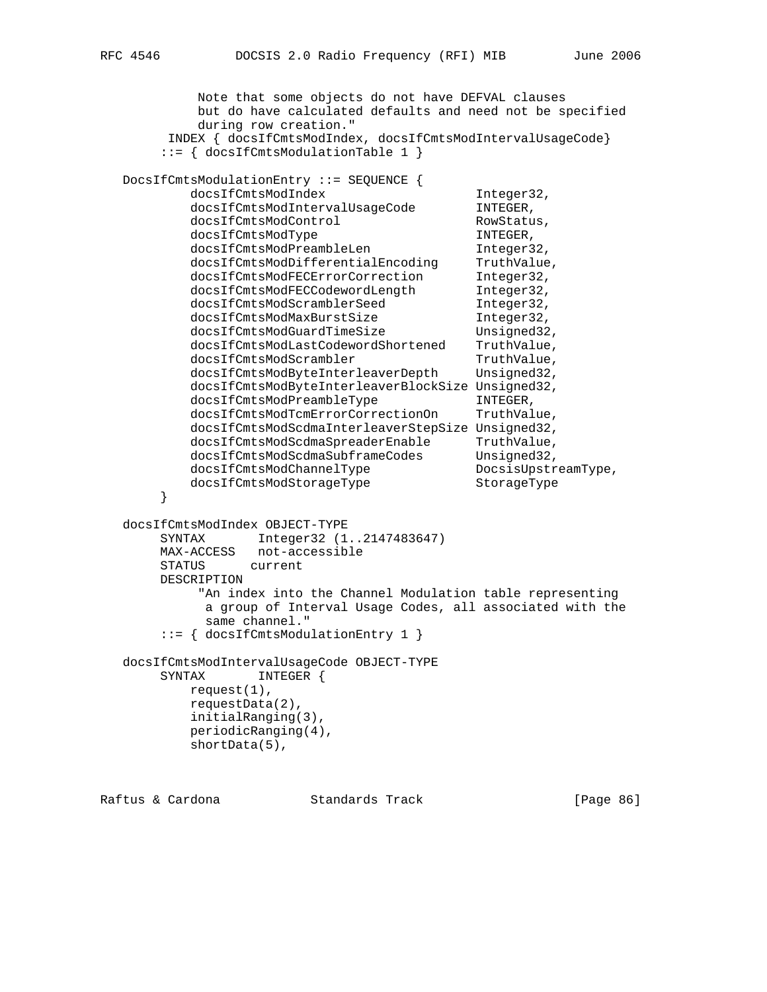Note that some objects do not have DEFVAL clauses but do have calculated defaults and need not be specified during row creation." INDEX { docsIfCmtsModIndex, docsIfCmtsModIntervalUsageCode} ::= { docsIfCmtsModulationTable 1 } DocsIfCmtsModulationEntry ::= SEQUENCE { docsIfCmtsModIndex 1nteger32, docsIfCmtsModIntervalUsageCode INTEGER, docsIfCmtsModControl RowStatus, docsIfCmtsModType  $I$  in the INTEGER, docsIfCmtsModPreambleLen 1nteger32, docsIfCmtsModDifferentialEncoding TruthValue, docsIfCmtsModFECErrorCorrection Integer32, docsIfCmtsModFECCodewordLength Integer32, docsIfCmtsModScramblerSeed Integer32, docsIfCmtsModMaxBurstSize Integer32, docsIfCmtsModGuardTimeSize Unsigned32, docsIfCmtsModLastCodewordShortened TruthValue, docsIfCmtsModScrambler TruthValue, docsIfCmtsModByteInterleaverDepth Unsigned32, docsIfCmtsModByteInterleaverBlockSize Unsigned32, docsIfCmtsModPreambleType INTEGER, docsIfCmtsModTcmErrorCorrectionOn TruthValue, docsIfCmtsModScdmaInterleaverStepSize Unsigned32, docsIfCmtsModScdmaSpreaderEnable TruthValue, docsIfCmtsModScdmaSubframeCodes Unsigned32, docsIfCmtsModChannelType DocsisUpstreamType, docsIfCmtsModStorageType  $\xi$  StorageType } docsIfCmtsModIndex OBJECT-TYPE SYNTAX Integer32 (1..2147483647) MAX-ACCESS not-accessible STATUS current DESCRIPTION "An index into the Channel Modulation table representing a group of Interval Usage Codes, all associated with the same channel." ::= { docsIfCmtsModulationEntry 1 } docsIfCmtsModIntervalUsageCode OBJECT-TYPE SYNTAX INTEGER { request(1), requestData(2), initialRanging(3), periodicRanging(4), shortData(5),

Raftus & Cardona Standards Track [Page 86]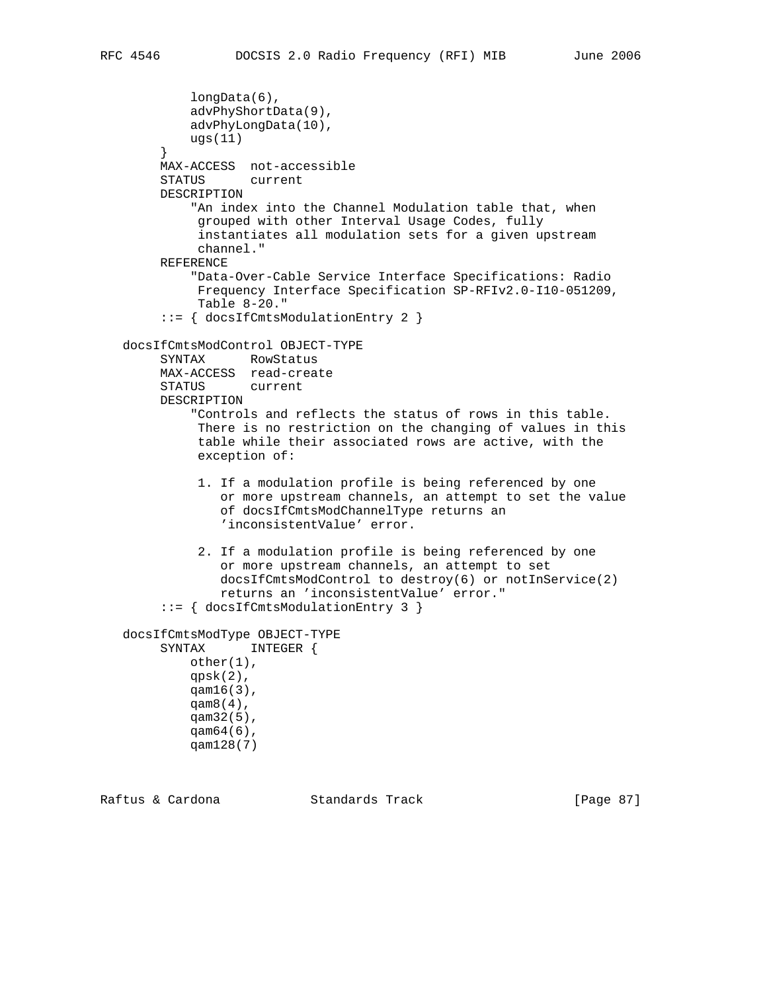```
 longData(6),
             advPhyShortData(9),
             advPhyLongData(10),
            ugs(11)
 }
        MAX-ACCESS not-accessible
        STATUS current
        DESCRIPTION
             "An index into the Channel Modulation table that, when
              grouped with other Interval Usage Codes, fully
              instantiates all modulation sets for a given upstream
             channel."
        REFERENCE
             "Data-Over-Cable Service Interface Specifications: Radio
              Frequency Interface Specification SP-RFIv2.0-I10-051209,
              Table 8-20."
         ::= { docsIfCmtsModulationEntry 2 }
   docsIfCmtsModControl OBJECT-TYPE
        SYNTAX RowStatus
        MAX-ACCESS read-create
        STATUS current
        DESCRIPTION
             "Controls and reflects the status of rows in this table.
              There is no restriction on the changing of values in this
              table while their associated rows are active, with the
              exception of:
              1. If a modulation profile is being referenced by one
                 or more upstream channels, an attempt to set the value
                 of docsIfCmtsModChannelType returns an
                 'inconsistentValue' error.
              2. If a modulation profile is being referenced by one
                 or more upstream channels, an attempt to set
                 docsIfCmtsModControl to destroy(6) or notInService(2)
                returns an 'inconsistentValue' error."
         ::= { docsIfCmtsModulationEntry 3 }
   docsIfCmtsModType OBJECT-TYPE
        SYNTAX INTEGER {
            other(1),
            qpsk(2),
             qam16(3),
             qam8(4),
             qam32(5),
             qam64(6),
             qam128(7)
```
Raftus & Cardona Standards Track [Page 87]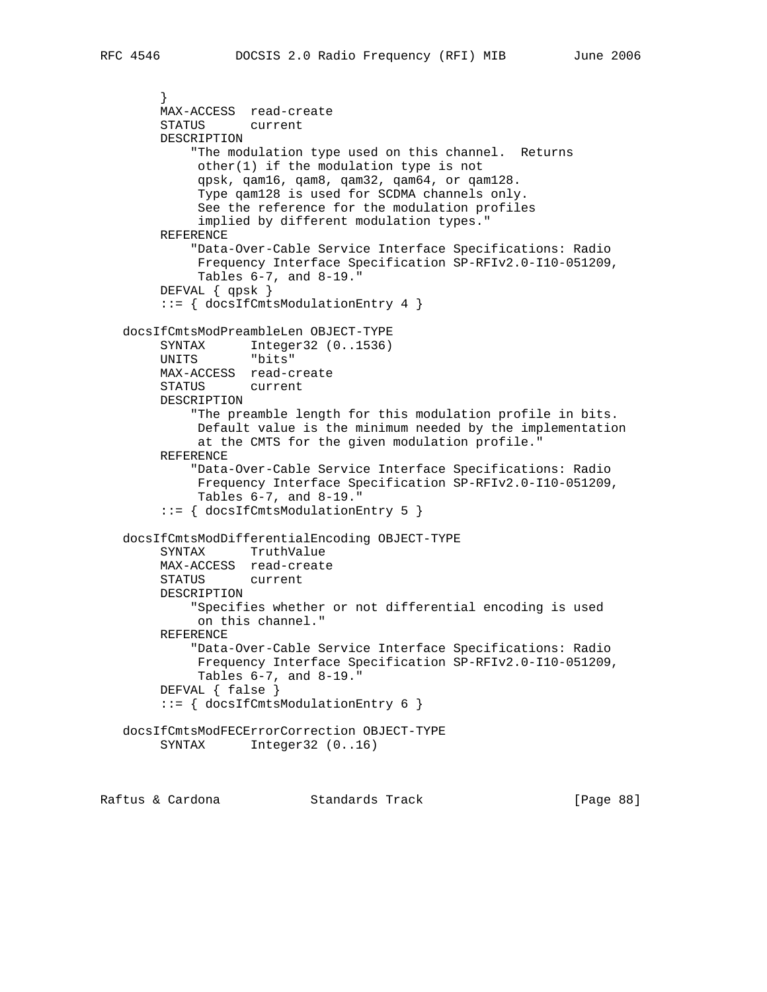```
 }
        MAX-ACCESS read-create
        STATUS current
        DESCRIPTION
             "The modulation type used on this channel. Returns
              other(1) if the modulation type is not
              qpsk, qam16, qam8, qam32, qam64, or qam128.
              Type qam128 is used for SCDMA channels only.
              See the reference for the modulation profiles
              implied by different modulation types."
        REFERENCE
             "Data-Over-Cable Service Interface Specifications: Radio
              Frequency Interface Specification SP-RFIv2.0-I10-051209,
              Tables 6-7, and 8-19."
        DEFVAL { qpsk }
         ::= { docsIfCmtsModulationEntry 4 }
    docsIfCmtsModPreambleLen OBJECT-TYPE
        SYNTAX Integer32 (0..1536)
        UNITS "bits"
        MAX-ACCESS read-create
        STATUS current
        DESCRIPTION
             "The preamble length for this modulation profile in bits.
             Default value is the minimum needed by the implementation
              at the CMTS for the given modulation profile."
        REFERENCE
             "Data-Over-Cable Service Interface Specifications: Radio
              Frequency Interface Specification SP-RFIv2.0-I10-051209,
              Tables 6-7, and 8-19."
         ::= { docsIfCmtsModulationEntry 5 }
    docsIfCmtsModDifferentialEncoding OBJECT-TYPE
         SYNTAX TruthValue
        MAX-ACCESS read-create
        STATUS current
        DESCRIPTION
             "Specifies whether or not differential encoding is used
              on this channel."
        REFERENCE
             "Data-Over-Cable Service Interface Specifications: Radio
              Frequency Interface Specification SP-RFIv2.0-I10-051209,
              Tables 6-7, and 8-19."
        DEFVAL { false }
         ::= { docsIfCmtsModulationEntry 6 }
    docsIfCmtsModFECErrorCorrection OBJECT-TYPE
       SYNTAX Integer32 (0..16)
Raftus & Cardona               Standards Track                   [Page 88]
```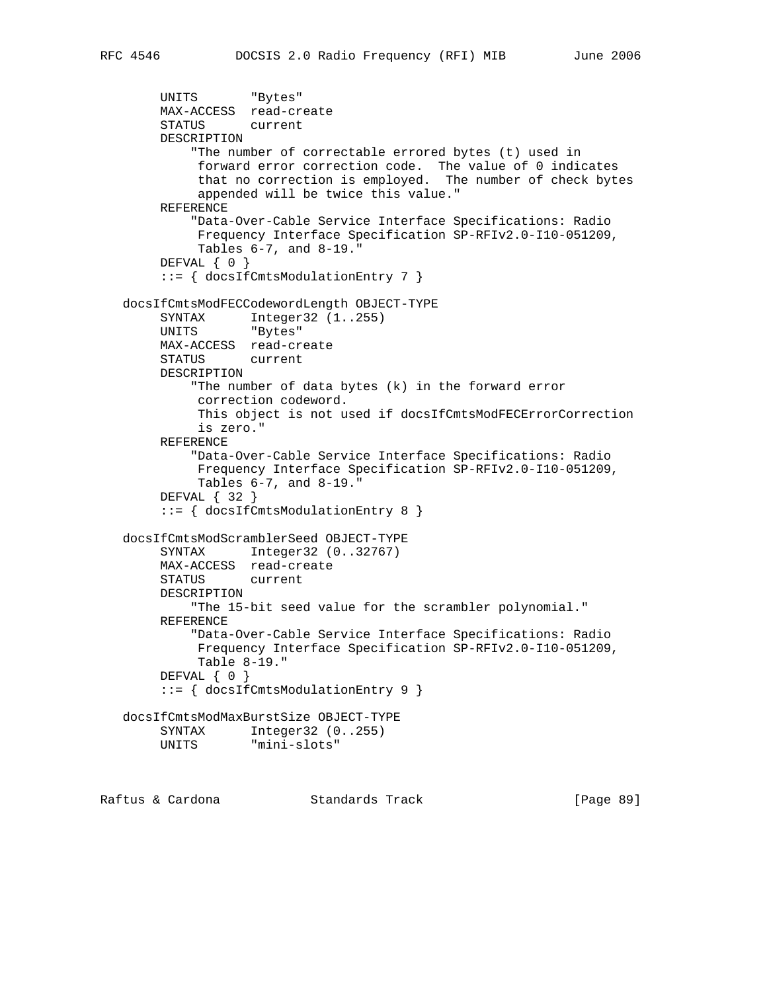```
 UNITS "Bytes"
     MAX-ACCESS read-create
     STATUS current
     DESCRIPTION
          "The number of correctable errored bytes (t) used in
          forward error correction code. The value of 0 indicates
          that no correction is employed. The number of check bytes
          appended will be twice this value."
     REFERENCE
          "Data-Over-Cable Service Interface Specifications: Radio
          Frequency Interface Specification SP-RFIv2.0-I10-051209,
          Tables 6-7, and 8-19."
    DEFVAL { 0 }
      ::= { docsIfCmtsModulationEntry 7 }
 docsIfCmtsModFECCodewordLength OBJECT-TYPE
    SYNTAX Integer32 (1..255)
     UNITS "Bytes"
     MAX-ACCESS read-create
     STATUS current
     DESCRIPTION
          "The number of data bytes (k) in the forward error
          correction codeword.
          This object is not used if docsIfCmtsModFECErrorCorrection
          is zero."
     REFERENCE
          "Data-Over-Cable Service Interface Specifications: Radio
          Frequency Interface Specification SP-RFIv2.0-I10-051209,
          Tables 6-7, and 8-19."
     DEFVAL { 32 }
      ::= { docsIfCmtsModulationEntry 8 }
 docsIfCmtsModScramblerSeed OBJECT-TYPE
      SYNTAX Integer32 (0..32767)
     MAX-ACCESS read-create
     STATUS current
     DESCRIPTION
         "The 15-bit seed value for the scrambler polynomial."
     REFERENCE
          "Data-Over-Cable Service Interface Specifications: Radio
          Frequency Interface Specification SP-RFIv2.0-I10-051209,
          Table 8-19."
    DEFVAL { 0 }
      ::= { docsIfCmtsModulationEntry 9 }
 docsIfCmtsModMaxBurstSize OBJECT-TYPE
    SYNTAX Integer32 (0..255)
     UNITS "mini-slots"
```
Raftus & Cardona Standards Track [Paqe 89]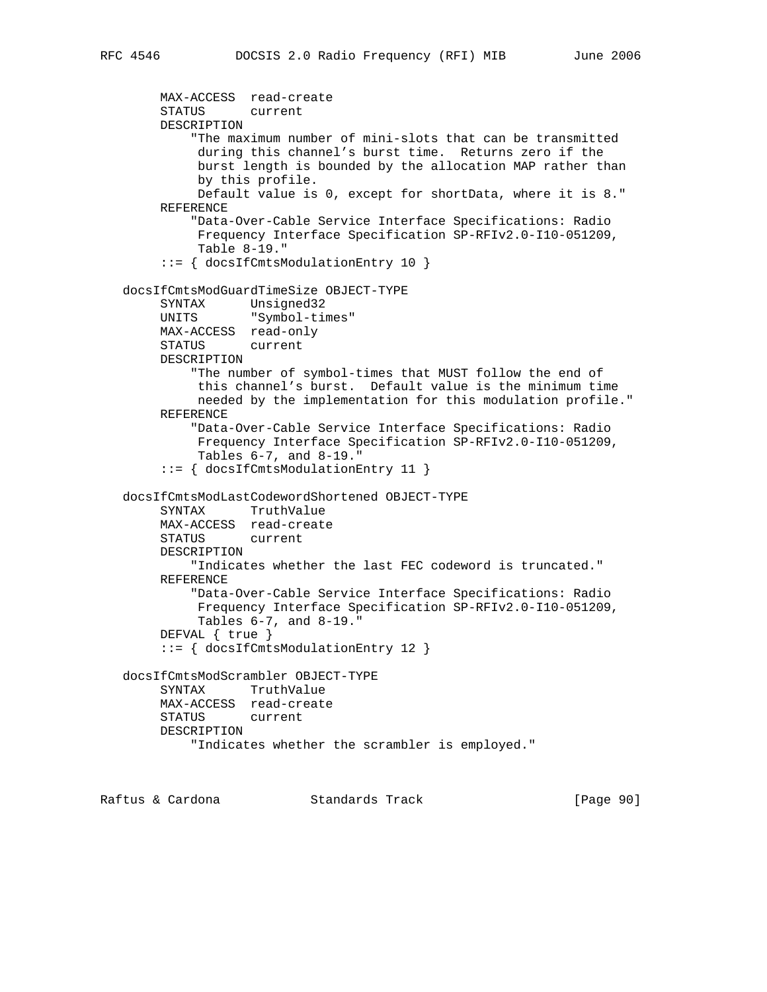```
 MAX-ACCESS read-create
      STATUS current
     DESCRIPTION
          "The maximum number of mini-slots that can be transmitted
           during this channel's burst time. Returns zero if the
           burst length is bounded by the allocation MAP rather than
           by this profile.
           Default value is 0, except for shortData, where it is 8."
     REFERENCE
          "Data-Over-Cable Service Interface Specifications: Radio
          Frequency Interface Specification SP-RFIv2.0-I10-051209,
          Table 8-19."
      ::= { docsIfCmtsModulationEntry 10 }
 docsIfCmtsModGuardTimeSize OBJECT-TYPE
     SYNTAX Unsigned32
     UNITS "Symbol-times"
    MAX-ACCESS read-only<br>STATUS current
    STATUS
     DESCRIPTION
          "The number of symbol-times that MUST follow the end of
           this channel's burst. Default value is the minimum time
          needed by the implementation for this modulation profile."
     REFERENCE
          "Data-Over-Cable Service Interface Specifications: Radio
           Frequency Interface Specification SP-RFIv2.0-I10-051209,
           Tables 6-7, and 8-19."
      ::= { docsIfCmtsModulationEntry 11 }
 docsIfCmtsModLastCodewordShortened OBJECT-TYPE
      SYNTAX TruthValue
     MAX-ACCESS read-create
     STATUS current
     DESCRIPTION
          "Indicates whether the last FEC codeword is truncated."
     REFERENCE
          "Data-Over-Cable Service Interface Specifications: Radio
           Frequency Interface Specification SP-RFIv2.0-I10-051209,
           Tables 6-7, and 8-19."
      DEFVAL { true }
      ::= { docsIfCmtsModulationEntry 12 }
 docsIfCmtsModScrambler OBJECT-TYPE
     SYNTAX TruthValue
     MAX-ACCESS read-create
     STATUS current
     DESCRIPTION
          "Indicates whether the scrambler is employed."
```
Raftus & Cardona Standards Track [Paqe 90]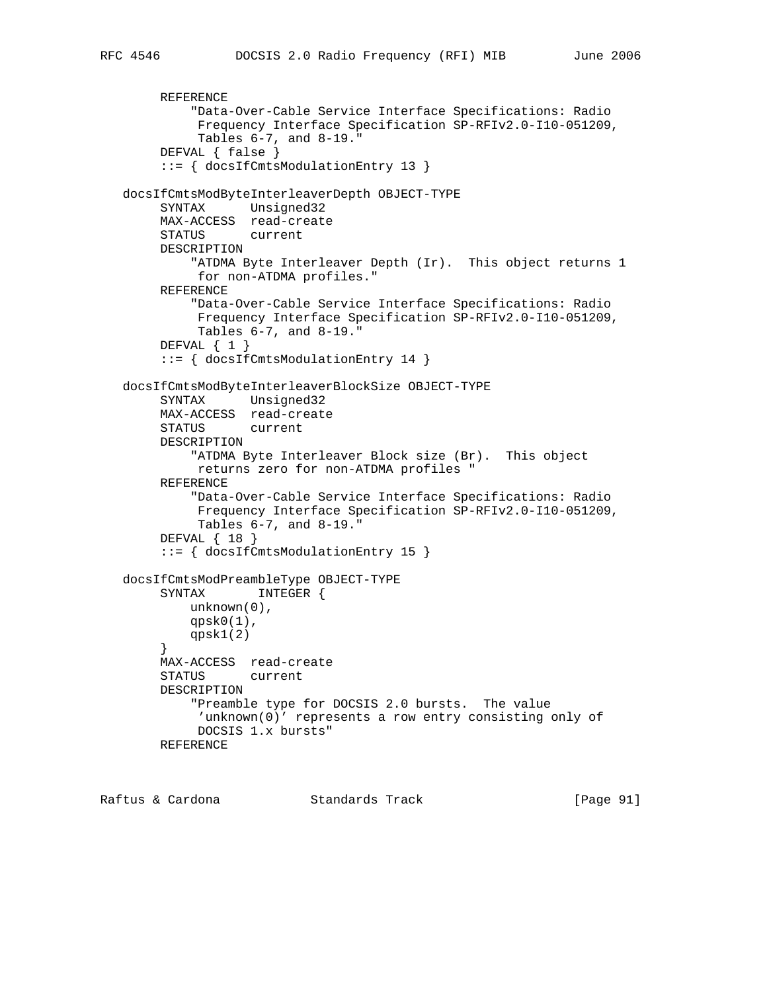```
 REFERENCE
          "Data-Over-Cable Service Interface Specifications: Radio
           Frequency Interface Specification SP-RFIv2.0-I10-051209,
           Tables 6-7, and 8-19."
     DEFVAL { false }
      ::= { docsIfCmtsModulationEntry 13 }
 docsIfCmtsModByteInterleaverDepth OBJECT-TYPE
      SYNTAX Unsigned32
     MAX-ACCESS read-create
     STATUS current
     DESCRIPTION
          "ATDMA Byte Interleaver Depth (Ir). This object returns 1
           for non-ATDMA profiles."
     REFERENCE
          "Data-Over-Cable Service Interface Specifications: Radio
           Frequency Interface Specification SP-RFIv2.0-I10-051209,
           Tables 6-7, and 8-19."
    DEFVAL { 1 }
      ::= { docsIfCmtsModulationEntry 14 }
 docsIfCmtsModByteInterleaverBlockSize OBJECT-TYPE
     SYNTAX Unsigned32
     MAX-ACCESS read-create
     STATUS current
     DESCRIPTION
          "ATDMA Byte Interleaver Block size (Br). This object
           returns zero for non-ATDMA profiles "
     REFERENCE
          "Data-Over-Cable Service Interface Specifications: Radio
           Frequency Interface Specification SP-RFIv2.0-I10-051209,
           Tables 6-7, and 8-19."
     DEFVAL { 18 }
      ::= { docsIfCmtsModulationEntry 15 }
 docsIfCmtsModPreambleType OBJECT-TYPE
     SYNTAX INTEGER {
         unknown(0),
        qpsk0(1),
         qpsk1(2)
      }
     MAX-ACCESS read-create
     STATUS current
     DESCRIPTION
          "Preamble type for DOCSIS 2.0 bursts. The value
           'unknown(0)' represents a row entry consisting only of
          DOCSIS 1.x bursts"
     REFERENCE
```
Raftus & Cardona Standards Track [Page 91]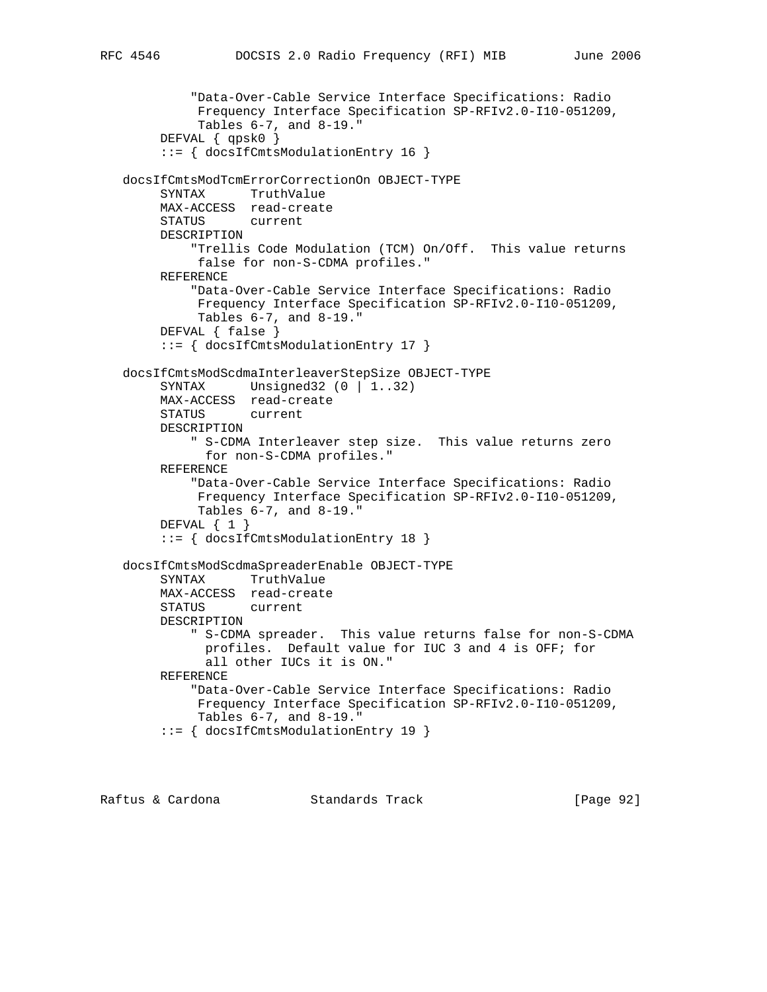```
 "Data-Over-Cable Service Interface Specifications: Radio
           Frequency Interface Specification SP-RFIv2.0-I10-051209,
           Tables 6-7, and 8-19."
      DEFVAL { qpsk0 }
      ::= { docsIfCmtsModulationEntry 16 }
 docsIfCmtsModTcmErrorCorrectionOn OBJECT-TYPE
     SYNTAX TruthValue
     MAX-ACCESS read-create
     STATUS current
     DESCRIPTION
          "Trellis Code Modulation (TCM) On/Off. This value returns
          false for non-S-CDMA profiles."
     REFERENCE
          "Data-Over-Cable Service Interface Specifications: Radio
           Frequency Interface Specification SP-RFIv2.0-I10-051209,
          Tables 6-7, and 8-19."
     DEFVAL { false }
      ::= { docsIfCmtsModulationEntry 17 }
 docsIfCmtsModScdmaInterleaverStepSize OBJECT-TYPE
     SYNTAX Unsigned32 (0 | 1..32)
     MAX-ACCESS read-create
     STATUS current
     DESCRIPTION
          " S-CDMA Interleaver step size. This value returns zero
           for non-S-CDMA profiles."
     REFERENCE
          "Data-Over-Cable Service Interface Specifications: Radio
           Frequency Interface Specification SP-RFIv2.0-I10-051209,
           Tables 6-7, and 8-19."
    DEFVAL \{ 1 \} ::= { docsIfCmtsModulationEntry 18 }
 docsIfCmtsModScdmaSpreaderEnable OBJECT-TYPE
     SYNTAX TruthValue
     MAX-ACCESS read-create
     STATUS current
     DESCRIPTION
          " S-CDMA spreader. This value returns false for non-S-CDMA
           profiles. Default value for IUC 3 and 4 is OFF; for
            all other IUCs it is ON."
     REFERENCE
          "Data-Over-Cable Service Interface Specifications: Radio
          Frequency Interface Specification SP-RFIv2.0-I10-051209,
           Tables 6-7, and 8-19."
      ::= { docsIfCmtsModulationEntry 19 }
```
Raftus & Cardona Standards Track [Page 92]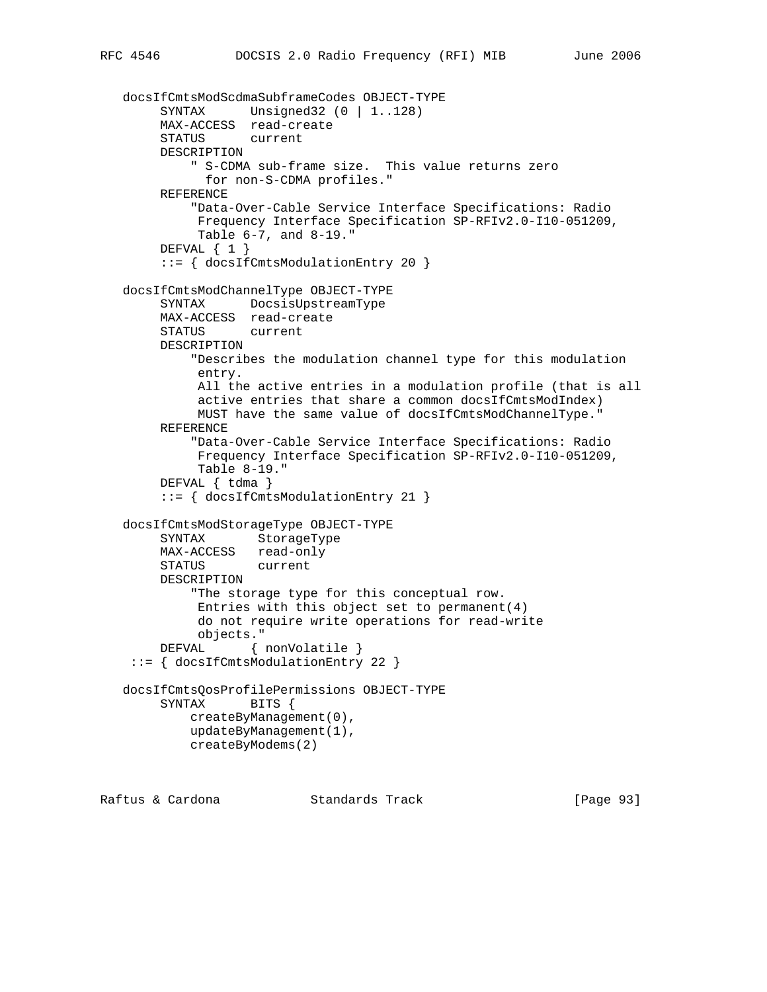```
 docsIfCmtsModScdmaSubframeCodes OBJECT-TYPE
 SYNTAX Unsigned32 (0 | 1..128)
 MAX-ACCESS read-create
        STATUS current
        DESCRIPTION
             " S-CDMA sub-frame size. This value returns zero
              for non-S-CDMA profiles."
        REFERENCE
            "Data-Over-Cable Service Interface Specifications: Radio
             Frequency Interface Specification SP-RFIv2.0-I10-051209,
             Table 6-7, and 8-19."
        DEFVAL { 1 }
        ::= { docsIfCmtsModulationEntry 20 }
   docsIfCmtsModChannelType OBJECT-TYPE
        SYNTAX DocsisUpstreamType
        MAX-ACCESS read-create
       STATUS
        DESCRIPTION
            "Describes the modulation channel type for this modulation
             entry.
             All the active entries in a modulation profile (that is all
             active entries that share a common docsIfCmtsModIndex)
             MUST have the same value of docsIfCmtsModChannelType."
        REFERENCE
            "Data-Over-Cable Service Interface Specifications: Radio
             Frequency Interface Specification SP-RFIv2.0-I10-051209,
             Table 8-19."
        DEFVAL { tdma }
        ::= { docsIfCmtsModulationEntry 21 }
   docsIfCmtsModStorageType OBJECT-TYPE
        SYNTAX StorageType
        MAX-ACCESS read-only
        STATUS current
        DESCRIPTION
            "The storage type for this conceptual row.
             Entries with this object set to permanent(4)
             do not require write operations for read-write
             objects."
       DEFVAL { nonVolatile }
    ::= { docsIfCmtsModulationEntry 22 }
   docsIfCmtsQosProfilePermissions OBJECT-TYPE
       SYNTAX BITS {
            createByManagement(0),
            updateByManagement(1),
            createByModems(2)
```
Raftus & Cardona Standards Track [Page 93]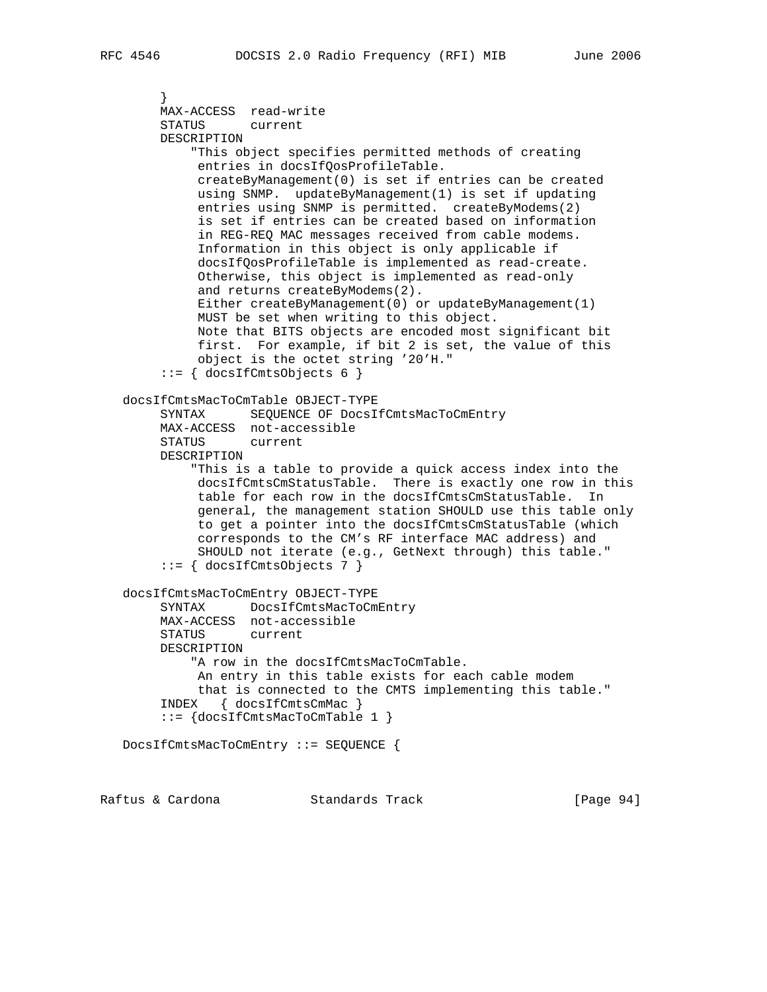```
 }
        MAX-ACCESS read-write
        STATUS current
        DESCRIPTION
             "This object specifies permitted methods of creating
             entries in docsIfQosProfileTable.
             createByManagement(0) is set if entries can be created
             using SNMP. updateByManagement(1) is set if updating
             entries using SNMP is permitted. createByModems(2)
             is set if entries can be created based on information
             in REG-REQ MAC messages received from cable modems.
             Information in this object is only applicable if
             docsIfQosProfileTable is implemented as read-create.
             Otherwise, this object is implemented as read-only
             and returns createByModems(2).
             Either createByManagement(0) or updateByManagement(1)
             MUST be set when writing to this object.
             Note that BITS objects are encoded most significant bit
             first. For example, if bit 2 is set, the value of this
             object is the octet string '20'H."
         ::= { docsIfCmtsObjects 6 }
   docsIfCmtsMacToCmTable OBJECT-TYPE
        SYNTAX SEQUENCE OF DocsIfCmtsMacToCmEntry
        MAX-ACCESS not-accessible
        STATUS current
        DESCRIPTION
             "This is a table to provide a quick access index into the
             docsIfCmtsCmStatusTable. There is exactly one row in this
             table for each row in the docsIfCmtsCmStatusTable. In
             general, the management station SHOULD use this table only
             to get a pointer into the docsIfCmtsCmStatusTable (which
             corresponds to the CM's RF interface MAC address) and
             SHOULD not iterate (e.g., GetNext through) this table."
         ::= { docsIfCmtsObjects 7 }
   docsIfCmtsMacToCmEntry OBJECT-TYPE
        SYNTAX DocsIfCmtsMacToCmEntry
        MAX-ACCESS not-accessible
        STATUS current
        DESCRIPTION
             "A row in the docsIfCmtsMacToCmTable.
             An entry in this table exists for each cable modem
             that is connected to the CMTS implementing this table."
         INDEX { docsIfCmtsCmMac }
         ::= {docsIfCmtsMacToCmTable 1 }
   DocsIfCmtsMacToCmEntry ::= SEQUENCE {
```
Raftus & Cardona Standards Track [Page 94]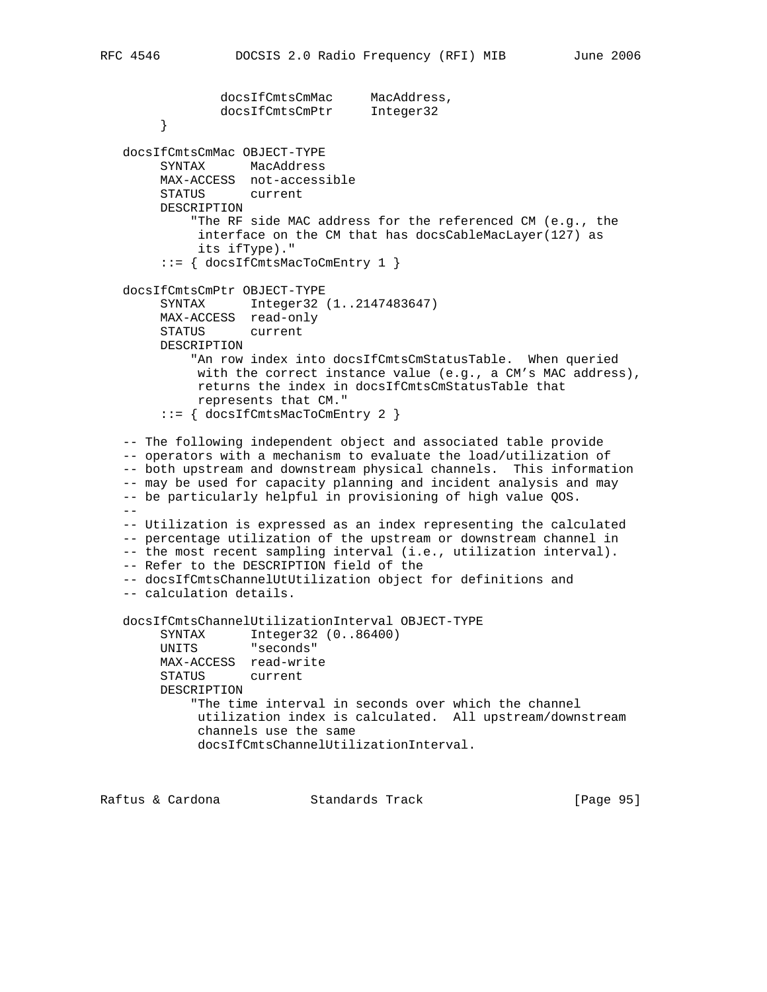```
docsIfCmtsCmMac MacAddress,
 docsIfCmtsCmPtr Integer32
        }
   docsIfCmtsCmMac OBJECT-TYPE
        SYNTAX MacAddress
        MAX-ACCESS not-accessible
        STATUS current
        DESCRIPTION
            "The RF side MAC address for the referenced CM (e.g., the
             interface on the CM that has docsCableMacLayer(127) as
             its ifType)."
        ::= { docsIfCmtsMacToCmEntry 1 }
   docsIfCmtsCmPtr OBJECT-TYPE
        SYNTAX Integer32 (1..2147483647)
        MAX-ACCESS read-only
        STATUS current
        DESCRIPTION
            "An row index into docsIfCmtsCmStatusTable. When queried
             with the correct instance value (e.g., a CM's MAC address),
             returns the index in docsIfCmtsCmStatusTable that
             represents that CM."
        ::= { docsIfCmtsMacToCmEntry 2 }
   -- The following independent object and associated table provide
   -- operators with a mechanism to evaluate the load/utilization of
   -- both upstream and downstream physical channels. This information
   -- may be used for capacity planning and incident analysis and may
   -- be particularly helpful in provisioning of high value QOS.
  - -- Utilization is expressed as an index representing the calculated
   -- percentage utilization of the upstream or downstream channel in
   -- the most recent sampling interval (i.e., utilization interval).
   -- Refer to the DESCRIPTION field of the
   -- docsIfCmtsChannelUtUtilization object for definitions and
   -- calculation details.
   docsIfCmtsChannelUtilizationInterval OBJECT-TYPE
        SYNTAX Integer32 (0..86400)
        UNITS "seconds"
        MAX-ACCESS read-write
        STATUS current
        DESCRIPTION
            "The time interval in seconds over which the channel
             utilization index is calculated. All upstream/downstream
             channels use the same
             docsIfCmtsChannelUtilizationInterval.
```
Raftus & Cardona Standards Track [Page 95]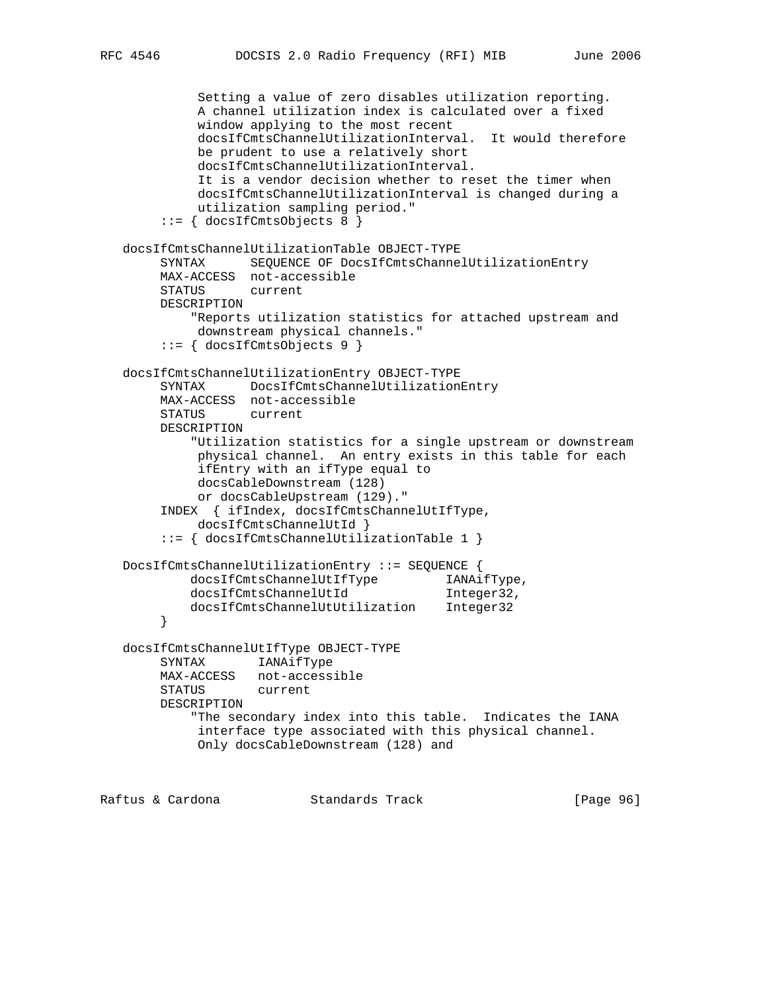```
 Setting a value of zero disables utilization reporting.
           A channel utilization index is calculated over a fixed
           window applying to the most recent
           docsIfCmtsChannelUtilizationInterval. It would therefore
           be prudent to use a relatively short
           docsIfCmtsChannelUtilizationInterval.
           It is a vendor decision whether to reset the timer when
           docsIfCmtsChannelUtilizationInterval is changed during a
           utilization sampling period."
      ::= { docsIfCmtsObjects 8 }
 docsIfCmtsChannelUtilizationTable OBJECT-TYPE
      SYNTAX SEQUENCE OF DocsIfCmtsChannelUtilizationEntry
      MAX-ACCESS not-accessible
      STATUS current
      DESCRIPTION
          "Reports utilization statistics for attached upstream and
          downstream physical channels."
      ::= { docsIfCmtsObjects 9 }
 docsIfCmtsChannelUtilizationEntry OBJECT-TYPE
      SYNTAX DocsIfCmtsChannelUtilizationEntry
     MAX-ACCESS not-accessible
     STATUS current
     DESCRIPTION
          "Utilization statistics for a single upstream or downstream
           physical channel. An entry exists in this table for each
           ifEntry with an ifType equal to
           docsCableDownstream (128)
           or docsCableUpstream (129)."
      INDEX { ifIndex, docsIfCmtsChannelUtIfType,
           docsIfCmtsChannelUtId }
      ::= { docsIfCmtsChannelUtilizationTable 1 }
 DocsIfCmtsChannelUtilizationEntry ::= SEQUENCE {
         docsIfCmtsChannelUtIfType IANAifType,
        docsIfCmtsChannelUtId Integer32,
         docsIfCmtsChannelUtUtilization Integer32
      }
 docsIfCmtsChannelUtIfType OBJECT-TYPE
      SYNTAX IANAifType
     MAX-ACCESS not-accessible
      STATUS current
      DESCRIPTION
          "The secondary index into this table. Indicates the IANA
           interface type associated with this physical channel.
           Only docsCableDownstream (128) and
```
Raftus & Cardona Standards Track [Page 96]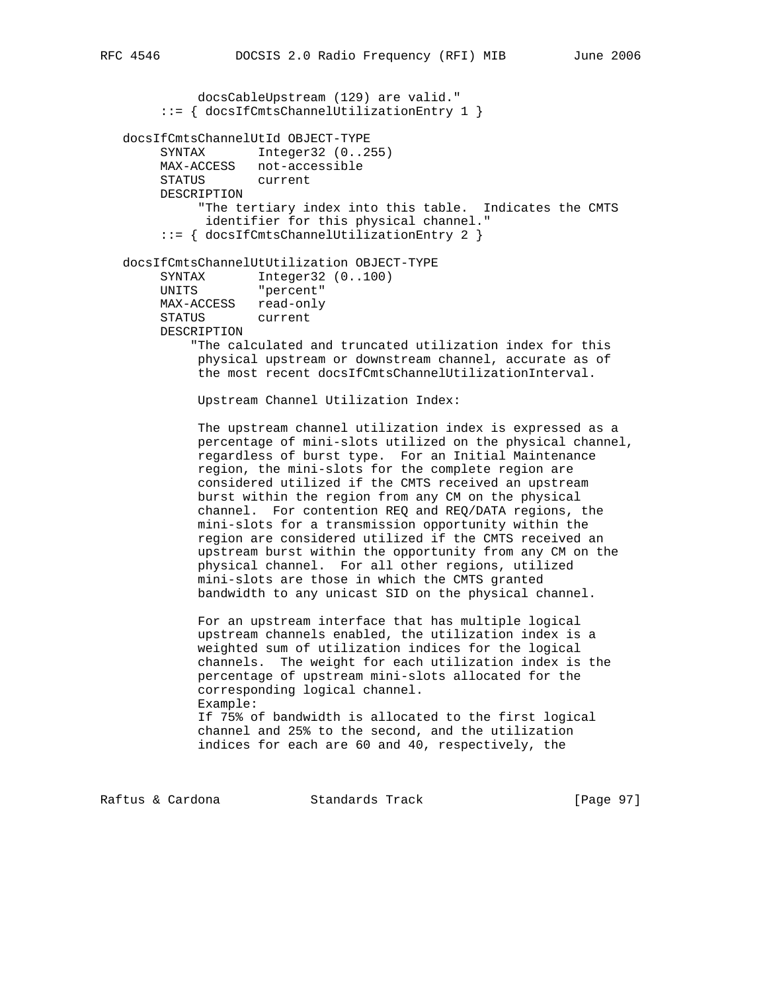docsCableUpstream (129) are valid." ::= { docsIfCmtsChannelUtilizationEntry 1 } docsIfCmtsChannelUtId OBJECT-TYPE

```
 SYNTAX Integer32 (0..255)
 MAX-ACCESS not-accessible
        STATUS current
       DESCRIPTION
            "The tertiary index into this table. Indicates the CMTS
             identifier for this physical channel."
        ::= { docsIfCmtsChannelUtilizationEntry 2 }
   docsIfCmtsChannelUtUtilization OBJECT-TYPE
 SYNTAX Integer32 (0..100)
 UNITS "percent"
      MAX-ACCESS read-only<br>STATUS current
       STATUS
        DESCRIPTION
```
 "The calculated and truncated utilization index for this physical upstream or downstream channel, accurate as of the most recent docsIfCmtsChannelUtilizationInterval.

Upstream Channel Utilization Index:

 The upstream channel utilization index is expressed as a percentage of mini-slots utilized on the physical channel, regardless of burst type. For an Initial Maintenance region, the mini-slots for the complete region are considered utilized if the CMTS received an upstream burst within the region from any CM on the physical channel. For contention REQ and REQ/DATA regions, the mini-slots for a transmission opportunity within the region are considered utilized if the CMTS received an upstream burst within the opportunity from any CM on the physical channel. For all other regions, utilized mini-slots are those in which the CMTS granted bandwidth to any unicast SID on the physical channel.

 For an upstream interface that has multiple logical upstream channels enabled, the utilization index is a weighted sum of utilization indices for the logical channels. The weight for each utilization index is the percentage of upstream mini-slots allocated for the corresponding logical channel. Example: If 75% of bandwidth is allocated to the first logical channel and 25% to the second, and the utilization indices for each are 60 and 40, respectively, the

Raftus & Cardona Standards Track [Page 97]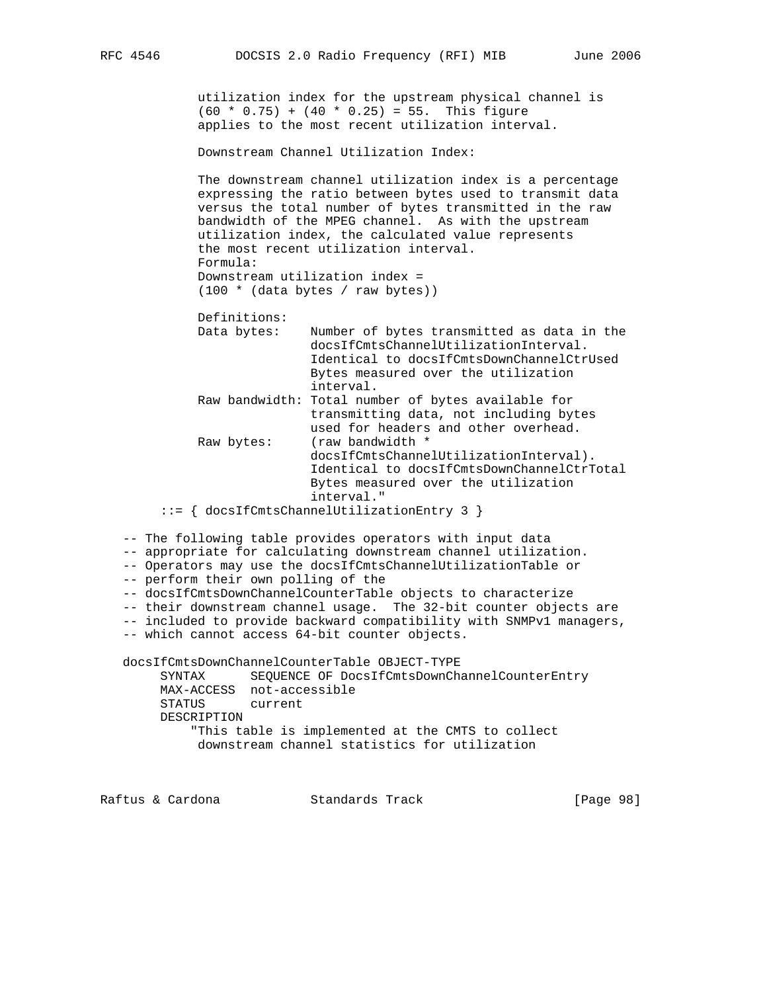utilization index for the upstream physical channel is  $(60 * 0.75) + (40 * 0.25) = 55$ . This figure applies to the most recent utilization interval. Downstream Channel Utilization Index: The downstream channel utilization index is a percentage expressing the ratio between bytes used to transmit data versus the total number of bytes transmitted in the raw bandwidth of the MPEG channel. As with the upstream utilization index, the calculated value represents the most recent utilization interval. Formula: Downstream utilization index = (100 \* (data bytes / raw bytes)) Definitions:<br>Data bytes: Number of bytes transmitted as data in the docsIfCmtsChannelUtilizationInterval. Identical to docsIfCmtsDownChannelCtrUsed Bytes measured over the utilization interval. Raw bandwidth: Total number of bytes available for transmitting data, not including bytes used for headers and other overhead. Raw bytes: (raw bandwidth \* docsIfCmtsChannelUtilizationInterval). Identical to docsIfCmtsDownChannelCtrTotal Bytes measured over the utilization interval." ::= { docsIfCmtsChannelUtilizationEntry 3 } -- The following table provides operators with input data -- appropriate for calculating downstream channel utilization. -- Operators may use the docsIfCmtsChannelUtilizationTable or -- perform their own polling of the -- docsIfCmtsDownChannelCounterTable objects to characterize -- their downstream channel usage. The 32-bit counter objects are -- included to provide backward compatibility with SNMPv1 managers, -- which cannot access 64-bit counter objects. docsIfCmtsDownChannelCounterTable OBJECT-TYPE SYNTAX SEQUENCE OF DocsIfCmtsDownChannelCounterEntry MAX-ACCESS not-accessible STATUS current DESCRIPTION "This table is implemented at the CMTS to collect downstream channel statistics for utilization

Raftus & Cardona Standards Track [Page 98]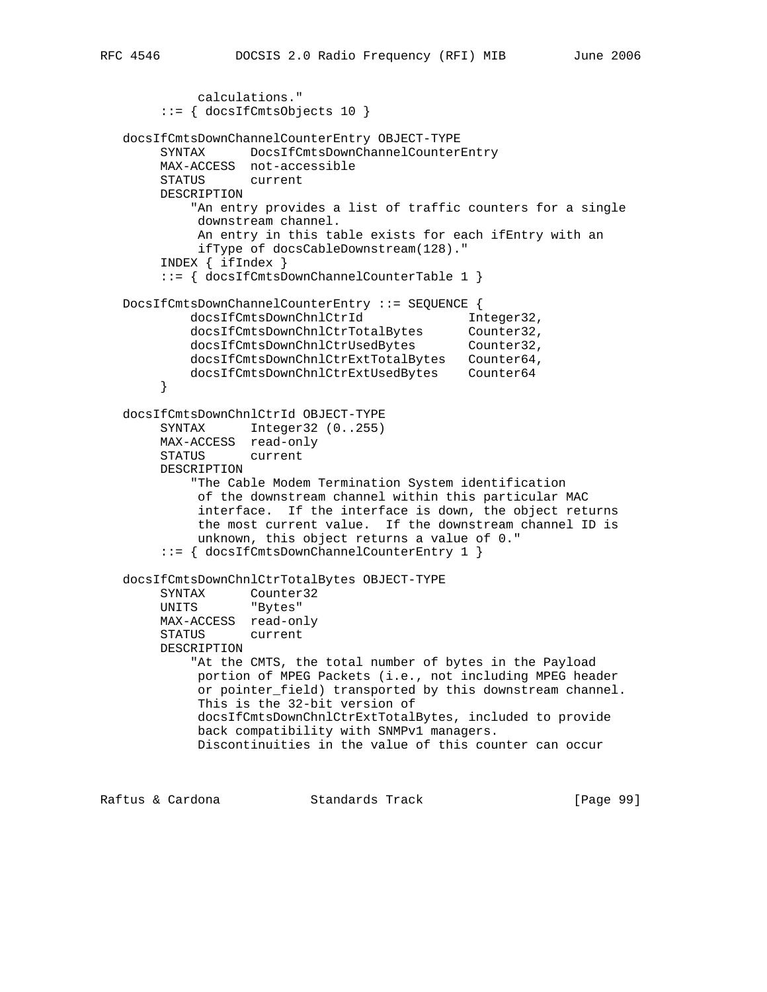```
 calculations."
        ::= { docsIfCmtsObjects 10 }
   docsIfCmtsDownChannelCounterEntry OBJECT-TYPE
        SYNTAX DocsIfCmtsDownChannelCounterEntry
        MAX-ACCESS not-accessible
        STATUS current
        DESCRIPTION
             "An entry provides a list of traffic counters for a single
             downstream channel.
             An entry in this table exists for each ifEntry with an
             ifType of docsCableDownstream(128)."
        INDEX { ifIndex }
        ::= { docsIfCmtsDownChannelCounterTable 1 }
   DocsIfCmtsDownChannelCounterEntry ::= SEQUENCE {
           docsIfCmtsDownChnlCtrId
 docsIfCmtsDownChnlCtrTotalBytes Counter32,
docsIfCmtsDownChnlCtrUsedBytes Counter32,
            docsIfCmtsDownChnlCtrExtTotalBytes Counter64,
            docsIfCmtsDownChnlCtrExtUsedBytes Counter64
        }
   docsIfCmtsDownChnlCtrId OBJECT-TYPE
        SYNTAX Integer32 (0..255)
        MAX-ACCESS read-only
        STATUS current
        DESCRIPTION
             "The Cable Modem Termination System identification
             of the downstream channel within this particular MAC
             interface. If the interface is down, the object returns
             the most current value. If the downstream channel ID is
             unknown, this object returns a value of 0."
        ::= { docsIfCmtsDownChannelCounterEntry 1 }
   docsIfCmtsDownChnlCtrTotalBytes OBJECT-TYPE
        SYNTAX Counter32
        UNITS "Bytes"
       MAX-ACCESS read-only<br>STATUS current
                  current
        DESCRIPTION
            "At the CMTS, the total number of bytes in the Payload
             portion of MPEG Packets (i.e., not including MPEG header
             or pointer_field) transported by this downstream channel.
             This is the 32-bit version of
             docsIfCmtsDownChnlCtrExtTotalBytes, included to provide
             back compatibility with SNMPv1 managers.
             Discontinuities in the value of this counter can occur
```
Raftus & Cardona Standards Track [Paqe 99]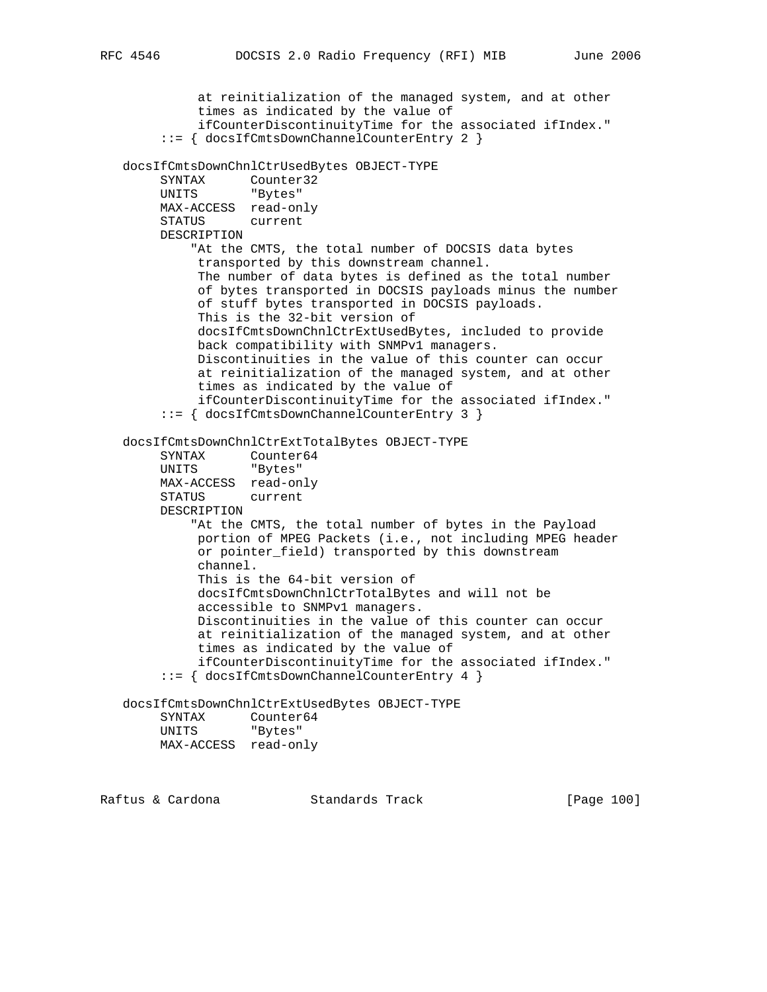```
 at reinitialization of the managed system, and at other
             times as indicated by the value of
             ifCounterDiscontinuityTime for the associated ifIndex."
         ::= { docsIfCmtsDownChannelCounterEntry 2 }
   docsIfCmtsDownChnlCtrUsedBytes OBJECT-TYPE
       SYNTAX Counter32
        UNITS "Bytes"
        MAX-ACCESS read-only
        STATUS current
        DESCRIPTION
            "At the CMTS, the total number of DOCSIS data bytes
             transported by this downstream channel.
             The number of data bytes is defined as the total number
             of bytes transported in DOCSIS payloads minus the number
             of stuff bytes transported in DOCSIS payloads.
             This is the 32-bit version of
             docsIfCmtsDownChnlCtrExtUsedBytes, included to provide
             back compatibility with SNMPv1 managers.
             Discontinuities in the value of this counter can occur
             at reinitialization of the managed system, and at other
             times as indicated by the value of
             ifCounterDiscontinuityTime for the associated ifIndex."
        ::= { docsIfCmtsDownChannelCounterEntry 3 }
   docsIfCmtsDownChnlCtrExtTotalBytes OBJECT-TYPE
SYNTAX Counter64
 UNITS "Bytes"
        MAX-ACCESS read-only
        STATUS current
        DESCRIPTION
            "At the CMTS, the total number of bytes in the Payload
             portion of MPEG Packets (i.e., not including MPEG header
            or pointer field) transported by this downstream
             channel.
             This is the 64-bit version of
             docsIfCmtsDownChnlCtrTotalBytes and will not be
             accessible to SNMPv1 managers.
             Discontinuities in the value of this counter can occur
             at reinitialization of the managed system, and at other
             times as indicated by the value of
             ifCounterDiscontinuityTime for the associated ifIndex."
        ::= { docsIfCmtsDownChannelCounterEntry 4 }
   docsIfCmtsDownChnlCtrExtUsedBytes OBJECT-TYPE
        SYNTAX Counter64
        UNITS "Bytes"
        MAX-ACCESS read-only
```
Raftus & Cardona Standards Track [Page 100]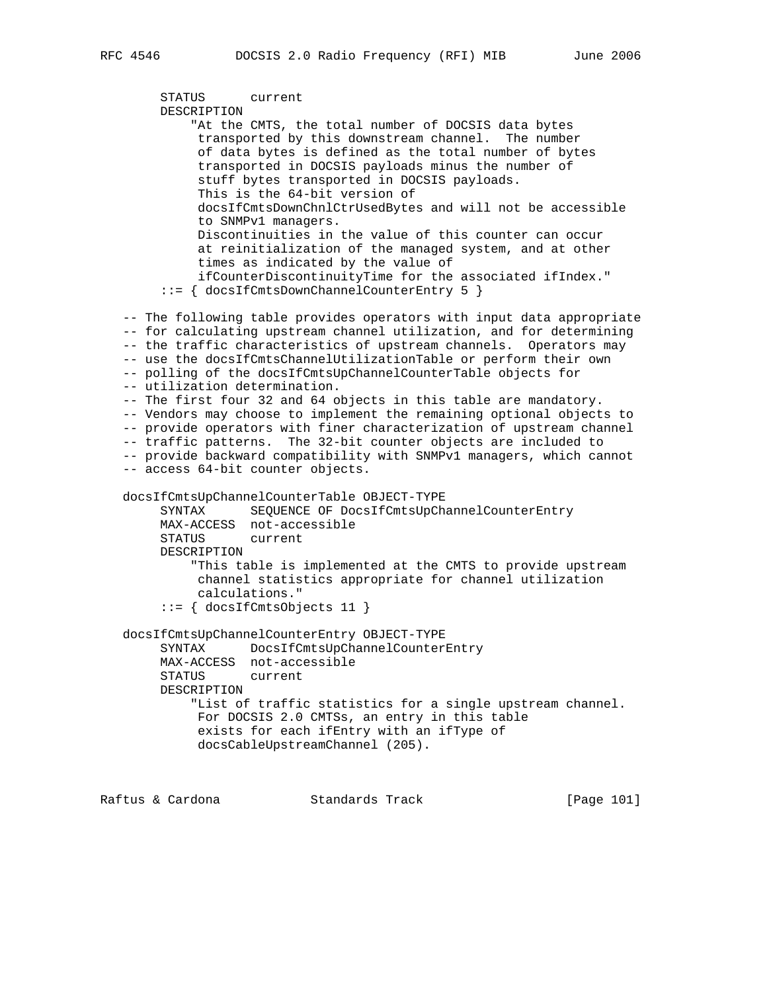```
 STATUS current
      DESCRIPTION
          "At the CMTS, the total number of DOCSIS data bytes
           transported by this downstream channel. The number
           of data bytes is defined as the total number of bytes
           transported in DOCSIS payloads minus the number of
           stuff bytes transported in DOCSIS payloads.
           This is the 64-bit version of
           docsIfCmtsDownChnlCtrUsedBytes and will not be accessible
           to SNMPv1 managers.
           Discontinuities in the value of this counter can occur
           at reinitialization of the managed system, and at other
           times as indicated by the value of
           ifCounterDiscontinuityTime for the associated ifIndex."
      ::= { docsIfCmtsDownChannelCounterEntry 5 }
 -- The following table provides operators with input data appropriate
 -- for calculating upstream channel utilization, and for determining
 -- the traffic characteristics of upstream channels. Operators may
 -- use the docsIfCmtsChannelUtilizationTable or perform their own
 -- polling of the docsIfCmtsUpChannelCounterTable objects for
 -- utilization determination.
 -- The first four 32 and 64 objects in this table are mandatory.
 -- Vendors may choose to implement the remaining optional objects to
 -- provide operators with finer characterization of upstream channel
 -- traffic patterns. The 32-bit counter objects are included to
 -- provide backward compatibility with SNMPv1 managers, which cannot
 -- access 64-bit counter objects.
 docsIfCmtsUpChannelCounterTable OBJECT-TYPE
      SYNTAX SEQUENCE OF DocsIfCmtsUpChannelCounterEntry
     MAX-ACCESS not-accessible
     STATUS current
      DESCRIPTION
          "This table is implemented at the CMTS to provide upstream
           channel statistics appropriate for channel utilization
           calculations."
      ::= { docsIfCmtsObjects 11 }
 docsIfCmtsUpChannelCounterEntry OBJECT-TYPE
      SYNTAX DocsIfCmtsUpChannelCounterEntry
      MAX-ACCESS not-accessible
      STATUS current
      DESCRIPTION
          "List of traffic statistics for a single upstream channel.
           For DOCSIS 2.0 CMTSs, an entry in this table
           exists for each ifEntry with an ifType of
           docsCableUpstreamChannel (205).
```
Raftus & Cardona Standards Track [Page 101]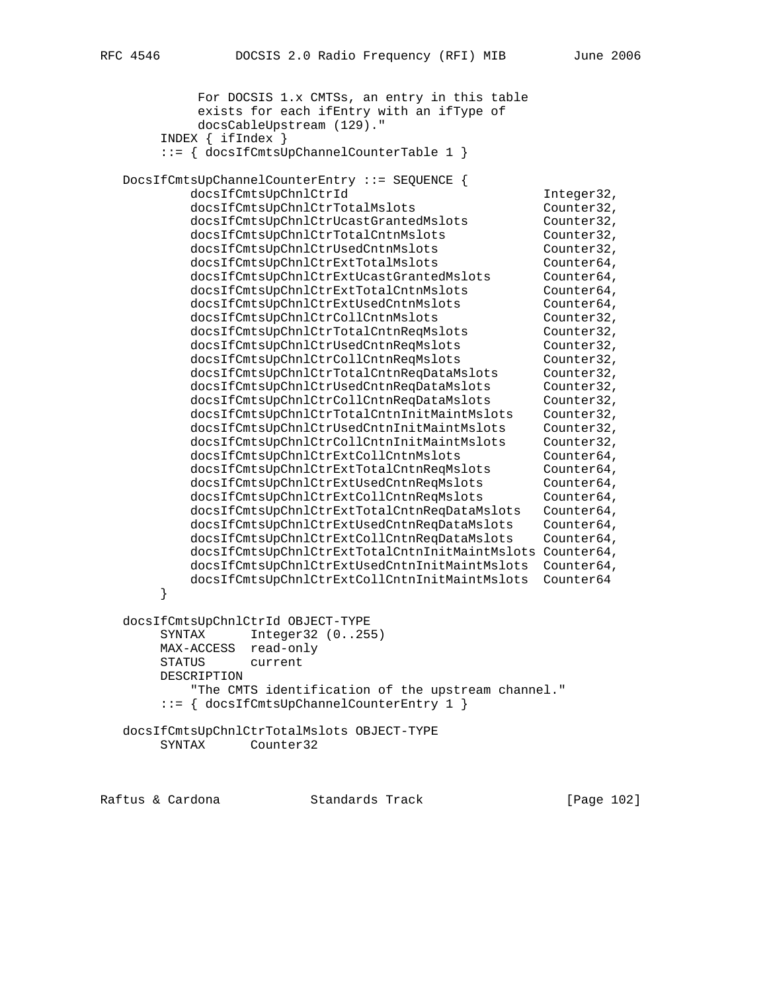| For DOCSIS 1.x CMTSs, an entry in this table<br>exists for each ifEntry with an ifType of<br>docsCableUpstream (129)."<br>$INDEX { if Index }$                                                                                                                                                                                                                                                                                                                                                                                                                                                                                                                                                                                                                                                                                                                                                                                                                                                                                                                                                                                                                                                                                                                                                                                                                      |                                                                                                                                                                                                                                                                                                                                                                                                                   |
|---------------------------------------------------------------------------------------------------------------------------------------------------------------------------------------------------------------------------------------------------------------------------------------------------------------------------------------------------------------------------------------------------------------------------------------------------------------------------------------------------------------------------------------------------------------------------------------------------------------------------------------------------------------------------------------------------------------------------------------------------------------------------------------------------------------------------------------------------------------------------------------------------------------------------------------------------------------------------------------------------------------------------------------------------------------------------------------------------------------------------------------------------------------------------------------------------------------------------------------------------------------------------------------------------------------------------------------------------------------------|-------------------------------------------------------------------------------------------------------------------------------------------------------------------------------------------------------------------------------------------------------------------------------------------------------------------------------------------------------------------------------------------------------------------|
| $::= \{$ docsIfCmtsUpChannelCounterTable 1 $\}$                                                                                                                                                                                                                                                                                                                                                                                                                                                                                                                                                                                                                                                                                                                                                                                                                                                                                                                                                                                                                                                                                                                                                                                                                                                                                                                     |                                                                                                                                                                                                                                                                                                                                                                                                                   |
| DocsIfCmtsUpChannelCounterEntry ::= SEQUENCE {<br>docsIfCmtsUpChnlCtrId<br>docsIfCmtsUpChnlCtrTotalMslots<br>docsIfCmtsUpChnlCtrUcastGrantedMslots<br>docsIfCmtsUpChnlCtrTotalCntnMslots<br>docsIfCmtsUpChnlCtrUsedCntnMslots<br>docsIfCmtsUpChnlCtrExtTotalMslots<br>docsIfCmtsUpChnlCtrExtUcastGrantedMslots<br>docsIfCmtsUpChnlCtrExtTotalCntnMslots<br>docsIfCmtsUpChnlCtrExtUsedCntnMslots<br>docsIfCmtsUpChnlCtrCollCntnMslots<br>docsIfCmtsUpChnlCtrTotalCntnReqMslots<br>docsIfCmtsUpChnlCtrUsedCntnReqMslots<br>docsIfCmtsUpChnlCtrCollCntnReqMslots<br>docsIfCmtsUpChnlCtrTotalCntnReqDataMslots<br>docsIfCmtsUpChnlCtrUsedCntnReqDataMslots<br>docsIfCmtsUpChnlCtrCollCntnReqDataMslots<br>docsIfCmtsUpChnlCtrTotalCntnInitMaintMslots<br>docsIfCmtsUpChnlCtrUsedCntnInitMaintMslots<br>docsIfCmtsUpChnlCtrCollCntnInitMaintMslots<br>docsIfCmtsUpChnlCtrExtCollCntnMslots<br>docsIfCmtsUpChnlCtrExtTotalCntnReqMslots<br>docsIfCmtsUpChnlCtrExtUsedCntnReqMslots<br>docsIfCmtsUpChnlCtrExtCollCntnReqMslots<br>docsIfCmtsUpChnlCtrExtTotalCntnReqDataMslots<br>docsIfCmtsUpChnlCtrExtUsedCntnReqDataMslots<br>docsIfCmtsUpChnlCtrExtCollCntnReqDataMslots<br>docsIfCmtsUpChnlCtrExtTotalCntnInitMaintMslots<br>docsIfCmtsUpChnlCtrExtUsedCntnInitMaintMslots<br>docsIfCmtsUpChnlCtrExtCollCntnInitMaintMslots<br>}<br>docsIfCmtsUpChnlCtrId OBJECT-TYPE | Integer32,<br>Counter32,<br>Counter32,<br>Counter32,<br>Counter32,<br>Counter64,<br>Counter64,<br>Counter64,<br>Counter64,<br>Counter32,<br>Counter32,<br>Counter32,<br>Counter32,<br>Counter32,<br>Counter32,<br>Counter32,<br>Counter32,<br>Counter32,<br>Counter32,<br>Counter64,<br>Counter64,<br>Counter64,<br>Counter64,<br>Counter64,<br>Counter64,<br>Counter64,<br>Counter64,<br>Counter64,<br>Counter64 |
| Integer32 (0255)<br>SYNTAX<br>MAX-ACCESS read-only<br>STATUS<br>current                                                                                                                                                                                                                                                                                                                                                                                                                                                                                                                                                                                                                                                                                                                                                                                                                                                                                                                                                                                                                                                                                                                                                                                                                                                                                             |                                                                                                                                                                                                                                                                                                                                                                                                                   |
| DESCRIPTION<br>"The CMTS identification of the upstream channel."<br>$::= \{$ docsIfCmtsUpChannelCounterEntry 1 $\}$                                                                                                                                                                                                                                                                                                                                                                                                                                                                                                                                                                                                                                                                                                                                                                                                                                                                                                                                                                                                                                                                                                                                                                                                                                                |                                                                                                                                                                                                                                                                                                                                                                                                                   |
| docsIfCmtsUpChnlCtrTotalMslots OBJECT-TYPE<br>Counter32<br>SYNTAX                                                                                                                                                                                                                                                                                                                                                                                                                                                                                                                                                                                                                                                                                                                                                                                                                                                                                                                                                                                                                                                                                                                                                                                                                                                                                                   |                                                                                                                                                                                                                                                                                                                                                                                                                   |
|                                                                                                                                                                                                                                                                                                                                                                                                                                                                                                                                                                                                                                                                                                                                                                                                                                                                                                                                                                                                                                                                                                                                                                                                                                                                                                                                                                     |                                                                                                                                                                                                                                                                                                                                                                                                                   |

Raftus & Cardona Standards Track [Page 102]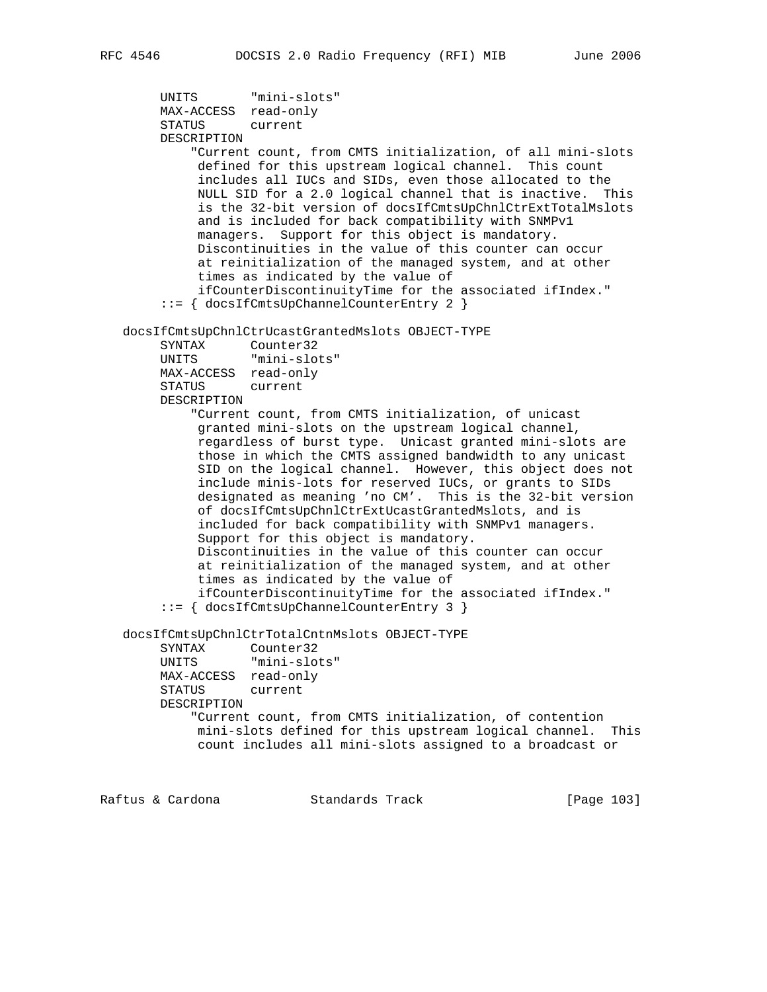```
 UNITS "mini-slots"
     MAX-ACCESS read-only
     STATUS current
     DESCRIPTION
          "Current count, from CMTS initialization, of all mini-slots
          defined for this upstream logical channel. This count
          includes all IUCs and SIDs, even those allocated to the
          NULL SID for a 2.0 logical channel that is inactive. This
          is the 32-bit version of docsIfCmtsUpChnlCtrExtTotalMslots
          and is included for back compatibility with SNMPv1
          managers. Support for this object is mandatory.
          Discontinuities in the value of this counter can occur
          at reinitialization of the managed system, and at other
          times as indicated by the value of
          ifCounterDiscontinuityTime for the associated ifIndex."
      ::= { docsIfCmtsUpChannelCounterEntry 2 }
 docsIfCmtsUpChnlCtrUcastGrantedMslots OBJECT-TYPE
     SYNTAX Counter32
     UNITS "mini-slots"
     MAX-ACCESS read-only
     STATUS current
     DESCRIPTION
          "Current count, from CMTS initialization, of unicast
          granted mini-slots on the upstream logical channel,
          regardless of burst type. Unicast granted mini-slots are
          those in which the CMTS assigned bandwidth to any unicast
          SID on the logical channel. However, this object does not
          include minis-lots for reserved IUCs, or grants to SIDs
          designated as meaning 'no CM'. This is the 32-bit version
          of docsIfCmtsUpChnlCtrExtUcastGrantedMslots, and is
          included for back compatibility with SNMPv1 managers.
          Support for this object is mandatory.
          Discontinuities in the value of this counter can occur
          at reinitialization of the managed system, and at other
          times as indicated by the value of
          ifCounterDiscontinuityTime for the associated ifIndex."
      ::= { docsIfCmtsUpChannelCounterEntry 3 }
 docsIfCmtsUpChnlCtrTotalCntnMslots OBJECT-TYPE
      SYNTAX Counter32
     UNITS "mini-slots"
     MAX-ACCESS read-only
     STATUS current
     DESCRIPTION
          "Current count, from CMTS initialization, of contention
          mini-slots defined for this upstream logical channel. This
          count includes all mini-slots assigned to a broadcast or
```
Raftus & Cardona Standards Track [Page 103]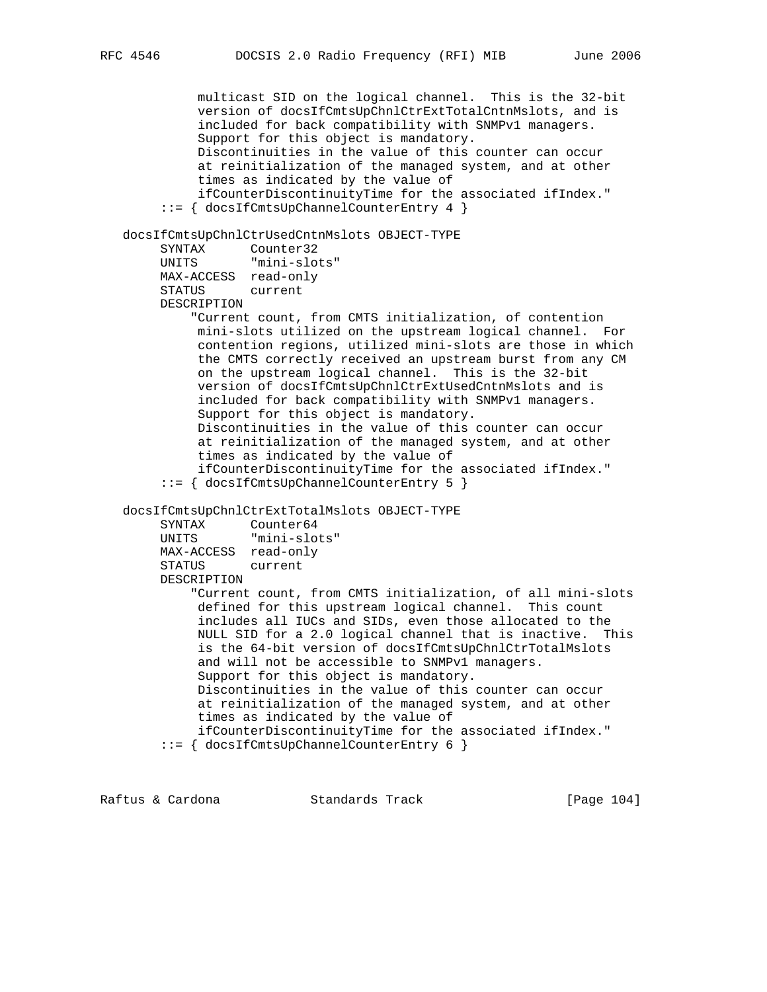multicast SID on the logical channel. This is the 32-bit version of docsIfCmtsUpChnlCtrExtTotalCntnMslots, and is included for back compatibility with SNMPv1 managers. Support for this object is mandatory. Discontinuities in the value of this counter can occur at reinitialization of the managed system, and at other times as indicated by the value of ifCounterDiscontinuityTime for the associated ifIndex." ::= { docsIfCmtsUpChannelCounterEntry 4 } docsIfCmtsUpChnlCtrUsedCntnMslots OBJECT-TYPE SYNTAX Counter32 UNITS "mini-slots" MAX-ACCESS read-only STATUS current DESCRIPTION "Current count, from CMTS initialization, of contention mini-slots utilized on the upstream logical channel. For contention regions, utilized mini-slots are those in which the CMTS correctly received an upstream burst from any CM on the upstream logical channel. This is the 32-bit version of docsIfCmtsUpChnlCtrExtUsedCntnMslots and is included for back compatibility with SNMPv1 managers. Support for this object is mandatory. Discontinuities in the value of this counter can occur at reinitialization of the managed system, and at other times as indicated by the value of ifCounterDiscontinuityTime for the associated ifIndex." ::= { docsIfCmtsUpChannelCounterEntry 5 } docsIfCmtsUpChnlCtrExtTotalMslots OBJECT-TYPE SYNTAX Counter64 UNITS "mini-slots" MAX-ACCESS read-only STATUS current DESCRIPTION "Current count, from CMTS initialization, of all mini-slots defined for this upstream logical channel. This count includes all IUCs and SIDs, even those allocated to the NULL SID for a 2.0 logical channel that is inactive. This is the 64-bit version of docsIfCmtsUpChnlCtrTotalMslots and will not be accessible to SNMPv1 managers. Support for this object is mandatory. Discontinuities in the value of this counter can occur at reinitialization of the managed system, and at other times as indicated by the value of ifCounterDiscontinuityTime for the associated ifIndex." ::= { docsIfCmtsUpChannelCounterEntry 6 }

Raftus & Cardona Standards Track [Page 104]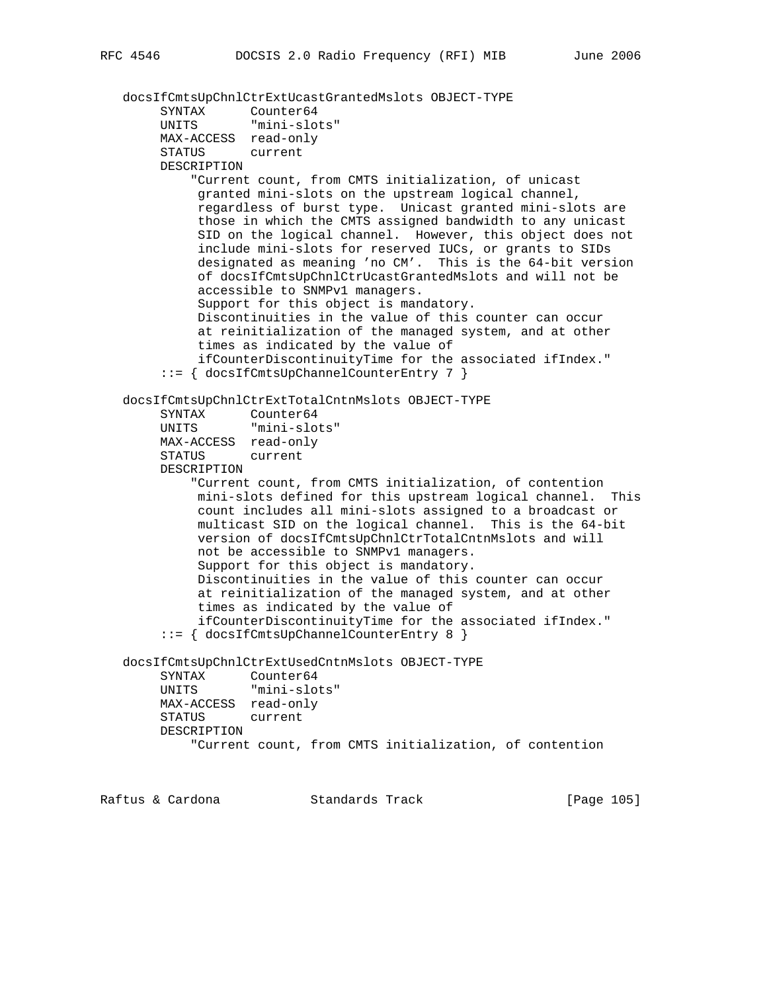docsIfCmtsUpChnlCtrExtUcastGrantedMslots OBJECT-TYPE SYNTAX Counter64 UNITS "mini-slots" MAX-ACCESS read-only STATUS current DESCRIPTION "Current count, from CMTS initialization, of unicast granted mini-slots on the upstream logical channel, regardless of burst type. Unicast granted mini-slots are those in which the CMTS assigned bandwidth to any unicast SID on the logical channel. However, this object does not include mini-slots for reserved IUCs, or grants to SIDs designated as meaning 'no CM'. This is the 64-bit version of docsIfCmtsUpChnlCtrUcastGrantedMslots and will not be accessible to SNMPv1 managers. Support for this object is mandatory. Discontinuities in the value of this counter can occur at reinitialization of the managed system, and at other times as indicated by the value of ifCounterDiscontinuityTime for the associated ifIndex." ::= { docsIfCmtsUpChannelCounterEntry 7 } docsIfCmtsUpChnlCtrExtTotalCntnMslots OBJECT-TYPE SYNTAX Counter64 UNITS "mini-slots" MAX-ACCESS read-only STATUS current DESCRIPTION "Current count, from CMTS initialization, of contention mini-slots defined for this upstream logical channel. This count includes all mini-slots assigned to a broadcast or multicast SID on the logical channel. This is the 64-bit version of docsIfCmtsUpChnlCtrTotalCntnMslots and will not be accessible to SNMPv1 managers. Support for this object is mandatory. Discontinuities in the value of this counter can occur at reinitialization of the managed system, and at other times as indicated by the value of ifCounterDiscontinuityTime for the associated ifIndex." ::= { docsIfCmtsUpChannelCounterEntry 8 } docsIfCmtsUpChnlCtrExtUsedCntnMslots OBJECT-TYPE SYNTAX Counter64 UNITS "mini-slots" MAX-ACCESS read-only STATUS current DESCRIPTION "Current count, from CMTS initialization, of contention Raftus & Cardona Standards Track [Page 105]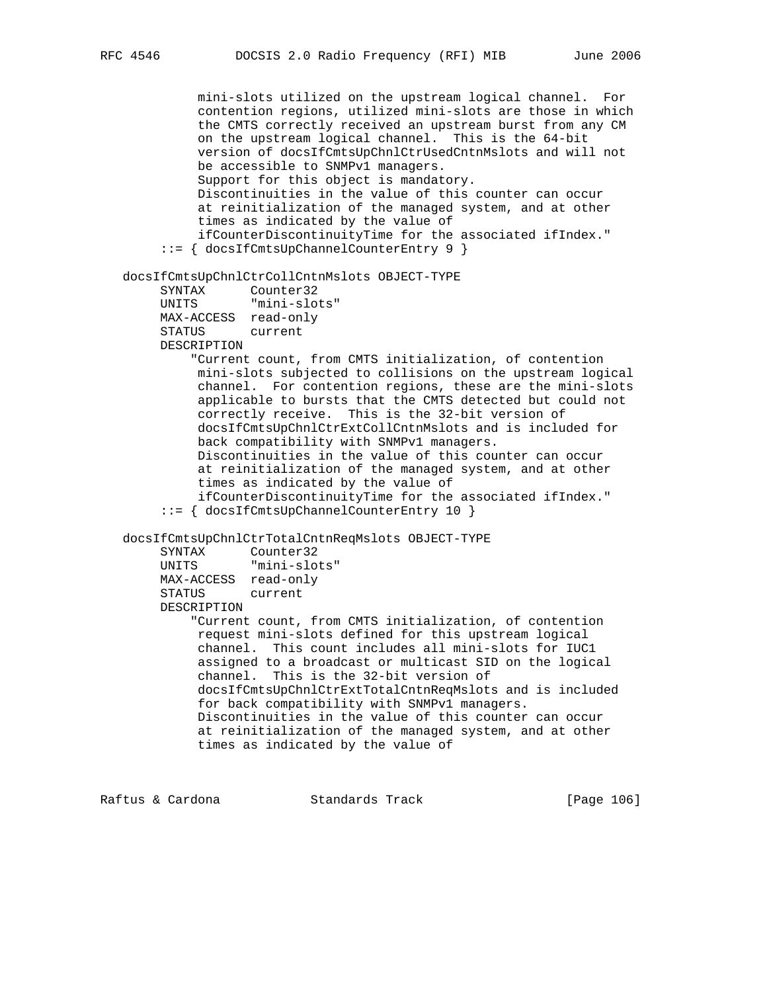mini-slots utilized on the upstream logical channel. For contention regions, utilized mini-slots are those in which the CMTS correctly received an upstream burst from any CM on the upstream logical channel. This is the 64-bit version of docsIfCmtsUpChnlCtrUsedCntnMslots and will not be accessible to SNMPv1 managers. Support for this object is mandatory. Discontinuities in the value of this counter can occur at reinitialization of the managed system, and at other times as indicated by the value of ifCounterDiscontinuityTime for the associated ifIndex." ::= { docsIfCmtsUpChannelCounterEntry 9 } docsIfCmtsUpChnlCtrCollCntnMslots OBJECT-TYPE SYNTAX Counter32 UNITS "mini-slots" MAX-ACCESS read-only STATUS current DESCRIPTION "Current count, from CMTS initialization, of contention mini-slots subjected to collisions on the upstream logical channel. For contention regions, these are the mini-slots applicable to bursts that the CMTS detected but could not correctly receive. This is the 32-bit version of docsIfCmtsUpChnlCtrExtCollCntnMslots and is included for back compatibility with SNMPv1 managers. Discontinuities in the value of this counter can occur at reinitialization of the managed system, and at other times as indicated by the value of ifCounterDiscontinuityTime for the associated ifIndex." ::= { docsIfCmtsUpChannelCounterEntry 10 } docsIfCmtsUpChnlCtrTotalCntnReqMslots OBJECT-TYPE SYNTAX Counter32 UNITS "mini-slots" MAX-ACCESS read-only STATUS current DESCRIPTION "Current count, from CMTS initialization, of contention request mini-slots defined for this upstream logical channel. This count includes all mini-slots for IUC1 assigned to a broadcast or multicast SID on the logical channel. This is the 32-bit version of docsIfCmtsUpChnlCtrExtTotalCntnReqMslots and is included for back compatibility with SNMPv1 managers. Discontinuities in the value of this counter can occur at reinitialization of the managed system, and at other times as indicated by the value of

Raftus & Cardona Standards Track [Page 106]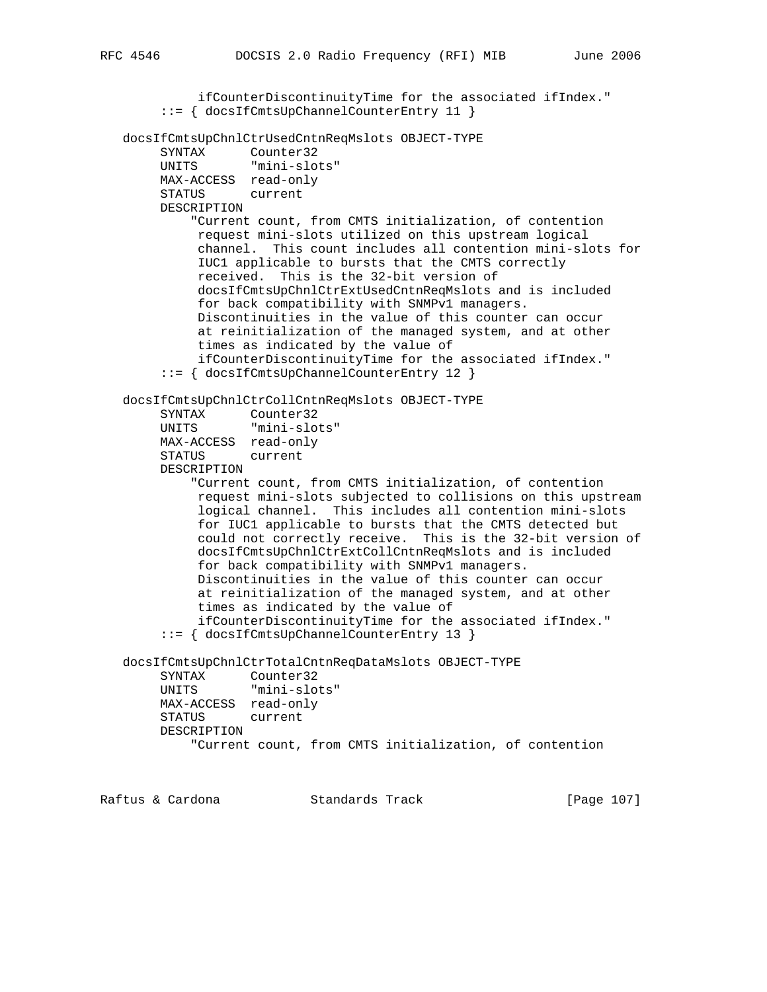```
 ifCounterDiscontinuityTime for the associated ifIndex."
         ::= { docsIfCmtsUpChannelCounterEntry 11 }
   docsIfCmtsUpChnlCtrUsedCntnReqMslots OBJECT-TYPE
 SYNTAX Counter32
 UNITS "mini-slots"
        MAX-ACCESS read-only
        STATUS current
        DESCRIPTION
             "Current count, from CMTS initialization, of contention
             request mini-slots utilized on this upstream logical
             channel. This count includes all contention mini-slots for
             IUC1 applicable to bursts that the CMTS correctly
             received. This is the 32-bit version of
             docsIfCmtsUpChnlCtrExtUsedCntnReqMslots and is included
             for back compatibility with SNMPv1 managers.
             Discontinuities in the value of this counter can occur
             at reinitialization of the managed system, and at other
             times as indicated by the value of
             ifCounterDiscontinuityTime for the associated ifIndex."
         ::= { docsIfCmtsUpChannelCounterEntry 12 }
   docsIfCmtsUpChnlCtrCollCntnReqMslots OBJECT-TYPE
        SYNTAX Counter32
        UNITS "mini-slots"
        MAX-ACCESS read-only
        STATUS current
        DESCRIPTION
             "Current count, from CMTS initialization, of contention
             request mini-slots subjected to collisions on this upstream
             logical channel. This includes all contention mini-slots
             for IUC1 applicable to bursts that the CMTS detected but
             could not correctly receive. This is the 32-bit version of
             docsIfCmtsUpChnlCtrExtCollCntnReqMslots and is included
             for back compatibility with SNMPv1 managers.
             Discontinuities in the value of this counter can occur
             at reinitialization of the managed system, and at other
             times as indicated by the value of
             ifCounterDiscontinuityTime for the associated ifIndex."
         ::= { docsIfCmtsUpChannelCounterEntry 13 }
   docsIfCmtsUpChnlCtrTotalCntnReqDataMslots OBJECT-TYPE
        SYNTAX Counter32
        UNITS "mini-slots"
        MAX-ACCESS read-only
        STATUS current
        DESCRIPTION
             "Current count, from CMTS initialization, of contention
Raftus & Cardona               Standards Track                 [Page 107]
```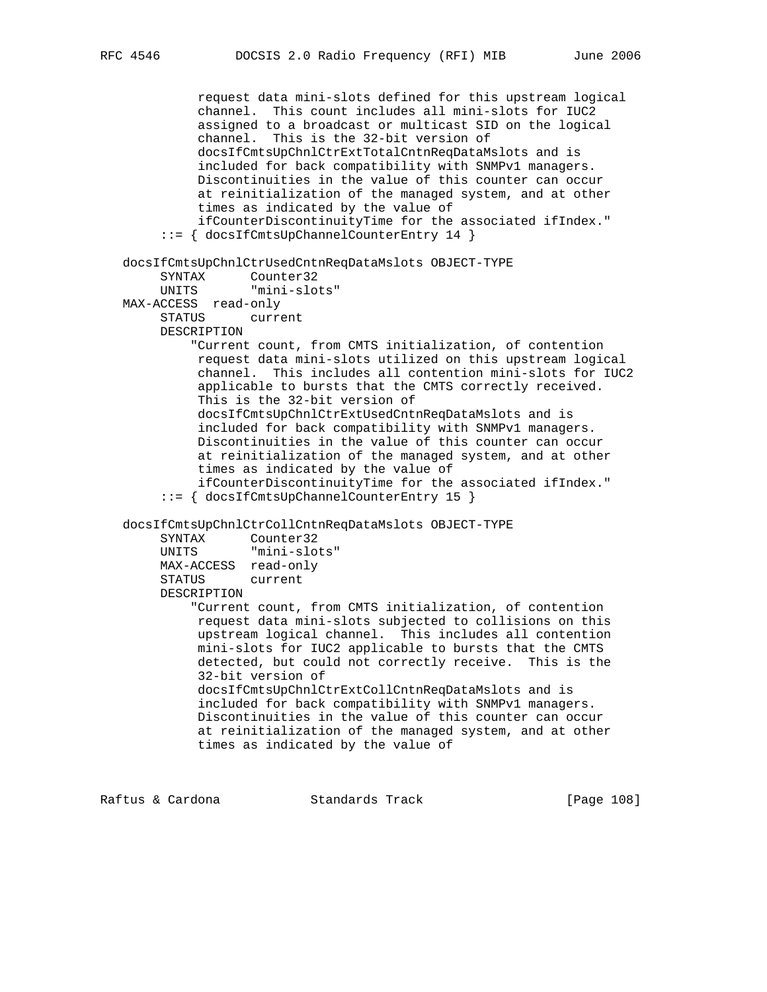request data mini-slots defined for this upstream logical channel. This count includes all mini-slots for IUC2 assigned to a broadcast or multicast SID on the logical channel. This is the 32-bit version of docsIfCmtsUpChnlCtrExtTotalCntnReqDataMslots and is included for back compatibility with SNMPv1 managers. Discontinuities in the value of this counter can occur at reinitialization of the managed system, and at other times as indicated by the value of ifCounterDiscontinuityTime for the associated ifIndex." ::= { docsIfCmtsUpChannelCounterEntry 14 } docsIfCmtsUpChnlCtrUsedCntnReqDataMslots OBJECT-TYPE SYNTAX Counter32 UNITS "mini-slots" MAX-ACCESS read-only STATUS current DESCRIPTION "Current count, from CMTS initialization, of contention request data mini-slots utilized on this upstream logical channel. This includes all contention mini-slots for IUC2 applicable to bursts that the CMTS correctly received. This is the 32-bit version of docsIfCmtsUpChnlCtrExtUsedCntnReqDataMslots and is included for back compatibility with SNMPv1 managers. Discontinuities in the value of this counter can occur at reinitialization of the managed system, and at other times as indicated by the value of ifCounterDiscontinuityTime for the associated ifIndex." ::= { docsIfCmtsUpChannelCounterEntry 15 } docsIfCmtsUpChnlCtrCollCntnReqDataMslots OBJECT-TYPE SYNTAX Counter32 UNITS "mini-slots" MAX-ACCESS read-only STATUS current DESCRIPTION "Current count, from CMTS initialization, of contention request data mini-slots subjected to collisions on this upstream logical channel. This includes all contention mini-slots for IUC2 applicable to bursts that the CMTS detected, but could not correctly receive. This is the 32-bit version of docsIfCmtsUpChnlCtrExtCollCntnReqDataMslots and is included for back compatibility with SNMPv1 managers. Discontinuities in the value of this counter can occur at reinitialization of the managed system, and at other times as indicated by the value of

Raftus & Cardona Standards Track [Page 108]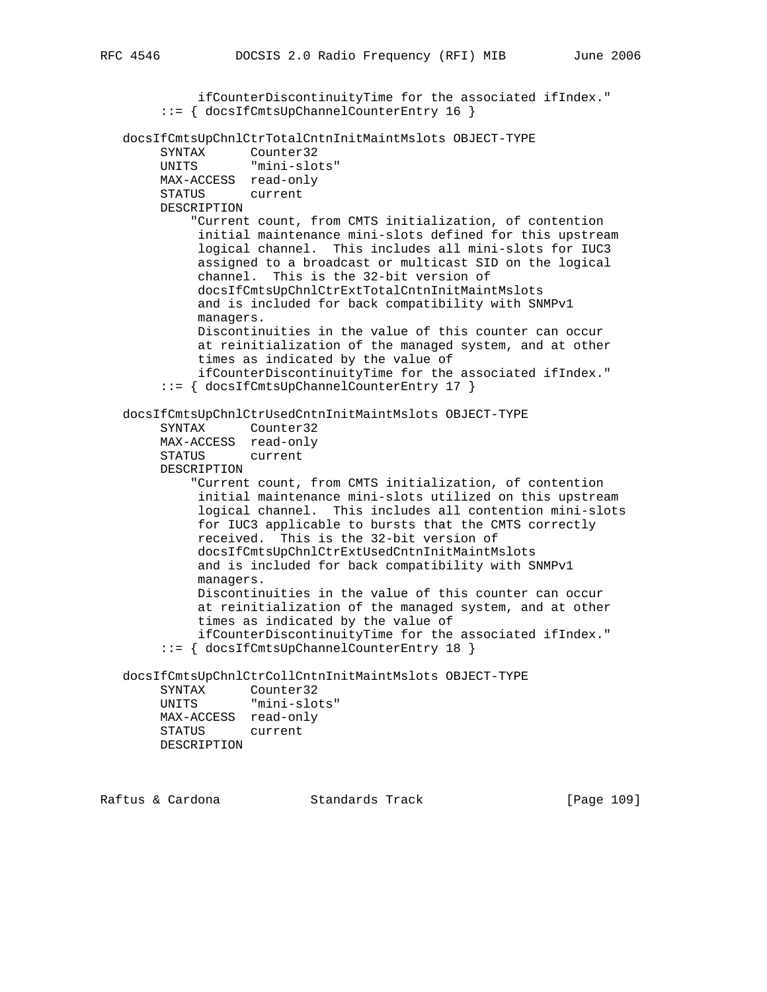```
 ifCounterDiscontinuityTime for the associated ifIndex."
        ::= { docsIfCmtsUpChannelCounterEntry 16 }
   docsIfCmtsUpChnlCtrTotalCntnInitMaintMslots OBJECT-TYPE
 SYNTAX Counter32
 UNITS "mini-slots"
        MAX-ACCESS read-only
        STATUS current
        DESCRIPTION
            "Current count, from CMTS initialization, of contention
             initial maintenance mini-slots defined for this upstream
             logical channel. This includes all mini-slots for IUC3
             assigned to a broadcast or multicast SID on the logical
             channel. This is the 32-bit version of
             docsIfCmtsUpChnlCtrExtTotalCntnInitMaintMslots
             and is included for back compatibility with SNMPv1
             managers.
             Discontinuities in the value of this counter can occur
             at reinitialization of the managed system, and at other
             times as indicated by the value of
             ifCounterDiscontinuityTime for the associated ifIndex."
        ::= { docsIfCmtsUpChannelCounterEntry 17 }
   docsIfCmtsUpChnlCtrUsedCntnInitMaintMslots OBJECT-TYPE
        SYNTAX Counter32
        MAX-ACCESS read-only
        STATUS current
        DESCRIPTION
             "Current count, from CMTS initialization, of contention
             initial maintenance mini-slots utilized on this upstream
             logical channel. This includes all contention mini-slots
             for IUC3 applicable to bursts that the CMTS correctly
             received. This is the 32-bit version of
             docsIfCmtsUpChnlCtrExtUsedCntnInitMaintMslots
             and is included for back compatibility with SNMPv1
             managers.
             Discontinuities in the value of this counter can occur
             at reinitialization of the managed system, and at other
             times as indicated by the value of
             ifCounterDiscontinuityTime for the associated ifIndex."
        ::= { docsIfCmtsUpChannelCounterEntry 18 }
   docsIfCmtsUpChnlCtrCollCntnInitMaintMslots OBJECT-TYPE
        SYNTAX Counter32
        UNITS "mini-slots"
        MAX-ACCESS read-only
        STATUS current
        DESCRIPTION
```
Raftus & Cardona Standards Track [Page 109]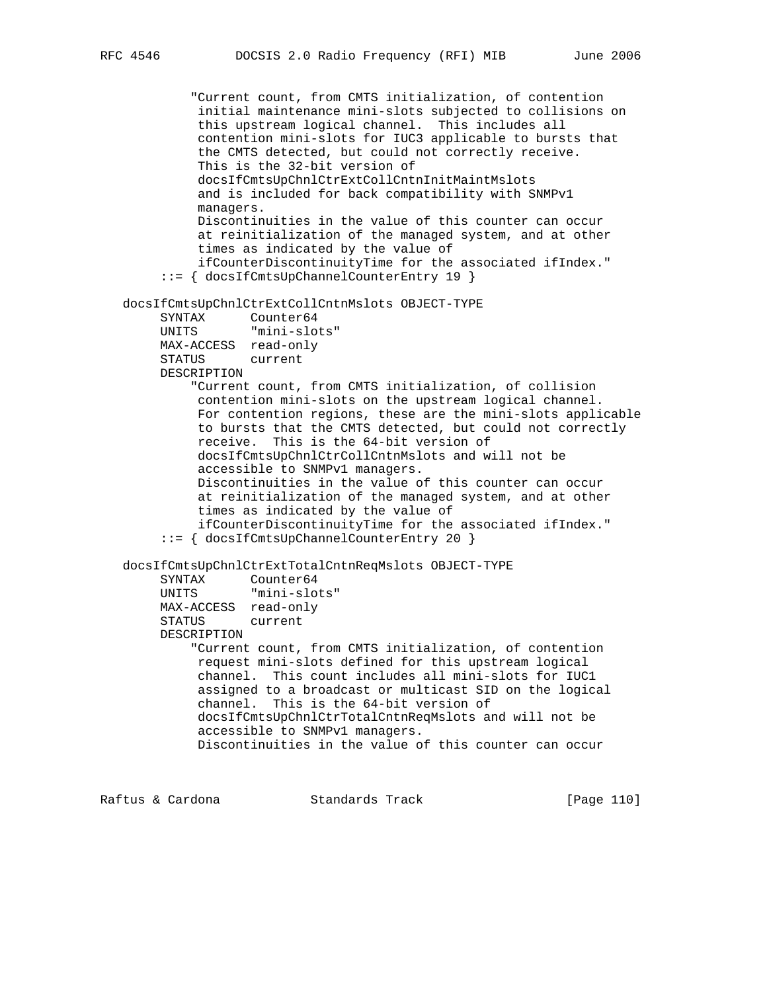"Current count, from CMTS initialization, of contention initial maintenance mini-slots subjected to collisions on this upstream logical channel. This includes all contention mini-slots for IUC3 applicable to bursts that the CMTS detected, but could not correctly receive. This is the 32-bit version of docsIfCmtsUpChnlCtrExtCollCntnInitMaintMslots and is included for back compatibility with SNMPv1 managers. Discontinuities in the value of this counter can occur at reinitialization of the managed system, and at other times as indicated by the value of ifCounterDiscontinuityTime for the associated ifIndex." ::= { docsIfCmtsUpChannelCounterEntry 19 } docsIfCmtsUpChnlCtrExtCollCntnMslots OBJECT-TYPE SYNTAX Counter64 UNITS "mini-slots" MAX-ACCESS read-only STATUS current DESCRIPTION "Current count, from CMTS initialization, of collision contention mini-slots on the upstream logical channel. For contention regions, these are the mini-slots applicable to bursts that the CMTS detected, but could not correctly receive. This is the 64-bit version of docsIfCmtsUpChnlCtrCollCntnMslots and will not be accessible to SNMPv1 managers. Discontinuities in the value of this counter can occur at reinitialization of the managed system, and at other times as indicated by the value of ifCounterDiscontinuityTime for the associated ifIndex." ::= { docsIfCmtsUpChannelCounterEntry 20 } docsIfCmtsUpChnlCtrExtTotalCntnReqMslots OBJECT-TYPE SYNTAX Counter64 UNITS "mini-slots" MAX-ACCESS read-only STATUS current DESCRIPTION "Current count, from CMTS initialization, of contention request mini-slots defined for this upstream logical channel. This count includes all mini-slots for IUC1 assigned to a broadcast or multicast SID on the logical channel. This is the 64-bit version of docsIfCmtsUpChnlCtrTotalCntnReqMslots and will not be accessible to SNMPv1 managers. Discontinuities in the value of this counter can occur

Raftus & Cardona Standards Track [Page 110]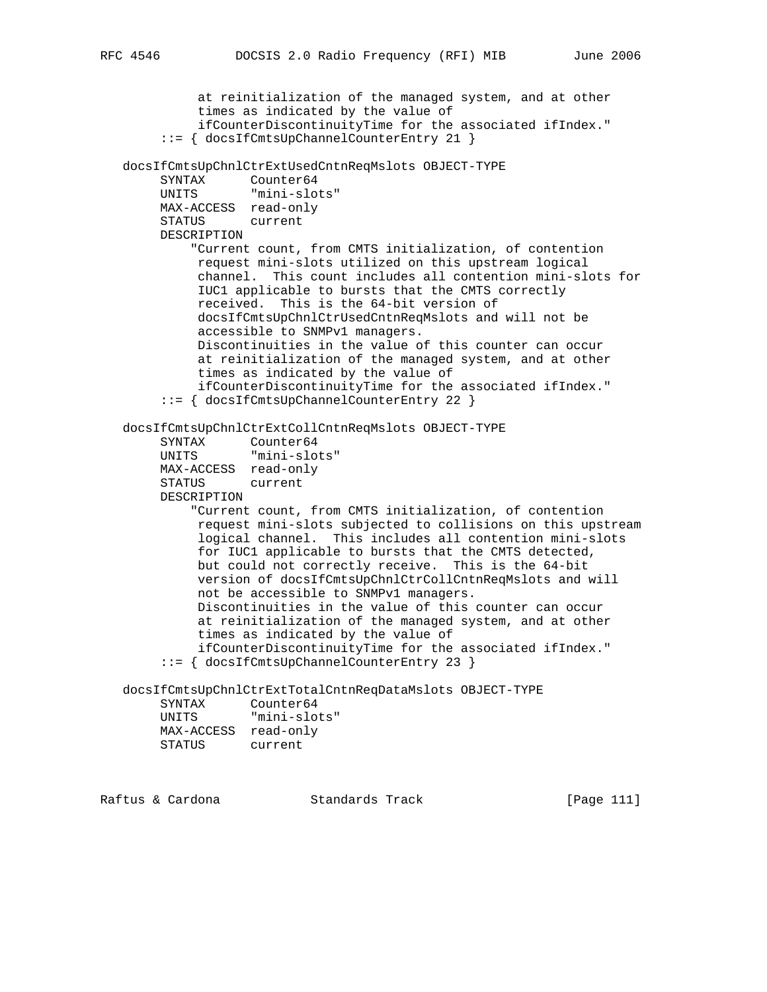```
 at reinitialization of the managed system, and at other
             times as indicated by the value of
             ifCounterDiscontinuityTime for the associated ifIndex."
         ::= { docsIfCmtsUpChannelCounterEntry 21 }
   docsIfCmtsUpChnlCtrExtUsedCntnReqMslots OBJECT-TYPE
       SYNTAX Counter64
        UNITS "mini-slots"
        MAX-ACCESS read-only
        STATUS current
        DESCRIPTION
            "Current count, from CMTS initialization, of contention
             request mini-slots utilized on this upstream logical
             channel. This count includes all contention mini-slots for
             IUC1 applicable to bursts that the CMTS correctly
             received. This is the 64-bit version of
             docsIfCmtsUpChnlCtrUsedCntnReqMslots and will not be
             accessible to SNMPv1 managers.
             Discontinuities in the value of this counter can occur
             at reinitialization of the managed system, and at other
             times as indicated by the value of
             ifCounterDiscontinuityTime for the associated ifIndex."
        ::= { docsIfCmtsUpChannelCounterEntry 22 }
   docsIfCmtsUpChnlCtrExtCollCntnReqMslots OBJECT-TYPE
SYNTAX Counter64
 UNITS "mini-slots"
        MAX-ACCESS read-only
        STATUS current
        DESCRIPTION
            "Current count, from CMTS initialization, of contention
             request mini-slots subjected to collisions on this upstream
             logical channel. This includes all contention mini-slots
             for IUC1 applicable to bursts that the CMTS detected,
             but could not correctly receive. This is the 64-bit
             version of docsIfCmtsUpChnlCtrCollCntnReqMslots and will
             not be accessible to SNMPv1 managers.
             Discontinuities in the value of this counter can occur
             at reinitialization of the managed system, and at other
             times as indicated by the value of
             ifCounterDiscontinuityTime for the associated ifIndex."
        ::= { docsIfCmtsUpChannelCounterEntry 23 }
   docsIfCmtsUpChnlCtrExtTotalCntnReqDataMslots OBJECT-TYPE
        SYNTAX Counter64
        UNITS "mini-slots"
        MAX-ACCESS read-only
        STATUS current
```
Raftus & Cardona Standards Track [Page 111]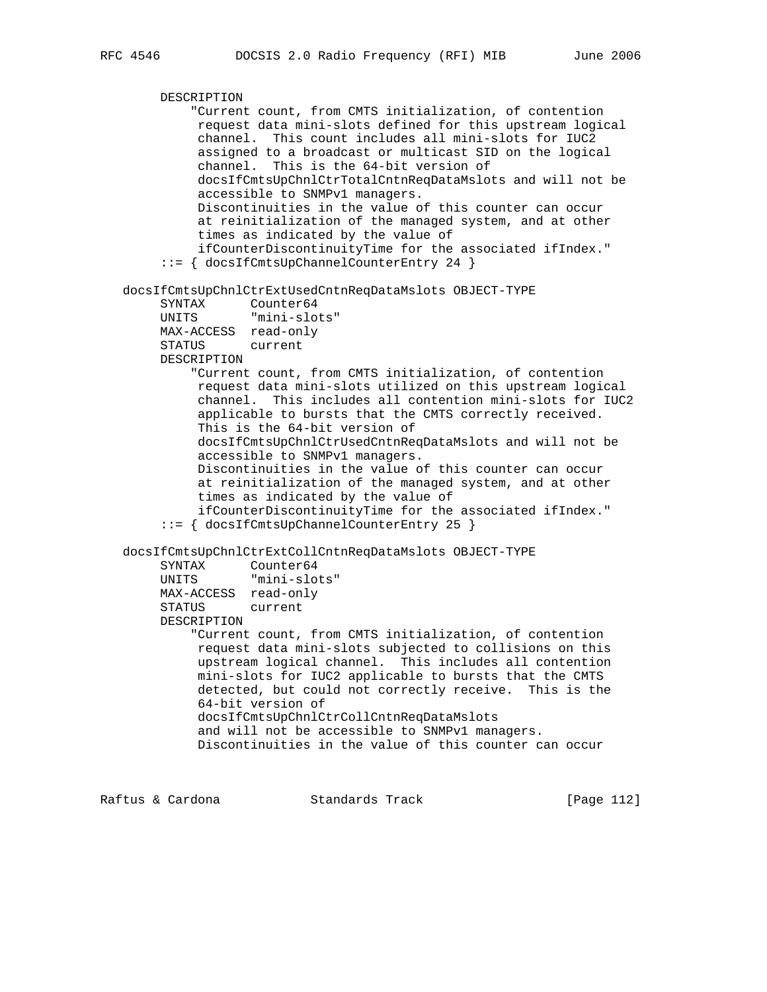```
 DESCRIPTION
             "Current count, from CMTS initialization, of contention
             request data mini-slots defined for this upstream logical
             channel. This count includes all mini-slots for IUC2
             assigned to a broadcast or multicast SID on the logical
             channel. This is the 64-bit version of
             docsIfCmtsUpChnlCtrTotalCntnReqDataMslots and will not be
             accessible to SNMPv1 managers.
             Discontinuities in the value of this counter can occur
             at reinitialization of the managed system, and at other
             times as indicated by the value of
             ifCounterDiscontinuityTime for the associated ifIndex."
        ::= { docsIfCmtsUpChannelCounterEntry 24 }
   docsIfCmtsUpChnlCtrExtUsedCntnReqDataMslots OBJECT-TYPE
SYNTAX Counter64
 UNITS "mini-slots"
        MAX-ACCESS read-only
        STATUS current
        DESCRIPTION
            "Current count, from CMTS initialization, of contention
             request data mini-slots utilized on this upstream logical
             channel. This includes all contention mini-slots for IUC2
             applicable to bursts that the CMTS correctly received.
             This is the 64-bit version of
             docsIfCmtsUpChnlCtrUsedCntnReqDataMslots and will not be
             accessible to SNMPv1 managers.
             Discontinuities in the value of this counter can occur
             at reinitialization of the managed system, and at other
             times as indicated by the value of
             ifCounterDiscontinuityTime for the associated ifIndex."
        ::= { docsIfCmtsUpChannelCounterEntry 25 }
   docsIfCmtsUpChnlCtrExtCollCntnReqDataMslots OBJECT-TYPE
SYNTAX Counter64
 UNITS "mini-slots"
        MAX-ACCESS read-only
        STATUS current
        DESCRIPTION
            "Current count, from CMTS initialization, of contention
             request data mini-slots subjected to collisions on this
             upstream logical channel. This includes all contention
             mini-slots for IUC2 applicable to bursts that the CMTS
             detected, but could not correctly receive. This is the
             64-bit version of
             docsIfCmtsUpChnlCtrCollCntnReqDataMslots
             and will not be accessible to SNMPv1 managers.
             Discontinuities in the value of this counter can occur
```
Raftus & Cardona Standards Track [Page 112]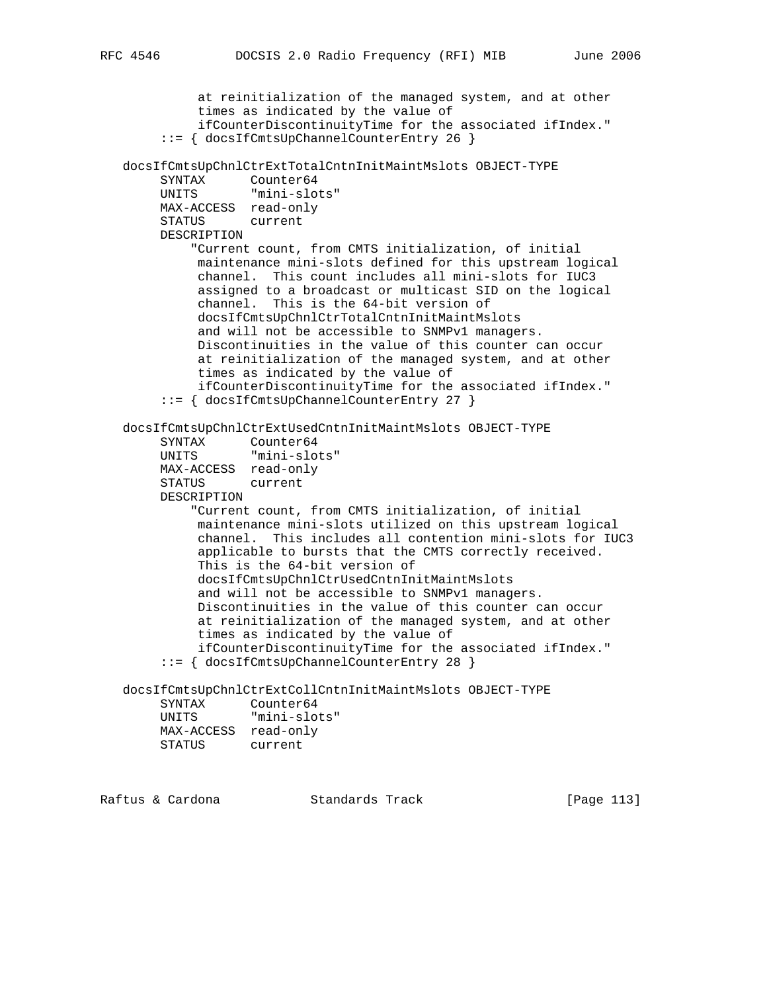```
 at reinitialization of the managed system, and at other
             times as indicated by the value of
             ifCounterDiscontinuityTime for the associated ifIndex."
         ::= { docsIfCmtsUpChannelCounterEntry 26 }
   docsIfCmtsUpChnlCtrExtTotalCntnInitMaintMslots OBJECT-TYPE
        SYNTAX Counter64
        UNITS "mini-slots"
        MAX-ACCESS read-only
        STATUS current
        DESCRIPTION
            "Current count, from CMTS initialization, of initial
             maintenance mini-slots defined for this upstream logical
             channel. This count includes all mini-slots for IUC3
             assigned to a broadcast or multicast SID on the logical
             channel. This is the 64-bit version of
             docsIfCmtsUpChnlCtrTotalCntnInitMaintMslots
             and will not be accessible to SNMPv1 managers.
             Discontinuities in the value of this counter can occur
             at reinitialization of the managed system, and at other
             times as indicated by the value of
             ifCounterDiscontinuityTime for the associated ifIndex."
        ::= { docsIfCmtsUpChannelCounterEntry 27 }
   docsIfCmtsUpChnlCtrExtUsedCntnInitMaintMslots OBJECT-TYPE
SYNTAX Counter64
 UNITS "mini-slots"
        MAX-ACCESS read-only
        STATUS current
        DESCRIPTION
            "Current count, from CMTS initialization, of initial
             maintenance mini-slots utilized on this upstream logical
             channel. This includes all contention mini-slots for IUC3
             applicable to bursts that the CMTS correctly received.
             This is the 64-bit version of
             docsIfCmtsUpChnlCtrUsedCntnInitMaintMslots
             and will not be accessible to SNMPv1 managers.
             Discontinuities in the value of this counter can occur
             at reinitialization of the managed system, and at other
             times as indicated by the value of
             ifCounterDiscontinuityTime for the associated ifIndex."
        ::= { docsIfCmtsUpChannelCounterEntry 28 }
   docsIfCmtsUpChnlCtrExtCollCntnInitMaintMslots OBJECT-TYPE
```

| SYNTAX     | Counter64    |
|------------|--------------|
| UNITS      | "mini-slots" |
| MAX-ACCESS | read-only    |
| STATUS     | current      |

Raftus & Cardona Standards Track [Page 113]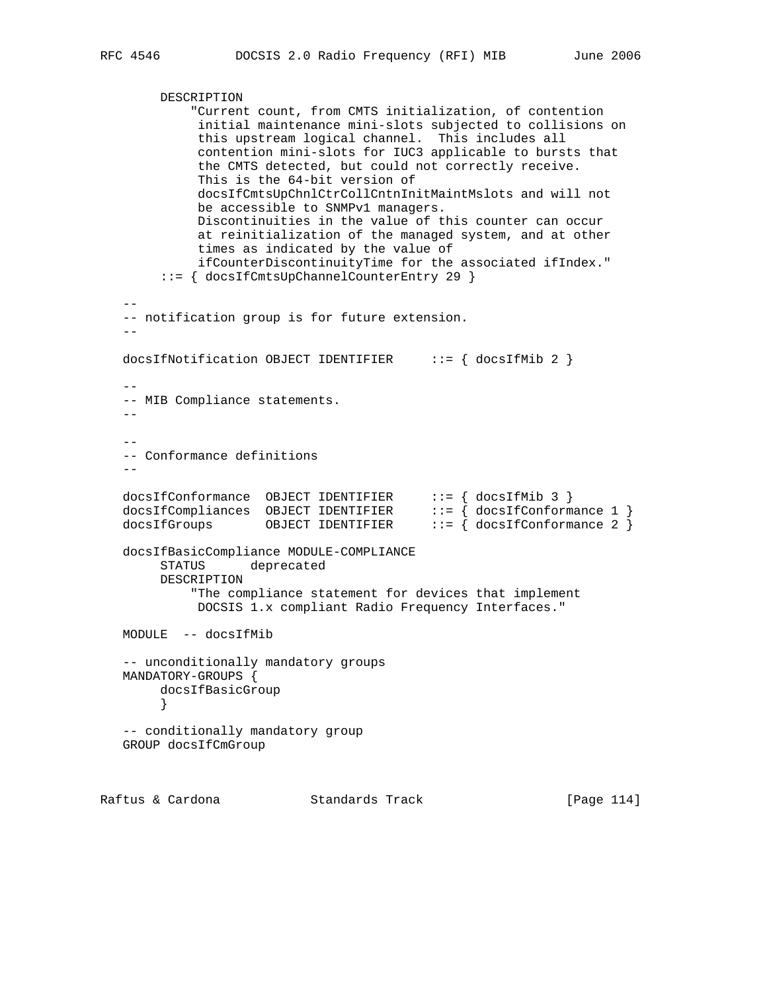```
 DESCRIPTION
             "Current count, from CMTS initialization, of contention
             initial maintenance mini-slots subjected to collisions on
             this upstream logical channel. This includes all
             contention mini-slots for IUC3 applicable to bursts that
             the CMTS detected, but could not correctly receive.
             This is the 64-bit version of
             docsIfCmtsUpChnlCtrCollCntnInitMaintMslots and will not
             be accessible to SNMPv1 managers.
             Discontinuities in the value of this counter can occur
             at reinitialization of the managed system, and at other
             times as indicated by the value of
             ifCounterDiscontinuityTime for the associated ifIndex."
         ::= { docsIfCmtsUpChannelCounterEntry 29 }
 --
    -- notification group is for future extension.
-docsIfNotification OBJECT IDENTIFIER ::= { docsIfMib 2 }
 --
    -- MIB Compliance statements.
   - --
    -- Conformance definitions
 --
 docsIfConformance OBJECT IDENTIFIER ::= { docsIfMib 3 }
 docsIfCompliances OBJECT IDENTIFIER ::= { docsIfConformance 1 }
 docsIfGroups OBJECT IDENTIFIER ::= { docsIfConformance 2 }
   docsIfBasicCompliance MODULE-COMPLIANCE
        STATUS deprecated
        DESCRIPTION
             "The compliance statement for devices that implement
             DOCSIS 1.x compliant Radio Frequency Interfaces."
   MODULE -- docsIfMib
    -- unconditionally mandatory groups
   MANDATORY-GROUPS {
       docsIfBasicGroup
 }
    -- conditionally mandatory group
   GROUP docsIfCmGroup
Raftus & Cardona             Standards Track               [Page 114]
```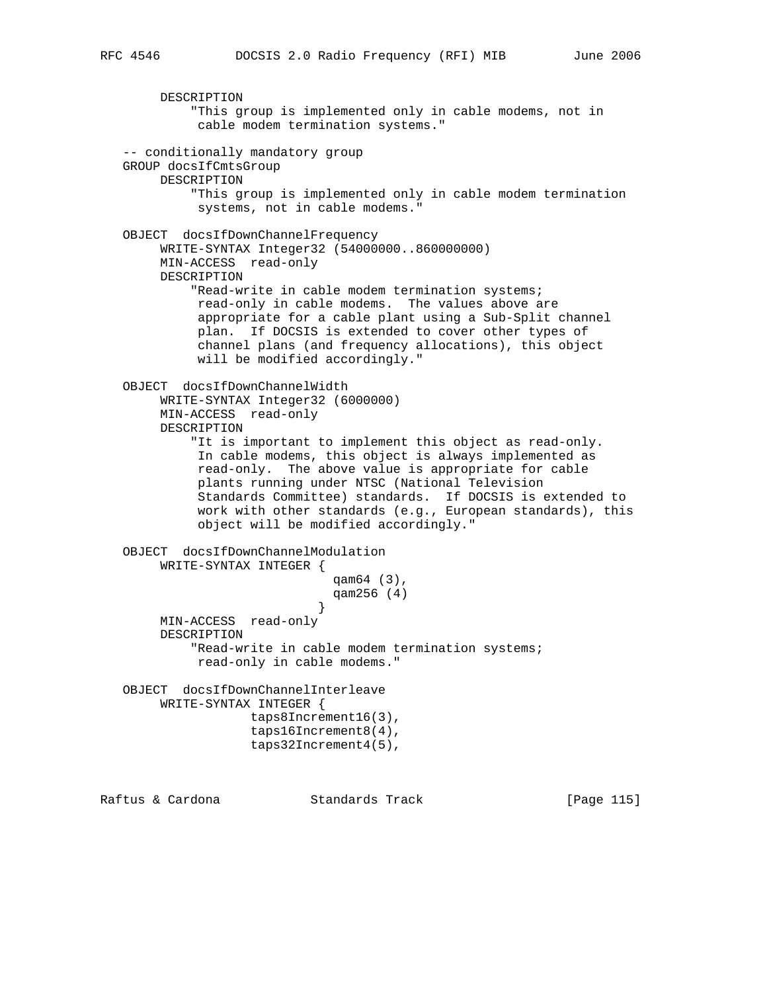DESCRIPTION "This group is implemented only in cable modems, not in cable modem termination systems." -- conditionally mandatory group GROUP docsIfCmtsGroup DESCRIPTION "This group is implemented only in cable modem termination systems, not in cable modems." OBJECT docsIfDownChannelFrequency WRITE-SYNTAX Integer32 (54000000..860000000) MIN-ACCESS read-only DESCRIPTION "Read-write in cable modem termination systems; read-only in cable modems. The values above are appropriate for a cable plant using a Sub-Split channel plan. If DOCSIS is extended to cover other types of channel plans (and frequency allocations), this object will be modified accordingly." OBJECT docsIfDownChannelWidth WRITE-SYNTAX Integer32 (6000000) MIN-ACCESS read-only DESCRIPTION "It is important to implement this object as read-only. In cable modems, this object is always implemented as read-only. The above value is appropriate for cable plants running under NTSC (National Television Standards Committee) standards. If DOCSIS is extended to work with other standards (e.g., European standards), this object will be modified accordingly." OBJECT docsIfDownChannelModulation WRITE-SYNTAX INTEGER { qam64 (3), qam256 (4) } MIN-ACCESS read-only DESCRIPTION "Read-write in cable modem termination systems; read-only in cable modems." OBJECT docsIfDownChannelInterleave WRITE-SYNTAX INTEGER { taps8Increment16(3), taps16Increment8(4), taps32Increment4(5),

Raftus & Cardona Standards Track [Page 115]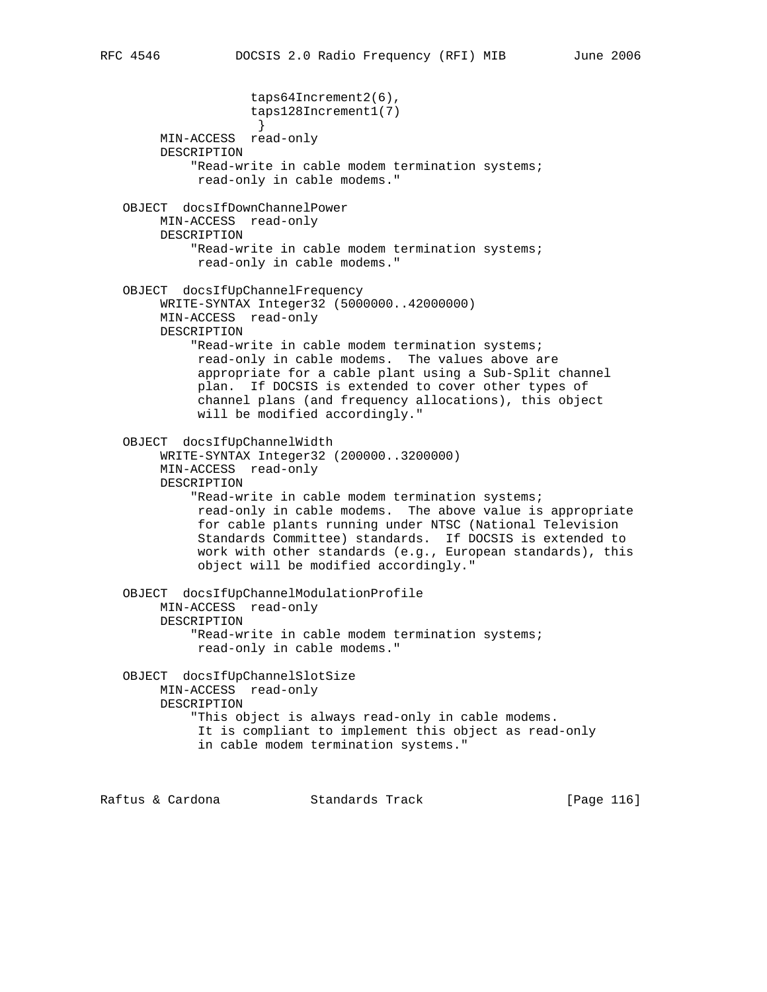taps64Increment2(6), taps128Increment1(7) } MIN-ACCESS read-only DESCRIPTION "Read-write in cable modem termination systems; read-only in cable modems." OBJECT docsIfDownChannelPower MIN-ACCESS read-only DESCRIPTION "Read-write in cable modem termination systems; read-only in cable modems." OBJECT docsIfUpChannelFrequency WRITE-SYNTAX Integer32 (5000000..42000000) MIN-ACCESS read-only DESCRIPTION "Read-write in cable modem termination systems; read-only in cable modems. The values above are appropriate for a cable plant using a Sub-Split channel plan. If DOCSIS is extended to cover other types of channel plans (and frequency allocations), this object will be modified accordingly." OBJECT docsIfUpChannelWidth WRITE-SYNTAX Integer32 (200000..3200000) MIN-ACCESS read-only DESCRIPTION "Read-write in cable modem termination systems; read-only in cable modems. The above value is appropriate for cable plants running under NTSC (National Television Standards Committee) standards. If DOCSIS is extended to work with other standards (e.g., European standards), this object will be modified accordingly." OBJECT docsIfUpChannelModulationProfile MIN-ACCESS read-only DESCRIPTION "Read-write in cable modem termination systems; read-only in cable modems." OBJECT docsIfUpChannelSlotSize MIN-ACCESS read-only DESCRIPTION "This object is always read-only in cable modems. It is compliant to implement this object as read-only in cable modem termination systems."

Raftus & Cardona Standards Track [Page 116]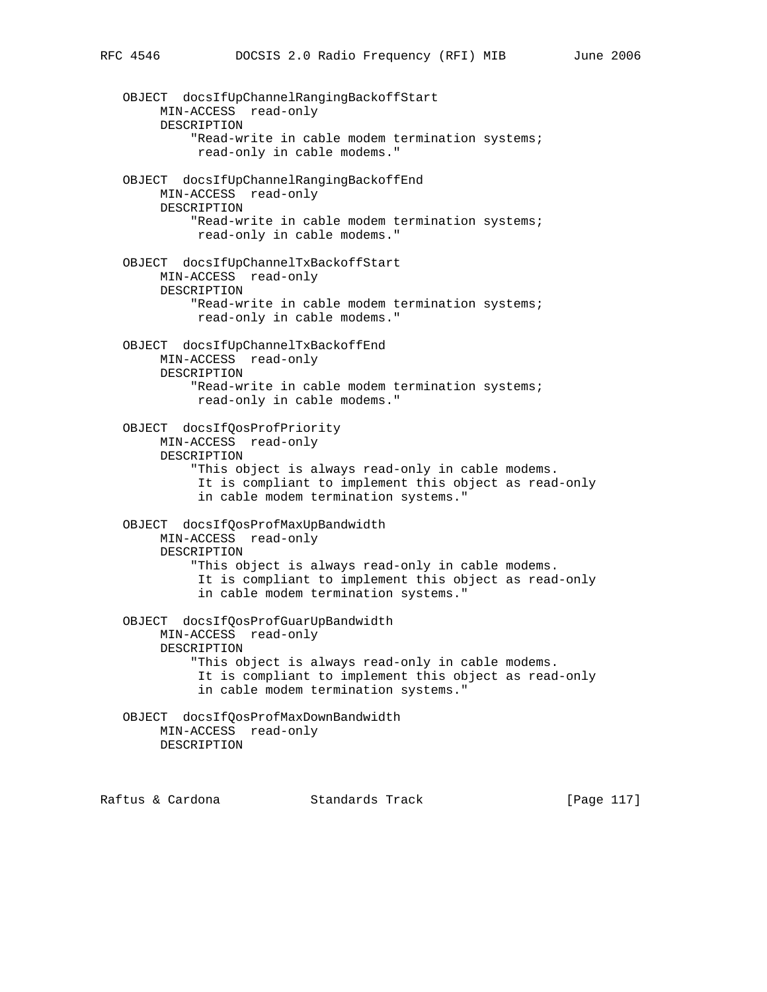OBJECT docsIfUpChannelRangingBackoffStart MIN-ACCESS read-only DESCRIPTION "Read-write in cable modem termination systems; read-only in cable modems." OBJECT docsIfUpChannelRangingBackoffEnd MIN-ACCESS read-only DESCRIPTION "Read-write in cable modem termination systems; read-only in cable modems." OBJECT docsIfUpChannelTxBackoffStart MIN-ACCESS read-only DESCRIPTION "Read-write in cable modem termination systems; read-only in cable modems." OBJECT docsIfUpChannelTxBackoffEnd MIN-ACCESS read-only DESCRIPTION "Read-write in cable modem termination systems; read-only in cable modems." OBJECT docsIfQosProfPriority MIN-ACCESS read-only DESCRIPTION "This object is always read-only in cable modems. It is compliant to implement this object as read-only in cable modem termination systems." OBJECT docsIfQosProfMaxUpBandwidth MIN-ACCESS read-only DESCRIPTION "This object is always read-only in cable modems. It is compliant to implement this object as read-only in cable modem termination systems." OBJECT docsIfQosProfGuarUpBandwidth MIN-ACCESS read-only DESCRIPTION "This object is always read-only in cable modems. It is compliant to implement this object as read-only in cable modem termination systems." OBJECT docsIfQosProfMaxDownBandwidth MIN-ACCESS read-only DESCRIPTION

Raftus & Cardona Standards Track [Page 117]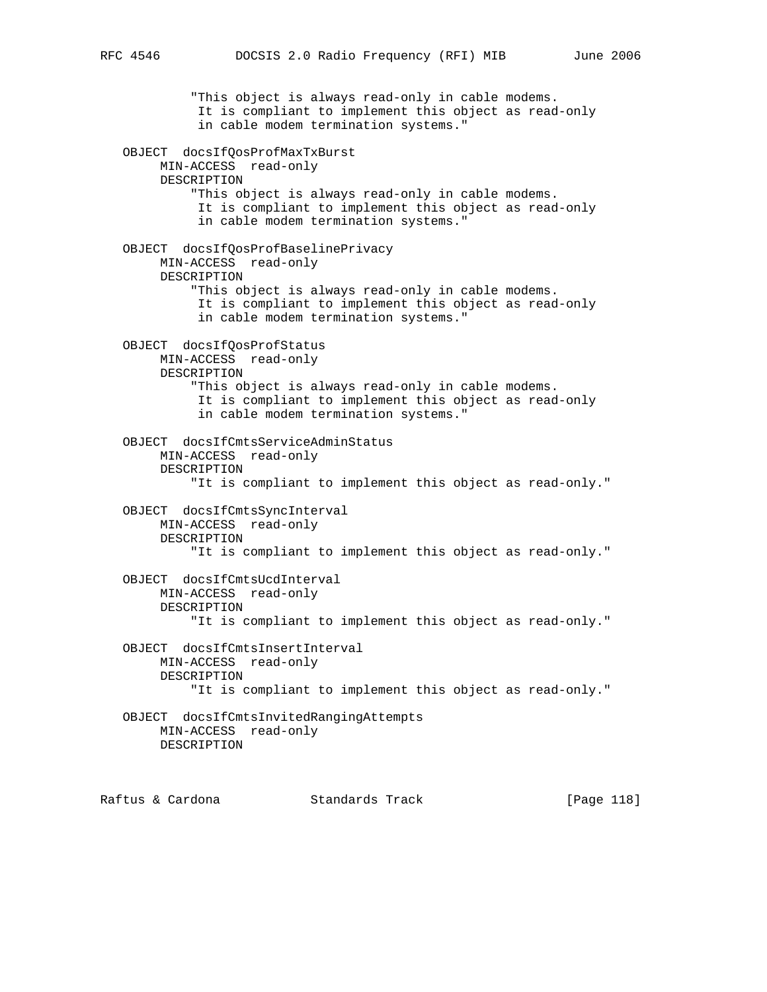"This object is always read-only in cable modems. It is compliant to implement this object as read-only in cable modem termination systems." OBJECT docsIfQosProfMaxTxBurst MIN-ACCESS read-only DESCRIPTION "This object is always read-only in cable modems. It is compliant to implement this object as read-only in cable modem termination systems." OBJECT docsIfQosProfBaselinePrivacy MIN-ACCESS read-only DESCRIPTION "This object is always read-only in cable modems. It is compliant to implement this object as read-only in cable modem termination systems." OBJECT docsIfQosProfStatus MIN-ACCESS read-only DESCRIPTION "This object is always read-only in cable modems. It is compliant to implement this object as read-only in cable modem termination systems." OBJECT docsIfCmtsServiceAdminStatus MIN-ACCESS read-only DESCRIPTION "It is compliant to implement this object as read-only." OBJECT docsIfCmtsSyncInterval MIN-ACCESS read-only DESCRIPTION "It is compliant to implement this object as read-only." OBJECT docsIfCmtsUcdInterval MIN-ACCESS read-only DESCRIPTION "It is compliant to implement this object as read-only." OBJECT docsIfCmtsInsertInterval MIN-ACCESS read-only DESCRIPTION "It is compliant to implement this object as read-only." OBJECT docsIfCmtsInvitedRangingAttempts MIN-ACCESS read-only DESCRIPTION

Raftus & Cardona Standards Track [Page 118]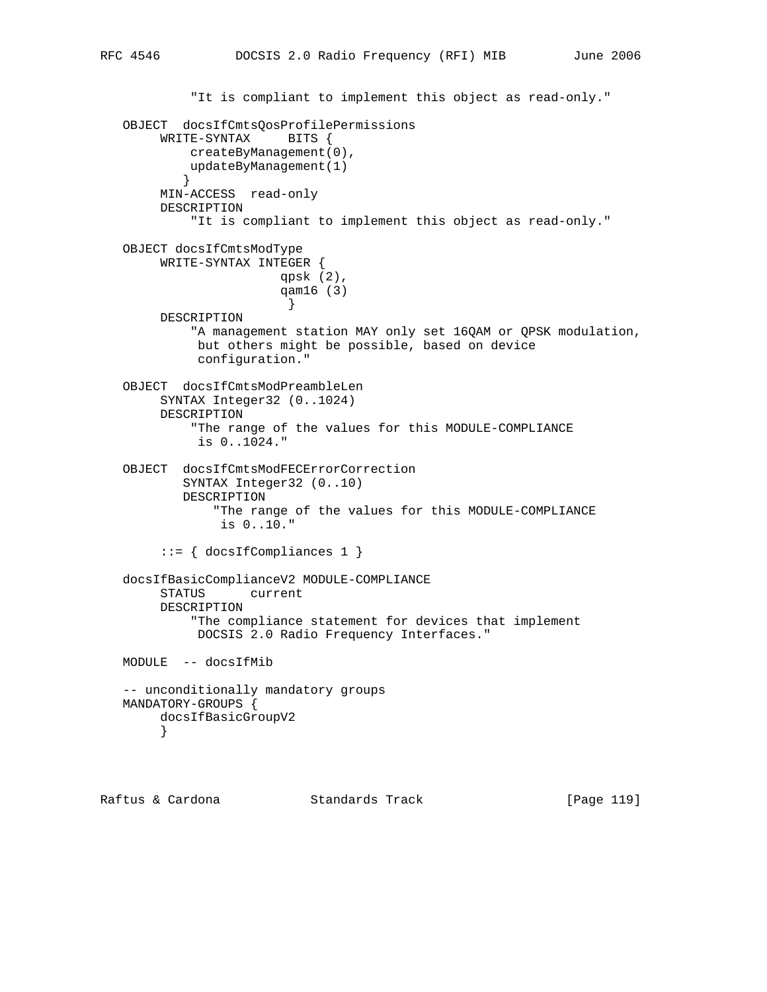```
 "It is compliant to implement this object as read-only."
  OBJECT docsIfCmtsQosProfilePermissions<br>WRITE-SYNTAX BITS {
       WRITE-SYNTAX
            createByManagement(0),
            updateByManagement(1)
 }
        MIN-ACCESS read-only
        DESCRIPTION
             "It is compliant to implement this object as read-only."
   OBJECT docsIfCmtsModType
        WRITE-SYNTAX INTEGER {
                         qpsk (2),
                         qam16 (3)
 }
        DESCRIPTION
             "A management station MAY only set 16QAM or QPSK modulation,
             but others might be possible, based on device
              configuration."
   OBJECT docsIfCmtsModPreambleLen
        SYNTAX Integer32 (0..1024)
        DESCRIPTION
             "The range of the values for this MODULE-COMPLIANCE
              is 0..1024."
   OBJECT docsIfCmtsModFECErrorCorrection
            SYNTAX Integer32 (0..10)
           DESCRIPTION
                "The range of the values for this MODULE-COMPLIANCE
                is 0..10."
         ::= { docsIfCompliances 1 }
   docsIfBasicComplianceV2 MODULE-COMPLIANCE
         STATUS current
        DESCRIPTION
             "The compliance statement for devices that implement
             DOCSIS 2.0 Radio Frequency Interfaces."
   MODULE -- docsIfMib
   -- unconditionally mandatory groups
   MANDATORY-GROUPS {
        docsIfBasicGroupV2
         }
```
Raftus & Cardona Standards Track [Page 119]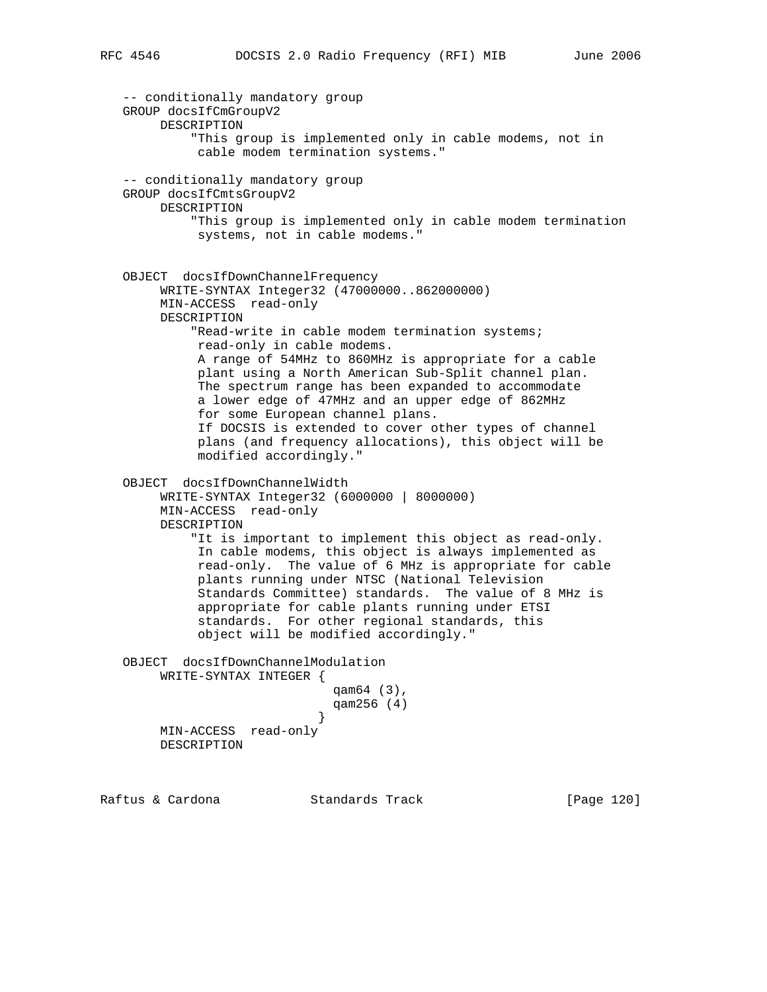-- conditionally mandatory group GROUP docsIfCmGroupV2 DESCRIPTION "This group is implemented only in cable modems, not in cable modem termination systems." -- conditionally mandatory group GROUP docsIfCmtsGroupV2 DESCRIPTION "This group is implemented only in cable modem termination systems, not in cable modems." OBJECT docsIfDownChannelFrequency WRITE-SYNTAX Integer32 (47000000..862000000) MIN-ACCESS read-only DESCRIPTION "Read-write in cable modem termination systems; read-only in cable modems. A range of 54MHz to 860MHz is appropriate for a cable plant using a North American Sub-Split channel plan. The spectrum range has been expanded to accommodate a lower edge of 47MHz and an upper edge of 862MHz for some European channel plans. If DOCSIS is extended to cover other types of channel plans (and frequency allocations), this object will be modified accordingly." OBJECT docsIfDownChannelWidth WRITE-SYNTAX Integer32 (6000000 | 8000000) MIN-ACCESS read-only DESCRIPTION "It is important to implement this object as read-only. In cable modems, this object is always implemented as read-only. The value of 6 MHz is appropriate for cable plants running under NTSC (National Television Standards Committee) standards. The value of 8 MHz is appropriate for cable plants running under ETSI standards. For other regional standards, this object will be modified accordingly." OBJECT docsIfDownChannelModulation WRITE-SYNTAX INTEGER { qam64 (3), qam256 (4) } MIN-ACCESS read-only DESCRIPTION Raftus & Cardona Standards Track [Page 120]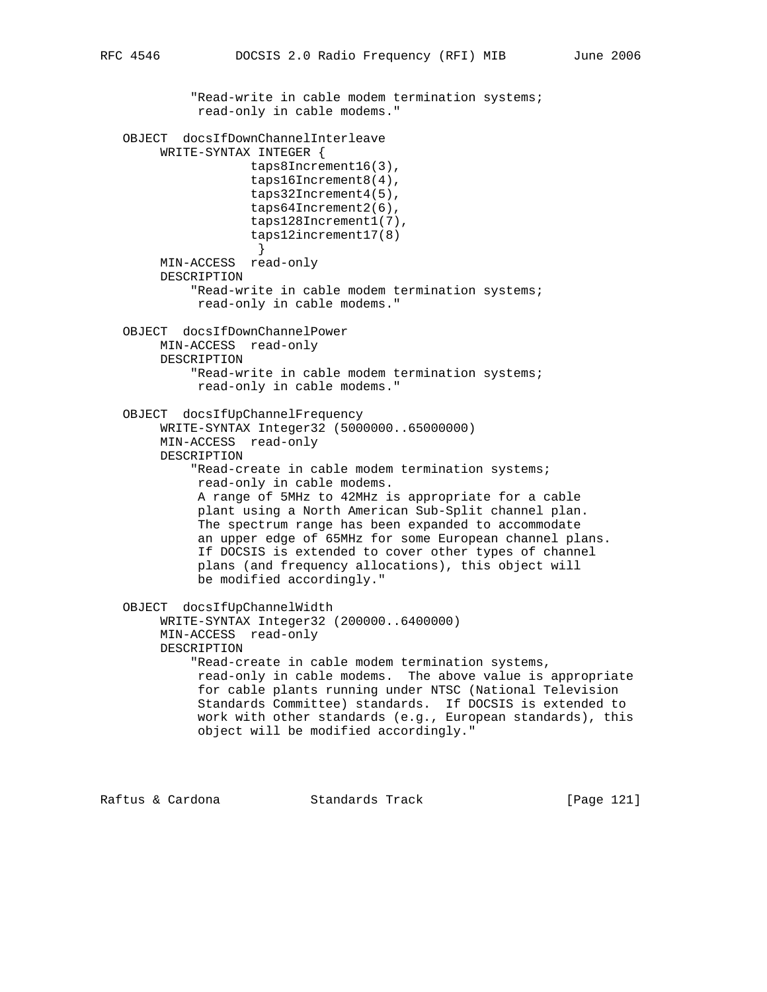"Read-write in cable modem termination systems; read-only in cable modems." OBJECT docsIfDownChannelInterleave WRITE-SYNTAX INTEGER { taps8Increment16(3), taps16Increment8(4), taps32Increment4(5), taps64Increment2(6), taps128Increment1(7), taps12increment17(8) } MIN-ACCESS read-only DESCRIPTION "Read-write in cable modem termination systems; read-only in cable modems." OBJECT docsIfDownChannelPower MIN-ACCESS read-only DESCRIPTION "Read-write in cable modem termination systems; read-only in cable modems." OBJECT docsIfUpChannelFrequency WRITE-SYNTAX Integer32 (5000000..65000000) MIN-ACCESS read-only DESCRIPTION "Read-create in cable modem termination systems; read-only in cable modems. A range of 5MHz to 42MHz is appropriate for a cable plant using a North American Sub-Split channel plan. The spectrum range has been expanded to accommodate an upper edge of 65MHz for some European channel plans. If DOCSIS is extended to cover other types of channel plans (and frequency allocations), this object will be modified accordingly." OBJECT docsIfUpChannelWidth WRITE-SYNTAX Integer32 (200000..6400000) MIN-ACCESS read-only DESCRIPTION "Read-create in cable modem termination systems, read-only in cable modems. The above value is appropriate for cable plants running under NTSC (National Television Standards Committee) standards. If DOCSIS is extended to work with other standards (e.g., European standards), this object will be modified accordingly."

Raftus & Cardona Standards Track [Page 121]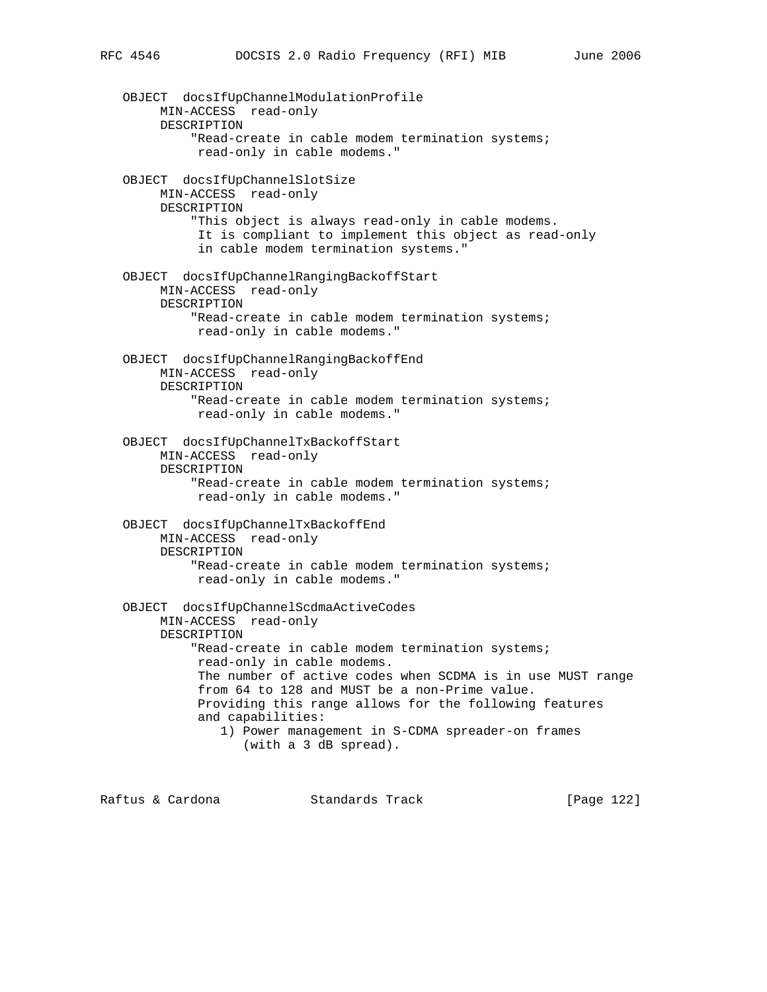OBJECT docsIfUpChannelModulationProfile MIN-ACCESS read-only DESCRIPTION "Read-create in cable modem termination systems; read-only in cable modems." OBJECT docsIfUpChannelSlotSize MIN-ACCESS read-only DESCRIPTION "This object is always read-only in cable modems. It is compliant to implement this object as read-only in cable modem termination systems." OBJECT docsIfUpChannelRangingBackoffStart MIN-ACCESS read-only DESCRIPTION "Read-create in cable modem termination systems; read-only in cable modems." OBJECT docsIfUpChannelRangingBackoffEnd MIN-ACCESS read-only DESCRIPTION "Read-create in cable modem termination systems; read-only in cable modems." OBJECT docsIfUpChannelTxBackoffStart MIN-ACCESS read-only DESCRIPTION "Read-create in cable modem termination systems; read-only in cable modems." OBJECT docsIfUpChannelTxBackoffEnd MIN-ACCESS read-only DESCRIPTION "Read-create in cable modem termination systems; read-only in cable modems." OBJECT docsIfUpChannelScdmaActiveCodes MIN-ACCESS read-only DESCRIPTION "Read-create in cable modem termination systems; read-only in cable modems. The number of active codes when SCDMA is in use MUST range from 64 to 128 and MUST be a non-Prime value. Providing this range allows for the following features and capabilities: 1) Power management in S-CDMA spreader-on frames (with a 3 dB spread).

Raftus & Cardona Standards Track [Page 122]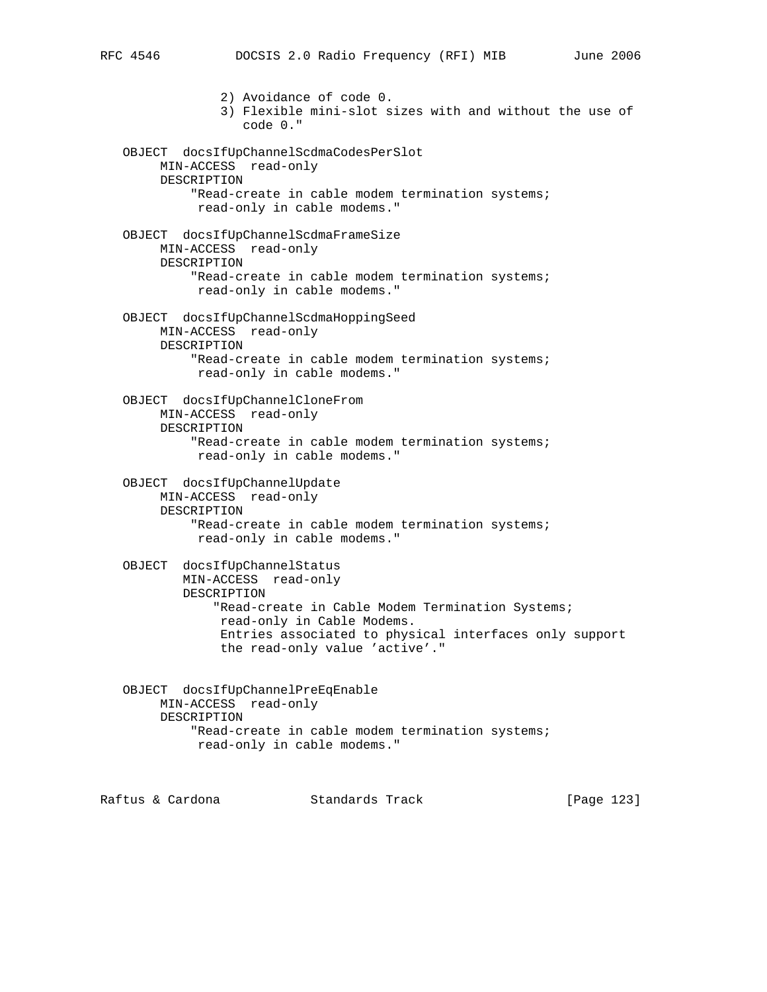2) Avoidance of code 0. 3) Flexible mini-slot sizes with and without the use of code 0." OBJECT docsIfUpChannelScdmaCodesPerSlot MIN-ACCESS read-only DESCRIPTION "Read-create in cable modem termination systems; read-only in cable modems." OBJECT docsIfUpChannelScdmaFrameSize MIN-ACCESS read-only DESCRIPTION "Read-create in cable modem termination systems; read-only in cable modems." OBJECT docsIfUpChannelScdmaHoppingSeed MIN-ACCESS read-only DESCRIPTION "Read-create in cable modem termination systems; read-only in cable modems." OBJECT docsIfUpChannelCloneFrom MIN-ACCESS read-only DESCRIPTION "Read-create in cable modem termination systems; read-only in cable modems." OBJECT docsIfUpChannelUpdate MIN-ACCESS read-only DESCRIPTION "Read-create in cable modem termination systems; read-only in cable modems." OBJECT docsIfUpChannelStatus MIN-ACCESS read-only DESCRIPTION "Read-create in Cable Modem Termination Systems; read-only in Cable Modems. Entries associated to physical interfaces only support the read-only value 'active'." OBJECT docsIfUpChannelPreEqEnable MIN-ACCESS read-only DESCRIPTION "Read-create in cable modem termination systems; read-only in cable modems."

Raftus & Cardona Standards Track [Page 123]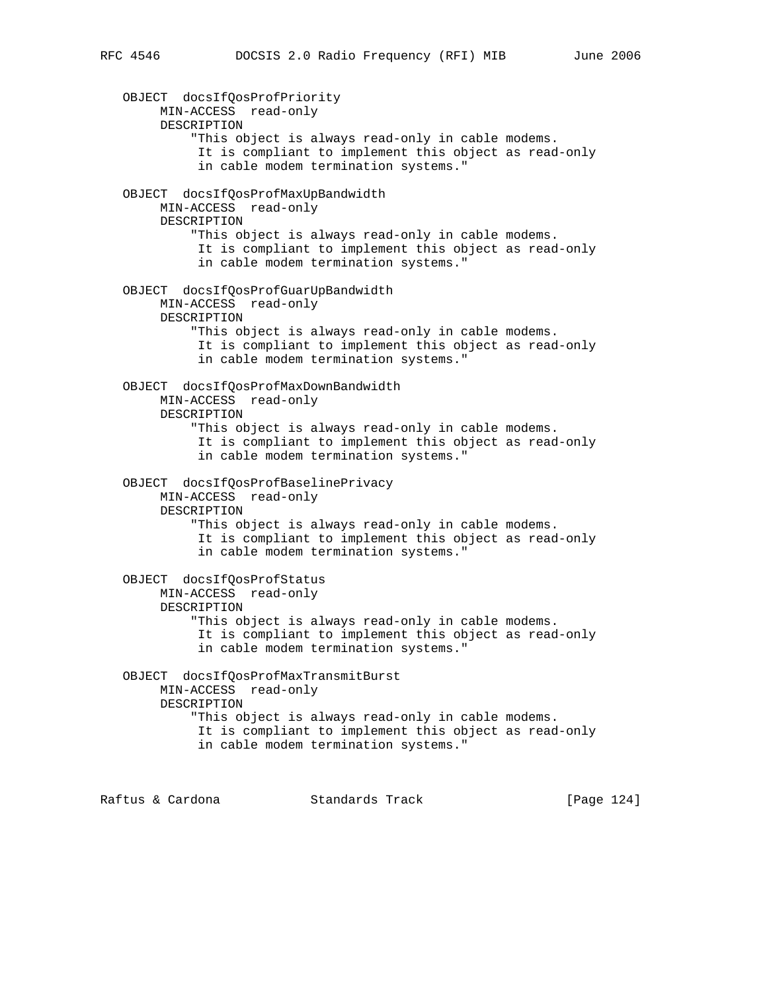OBJECT docsIfQosProfPriority MIN-ACCESS read-only DESCRIPTION "This object is always read-only in cable modems. It is compliant to implement this object as read-only in cable modem termination systems." OBJECT docsIfQosProfMaxUpBandwidth MIN-ACCESS read-only DESCRIPTION "This object is always read-only in cable modems. It is compliant to implement this object as read-only in cable modem termination systems." OBJECT docsIfQosProfGuarUpBandwidth MIN-ACCESS read-only DESCRIPTION "This object is always read-only in cable modems. It is compliant to implement this object as read-only in cable modem termination systems." OBJECT docsIfQosProfMaxDownBandwidth MIN-ACCESS read-only DESCRIPTION "This object is always read-only in cable modems. It is compliant to implement this object as read-only in cable modem termination systems." OBJECT docsIfQosProfBaselinePrivacy MIN-ACCESS read-only DESCRIPTION "This object is always read-only in cable modems. It is compliant to implement this object as read-only in cable modem termination systems." OBJECT docsIfQosProfStatus MIN-ACCESS read-only DESCRIPTION "This object is always read-only in cable modems. It is compliant to implement this object as read-only in cable modem termination systems." OBJECT docsIfQosProfMaxTransmitBurst MIN-ACCESS read-only DESCRIPTION "This object is always read-only in cable modems. It is compliant to implement this object as read-only in cable modem termination systems."

Raftus & Cardona Standards Track [Page 124]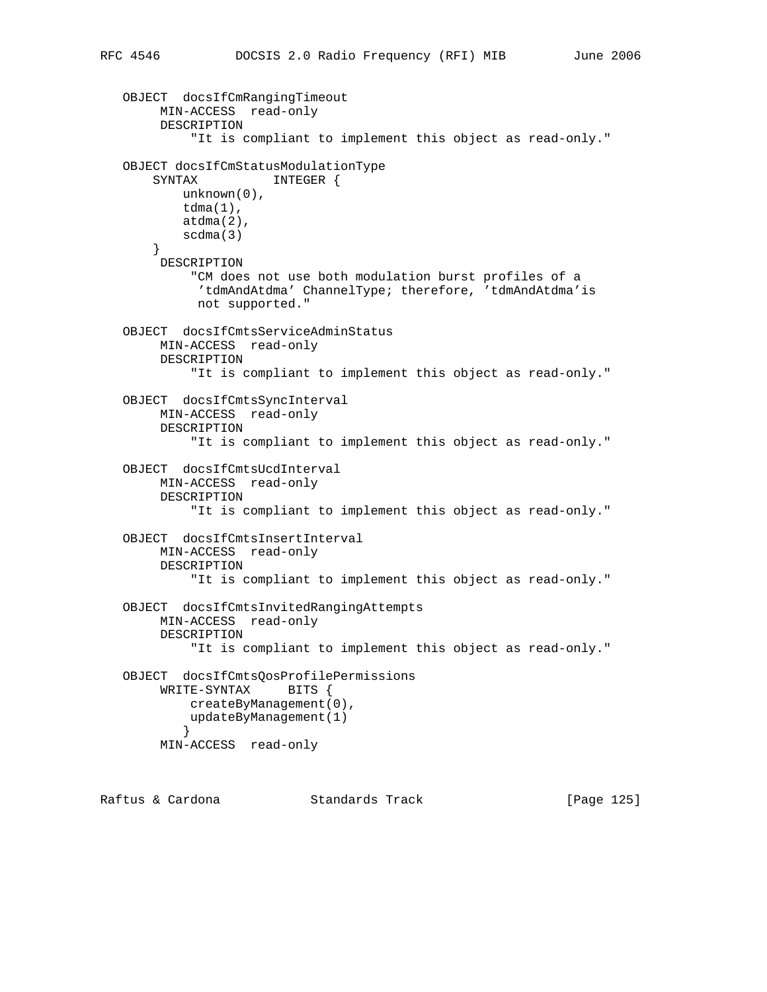```
 OBJECT docsIfCmRangingTimeout
        MIN-ACCESS read-only
        DESCRIPTION
             "It is compliant to implement this object as read-only."
   OBJECT docsIfCmStatusModulationType
       SYNTAX INTEGER {
           unknown(0),
           tdma(1),
           atdma(2),
           scdma(3)
        }
        DESCRIPTION
             "CM does not use both modulation burst profiles of a
             'tdmAndAtdma' ChannelType; therefore, 'tdmAndAtdma'is
             not supported."
   OBJECT docsIfCmtsServiceAdminStatus
        MIN-ACCESS read-only
        DESCRIPTION
             "It is compliant to implement this object as read-only."
   OBJECT docsIfCmtsSyncInterval
        MIN-ACCESS read-only
        DESCRIPTION
             "It is compliant to implement this object as read-only."
   OBJECT docsIfCmtsUcdInterval
        MIN-ACCESS read-only
        DESCRIPTION
             "It is compliant to implement this object as read-only."
   OBJECT docsIfCmtsInsertInterval
        MIN-ACCESS read-only
        DESCRIPTION
             "It is compliant to implement this object as read-only."
   OBJECT docsIfCmtsInvitedRangingAttempts
        MIN-ACCESS read-only
        DESCRIPTION
            "It is compliant to implement this object as read-only."
   OBJECT docsIfCmtsQosProfilePermissions
        WRITE-SYNTAX BITS {
            createByManagement(0),
            updateByManagement(1)
 }
        MIN-ACCESS read-only
```
Raftus & Cardona Standards Track [Page 125]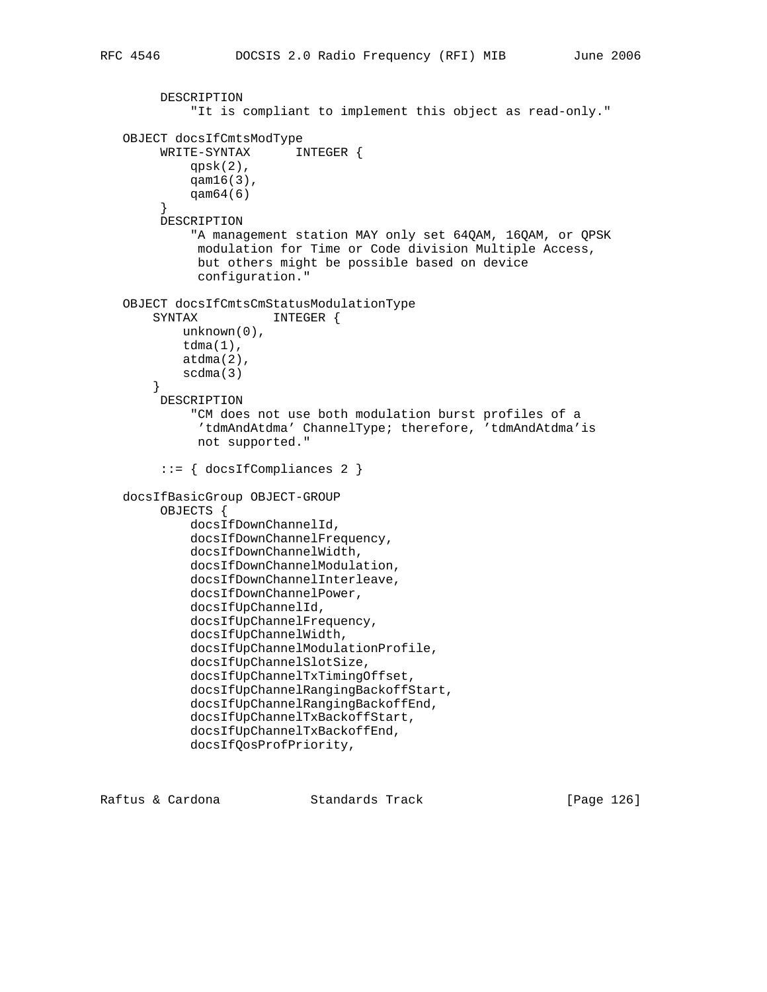```
 DESCRIPTION
             "It is compliant to implement this object as read-only."
  OBJECT docsIfCmtsModType<br>WRITE-SYNTAX II
                      INTEGER {
            qpsk(2),
             qam16(3),
             qam64(6)
 }
         DESCRIPTION
             "A management station MAY only set 64QAM, 16QAM, or QPSK
              modulation for Time or Code division Multiple Access,
              but others might be possible based on device
              configuration."
   OBJECT docsIfCmtsCmStatusModulationType
        SYNTAX INTEGER {
            unknown(0),
            tdma(1),
            atdma(2),
            scdma(3)
        }
        DESCRIPTION
             "CM does not use both modulation burst profiles of a
              'tdmAndAtdma' ChannelType; therefore, 'tdmAndAtdma'is
              not supported."
         ::= { docsIfCompliances 2 }
   docsIfBasicGroup OBJECT-GROUP
         OBJECTS {
             docsIfDownChannelId,
             docsIfDownChannelFrequency,
             docsIfDownChannelWidth,
             docsIfDownChannelModulation,
             docsIfDownChannelInterleave,
             docsIfDownChannelPower,
             docsIfUpChannelId,
             docsIfUpChannelFrequency,
             docsIfUpChannelWidth,
             docsIfUpChannelModulationProfile,
             docsIfUpChannelSlotSize,
             docsIfUpChannelTxTimingOffset,
             docsIfUpChannelRangingBackoffStart,
             docsIfUpChannelRangingBackoffEnd,
             docsIfUpChannelTxBackoffStart,
             docsIfUpChannelTxBackoffEnd,
             docsIfQosProfPriority,
```
Raftus & Cardona Standards Track [Page 126]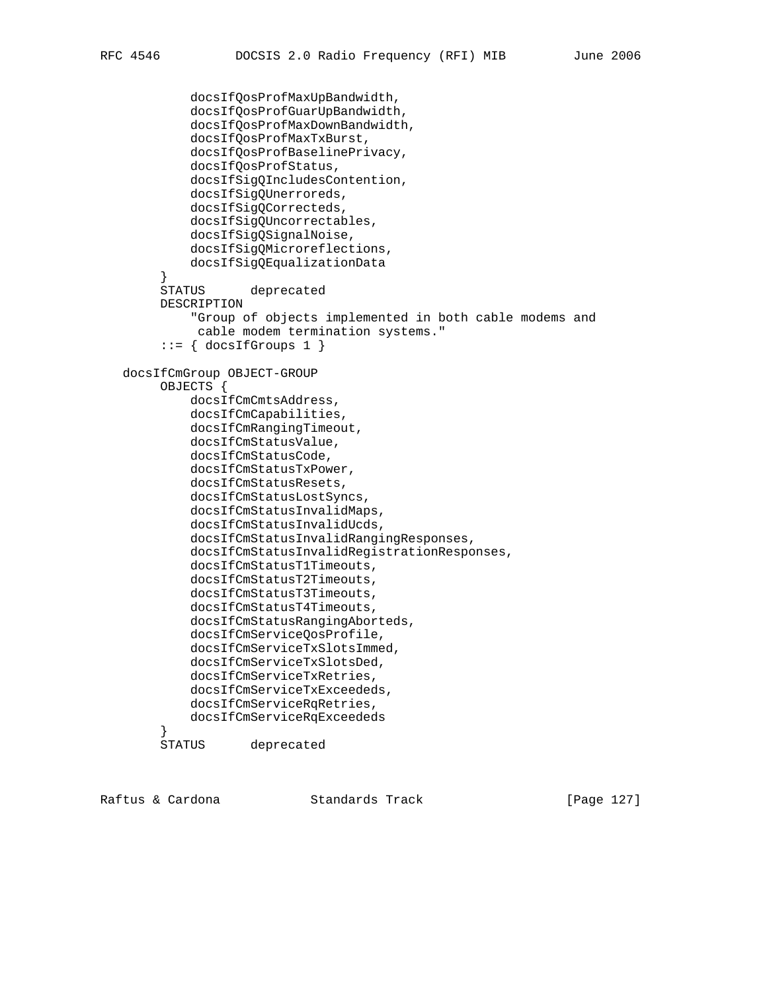```
 docsIfQosProfMaxUpBandwidth,
             docsIfQosProfGuarUpBandwidth,
             docsIfQosProfMaxDownBandwidth,
             docsIfQosProfMaxTxBurst,
             docsIfQosProfBaselinePrivacy,
             docsIfQosProfStatus,
             docsIfSigQIncludesContention,
             docsIfSigQUnerroreds,
             docsIfSigQCorrecteds,
             docsIfSigQUncorrectables,
             docsIfSigQSignalNoise,
             docsIfSigQMicroreflections,
             docsIfSigQEqualizationData
 }
         STATUS deprecated
         DESCRIPTION
             "Group of objects implemented in both cable modems and
              cable modem termination systems."
        ::= { docsIfGroups 1 }
   docsIfCmGroup OBJECT-GROUP
         OBJECTS {
             docsIfCmCmtsAddress,
             docsIfCmCapabilities,
             docsIfCmRangingTimeout,
             docsIfCmStatusValue,
             docsIfCmStatusCode,
             docsIfCmStatusTxPower,
             docsIfCmStatusResets,
             docsIfCmStatusLostSyncs,
             docsIfCmStatusInvalidMaps,
             docsIfCmStatusInvalidUcds,
             docsIfCmStatusInvalidRangingResponses,
             docsIfCmStatusInvalidRegistrationResponses,
             docsIfCmStatusT1Timeouts,
             docsIfCmStatusT2Timeouts,
             docsIfCmStatusT3Timeouts,
             docsIfCmStatusT4Timeouts,
             docsIfCmStatusRangingAborteds,
             docsIfCmServiceQosProfile,
             docsIfCmServiceTxSlotsImmed,
             docsIfCmServiceTxSlotsDed,
             docsIfCmServiceTxRetries,
             docsIfCmServiceTxExceededs,
             docsIfCmServiceRqRetries,
             docsIfCmServiceRqExceededs
 }
         STATUS deprecated
```
Raftus & Cardona Standards Track [Page 127]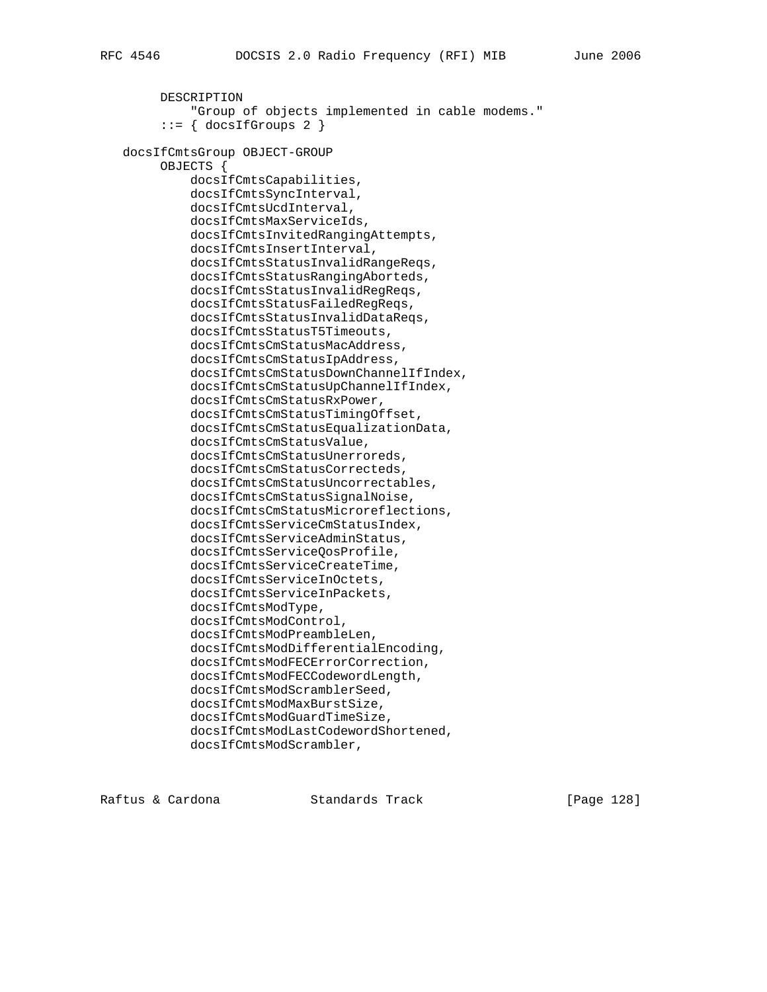DESCRIPTION "Group of objects implemented in cable modems."  $::=$  { docsIfGroups 2 } docsIfCmtsGroup OBJECT-GROUP OBJECTS { docsIfCmtsCapabilities, docsIfCmtsSyncInterval, docsIfCmtsUcdInterval, docsIfCmtsMaxServiceIds, docsIfCmtsInvitedRangingAttempts, docsIfCmtsInsertInterval, docsIfCmtsStatusInvalidRangeReqs, docsIfCmtsStatusRangingAborteds, docsIfCmtsStatusInvalidRegReqs, docsIfCmtsStatusFailedRegReqs, docsIfCmtsStatusInvalidDataReqs, docsIfCmtsStatusT5Timeouts, docsIfCmtsCmStatusMacAddress, docsIfCmtsCmStatusIpAddress, docsIfCmtsCmStatusDownChannelIfIndex, docsIfCmtsCmStatusUpChannelIfIndex, docsIfCmtsCmStatusRxPower, docsIfCmtsCmStatusTimingOffset, docsIfCmtsCmStatusEqualizationData, docsIfCmtsCmStatusValue, docsIfCmtsCmStatusUnerroreds, docsIfCmtsCmStatusCorrecteds, docsIfCmtsCmStatusUncorrectables, docsIfCmtsCmStatusSignalNoise, docsIfCmtsCmStatusMicroreflections, docsIfCmtsServiceCmStatusIndex, docsIfCmtsServiceAdminStatus, docsIfCmtsServiceQosProfile, docsIfCmtsServiceCreateTime, docsIfCmtsServiceInOctets, docsIfCmtsServiceInPackets, docsIfCmtsModType, docsIfCmtsModControl, docsIfCmtsModPreambleLen, docsIfCmtsModDifferentialEncoding, docsIfCmtsModFECErrorCorrection, docsIfCmtsModFECCodewordLength, docsIfCmtsModScramblerSeed, docsIfCmtsModMaxBurstSize, docsIfCmtsModGuardTimeSize, docsIfCmtsModLastCodewordShortened, docsIfCmtsModScrambler,

Raftus & Cardona Standards Track [Page 128]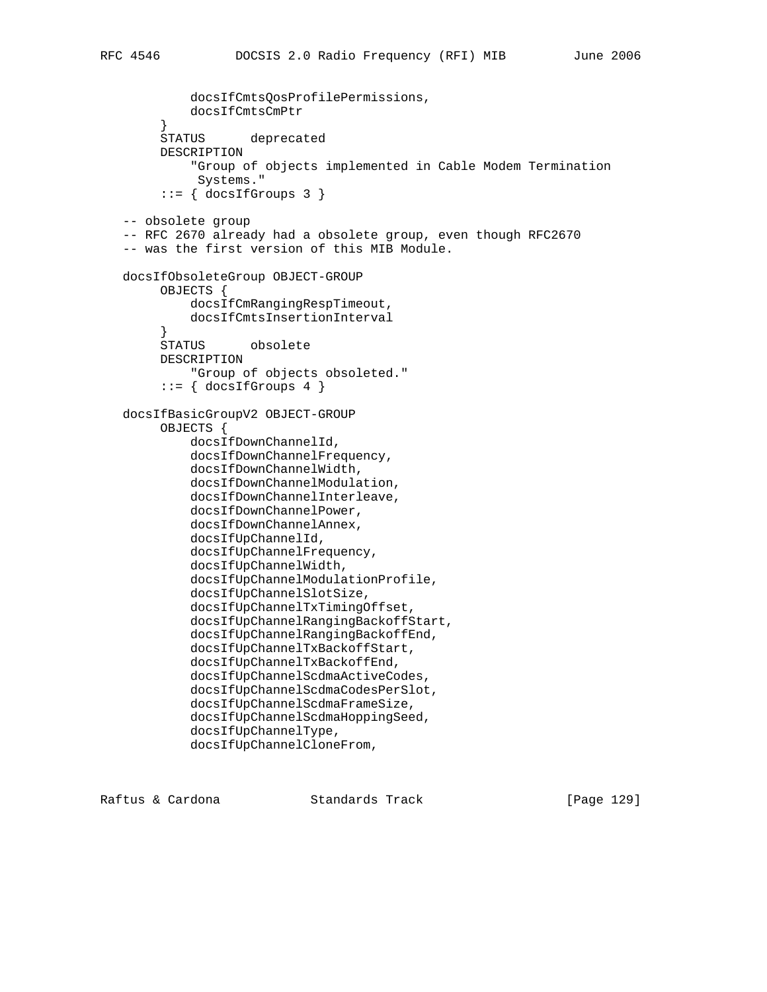```
 docsIfCmtsQosProfilePermissions,
        docsIfCmtsCmPtr<br>}
 }
         STATUS deprecated
         DESCRIPTION
             "Group of objects implemented in Cable Modem Termination
              Systems."
        ::= { docsIfGroups 3 }
   -- obsolete group
   -- RFC 2670 already had a obsolete group, even though RFC2670
   -- was the first version of this MIB Module.
   docsIfObsoleteGroup OBJECT-GROUP
         OBJECTS {
             docsIfCmRangingRespTimeout,
             docsIfCmtsInsertionInterval
         }
         STATUS obsolete
        DESCRIPTION
             "Group of objects obsoleted."
        ::= { docsIfGroups 4 }
   docsIfBasicGroupV2 OBJECT-GROUP
         OBJECTS {
             docsIfDownChannelId,
             docsIfDownChannelFrequency,
             docsIfDownChannelWidth,
             docsIfDownChannelModulation,
             docsIfDownChannelInterleave,
             docsIfDownChannelPower,
             docsIfDownChannelAnnex,
             docsIfUpChannelId,
             docsIfUpChannelFrequency,
             docsIfUpChannelWidth,
             docsIfUpChannelModulationProfile,
             docsIfUpChannelSlotSize,
             docsIfUpChannelTxTimingOffset,
             docsIfUpChannelRangingBackoffStart,
             docsIfUpChannelRangingBackoffEnd,
             docsIfUpChannelTxBackoffStart,
             docsIfUpChannelTxBackoffEnd,
             docsIfUpChannelScdmaActiveCodes,
             docsIfUpChannelScdmaCodesPerSlot,
             docsIfUpChannelScdmaFrameSize,
             docsIfUpChannelScdmaHoppingSeed,
             docsIfUpChannelType,
             docsIfUpChannelCloneFrom,
```
Raftus & Cardona Standards Track [Page 129]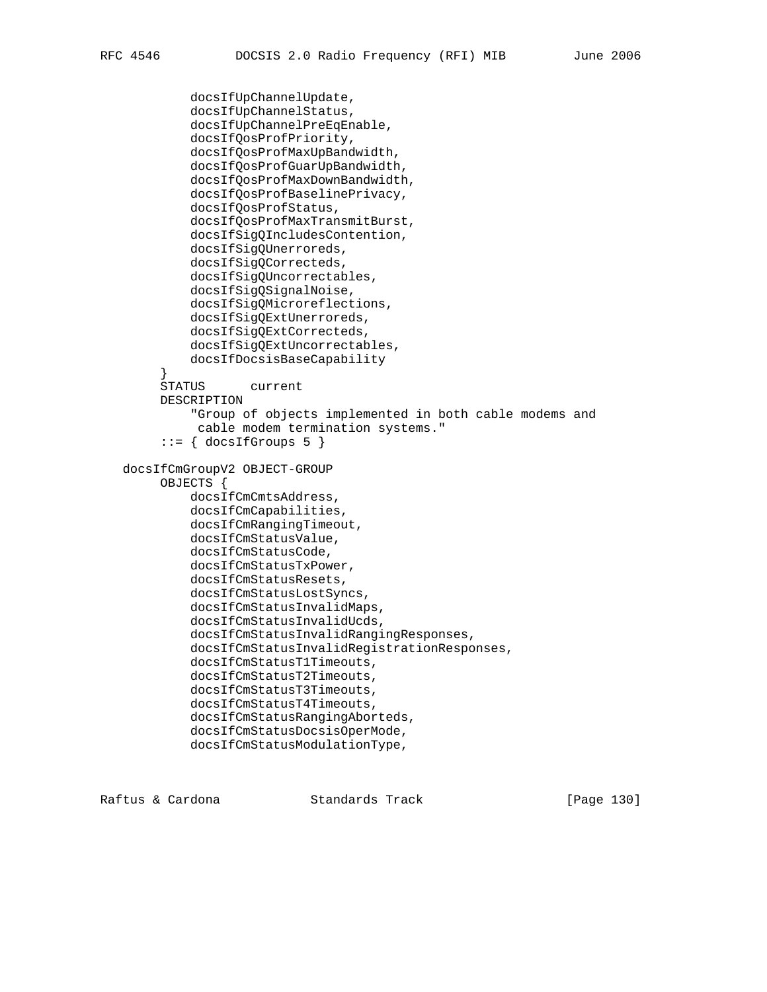```
 docsIfUpChannelUpdate,
             docsIfUpChannelStatus,
             docsIfUpChannelPreEqEnable,
             docsIfQosProfPriority,
             docsIfQosProfMaxUpBandwidth,
             docsIfQosProfGuarUpBandwidth,
             docsIfQosProfMaxDownBandwidth,
             docsIfQosProfBaselinePrivacy,
             docsIfQosProfStatus,
             docsIfQosProfMaxTransmitBurst,
             docsIfSigQIncludesContention,
             docsIfSigQUnerroreds,
             docsIfSigQCorrecteds,
             docsIfSigQUncorrectables,
             docsIfSigQSignalNoise,
             docsIfSigQMicroreflections,
             docsIfSigQExtUnerroreds,
             docsIfSigQExtCorrecteds,
             docsIfSigQExtUncorrectables,
             docsIfDocsisBaseCapability
 }
         STATUS current
         DESCRIPTION
             "Group of objects implemented in both cable modems and
              cable modem termination systems."
        ::= { docsIfGroups 5 }
   docsIfCmGroupV2 OBJECT-GROUP
         OBJECTS {
             docsIfCmCmtsAddress,
             docsIfCmCapabilities,
             docsIfCmRangingTimeout,
             docsIfCmStatusValue,
             docsIfCmStatusCode,
             docsIfCmStatusTxPower,
             docsIfCmStatusResets,
             docsIfCmStatusLostSyncs,
             docsIfCmStatusInvalidMaps,
             docsIfCmStatusInvalidUcds,
             docsIfCmStatusInvalidRangingResponses,
             docsIfCmStatusInvalidRegistrationResponses,
             docsIfCmStatusT1Timeouts,
             docsIfCmStatusT2Timeouts,
             docsIfCmStatusT3Timeouts,
             docsIfCmStatusT4Timeouts,
             docsIfCmStatusRangingAborteds,
             docsIfCmStatusDocsisOperMode,
             docsIfCmStatusModulationType,
```
Raftus & Cardona Standards Track [Page 130]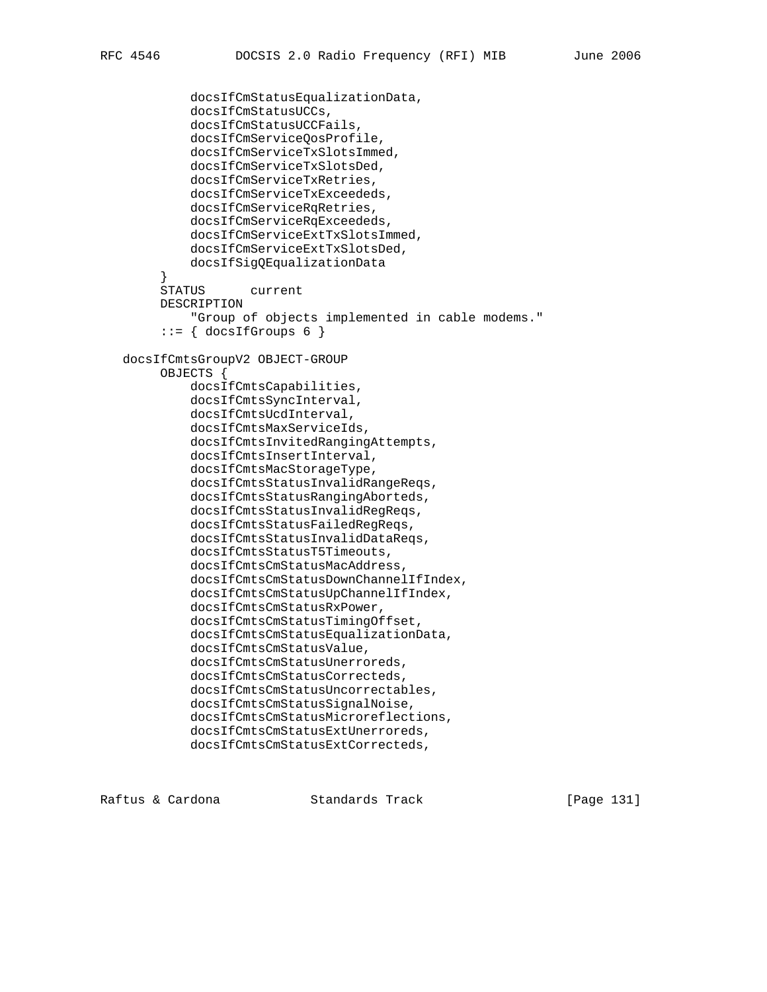```
 docsIfCmStatusEqualizationData,
             docsIfCmStatusUCCs,
             docsIfCmStatusUCCFails,
             docsIfCmServiceQosProfile,
             docsIfCmServiceTxSlotsImmed,
             docsIfCmServiceTxSlotsDed,
             docsIfCmServiceTxRetries,
             docsIfCmServiceTxExceededs,
             docsIfCmServiceRqRetries,
             docsIfCmServiceRqExceededs,
             docsIfCmServiceExtTxSlotsImmed,
             docsIfCmServiceExtTxSlotsDed,
             docsIfSigQEqualizationData
 }
         STATUS current
         DESCRIPTION
             "Group of objects implemented in cable modems."
        ::= { docsIfGroups 6 }
   docsIfCmtsGroupV2 OBJECT-GROUP
         OBJECTS {
             docsIfCmtsCapabilities,
             docsIfCmtsSyncInterval,
             docsIfCmtsUcdInterval,
             docsIfCmtsMaxServiceIds,
             docsIfCmtsInvitedRangingAttempts,
             docsIfCmtsInsertInterval,
             docsIfCmtsMacStorageType,
             docsIfCmtsStatusInvalidRangeReqs,
             docsIfCmtsStatusRangingAborteds,
             docsIfCmtsStatusInvalidRegReqs,
             docsIfCmtsStatusFailedRegReqs,
             docsIfCmtsStatusInvalidDataReqs,
             docsIfCmtsStatusT5Timeouts,
             docsIfCmtsCmStatusMacAddress,
             docsIfCmtsCmStatusDownChannelIfIndex,
             docsIfCmtsCmStatusUpChannelIfIndex,
             docsIfCmtsCmStatusRxPower,
             docsIfCmtsCmStatusTimingOffset,
             docsIfCmtsCmStatusEqualizationData,
             docsIfCmtsCmStatusValue,
             docsIfCmtsCmStatusUnerroreds,
             docsIfCmtsCmStatusCorrecteds,
             docsIfCmtsCmStatusUncorrectables,
             docsIfCmtsCmStatusSignalNoise,
             docsIfCmtsCmStatusMicroreflections,
             docsIfCmtsCmStatusExtUnerroreds,
             docsIfCmtsCmStatusExtCorrecteds,
```
Raftus & Cardona Standards Track [Page 131]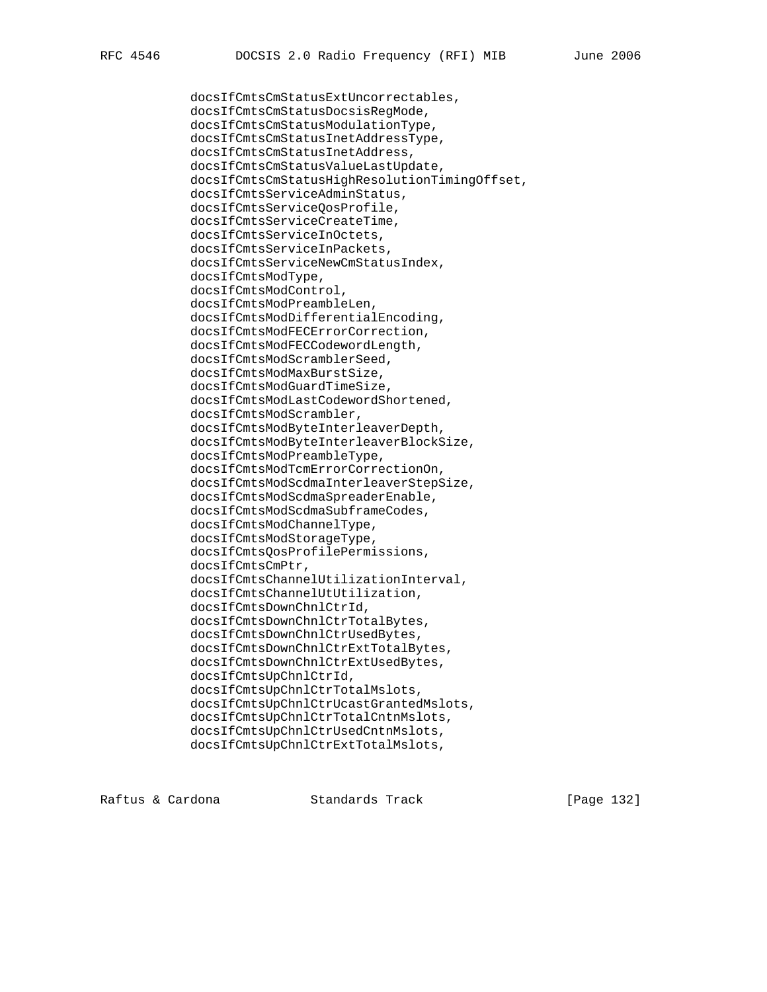docsIfCmtsCmStatusExtUncorrectables, docsIfCmtsCmStatusDocsisRegMode, docsIfCmtsCmStatusModulationType, docsIfCmtsCmStatusInetAddressType, docsIfCmtsCmStatusInetAddress, docsIfCmtsCmStatusValueLastUpdate, docsIfCmtsCmStatusHighResolutionTimingOffset, docsIfCmtsServiceAdminStatus, docsIfCmtsServiceQosProfile, docsIfCmtsServiceCreateTime, docsIfCmtsServiceInOctets, docsIfCmtsServiceInPackets, docsIfCmtsServiceNewCmStatusIndex, docsIfCmtsModType, docsIfCmtsModControl, docsIfCmtsModPreambleLen, docsIfCmtsModDifferentialEncoding, docsIfCmtsModFECErrorCorrection, docsIfCmtsModFECCodewordLength, docsIfCmtsModScramblerSeed, docsIfCmtsModMaxBurstSize, docsIfCmtsModGuardTimeSize, docsIfCmtsModLastCodewordShortened, docsIfCmtsModScrambler, docsIfCmtsModByteInterleaverDepth, docsIfCmtsModByteInterleaverBlockSize, docsIfCmtsModPreambleType, docsIfCmtsModTcmErrorCorrectionOn, docsIfCmtsModScdmaInterleaverStepSize, docsIfCmtsModScdmaSpreaderEnable, docsIfCmtsModScdmaSubframeCodes, docsIfCmtsModChannelType, docsIfCmtsModStorageType, docsIfCmtsQosProfilePermissions, docsIfCmtsCmPtr, docsIfCmtsChannelUtilizationInterval, docsIfCmtsChannelUtUtilization, docsIfCmtsDownChnlCtrId, docsIfCmtsDownChnlCtrTotalBytes, docsIfCmtsDownChnlCtrUsedBytes, docsIfCmtsDownChnlCtrExtTotalBytes, docsIfCmtsDownChnlCtrExtUsedBytes, docsIfCmtsUpChnlCtrId, docsIfCmtsUpChnlCtrTotalMslots, docsIfCmtsUpChnlCtrUcastGrantedMslots, docsIfCmtsUpChnlCtrTotalCntnMslots, docsIfCmtsUpChnlCtrUsedCntnMslots, docsIfCmtsUpChnlCtrExtTotalMslots,

Raftus & Cardona Standards Track [Page 132]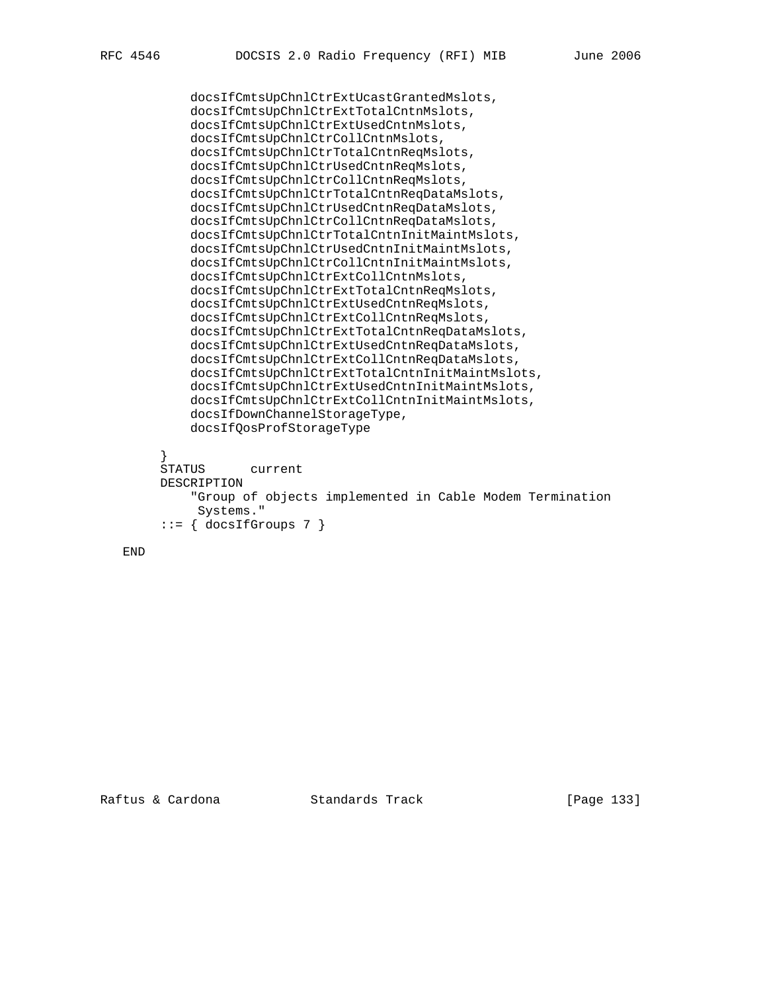```
 docsIfCmtsUpChnlCtrExtUcastGrantedMslots,
             docsIfCmtsUpChnlCtrExtTotalCntnMslots,
             docsIfCmtsUpChnlCtrExtUsedCntnMslots,
             docsIfCmtsUpChnlCtrCollCntnMslots,
             docsIfCmtsUpChnlCtrTotalCntnReqMslots,
             docsIfCmtsUpChnlCtrUsedCntnReqMslots,
             docsIfCmtsUpChnlCtrCollCntnReqMslots,
             docsIfCmtsUpChnlCtrTotalCntnReqDataMslots,
             docsIfCmtsUpChnlCtrUsedCntnReqDataMslots,
             docsIfCmtsUpChnlCtrCollCntnReqDataMslots,
             docsIfCmtsUpChnlCtrTotalCntnInitMaintMslots,
             docsIfCmtsUpChnlCtrUsedCntnInitMaintMslots,
             docsIfCmtsUpChnlCtrCollCntnInitMaintMslots,
             docsIfCmtsUpChnlCtrExtCollCntnMslots,
             docsIfCmtsUpChnlCtrExtTotalCntnReqMslots,
             docsIfCmtsUpChnlCtrExtUsedCntnReqMslots,
             docsIfCmtsUpChnlCtrExtCollCntnReqMslots,
             docsIfCmtsUpChnlCtrExtTotalCntnReqDataMslots,
             docsIfCmtsUpChnlCtrExtUsedCntnReqDataMslots,
             docsIfCmtsUpChnlCtrExtCollCntnReqDataMslots,
             docsIfCmtsUpChnlCtrExtTotalCntnInitMaintMslots,
             docsIfCmtsUpChnlCtrExtUsedCntnInitMaintMslots,
             docsIfCmtsUpChnlCtrExtCollCntnInitMaintMslots,
             docsIfDownChannelStorageType,
             docsIfQosProfStorageType
 }
         STATUS current
        DESCRIPTION
             "Group of objects implemented in Cable Modem Termination
             Systems."
```

```
::= { docsIfGroups 7 }
```


Raftus & Cardona Standards Track [Page 133]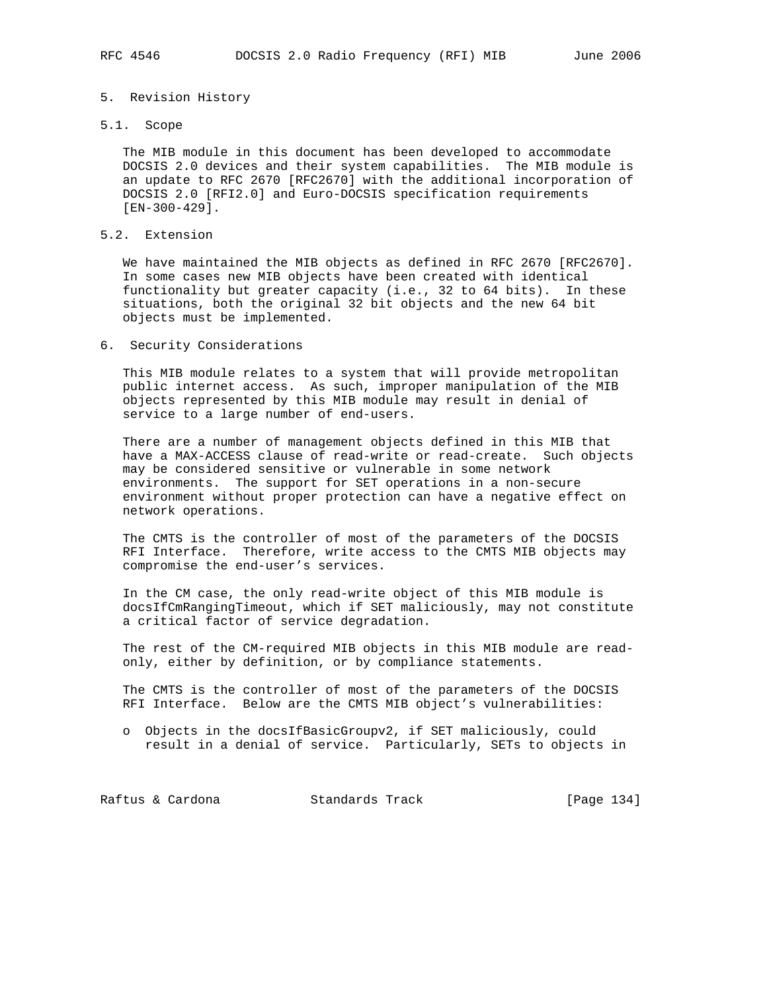#### 5. Revision History

#### 5.1. Scope

 The MIB module in this document has been developed to accommodate DOCSIS 2.0 devices and their system capabilities. The MIB module is an update to RFC 2670 [RFC2670] with the additional incorporation of DOCSIS 2.0 [RFI2.0] and Euro-DOCSIS specification requirements [EN-300-429].

## 5.2. Extension

 We have maintained the MIB objects as defined in RFC 2670 [RFC2670]. In some cases new MIB objects have been created with identical functionality but greater capacity (i.e., 32 to 64 bits). In these situations, both the original 32 bit objects and the new 64 bit objects must be implemented.

# 6. Security Considerations

 This MIB module relates to a system that will provide metropolitan public internet access. As such, improper manipulation of the MIB objects represented by this MIB module may result in denial of service to a large number of end-users.

 There are a number of management objects defined in this MIB that have a MAX-ACCESS clause of read-write or read-create. Such objects may be considered sensitive or vulnerable in some network environments. The support for SET operations in a non-secure environment without proper protection can have a negative effect on network operations.

 The CMTS is the controller of most of the parameters of the DOCSIS RFI Interface. Therefore, write access to the CMTS MIB objects may compromise the end-user's services.

 In the CM case, the only read-write object of this MIB module is docsIfCmRangingTimeout, which if SET maliciously, may not constitute a critical factor of service degradation.

 The rest of the CM-required MIB objects in this MIB module are read only, either by definition, or by compliance statements.

 The CMTS is the controller of most of the parameters of the DOCSIS RFI Interface. Below are the CMTS MIB object's vulnerabilities:

 o Objects in the docsIfBasicGroupv2, if SET maliciously, could result in a denial of service. Particularly, SETs to objects in

Raftus & Cardona Standards Track [Page 134]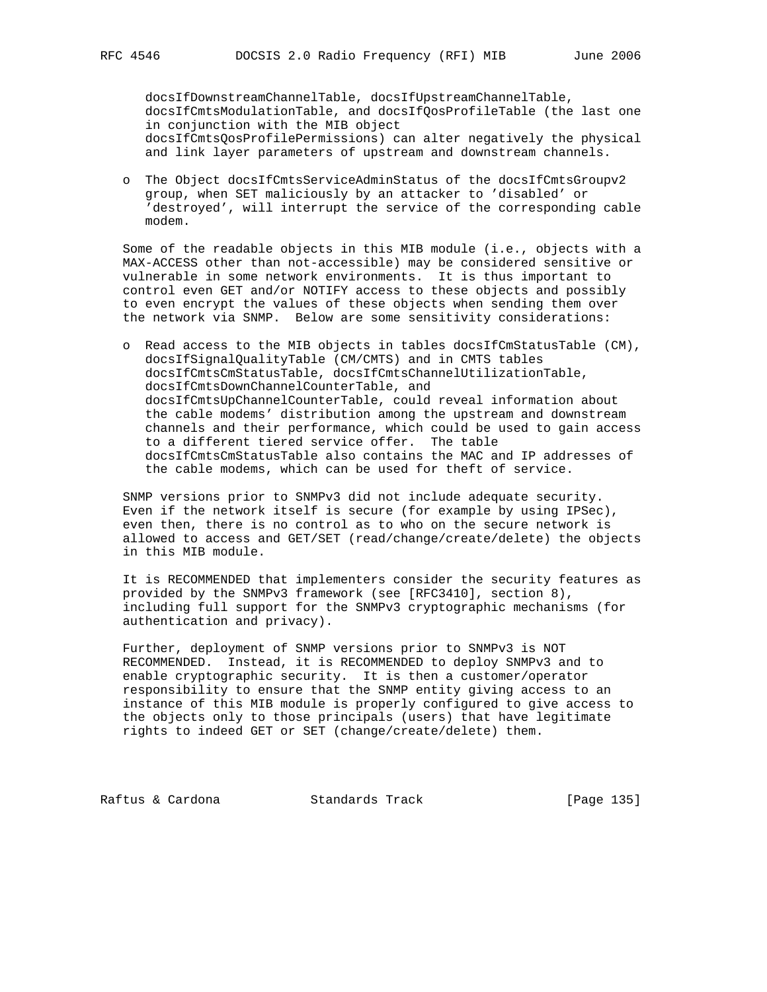docsIfDownstreamChannelTable, docsIfUpstreamChannelTable, docsIfCmtsModulationTable, and docsIfQosProfileTable (the last one in conjunction with the MIB object docsIfCmtsQosProfilePermissions) can alter negatively the physical and link layer parameters of upstream and downstream channels.

 o The Object docsIfCmtsServiceAdminStatus of the docsIfCmtsGroupv2 group, when SET maliciously by an attacker to 'disabled' or 'destroyed', will interrupt the service of the corresponding cable modem.

 Some of the readable objects in this MIB module (i.e., objects with a MAX-ACCESS other than not-accessible) may be considered sensitive or vulnerable in some network environments. It is thus important to control even GET and/or NOTIFY access to these objects and possibly to even encrypt the values of these objects when sending them over the network via SNMP. Below are some sensitivity considerations:

 o Read access to the MIB objects in tables docsIfCmStatusTable (CM), docsIfSignalQualityTable (CM/CMTS) and in CMTS tables docsIfCmtsCmStatusTable, docsIfCmtsChannelUtilizationTable, docsIfCmtsDownChannelCounterTable, and docsIfCmtsUpChannelCounterTable, could reveal information about the cable modems' distribution among the upstream and downstream channels and their performance, which could be used to gain access to a different tiered service offer. The table docsIfCmtsCmStatusTable also contains the MAC and IP addresses of the cable modems, which can be used for theft of service.

 SNMP versions prior to SNMPv3 did not include adequate security. Even if the network itself is secure (for example by using IPSec), even then, there is no control as to who on the secure network is allowed to access and GET/SET (read/change/create/delete) the objects in this MIB module.

 It is RECOMMENDED that implementers consider the security features as provided by the SNMPv3 framework (see [RFC3410], section 8), including full support for the SNMPv3 cryptographic mechanisms (for authentication and privacy).

 Further, deployment of SNMP versions prior to SNMPv3 is NOT RECOMMENDED. Instead, it is RECOMMENDED to deploy SNMPv3 and to enable cryptographic security. It is then a customer/operator responsibility to ensure that the SNMP entity giving access to an instance of this MIB module is properly configured to give access to the objects only to those principals (users) that have legitimate rights to indeed GET or SET (change/create/delete) them.

Raftus & Cardona Standards Track [Page 135]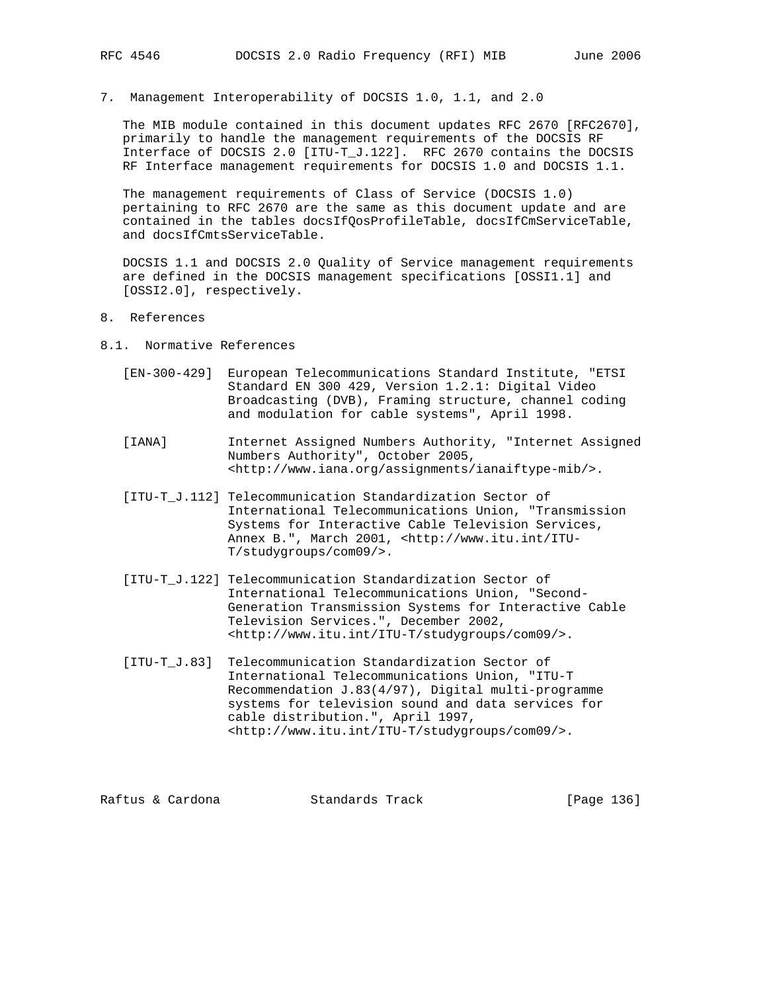7. Management Interoperability of DOCSIS 1.0, 1.1, and 2.0

 The MIB module contained in this document updates RFC 2670 [RFC2670], primarily to handle the management requirements of the DOCSIS RF Interface of DOCSIS 2.0 [ITU-T\_J.122]. RFC 2670 contains the DOCSIS RF Interface management requirements for DOCSIS 1.0 and DOCSIS 1.1.

 The management requirements of Class of Service (DOCSIS 1.0) pertaining to RFC 2670 are the same as this document update and are contained in the tables docsIfQosProfileTable, docsIfCmServiceTable, and docsIfCmtsServiceTable.

 DOCSIS 1.1 and DOCSIS 2.0 Quality of Service management requirements are defined in the DOCSIS management specifications [OSSI1.1] and [OSSI2.0], respectively.

- 8. References
- 8.1. Normative References
	- [EN-300-429] European Telecommunications Standard Institute, "ETSI Standard EN 300 429, Version 1.2.1: Digital Video Broadcasting (DVB), Framing structure, channel coding and modulation for cable systems", April 1998.
	- [IANA] Internet Assigned Numbers Authority, "Internet Assigned Numbers Authority", October 2005, <http://www.iana.org/assignments/ianaiftype-mib/>.
	- [ITU-T\_J.112] Telecommunication Standardization Sector of International Telecommunications Union, "Transmission Systems for Interactive Cable Television Services, Annex B.", March 2001, <http://www.itu.int/ITU- T/studygroups/com09/>.
	- [ITU-T\_J.122] Telecommunication Standardization Sector of International Telecommunications Union, "Second- Generation Transmission Systems for Interactive Cable Television Services.", December 2002, <http://www.itu.int/ITU-T/studygroups/com09/>.
	- [ITU-T\_J.83] Telecommunication Standardization Sector of International Telecommunications Union, "ITU-T Recommendation J.83(4/97), Digital multi-programme systems for television sound and data services for cable distribution.", April 1997, <http://www.itu.int/ITU-T/studygroups/com09/>.

| [Page 136]<br>Raftus & Cardona<br>Standards Track |  |
|---------------------------------------------------|--|
|---------------------------------------------------|--|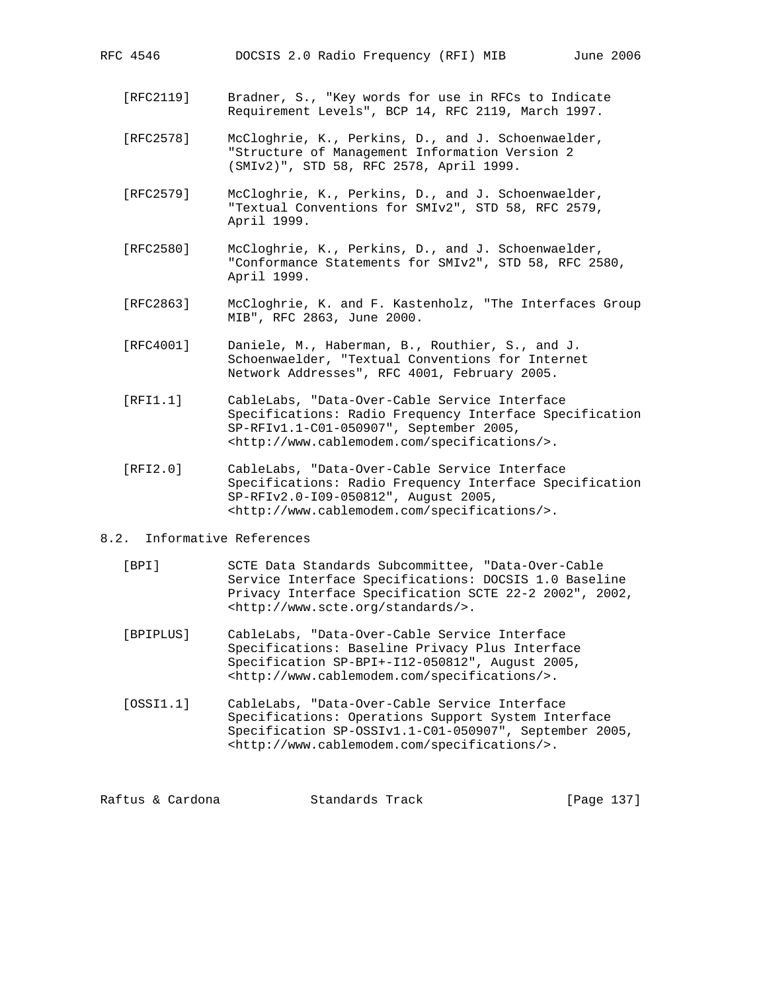- [RFC2119] Bradner, S., "Key words for use in RFCs to Indicate Requirement Levels", BCP 14, RFC 2119, March 1997.
- [RFC2578] McCloghrie, K., Perkins, D., and J. Schoenwaelder, "Structure of Management Information Version 2 (SMIv2)", STD 58, RFC 2578, April 1999.
- [RFC2579] McCloghrie, K., Perkins, D., and J. Schoenwaelder, "Textual Conventions for SMIv2", STD 58, RFC 2579, April 1999.
- [RFC2580] McCloghrie, K., Perkins, D., and J. Schoenwaelder, "Conformance Statements for SMIv2", STD 58, RFC 2580, April 1999.
- [RFC2863] McCloghrie, K. and F. Kastenholz, "The Interfaces Group MIB", RFC 2863, June 2000.
- [RFC4001] Daniele, M., Haberman, B., Routhier, S., and J. Schoenwaelder, "Textual Conventions for Internet Network Addresses", RFC 4001, February 2005.
- [RFI1.1] CableLabs, "Data-Over-Cable Service Interface Specifications: Radio Frequency Interface Specification SP-RFIv1.1-C01-050907", September 2005, <http://www.cablemodem.com/specifications/>.
- [RFI2.0] CableLabs, "Data-Over-Cable Service Interface Specifications: Radio Frequency Interface Specification SP-RFIv2.0-I09-050812", August 2005, <http://www.cablemodem.com/specifications/>.

## 8.2. Informative References

- [BPI] SCTE Data Standards Subcommittee, "Data-Over-Cable Service Interface Specifications: DOCSIS 1.0 Baseline Privacy Interface Specification SCTE 22-2 2002", 2002, <http://www.scte.org/standards/>.
- [BPIPLUS] CableLabs, "Data-Over-Cable Service Interface Specifications: Baseline Privacy Plus Interface Specification SP-BPI+-I12-050812", August 2005, <http://www.cablemodem.com/specifications/>.
- [OSSI1.1] CableLabs, "Data-Over-Cable Service Interface Specifications: Operations Support System Interface Specification SP-OSSIv1.1-C01-050907", September 2005, <http://www.cablemodem.com/specifications/>.

| [Page 137]<br>Raftus & Cardona<br>Standards Track |  |  |  |  |  |  |  |  |  |  |  |  |  |  |  |  |  |  |  |  |  |  |  |  |  |  |  |  |  |  |  |  |  |  |  |  |  |  |  |  |  |  |  |  |  |  |  |  |  |  |  |  |  |  |  |  |  |  |  |  |  |  |  |  |  |  |  |  |  |  |  |  |  |  |  |  |  |  |  |  |  |  |  |  |  |  |  |  |  |  |  |  |  |  |  |  |  |  |  |  |  |  |  |  |  |  |  |  |  |  |  |  |  |  |  |  |  |  |  |  |  |  |  |  |  |  |  |  |  |  |  |  |  |  |  |  |  |  |  |  |  |  |  |  |  |  |
|---------------------------------------------------|--|--|--|--|--|--|--|--|--|--|--|--|--|--|--|--|--|--|--|--|--|--|--|--|--|--|--|--|--|--|--|--|--|--|--|--|--|--|--|--|--|--|--|--|--|--|--|--|--|--|--|--|--|--|--|--|--|--|--|--|--|--|--|--|--|--|--|--|--|--|--|--|--|--|--|--|--|--|--|--|--|--|--|--|--|--|--|--|--|--|--|--|--|--|--|--|--|--|--|--|--|--|--|--|--|--|--|--|--|--|--|--|--|--|--|--|--|--|--|--|--|--|--|--|--|--|--|--|--|--|--|--|--|--|--|--|--|--|--|--|--|--|--|--|--|--|
|---------------------------------------------------|--|--|--|--|--|--|--|--|--|--|--|--|--|--|--|--|--|--|--|--|--|--|--|--|--|--|--|--|--|--|--|--|--|--|--|--|--|--|--|--|--|--|--|--|--|--|--|--|--|--|--|--|--|--|--|--|--|--|--|--|--|--|--|--|--|--|--|--|--|--|--|--|--|--|--|--|--|--|--|--|--|--|--|--|--|--|--|--|--|--|--|--|--|--|--|--|--|--|--|--|--|--|--|--|--|--|--|--|--|--|--|--|--|--|--|--|--|--|--|--|--|--|--|--|--|--|--|--|--|--|--|--|--|--|--|--|--|--|--|--|--|--|--|--|--|--|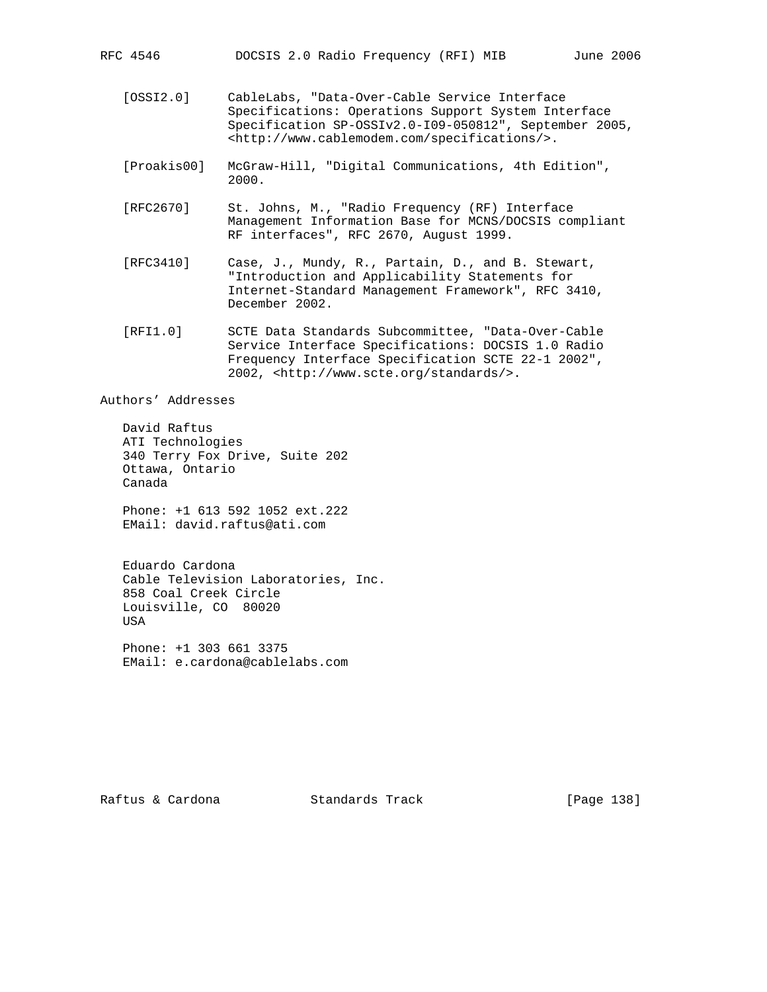RFC 4546 DOCSIS 2.0 Radio Frequency (RFI) MIB June 2006

- [OSSI2.0] CableLabs, "Data-Over-Cable Service Interface Specifications: Operations Support System Interface Specification SP-OSSIv2.0-I09-050812", September 2005, <http://www.cablemodem.com/specifications/>.
- [Proakis00] McGraw-Hill, "Digital Communications, 4th Edition", 2000.
- [RFC2670] St. Johns, M., "Radio Frequency (RF) Interface Management Information Base for MCNS/DOCSIS compliant RF interfaces", RFC 2670, August 1999.
- [RFC3410] Case, J., Mundy, R., Partain, D., and B. Stewart, "Introduction and Applicability Statements for Internet-Standard Management Framework", RFC 3410, December 2002.
- [RFI1.0] SCTE Data Standards Subcommittee, "Data-Over-Cable Service Interface Specifications: DOCSIS 1.0 Radio Frequency Interface Specification SCTE 22-1 2002", 2002, <http://www.scte.org/standards/>.

Authors' Addresses

 David Raftus ATI Technologies 340 Terry Fox Drive, Suite 202 Ottawa, Ontario Canada

 Phone: +1 613 592 1052 ext.222 EMail: david.raftus@ati.com

 Eduardo Cardona Cable Television Laboratories, Inc. 858 Coal Creek Circle Louisville, CO 80020 **TISA** 

 Phone: +1 303 661 3375 EMail: e.cardona@cablelabs.com

Raftus & Cardona Standards Track [Page 138]